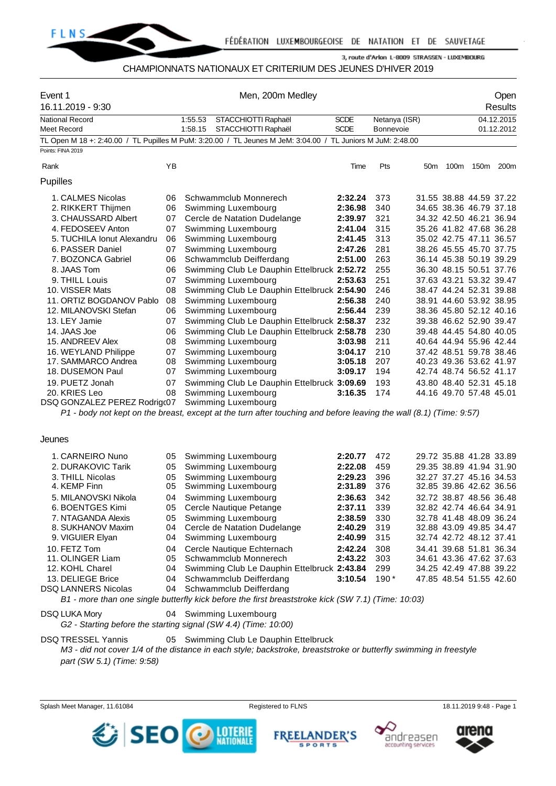

#### CHAMPIONNATS NATIONAUX ET CRITERIUM DES JEUNES D'HIVER 2019

| Event 1<br>16.11.2019 - 9:30                |    | Men, 200m Medley                                                                                                                          |                    |               |     |                                                    | Open<br><b>Results</b> |            |  |  |
|---------------------------------------------|----|-------------------------------------------------------------------------------------------------------------------------------------------|--------------------|---------------|-----|----------------------------------------------------|------------------------|------------|--|--|
| <b>National Record</b>                      |    | 1:55.53<br>STACCHIOTTI Raphaël                                                                                                            | <b>SCDE</b>        | Netanya (ISR) |     |                                                    |                        | 04.12.2015 |  |  |
| <b>Meet Record</b>                          |    | 1:58.15<br>STACCHIOTTI Raphaël                                                                                                            | <b>SCDE</b>        | Bonnevoie     |     |                                                    |                        | 01.12.2012 |  |  |
|                                             |    | TL Open M 18 +: 2:40.00 / TL Pupilles M PuM: 3:20.00 / TL Jeunes M JeM: 3:04.00 / TL Juniors M JuM: 2:48.00                               |                    |               |     |                                                    |                        |            |  |  |
| Points: FINA 2019                           |    |                                                                                                                                           |                    |               |     |                                                    |                        |            |  |  |
| Rank                                        | ΥB |                                                                                                                                           | Time               | Pts           | 50m |                                                    | 100m 150m 200m         |            |  |  |
| Pupilles                                    |    |                                                                                                                                           |                    |               |     |                                                    |                        |            |  |  |
| 1. CALMES Nicolas                           | 06 | Schwammclub Monnerech                                                                                                                     | 2:32.24            | 373           |     | 31.55 38.88 44.59 37.22                            |                        |            |  |  |
| 2. RIKKERT Thijmen                          | 06 | Swimming Luxembourg                                                                                                                       | 2:36.98            | 340           |     | 34.65 38.36 46.79 37.18                            |                        |            |  |  |
| 3. CHAUSSARD Albert                         | 07 | Cercle de Natation Dudelange                                                                                                              | 2:39.97            | 321           |     | 34.32 42.50 46.21 36.94                            |                        |            |  |  |
| 4. FEDOSEEV Anton                           | 07 | Swimming Luxembourg                                                                                                                       | 2:41.04            | 315           |     | 35.26 41.82 47.68 36.28                            |                        |            |  |  |
| 5. TUCHILA Ionut Alexandru                  | 06 | Swimming Luxembourg                                                                                                                       | 2:41.45            | 313           |     | 35.02 42.75 47.11 36.57                            |                        |            |  |  |
| 6. PASSER Daniel                            | 07 | Swimming Luxembourg                                                                                                                       | 2:47.26            | 281           |     | 38.26 45.55 45.70 37.75                            |                        |            |  |  |
| 7. BOZONCA Gabriel                          | 06 | Schwammclub Deifferdang                                                                                                                   | 2:51.00            | 263           |     | 36.14 45.38 50.19 39.29                            |                        |            |  |  |
| 8. JAAS Tom                                 | 06 | Swimming Club Le Dauphin Ettelbruck 2:52.72                                                                                               |                    | 255           |     | 36.30 48.15 50.51 37.76                            |                        |            |  |  |
| 9. THILL Louis                              | 07 | Swimming Luxembourg                                                                                                                       | 2:53.63            | 251           |     | 37.63 43.21 53.32 39.47                            |                        |            |  |  |
| 10. VISSER Mats                             | 08 | Swimming Club Le Dauphin Ettelbruck 2:54.90                                                                                               |                    | 246           |     | 38.47 44.24 52.31 39.88                            |                        |            |  |  |
| 11. ORTIZ BOGDANOV Pablo                    | 08 | Swimming Luxembourg                                                                                                                       | 2:56.38            | 240           |     | 38.91 44.60 53.92 38.95                            |                        |            |  |  |
| 12. MILANOVSKI Stefan                       | 06 | Swimming Luxembourg                                                                                                                       | 2:56.44            | 239           |     | 38.36 45.80 52.12 40.16                            |                        |            |  |  |
| 13. LEY Jamie                               | 07 | Swimming Club Le Dauphin Ettelbruck 2:58.37                                                                                               |                    | 232           |     | 39.38 46.62 52.90 39.47                            |                        |            |  |  |
| 14. JAAS Joe                                | 06 | Swimming Club Le Dauphin Ettelbruck 2:58.78                                                                                               |                    | 230           |     | 39.48 44.45 54.80 40.05                            |                        |            |  |  |
|                                             |    |                                                                                                                                           |                    | 211           |     | 40.64 44.94 55.96 42.44                            |                        |            |  |  |
| 15. ANDREEV Alex                            | 08 | Swimming Luxembourg                                                                                                                       | 3:03.98            |               |     |                                                    |                        |            |  |  |
| 16. WEYLAND Philippe<br>17. SAMMARCO Andrea | 07 | Swimming Luxembourg                                                                                                                       | 3:04.17<br>3:05.18 | 210<br>207    |     | 37.42 48.51 59.78 38.46<br>40.23 49.36 53.62 41.97 |                        |            |  |  |
|                                             | 08 | Swimming Luxembourg                                                                                                                       |                    |               |     |                                                    |                        |            |  |  |
| 18. DUSEMON Paul                            | 07 | Swimming Luxembourg                                                                                                                       | 3:09.17            | 194           |     | 42.74 48.74 56.52 41.17                            |                        |            |  |  |
| 19. PUETZ Jonah                             | 07 | Swimming Club Le Dauphin Ettelbruck 3:09.69                                                                                               |                    | 193           |     | 43.80 48.40 52.31 45.18                            |                        |            |  |  |
| 20. KRIES Leo                               | 08 | Swimming Luxembourg                                                                                                                       | 3:16.35            | 174           |     | 44.16 49.70 57.48 45.01                            |                        |            |  |  |
| DSQ GONZALEZ PEREZ Rodrigc07                |    | Swimming Luxembourg<br>P1 - body not kept on the breast, except at the turn after touching and before leaving the wall (8.1) (Time: 9:57) |                    |               |     |                                                    |                        |            |  |  |
|                                             |    |                                                                                                                                           |                    |               |     |                                                    |                        |            |  |  |
| Jeunes                                      |    |                                                                                                                                           |                    |               |     |                                                    |                        |            |  |  |
| 1. CARNEIRO Nuno                            | 05 | Swimming Luxembourg                                                                                                                       | 2:20.77            | 472           |     | 29.72 35.88 41.28 33.89                            |                        |            |  |  |
| 2. DURAKOVIC Tarik                          | 05 | Swimming Luxembourg                                                                                                                       | 2:22.08            | 459           |     | 29.35 38.89 41.94 31.90                            |                        |            |  |  |
| 3. THILL Nicolas                            | 05 | Swimming Luxembourg                                                                                                                       | 2:29.23            | 396           |     | 32.27 37.27 45.16 34.53                            |                        |            |  |  |
| 4. KEMP Finn                                | 05 | Swimming Luxembourg                                                                                                                       | 2:31.89            | 376           |     | 32.85 39.86 42.62 36.56                            |                        |            |  |  |
| 5. MILANOVSKI Nikola                        | 04 | Swimming Luxembourg                                                                                                                       | 2:36.63            | 342           |     | 32.72 38.87 48.56 36.48                            |                        |            |  |  |
| 6. BOENTGES Kimi                            | 05 | Cercle Nautique Petange                                                                                                                   | 2:37.11            | 339           |     | 32.82 42.74 46.64 34.91                            |                        |            |  |  |
| 7. NTAGANDA Alexis                          | 05 | Swimming Luxembourg                                                                                                                       | 2:38.59            | 330           |     | 32.78 41.48 48.09 36.24                            |                        |            |  |  |
| 8. SUKHANOV Maxim                           | 04 | Cercle de Natation Dudelange                                                                                                              | 2:40.29            | 319           |     | 32.88 43.09 49.85 34.47                            |                        |            |  |  |
| 9. VIGUIER Elyan                            | 04 | Swimming Luxembourg                                                                                                                       | 2:40.99            | 315           |     | 32.74 42.72 48.12 37.41                            |                        |            |  |  |
| 10. FETZ Tom                                | 04 | Cercle Nautique Echternach                                                                                                                | 2:42.24            | 308           |     | 34.41 39.68 51.81 36.34                            |                        |            |  |  |
| 11. OLINGER Liam                            | 05 | Schwammclub Monnerech                                                                                                                     | 2:43.22            | 303           |     | 34.61 43.36 47.62 37.63                            |                        |            |  |  |
| 12. KOHL Charel                             | 04 | Swimming Club Le Dauphin Ettelbruck 2:43.84                                                                                               |                    | 299           |     | 34.25 42.49 47.88 39.22                            |                        |            |  |  |
| 13. DELIEGE Brice                           | 04 | Schwammclub Deifferdang                                                                                                                   | 3:10.54            | $190*$        |     | 47.85 48.54 51.55 42.60                            |                        |            |  |  |

DSQ LANNERS Nicolas 04 Schwammclub Deifferdang

*B1 - more than one single butterfly kick before the first breaststroke kick (SW 7.1) (Time: 10:03)*

DSQ LUKA Mory **04 Swimming Luxembourg** 

*G2 - Starting before the starting signal (SW 4.4) (Time: 10:00)*

DSQ TRESSEL Yannis 05 Swimming Club Le Dauphin Ettelbruck *M3 - did not cover 1/4 of the distance in each style; backstroke, breaststroke or butterfly swimming in freestyle part (SW 5.1) (Time: 9:58)*







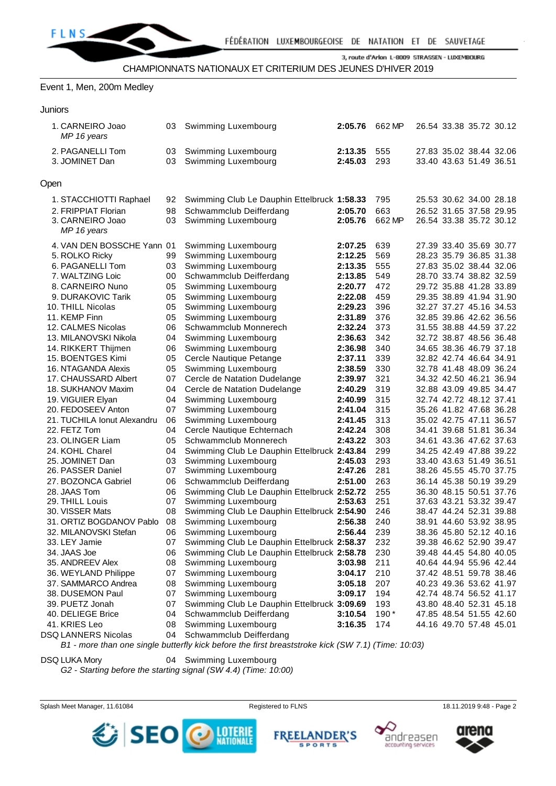

#### Event 1, Men, 200m Medley

| Juniors |
|---------|
|         |

|      | 1. CARNEIRO Joao<br>MP 16 years    | 03       | Swimming Luxembourg                         | 2:05.76            | 662 MP     | 26.54 33.38 35.72 30.12                            |  |
|------|------------------------------------|----------|---------------------------------------------|--------------------|------------|----------------------------------------------------|--|
|      | 2. PAGANELLI Tom<br>3. JOMINET Dan | 03<br>03 | Swimming Luxembourg<br>Swimming Luxembourg  | 2:13.35<br>2:45.03 | 555<br>293 | 27.83 35.02 38.44 32.06<br>33.40 43.63 51.49 36.51 |  |
| Open |                                    |          |                                             |                    |            |                                                    |  |
|      | 1. STACCHIOTTI Raphael             | 92       | Swimming Club Le Dauphin Ettelbruck 1:58.33 |                    | 795        | 25.53 30.62 34.00 28.18                            |  |
|      | 2. FRIPPIAT Florian                | 98       | Schwammclub Deifferdang                     | 2:05.70            | 663        | 26.52 31.65 37.58 29.95                            |  |
|      | 3. CARNEIRO Joao                   | 03       | Swimming Luxembourg                         | 2:05.76            | 662 MP     | 26.54 33.38 35.72 30.12                            |  |
|      | MP 16 years                        |          |                                             |                    |            |                                                    |  |
|      | 4. VAN DEN BOSSCHE Yann 01         |          | Swimming Luxembourg                         | 2:07.25            | 639        | 27.39 33.40 35.69 30.77                            |  |
|      | 5. ROLKO Ricky                     | 99       | Swimming Luxembourg                         | 2:12.25            | 569        | 28.23 35.79 36.85 31.38                            |  |
|      | 6. PAGANELLI Tom                   | 03       | Swimming Luxembourg                         | 2:13.35            | 555        | 27.83 35.02 38.44 32.06                            |  |
|      | 7. WALTZING Loic                   | 00       | Schwammclub Deifferdang                     | 2:13.85            | 549        | 28.70 33.74 38.82 32.59                            |  |
|      | 8. CARNEIRO Nuno                   | 05       | Swimming Luxembourg                         | 2:20.77            | 472        | 29.72 35.88 41.28 33.89                            |  |
|      | 9. DURAKOVIC Tarik                 | 05       | Swimming Luxembourg                         | 2:22.08            | 459        | 29.35 38.89 41.94 31.90                            |  |
|      | 10. THILL Nicolas                  | 05       | Swimming Luxembourg                         | 2:29.23            | 396        | 32.27 37.27 45.16 34.53                            |  |
|      | 11. KEMP Finn                      | 05       | Swimming Luxembourg                         | 2:31.89            | 376        | 32.85 39.86 42.62 36.56                            |  |
|      | 12. CALMES Nicolas                 | 06       | Schwammclub Monnerech                       | 2:32.24            | 373        | 31.55 38.88 44.59 37.22                            |  |
|      | 13. MILANOVSKI Nikola              | 04       | Swimming Luxembourg                         | 2:36.63            | 342        | 32.72 38.87 48.56 36.48                            |  |
|      | 14. RIKKERT Thijmen                | 06       | Swimming Luxembourg                         | 2:36.98            | 340        | 34.65 38.36 46.79 37.18                            |  |
|      | 15. BOENTGES Kimi                  | 05       | Cercle Nautique Petange                     | 2:37.11            | 339        | 32.82 42.74 46.64 34.91                            |  |
|      | 16. NTAGANDA Alexis                | 05       | Swimming Luxembourg                         | 2:38.59            | 330        | 32.78 41.48 48.09 36.24                            |  |
|      | 17. CHAUSSARD Albert               | 07       | Cercle de Natation Dudelange                | 2:39.97            | 321        | 34.32 42.50 46.21 36.94                            |  |
|      | 18. SUKHANOV Maxim                 | 04       | Cercle de Natation Dudelange                | 2:40.29            | 319        | 32.88 43.09 49.85 34.47                            |  |
|      | 19. VIGUIER Elyan                  | 04       | Swimming Luxembourg                         | 2:40.99            | 315        | 32.74 42.72 48.12 37.41                            |  |
|      | 20. FEDOSEEV Anton                 | 07       | Swimming Luxembourg                         | 2:41.04            | 315        | 35.26 41.82 47.68 36.28                            |  |
|      | 21. TUCHILA Ionut Alexandru        | 06       | Swimming Luxembourg                         | 2:41.45            | 313        | 35.02 42.75 47.11 36.57                            |  |
|      | 22. FETZ Tom                       | 04       | Cercle Nautique Echternach                  | 2:42.24            | 308        | 34.41 39.68 51.81 36.34                            |  |
|      | 23. OLINGER Liam                   | 05       | Schwammclub Monnerech                       | 2:43.22            | 303        | 34.61 43.36 47.62 37.63                            |  |
|      | 24. KOHL Charel                    | 04       | Swimming Club Le Dauphin Ettelbruck 2:43.84 |                    | 299        | 34.25 42.49 47.88 39.22                            |  |
|      | 25. JOMINET Dan                    | 03       | Swimming Luxembourg                         | 2:45.03            | 293        | 33.40 43.63 51.49 36.51                            |  |
|      | 26. PASSER Daniel                  | 07       | Swimming Luxembourg                         | 2:47.26            | 281        | 38.26 45.55 45.70 37.75                            |  |
|      | 27. BOZONCA Gabriel                | 06       | Schwammclub Deifferdang                     | 2:51.00            | 263        | 36.14 45.38 50.19 39.29                            |  |
|      | 28. JAAS Tom                       | 06       | Swimming Club Le Dauphin Ettelbruck 2:52.72 |                    | 255        | 36.30 48.15 50.51 37.76                            |  |
|      | 29. THILL Louis                    | 07       | Swimming Luxembourg                         | 2:53.63            | 251        | 37.63 43.21 53.32 39.47                            |  |
|      | 30. VISSER Mats                    | 08       | Swimming Club Le Dauphin Ettelbruck 2:54.90 |                    | 246        | 38.47 44.24 52.31 39.88                            |  |
|      | 31. ORTIZ BOGDANOV Pablo           | 08       | Swimming Luxembourg                         | 2:56.38            | 240        | 38.91 44.60 53.92 38.95                            |  |
|      | 32. MILANOVSKI Stefan              | 06       | Swimming Luxembourg                         | 2:56.44            | 239        | 38.36 45.80 52.12 40.16                            |  |
|      | 33. LEY Jamie                      | 07       | Swimming Club Le Dauphin Ettelbruck 2:58.37 |                    | 232        | 39.38 46.62 52.90 39.47                            |  |
|      | 34. JAAS Joe                       | 06       | Swimming Club Le Dauphin Ettelbruck 2:58.78 |                    | 230        | 39.48 44.45 54.80 40.05                            |  |
|      | 35. ANDREEV Alex                   | 08       | Swimming Luxembourg                         | 3:03.98            | 211        | 40.64 44.94 55.96 42.44                            |  |
|      | 36. WEYLAND Philippe               | 07       | Swimming Luxembourg                         | 3:04.17            | 210        | 37.42 48.51 59.78 38.46                            |  |
|      | 37. SAMMARCO Andrea                | 08       | Swimming Luxembourg                         | 3:05.18            | 207        | 40.23 49.36 53.62 41.97                            |  |
|      | 38. DUSEMON Paul                   | 07       | Swimming Luxembourg                         | 3:09.17            | 194        | 42.74 48.74 56.52 41.17                            |  |
|      | 39. PUETZ Jonah                    | 07       | Swimming Club Le Dauphin Ettelbruck 3:09.69 |                    | 193        | 43.80 48.40 52.31 45.18                            |  |
|      | 40. DELIEGE Brice                  | 04       | Schwammclub Deifferdang                     | 3:10.54            | $190*$     | 47.85 48.54 51.55 42.60                            |  |
|      | 41. KRIES Leo                      | 08       | Swimming Luxembourg                         | 3:16.35            | 174        | 44.16 49.70 57.48 45.01                            |  |
|      | <b>DSQ LANNERS Nicolas</b>         | 04       | Schwammclub Deifferdang                     |                    |            |                                                    |  |

*B1 - more than one single butterfly kick before the first breaststroke kick (SW 7.1) (Time: 10:03)*

DSQ LUKA Mory 04 Swimming Luxembourg

*G2 - Starting before the starting signal (SW 4.4) (Time: 10:00)*









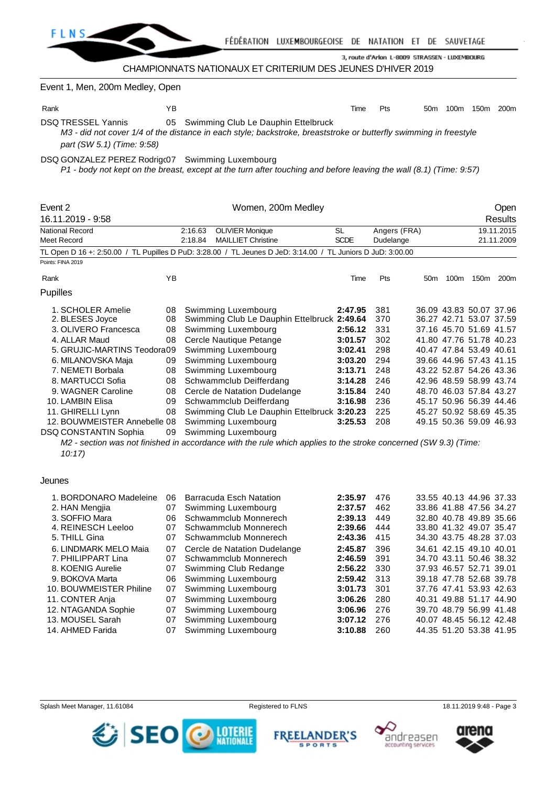

Event 1, Men, 200m Medley, Open

Rank YB Time Pts 50m 100m 150m 200m DSQ TRESSEL Yannis 05 Swimming Club Le Dauphin Ettelbruck

*M3 - did not cover 1/4 of the distance in each style; backstroke, breaststroke or butterfly swimming in freestyle part (SW 5.1) (Time: 9:58)*

DSQ GONZALEZ PEREZ Rodrigc07 Swimming Luxembourg

*P1 - body not kept on the breast, except at the turn after touching and before leaving the wall (8.1) (Time: 9:57)*

| Event 2<br>16.11.2019 - 9:58                                                                                                                                                                                                                                                                                  |                                                                | Women, 200m Medley                                                                                                                                                                                                                                                                                                                                                                                                                                                                              |                                                                                                            |                                                                                  |                 | Open<br><b>Results</b>   |                                                                                                                                                                                                                                                                                                                                  |           |  |  |
|---------------------------------------------------------------------------------------------------------------------------------------------------------------------------------------------------------------------------------------------------------------------------------------------------------------|----------------------------------------------------------------|-------------------------------------------------------------------------------------------------------------------------------------------------------------------------------------------------------------------------------------------------------------------------------------------------------------------------------------------------------------------------------------------------------------------------------------------------------------------------------------------------|------------------------------------------------------------------------------------------------------------|----------------------------------------------------------------------------------|-----------------|--------------------------|----------------------------------------------------------------------------------------------------------------------------------------------------------------------------------------------------------------------------------------------------------------------------------------------------------------------------------|-----------|--|--|
| <b>National Record</b><br>Meet Record                                                                                                                                                                                                                                                                         |                                                                | 2:16.63<br><b>OLIVIER Monique</b><br>2:18.84<br><b>MAILLIET Christine</b>                                                                                                                                                                                                                                                                                                                                                                                                                       | SL<br><b>SCDE</b>                                                                                          | Angers (FRA)<br>Dudelange                                                        |                 | 19.11.2015<br>21.11.2009 |                                                                                                                                                                                                                                                                                                                                  |           |  |  |
|                                                                                                                                                                                                                                                                                                               |                                                                | TL Open D 16 +: 2:50.00 / TL Pupilles D PuD: 3:28.00 / TL Jeunes D JeD: 3:14.00 / TL Juniors D JuD: 3:00.00                                                                                                                                                                                                                                                                                                                                                                                     |                                                                                                            |                                                                                  |                 |                          |                                                                                                                                                                                                                                                                                                                                  |           |  |  |
| Points: FINA 2019                                                                                                                                                                                                                                                                                             |                                                                |                                                                                                                                                                                                                                                                                                                                                                                                                                                                                                 |                                                                                                            |                                                                                  |                 |                          |                                                                                                                                                                                                                                                                                                                                  |           |  |  |
| Rank                                                                                                                                                                                                                                                                                                          | YB                                                             |                                                                                                                                                                                                                                                                                                                                                                                                                                                                                                 | Time                                                                                                       | Pts                                                                              | 50 <sub>m</sub> | 100m                     |                                                                                                                                                                                                                                                                                                                                  | 150m 200m |  |  |
| Pupilles                                                                                                                                                                                                                                                                                                      |                                                                |                                                                                                                                                                                                                                                                                                                                                                                                                                                                                                 |                                                                                                            |                                                                                  |                 |                          |                                                                                                                                                                                                                                                                                                                                  |           |  |  |
| 1. SCHOLER Amelie<br>2. BLESES Joyce<br>3. OLIVERO Francesca<br>4. ALLAR Maud<br>5. GRUJIC-MARTINS Teodora09<br>6. MILANOVSKA Maja<br>7. NEMETI Borbala<br>8. MARTUCCI Sofia<br>9. WAGNER Caroline<br>10. LAMBIN Elisa<br>11. GHIRELLI Lynn<br>12. BOUWMEISTER Annebelle 08<br>DSQ CONSTANTIN Sophia<br>10:17 | 08<br>08<br>08<br>08<br>09<br>08<br>08<br>08<br>09<br>08<br>09 | Swimming Luxembourg<br>Swimming Club Le Dauphin Ettelbruck 2:49.64<br>Swimming Luxembourg<br>Cercle Nautique Petange<br>Swimming Luxembourg<br>Swimming Luxembourg<br>Swimming Luxembourg<br>Schwammclub Deifferdang<br>Cercle de Natation Dudelange<br>Schwammclub Deifferdang<br>Swimming Club Le Dauphin Ettelbruck 3:20.23<br>Swimming Luxembourg<br>Swimming Luxembourg<br>M2 - section was not finished in accordance with the rule which applies to the stroke concerned (SW 9.3) (Time: | 2:47.95<br>2:56.12<br>3:01.57<br>3:02.41<br>3:03.20<br>3:13.71<br>3:14.28<br>3:15.84<br>3:16.98<br>3:25.53 | 381<br>370<br>331<br>302<br>298<br>294<br>248<br>246<br>240<br>236<br>225<br>208 |                 |                          | 36.09 43.83 50.07 37.96<br>36.27 42.71 53.07 37.59<br>37.16 45.70 51.69 41.57<br>41.80 47.76 51.78 40.23<br>40.47 47.84 53.49 40.61<br>39.66 44.96 57.43 41.15<br>43.22 52.87 54.26 43.36<br>42.96 48.59 58.99 43.74<br>48.70 46.03 57.84 43.27<br>45.17 50.96 56.39 44.46<br>45.27 50.92 58.69 45.35<br>49.15 50.36 59.09 46.93 |           |  |  |
| Jeunes                                                                                                                                                                                                                                                                                                        |                                                                |                                                                                                                                                                                                                                                                                                                                                                                                                                                                                                 |                                                                                                            |                                                                                  |                 |                          |                                                                                                                                                                                                                                                                                                                                  |           |  |  |
| 1. BORDONARO Madeleine<br>2. HAN Mengjia                                                                                                                                                                                                                                                                      | 06<br>07                                                       | Barracuda Esch Natation<br>Swimming Luxembourg                                                                                                                                                                                                                                                                                                                                                                                                                                                  | 2:35.97<br>2:37.57                                                                                         | 476<br>462                                                                       |                 |                          | 33.55 40.13 44.96 37.33<br>33.86 41.88 47.56 34.27                                                                                                                                                                                                                                                                               |           |  |  |
| 3. SOFFIO Mara<br>4. REINESCH Leeloo<br>5. THILL Gina                                                                                                                                                                                                                                                         | 06<br>07<br>07                                                 | Schwammclub Monnerech<br>Schwammclub Monnerech<br>Schwammclub Monnerech                                                                                                                                                                                                                                                                                                                                                                                                                         | 2:39.13<br>2:39.66<br>2:43.36                                                                              | 449<br>444<br>415                                                                |                 |                          | 32.80 40.78 49.89 35.66<br>33.80 41.32 49.07 35.47<br>34.30 43.75 48.28 37.03                                                                                                                                                                                                                                                    |           |  |  |
| 6. LINDMARK MELO Maia<br>7. PHILIPPART Lina<br>8. KOENIG Aurelie                                                                                                                                                                                                                                              | 07<br>07<br>07                                                 | Cercle de Natation Dudelange<br>Schwammclub Monnerech<br>Swimming Club Redange                                                                                                                                                                                                                                                                                                                                                                                                                  | 2:45.87<br>2:46.59<br>2:56.22                                                                              | 396<br>391<br>330                                                                |                 |                          | 34.61 42.15 49.10 40.01<br>34.70 43.11 50.46 38.32<br>37.93 46.57 52.71 39.01                                                                                                                                                                                                                                                    |           |  |  |
| 9. BOKOVA Marta<br>10. BOUWMEISTER Philine<br>11. CONTER Anja                                                                                                                                                                                                                                                 | 06<br>07<br>07                                                 | Swimming Luxembourg<br>Swimming Luxembourg<br>Swimming Luxembourg                                                                                                                                                                                                                                                                                                                                                                                                                               | 2:59.42<br>3:01.73<br>3:06.26                                                                              | 313<br>301<br>280                                                                |                 |                          | 39.18 47.78 52.68 39.78<br>37.76 47.41 53.93 42.63<br>40.31 49.88 51.17 44.90                                                                                                                                                                                                                                                    |           |  |  |
| 12. NTAGANDA Sophie<br>13. MOUSEL Sarah<br>14. AHMED Farida                                                                                                                                                                                                                                                   | 07<br>07<br>07                                                 | Swimming Luxembourg<br>Swimming Luxembourg<br>Swimming Luxembourg                                                                                                                                                                                                                                                                                                                                                                                                                               | 3:06.96<br>3:07.12<br>3:10.88                                                                              | 276<br>276<br>260                                                                |                 |                          | 39.70 48.79 56.99 41.48<br>40.07 48.45 56.12 42.48<br>44.35 51.20 53.38 41.95                                                                                                                                                                                                                                                    |           |  |  |







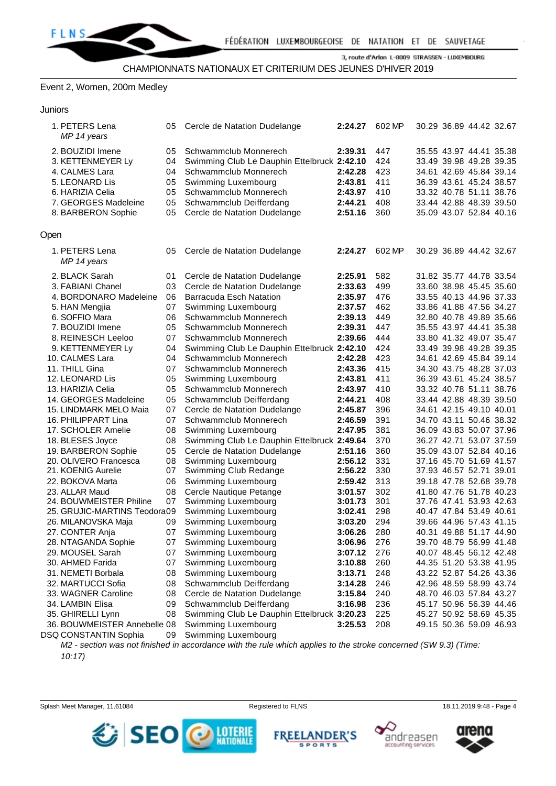

#### Event 2, Women, 200m Medley

| Junior:<br>ъ. |
|---------------|
|               |

|      | 1. PETERS Lena<br>MP 14 years | 05 | Cercle de Natation Dudelange                | 2:24.27 | 602 MP | 30.29 36.89 44.42 32.67 |  |
|------|-------------------------------|----|---------------------------------------------|---------|--------|-------------------------|--|
|      | 2. BOUZIDI Imene              | 05 | Schwammclub Monnerech                       | 2:39.31 | 447    | 35.55 43.97 44.41 35.38 |  |
|      | 3. KETTENMEYER Ly             | 04 | Swimming Club Le Dauphin Ettelbruck 2:42.10 |         | 424    | 33.49 39.98 49.28 39.35 |  |
|      | 4. CALMES Lara                | 04 | Schwammclub Monnerech                       | 2:42.28 | 423    | 34.61 42.69 45.84 39.14 |  |
|      | 5. LEONARD Lis                | 05 | Swimming Luxembourg                         | 2:43.81 | 411    | 36.39 43.61 45.24 38.57 |  |
|      | 6. HARIZIA Celia              | 05 | Schwammclub Monnerech                       | 2:43.97 | 410    | 33.32 40.78 51.11 38.76 |  |
|      | 7. GEORGES Madeleine          | 05 | Schwammclub Deifferdang                     | 2:44.21 | 408    | 33.44 42.88 48.39 39.50 |  |
|      | 8. BARBERON Sophie            | 05 | Cercle de Natation Dudelange                | 2:51.16 | 360    | 35.09 43.07 52.84 40.16 |  |
| Open |                               |    |                                             |         |        |                         |  |
|      | 1. PETERS Lena<br>MP 14 years | 05 | Cercle de Natation Dudelange                | 2:24.27 | 602 MP | 30.29 36.89 44.42 32.67 |  |
|      | 2. BLACK Sarah                | 01 | Cercle de Natation Dudelange                | 2:25.91 | 582    | 31.82 35.77 44.78 33.54 |  |
|      | 3. FABIANI Chanel             | 03 | Cercle de Natation Dudelange                | 2:33.63 | 499    | 33.60 38.98 45.45 35.60 |  |
|      | 4. BORDONARO Madeleine        | 06 | <b>Barracuda Esch Natation</b>              | 2:35.97 | 476    | 33.55 40.13 44.96 37.33 |  |
|      | 5. HAN Mengjia                | 07 | Swimming Luxembourg                         | 2:37.57 | 462    | 33.86 41.88 47.56 34.27 |  |
|      | 6. SOFFIO Mara                | 06 | Schwammclub Monnerech                       | 2:39.13 | 449    | 32.80 40.78 49.89 35.66 |  |
|      | 7. BOUZIDI Imene              | 05 | Schwammclub Monnerech                       | 2:39.31 | 447    | 35.55 43.97 44.41 35.38 |  |
|      | 8. REINESCH Leeloo            | 07 | Schwammclub Monnerech                       | 2:39.66 | 444    | 33.80 41.32 49.07 35.47 |  |
|      | 9. KETTENMEYER Ly             | 04 | Swimming Club Le Dauphin Ettelbruck 2:42.10 |         | 424    | 33.49 39.98 49.28 39.35 |  |
|      | 10. CALMES Lara               | 04 | Schwammclub Monnerech                       | 2:42.28 | 423    | 34.61 42.69 45.84 39.14 |  |
|      | 11. THILL Gina                | 07 | Schwammclub Monnerech                       | 2:43.36 | 415    | 34.30 43.75 48.28 37.03 |  |
|      | 12. LEONARD Lis               | 05 | Swimming Luxembourg                         | 2:43.81 | 411    | 36.39 43.61 45.24 38.57 |  |
|      | 13. HARIZIA Celia             | 05 | Schwammclub Monnerech                       | 2:43.97 | 410    | 33.32 40.78 51.11 38.76 |  |
|      | 14. GEORGES Madeleine         | 05 | Schwammclub Deifferdang                     | 2:44.21 | 408    | 33.44 42.88 48.39 39.50 |  |
|      | 15. LINDMARK MELO Maia        | 07 | Cercle de Natation Dudelange                | 2:45.87 | 396    | 34.61 42.15 49.10 40.01 |  |
|      | 16. PHILIPPART Lina           | 07 | Schwammclub Monnerech                       | 2:46.59 | 391    | 34.70 43.11 50.46 38.32 |  |
|      | 17. SCHOLER Amelie            | 08 | Swimming Luxembourg                         | 2:47.95 | 381    | 36.09 43.83 50.07 37.96 |  |
|      | 18. BLESES Joyce              | 08 | Swimming Club Le Dauphin Ettelbruck 2:49.64 |         | 370    | 36.27 42.71 53.07 37.59 |  |
|      | 19. BARBERON Sophie           | 05 | Cercle de Natation Dudelange                | 2:51.16 | 360    | 35.09 43.07 52.84 40.16 |  |
|      | 20. OLIVERO Francesca         | 08 | Swimming Luxembourg                         | 2:56.12 | 331    | 37.16 45.70 51.69 41.57 |  |
|      | 21. KOENIG Aurelie            | 07 | Swimming Club Redange                       | 2:56.22 | 330    | 37.93 46.57 52.71 39.01 |  |
|      | 22. BOKOVA Marta              | 06 | Swimming Luxembourg                         | 2:59.42 | 313    | 39.18 47.78 52.68 39.78 |  |
|      | 23. ALLAR Maud                | 08 | Cercle Nautique Petange                     | 3:01.57 | 302    | 41.80 47.76 51.78 40.23 |  |
|      | 24. BOUWMEISTER Philine       | 07 | Swimming Luxembourg                         | 3:01.73 | 301    | 37.76 47.41 53.93 42.63 |  |
|      | 25. GRUJIC-MARTINS Teodora09  |    | Swimming Luxembourg                         | 3:02.41 | 298    | 40.47 47.84 53.49 40.61 |  |
|      | 26. MILANOVSKA Maja           | 09 | Swimming Luxembourg                         | 3:03.20 | 294    | 39.66 44.96 57.43 41.15 |  |
|      | 27. CONTER Anja               | 07 | Swimming Luxembourg                         | 3:06.26 | 280    | 40.31 49.88 51.17 44.90 |  |
|      | 28. NTAGANDA Sophie           | 07 | Swimming Luxembourg                         | 3:06.96 | 276    | 39.70 48.79 56.99 41.48 |  |
|      | 29. MOUSEL Sarah              | 07 | Swimming Luxembourg                         | 3:07.12 | 276    | 40.07 48.45 56.12 42.48 |  |
|      | 30. AHMED Farida              | 07 | Swimming Luxembourg                         | 3:10.88 | 260    | 44.35 51.20 53.38 41.95 |  |
|      | 31. NEMETI Borbala            | 08 | Swimming Luxembourg                         | 3:13.71 | 248    | 43.22 52.87 54.26 43.36 |  |
|      | 32. MARTUCCI Sofia            | 08 | Schwammclub Deifferdang                     | 3:14.28 | 246    | 42.96 48.59 58.99 43.74 |  |
|      | 33. WAGNER Caroline           | 08 | Cercle de Natation Dudelange                | 3:15.84 | 240    | 48.70 46.03 57.84 43.27 |  |
|      | 34. LAMBIN Elisa              | 09 | Schwammclub Deifferdang                     | 3:16.98 | 236    | 45.17 50.96 56.39 44.46 |  |
|      | 35. GHIRELLI Lynn             | 08 | Swimming Club Le Dauphin Ettelbruck 3:20.23 |         | 225    | 45.27 50.92 58.69 45.35 |  |
|      | 36. BOUWMEISTER Annebelle 08  |    | Swimming Luxembourg                         | 3:25.53 | 208    | 49.15 50.36 59.09 46.93 |  |
|      | DSQ CONSTANTIN Sophia         | 09 | Swimming Luxembourg                         |         |        |                         |  |

*M2 - section was not finished in accordance with the rule which applies to the stroke concerned (SW 9.3) (Time: 10:17)*



**FREE DER'S** SPORTS





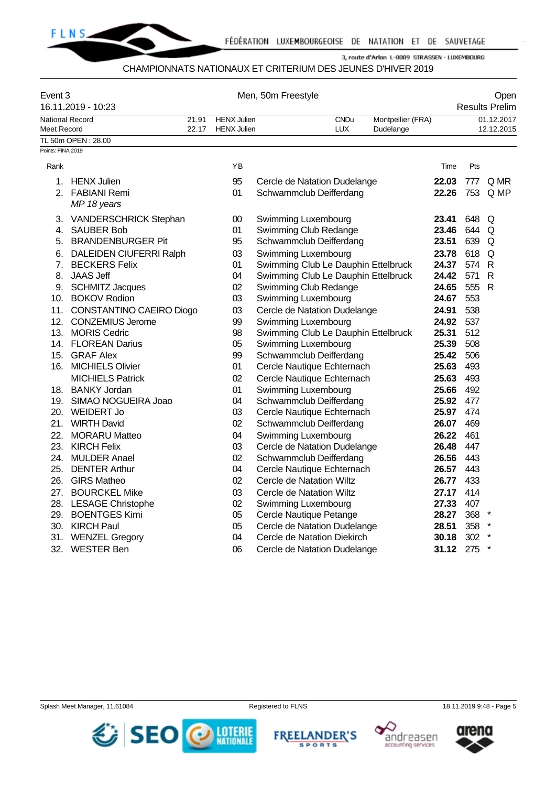

# CHAMPIONNATS NATIONAUX ET CRITERIUM DES JEUNES D'HIVER 2019

| Event 3<br>16.11.2019 - 10:23 |                              | Men, 50m Freestyle |                    |                                                             |             |                   | Open<br><b>Results Prelim</b> |            |              |  |
|-------------------------------|------------------------------|--------------------|--------------------|-------------------------------------------------------------|-------------|-------------------|-------------------------------|------------|--------------|--|
| <b>National Record</b>        |                              | 21.91              | <b>HENX Julien</b> |                                                             | <b>CNDu</b> | Montpellier (FRA) |                               |            | 01.12.2017   |  |
| Meet Record                   |                              | 22.17              | <b>HENX Julien</b> |                                                             | <b>LUX</b>  | Dudelange         |                               |            | 12.12.2015   |  |
|                               | TL 50m OPEN: 28.00           |                    |                    |                                                             |             |                   |                               |            |              |  |
| Points: FINA 2019             |                              |                    |                    |                                                             |             |                   |                               |            |              |  |
| Rank                          |                              |                    | ΥB                 |                                                             |             |                   | Time                          | Pts        |              |  |
|                               | 1. HENX Julien               |                    | 95                 | Cercle de Natation Dudelange                                |             |                   | 22.03                         | 777        | Q MR         |  |
|                               | 2. FABIANI Remi              |                    | 01                 | Schwammclub Deifferdang                                     |             |                   | 22.26                         |            | 753 Q MP     |  |
|                               | MP 18 years                  |                    |                    |                                                             |             |                   |                               |            |              |  |
| 3.                            | VANDERSCHRICK Stephan        |                    | $00\,$             | Swimming Luxembourg                                         |             |                   | 23.41                         | 648        | Q            |  |
| 4.                            | <b>SAUBER Bob</b>            |                    | 01                 | Swimming Club Redange                                       |             |                   | 23.46                         | 644        | Q            |  |
|                               | 5. BRANDENBURGER Pit         |                    | 95                 | Schwammclub Deifferdang                                     |             |                   | 23.51                         | 639        | Q            |  |
|                               | 6. DALEIDEN CIUFERRI Ralph   |                    | 03                 | Swimming Luxembourg                                         |             |                   | 23.78                         | 618        | Q            |  |
| 7.                            | <b>BECKERS Felix</b>         |                    | 01                 | Swimming Club Le Dauphin Ettelbruck                         |             |                   | 24.37                         | 574        | $\mathsf{R}$ |  |
| 8.                            | <b>JAAS Jeff</b>             |                    | 04                 | Swimming Club Le Dauphin Ettelbruck                         |             |                   | 24.42                         | 571        | $\mathsf{R}$ |  |
|                               | 9. SCHMITZ Jacques           |                    | 02                 | Swimming Club Redange                                       |             |                   | 24.65                         | 555        | $\mathsf{R}$ |  |
|                               | 10. BOKOV Rodion             |                    | 03                 | Swimming Luxembourg                                         |             |                   | 24.67                         | 553        |              |  |
|                               | 11. CONSTANTINO CAEIRO Diogo |                    | 03                 | Cercle de Natation Dudelange                                |             |                   | 24.91                         | 538        |              |  |
|                               | 12. CONZEMIUS Jerome         |                    | 99                 | Swimming Luxembourg                                         |             |                   | 24.92                         | 537        |              |  |
|                               | 13. MORIS Cedric             |                    | 98                 | Swimming Club Le Dauphin Ettelbruck                         |             |                   | 25.31                         | 512        |              |  |
|                               | 14. FLOREAN Darius           |                    | 05                 | Swimming Luxembourg                                         |             |                   | 25.39                         | 508        |              |  |
|                               | 15. GRAF Alex                |                    | 99                 | Schwammclub Deifferdang                                     |             |                   | 25.42                         | 506        |              |  |
|                               | 16. MICHIELS Olivier         |                    | 01                 | Cercle Nautique Echternach                                  |             |                   | 25.63                         | 493        |              |  |
|                               | <b>MICHIELS Patrick</b>      |                    | 02                 | Cercle Nautique Echternach                                  |             |                   | 25.63                         | 493        |              |  |
|                               | 18. BANKY Jordan             |                    | 01                 | Swimming Luxembourg                                         |             |                   | 25.66                         | 492        |              |  |
|                               | 19. SIMAO NOGUEIRA Joao      |                    | 04                 | Schwammclub Deifferdang                                     |             |                   | 25.92                         | 477        |              |  |
|                               | 20. WEIDERT Jo               |                    | 03                 | Cercle Nautique Echternach                                  |             |                   | 25.97                         | 474        |              |  |
|                               | 21. WIRTH David              |                    | 02                 | Schwammclub Deifferdang                                     |             |                   | 26.07                         | 469        |              |  |
|                               | 22. MORARU Matteo            |                    | 04                 | Swimming Luxembourg                                         |             |                   | 26.22                         | 461        |              |  |
|                               | 23. KIRCH Felix              |                    | 03                 | Cercle de Natation Dudelange                                |             |                   | 26.48                         | 447        |              |  |
| 24.                           | <b>MULDER Anael</b>          |                    | 02                 | Schwammclub Deifferdang                                     |             |                   | 26.56                         | 443        |              |  |
| 25.                           | <b>DENTER Arthur</b>         |                    | 04                 | Cercle Nautique Echternach                                  |             |                   | 26.57                         | 443        |              |  |
|                               | 26. GIRS Matheo              |                    | 02                 | Cercle de Natation Wiltz                                    |             |                   | 26.77                         | 433        |              |  |
|                               | 27. BOURCKEL Mike            |                    | 03                 | Cercle de Natation Wiltz                                    |             |                   | 27.17                         | 414        |              |  |
|                               | 28. LESAGE Christophe        |                    | 02                 | Swimming Luxembourg                                         |             |                   | 27.33                         | 407        |              |  |
|                               | 29. BOENTGES Kimi            |                    | 05                 | Cercle Nautique Petange                                     |             |                   | 28.27                         | 368        |              |  |
|                               | 30. KIRCH Paul               |                    | 05<br>04           | Cercle de Natation Dudelange<br>Cercle de Natation Diekirch |             |                   | 28.51                         | 358<br>302 | $\ast$       |  |
| 31.                           | <b>WENZEL Gregory</b>        |                    |                    |                                                             |             |                   | 30.18                         |            | $\star$      |  |
| 32.                           | <b>WESTER Ben</b>            |                    | 06                 | Cercle de Natation Dudelange                                |             |                   | 31.12                         | 275        |              |  |

Splash Meet Manager, 11.61084 **Registered to FLNS** Registered to FLNS 18.11.2019 9:48 - Page 5







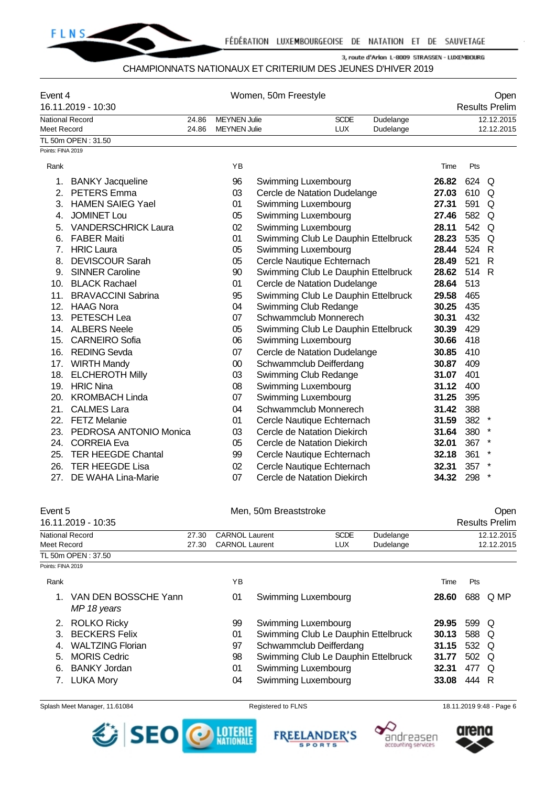

#### CHAMPIONNATS NATIONAUX ET CRITERIUM DES JEUNES D'HIVER 2019

| Event 4           | 16.11.2019 - 10:30         | Women, 50m Freestyle                                     |                     |                                     |            |           | Open<br><b>Results Prelim</b> |       |              |  |
|-------------------|----------------------------|----------------------------------------------------------|---------------------|-------------------------------------|------------|-----------|-------------------------------|-------|--------------|--|
|                   | <b>National Record</b>     | 24.86<br><b>MEYNEN Julie</b><br><b>SCDE</b><br>Dudelange |                     |                                     | 12.12.2015 |           |                               |       |              |  |
| Meet Record       |                            | 24.86                                                    | <b>MEYNEN Julie</b> |                                     | <b>LUX</b> | Dudelange |                               |       | 12.12.2015   |  |
|                   | TL 50m OPEN: 31.50         |                                                          |                     |                                     |            |           |                               |       |              |  |
| Points: FINA 2019 |                            |                                                          |                     |                                     |            |           |                               |       |              |  |
| Rank              |                            |                                                          | ΥB                  |                                     |            |           | Time                          | Pts   |              |  |
| 1.                | <b>BANKY Jacqueline</b>    |                                                          | 96                  | Swimming Luxembourg                 |            |           | 26.82                         | 624   | Q            |  |
| 2.                | <b>PETERS</b> Emma         |                                                          | 03                  | Cercle de Natation Dudelange        |            |           | 27.03                         | 610   | Q            |  |
| 3.                | <b>HAMEN SAIEG Yael</b>    |                                                          | 01                  | Swimming Luxembourg                 |            |           | 27.31                         | 591   | Q            |  |
| 4.                | <b>JOMINET Lou</b>         |                                                          | 05                  | Swimming Luxembourg                 |            |           | 27.46                         | 582   | Q            |  |
| 5.                | <b>VANDERSCHRICK Laura</b> |                                                          | 02                  | Swimming Luxembourg                 |            |           | 28.11                         | 542   | $\Omega$     |  |
| 6.                | <b>FABER Maiti</b>         |                                                          | 01                  | Swimming Club Le Dauphin Ettelbruck |            |           | 28.23                         | 535   | $\Omega$     |  |
| 7 <sub>1</sub>    | <b>HRIC Laura</b>          |                                                          | 05                  | Swimming Luxembourg                 |            |           | 28.44                         | 524   | $\mathsf{R}$ |  |
| 8.                | <b>DEVISCOUR Sarah</b>     |                                                          | 05                  | Cercle Nautique Echternach          |            |           | 28.49                         | 521   | $\mathsf{R}$ |  |
| 9.                | <b>SINNER Caroline</b>     |                                                          | 90                  | Swimming Club Le Dauphin Ettelbruck |            |           | 28.62                         | 514 R |              |  |
| 10.               | <b>BLACK Rachael</b>       |                                                          | 01                  | Cercle de Natation Dudelange        |            |           | 28.64                         | 513   |              |  |
| 11.               | <b>BRAVACCINI Sabrina</b>  |                                                          | 95                  | Swimming Club Le Dauphin Ettelbruck |            |           | 29.58                         | 465   |              |  |
| 12.               | HAAG Nora                  |                                                          | 04                  | Swimming Club Redange               |            |           | 30.25                         | 435   |              |  |
| 13.               | PETESCH Lea                |                                                          | 07                  | Schwammclub Monnerech               |            |           | 30.31                         | 432   |              |  |
| 14.               | <b>ALBERS Neele</b>        |                                                          | 05                  | Swimming Club Le Dauphin Ettelbruck |            |           | 30.39                         | 429   |              |  |
| 15.               | <b>CARNEIRO</b> Sofia      |                                                          | 06                  | Swimming Luxembourg                 |            |           | 30.66                         | 418   |              |  |
| 16.               | <b>REDING Sevda</b>        |                                                          | 07                  | Cercle de Natation Dudelange        |            |           | 30.85                         | 410   |              |  |
| 17.               | <b>WIRTH Mandy</b>         |                                                          | $00\,$              | Schwammclub Deifferdang             |            |           | 30.87                         | 409   |              |  |
| 18.               | <b>ELCHEROTH Milly</b>     |                                                          | 03                  | Swimming Club Redange               |            |           | 31.07                         | 401   |              |  |
| 19.               | <b>HRIC Nina</b>           |                                                          | 08                  | Swimming Luxembourg                 |            |           | 31.12                         | 400   |              |  |
| 20.               | <b>KROMBACH Linda</b>      |                                                          | 07                  | Swimming Luxembourg                 |            |           | 31.25                         | 395   |              |  |
| 21.               | <b>CALMES Lara</b>         |                                                          | 04                  | Schwammclub Monnerech               |            |           | 31.42                         | 388   |              |  |
| 22.               | <b>FETZ Melanie</b>        |                                                          | 01                  | Cercle Nautique Echternach          |            |           | 31.59                         | 382   | $\star$      |  |
| 23.               | PEDROSA ANTONIO Monica     |                                                          | 03                  | Cercle de Natation Diekirch         |            |           | 31.64                         | 380   | $\ast$       |  |
| 24.               | <b>CORREIA Eva</b>         |                                                          | 05                  | Cercle de Natation Diekirch         |            |           | 32.01                         | 367   | $^\star$     |  |
| 25.               | <b>TER HEEGDE Chantal</b>  |                                                          | 99                  | Cercle Nautique Echternach          |            |           | 32.18                         | 361   |              |  |
| 26.               | <b>TER HEEGDE Lisa</b>     |                                                          | 02                  | Cercle Nautique Echternach          |            |           | 32.31                         | 357   |              |  |
| 27.               | DE WAHA Lina-Marie         |                                                          | 07                  | Cercle de Natation Diekirch         |            |           | 34.32                         | 298   | $\star$      |  |

#### Event 5 Communication of the Men, 50m Breaststroke Communication of the Open 16.11.2019 - 10:35 Results Prelim National Record 27.30 CARNOL Laurent SCDE Dudelange 12.12.2015 Meet Record **27.30 CARNOL Laurent LUX** Dudelange 12.12.2015 TL 50m OPEN : 37.50 Points: FINA 2019

| Rank |                                     | YΒ |                                     | Time  | Pts   |          |
|------|-------------------------------------|----|-------------------------------------|-------|-------|----------|
|      | VAN DEN BOSSCHE Yann<br>MP 18 years | 01 | Swimming Luxembourg                 | 28.60 |       | 688 Q MP |
|      | 2. ROLKO Ricky                      | 99 | Swimming Luxembourg                 | 29.95 | 599 Q |          |
|      | 3. BECKERS Felix                    | 01 | Swimming Club Le Dauphin Ettelbruck | 30.13 | 588 Q |          |
|      | <b>WALTZING Florian</b>             | 97 | Schwammclub Deifferdang             | 31.15 | 532 Q |          |
|      | 5. MORIS Cedric                     | 98 | Swimming Club Le Dauphin Ettelbruck | 31.77 | 502 Q |          |
|      | 6. BANKY Jordan                     | 01 | Swimming Luxembourg                 | 32.31 | 477 Q |          |
|      | 7. LUKA Mory                        | 04 | Swimming Luxembourg                 | 33.08 | 444 R |          |

Splash Meet Manager, 11.61084 **Registered to FLNS** 18.11.2019 9:48 - Page 6



**FREELANDER'S SPORTS** 



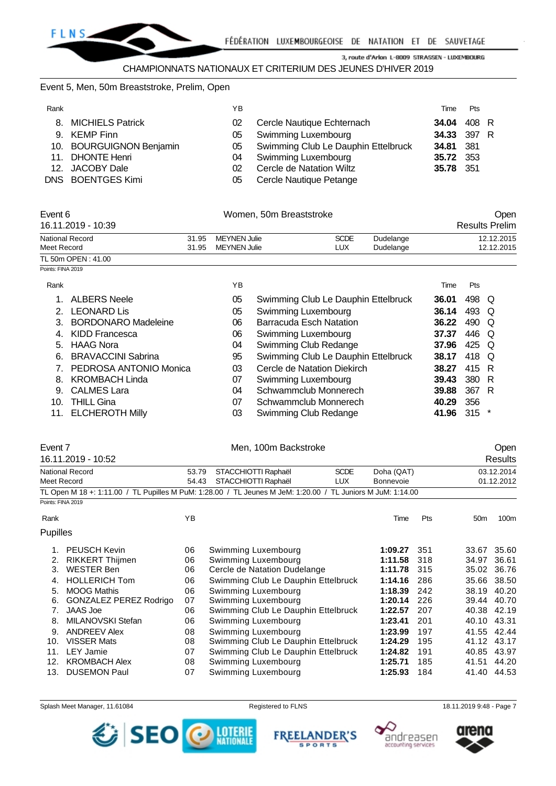

#### Event 5, Men, 50m Breaststroke, Prelim, Open

| Rank |                          | ΥB  |                                        | Time        | <b>Pts</b> |  |
|------|--------------------------|-----|----------------------------------------|-------------|------------|--|
|      | 8. MICHIELS Patrick      | 02  | Cercle Nautique Echternach             | 34.04 408 R |            |  |
|      | 9. KEMP Finn             |     | 05 Swimming Luxembourg                 | 34.33 397 R |            |  |
|      | 10. BOURGUIGNON Benjamin |     | 05 Swimming Club Le Dauphin Ettelbruck | 34.81 381   |            |  |
|      | 11. DHONTE Henri         |     | 04 Swimming Luxembourg                 | 35.72 353   |            |  |
|      | 12. JACOBY Dale          | 02. | Cercle de Natation Wiltz               | 35.78 351   |            |  |
|      | DNS BOENTGES Kimi        | 05  | Cercle Nautique Petange                |             |            |  |
|      |                          |     |                                        |             |            |  |

| Event 6<br>16.11.2019 - 10:39 |       | Women, 50m Breaststroke |             | Open<br><b>Results Prelim</b> |            |
|-------------------------------|-------|-------------------------|-------------|-------------------------------|------------|
| National Record               | 31.95 | MEYNEN Julie            | <b>SCDE</b> | Dudelange                     | 12.12.2015 |
| Meet Record                   | 31.95 | MEYNEN Julie            | LUX         | Dudelange                     | 12.12.2015 |
| TL 50m OPEN: 41.00            |       |                         |             |                               |            |

#### Points: FINA 2019

| Rank |                            | ΥB |                                     | Time  | <b>Pts</b> |     |
|------|----------------------------|----|-------------------------------------|-------|------------|-----|
|      | <b>ALBERS Neele</b>        | 05 | Swimming Club Le Dauphin Ettelbruck | 36.01 | 498        | O   |
|      | <b>LEONARD Lis</b>         | 05 | Swimming Luxembourg                 | 36.14 | 493        | Q   |
|      | <b>BORDONARO Madeleine</b> | 06 | Barracuda Esch Natation             | 36.22 | 490        | O   |
| 4.   | KIDD Francesca             | 06 | Swimming Luxembourg                 | 37.37 | 446        | Q   |
| 5.   | <b>HAAG Nora</b>           | 04 | Swimming Club Redange               | 37.96 | 425        | Q   |
| 6.   | <b>BRAVACCINI Sabrina</b>  | 95 | Swimming Club Le Dauphin Ettelbruck | 38.17 | 418        | O   |
|      | PEDROSA ANTONIO Monica     | 03 | Cercle de Natation Diekirch         | 38.27 | 415        | R   |
| 8    | <b>KROMBACH Linda</b>      | 07 | Swimming Luxembourg                 | 39.43 | 380        | R   |
| 9    | <b>CALMES Lara</b>         | 04 | Schwammclub Monnerech               | 39.88 | 367        | - R |
| 10.  | <b>THILL Gina</b>          | 07 | Schwammclub Monnerech               | 40.29 | 356        |     |
| 11.  | <b>ELCHEROTH Milly</b>     | 03 | Swimming Club Redange               | 41.96 | 315        |     |

#### Event 7 Communication of the Mental Men, 100m Backstroke Communication of the Communication of the Open 16.11.2019 - 10:52 Results National Record 53.79 STACCHIOTTI Raphaël SCDE Doha (QAT) 03.12.2014 Meet Record 54.43 STACCHIOTTI Raphaël LUX Bonnevoie 01.12.2012 TL Open M 18 +: 1:11.00 / TL Pupilles M PuM: 1:28.00 / TL Jeunes M JeM: 1:20.00 / TL Juniors M JuM: 1:14.00 Points: FINA 2019 Rank **Time Pts** 50m 100m Pupilles 1. PEUSCH Kevin 06 Swimming Luxembourg **1:09.27** 351 33.67 35.60 2. RIKKERT Thijmen **00 a.** 00 0 0 0 0 0 0 0 0 0 0 0 1:11.58 318 318 34.97 36.61 3.<br>3. WESTER Ben **36.76** 06 Cercle de Natation Dudelange 31:11.78 315 35.02 36.76 3. WESTER Ben 06 Cercle de Natation Dudelange **1:11.78** 315 35.02 36.76 4. HOLLERICH Tom 06 Swimming Club Le Dauphin Ettelbruck **1:14.16** 286 35.66 38.50 5. MOOG Mathis 06 Swimming Luxembourg **1:18.39** 242 38.19 40.20 6. GONZALEZ PEREZ Rodrigo 07 Swimming Luxembourg **1:20.14** 226 39.44 40.70 7. JAAS Joe 06 Swimming Club Le Dauphin Ettelbruck **1:22.57** 207 40.38 42.19 8. MILANOVSKI Stefan 06 Swimming Luxembourg **1:23.41** 201 40.10 43.31 9. ANDREEV Alex 08 Swimming Luxembourg **1:23.99** 197 41.55 42.44 10. VISSER Mats 08 Swimming Club Le Dauphin Ettelbruck **1:24.29** 195 41.12 43.17 11. LEY Jamie 07 Swimming Club Le Dauphin Ettelbruck **1:24.82** 191 40.85 43.97

12. KROMBACH Alex 08 Swimming Luxembourg **1:25.71** 185 41.51 44.20 13. DUSEMON Paul 07 Swimming Luxembourg **1:25.93** 184 41.40 44.53







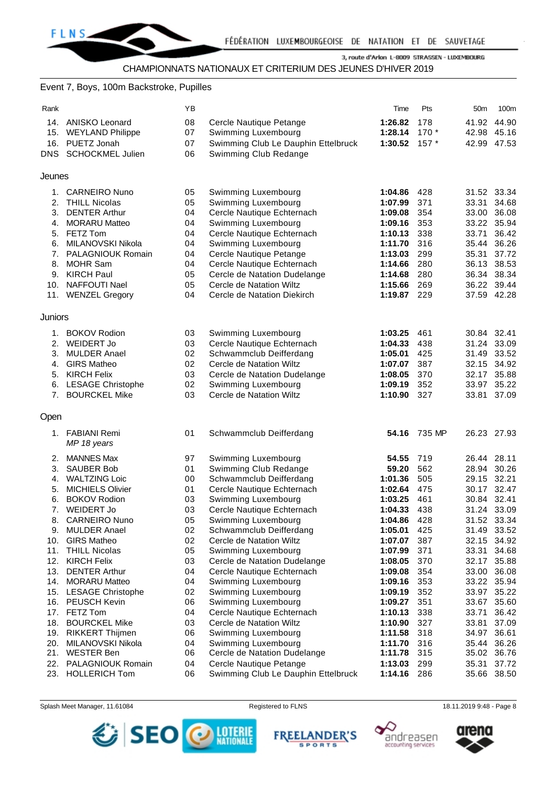

#### Event 7, Boys, 100m Backstroke, Pupilles

| Rank       |                                           | ΥB       |                                                     | Time               | Pts        | 50m         | 100m                       |
|------------|-------------------------------------------|----------|-----------------------------------------------------|--------------------|------------|-------------|----------------------------|
| 14.        | ANISKO Leonard                            | 08       | Cercle Nautique Petange                             | 1:26.82            | 178        |             | 41.92 44.90                |
|            | 15. WEYLAND Philippe                      | 07       | Swimming Luxembourg                                 | 1:28.14            | $170*$     | 42.98 45.16 |                            |
| 16.        | PUETZ Jonah                               | 07       | Swimming Club Le Dauphin Ettelbruck                 | 1:30.52            | $157*$     |             | 42.99 47.53                |
| <b>DNS</b> | <b>SCHOCKMEL Julien</b>                   | 06       | Swimming Club Redange                               |                    |            |             |                            |
| Jeunes     |                                           |          |                                                     |                    |            |             |                            |
|            | 1. CARNEIRO Nuno                          | 05       | Swimming Luxembourg                                 | 1:04.86            | 428        |             | 31.52 33.34                |
| 2.         | <b>THILL Nicolas</b>                      | 05       | Swimming Luxembourg                                 | 1:07.99            | 371        | 33.31       | 34.68                      |
| 3.         | <b>DENTER Arthur</b>                      | 04       | Cercle Nautique Echternach                          | 1:09.08            | 354        |             | 33.00 36.08                |
| 4.         | <b>MORARU Matteo</b>                      | 04       | Swimming Luxembourg                                 | 1:09.16            | 353        |             | 33.22 35.94                |
| 5.         | <b>FETZ Tom</b>                           | 04       | Cercle Nautique Echternach                          | 1:10.13            | 338        | 33.71       | 36.42                      |
| 6.         | MILANOVSKI Nikola                         | 04       | Swimming Luxembourg                                 | 1:11.70            | 316        |             | 35.44 36.26                |
| 7.         | PALAGNIOUK Romain                         | 04       | Cercle Nautique Petange                             | 1:13.03            | 299        | 35.31 37.72 |                            |
| 8.         | <b>MOHR Sam</b>                           | 04       | Cercle Nautique Echternach                          | 1:14.66            | 280        | 36.13       | 38.53                      |
| 9.         | <b>KIRCH Paul</b>                         | 05       | Cercle de Natation Dudelange                        | 1:14.68            | 280        |             | 36.34 38.34                |
| 10.        | <b>NAFFOUTI Nael</b>                      | 05       | Cercle de Natation Wiltz                            | 1:15.66            | 269        |             | 36.22 39.44                |
|            | 11. WENZEL Gregory                        | 04       | Cercle de Natation Diekirch                         | 1:19.87            | 229        |             | 37.59 42.28                |
| Juniors    |                                           |          |                                                     |                    |            |             |                            |
| 1.         | <b>BOKOV Rodion</b>                       | 03       | Swimming Luxembourg                                 | 1:03.25            | 461        | 30.84 32.41 |                            |
| 2.         | <b>WEIDERT Jo</b>                         | 03       | Cercle Nautique Echternach                          | 1:04.33            | 438        | 31.24 33.09 |                            |
| 3.         | <b>MULDER Anael</b>                       | 02       | Schwammclub Deifferdang                             | 1:05.01            | 425        |             | 31.49 33.52                |
| 4.         | <b>GIRS Matheo</b>                        | 02       | Cercle de Natation Wiltz                            | 1:07.07            | 387        | 32.15 34.92 |                            |
| 5.         | <b>KIRCH Felix</b>                        | 03       | Cercle de Natation Dudelange                        | 1:08.05            | 370        |             | 32.17 35.88                |
|            | 6. LESAGE Christophe                      | 02       | Swimming Luxembourg                                 | 1:09.19            | 352        |             | 33.97 35.22                |
|            | 7. BOURCKEL Mike                          | 03       | Cercle de Natation Wiltz                            | 1:10.90            | 327        | 33.81 37.09 |                            |
| Open       |                                           |          |                                                     |                    |            |             |                            |
|            | 1. FABIANI Remi<br>MP 18 years            | 01       | Schwammclub Deifferdang                             | 54.16              | 735 MP     | 26.23 27.93 |                            |
| 2.         | <b>MANNES Max</b>                         | 97       | Swimming Luxembourg                                 | 54.55              | 719        | 26.44 28.11 |                            |
| 3.         | <b>SAUBER Bob</b>                         | 01       | Swimming Club Redange                               | 59.20              | 562        |             | 28.94 30.26                |
| 4.         | <b>WALTZING Loic</b>                      | 00       | Schwammclub Deifferdang                             | 1:01.36            | 505        | 29.15 32.21 |                            |
| 5.         | <b>MICHIELS Olivier</b>                   | 01       | Cercle Nautique Echternach                          | 1:02.64            | 475        |             | 30.17 32.47                |
| 6.         | <b>BOKOV Rodion</b>                       | 03       | Swimming Luxembourg                                 | 1:03.25            | 461        |             | 30.84 32.41                |
| 7.         | <b>WEIDERT Jo</b>                         | 03       | Cercle Nautique Echternach                          | 1:04.33            | 438        | 31.24 33.09 |                            |
| 8.         | <b>CARNEIRO Nuno</b>                      | 05       | Swimming Luxembourg                                 | 1:04.86            | 428        |             | 31.52 33.34                |
| 9.<br>10.  | <b>MULDER Anael</b><br><b>GIRS Matheo</b> | 02<br>02 | Schwammclub Deifferdang<br>Cercle de Natation Wiltz | 1:05.01            | 425        | 31.49       | 33.52                      |
| 11.        | <b>THILL Nicolas</b>                      | 05       | Swimming Luxembourg                                 | 1:07.07<br>1:07.99 | 387<br>371 |             | 32.15 34.92<br>33.31 34.68 |
| 12.        | <b>KIRCH Felix</b>                        | 03       | Cercle de Natation Dudelange                        | 1:08.05            | 370        |             | 32.17 35.88                |
| 13.        | <b>DENTER Arthur</b>                      | 04       | Cercle Nautique Echternach                          | 1:09.08            | 354        |             | 33.00 36.08                |
| 14.        | <b>MORARU Matteo</b>                      | 04       | Swimming Luxembourg                                 | 1:09.16            | 353        |             | 33.22 35.94                |
|            | 15. LESAGE Christophe                     | 02       | Swimming Luxembourg                                 | 1:09.19            | 352        |             | 33.97 35.22                |
| 16.        | <b>PEUSCH Kevin</b>                       | 06       | Swimming Luxembourg                                 | 1:09.27            | 351        |             | 33.67 35.60                |
| 17.        | FETZ Tom                                  | 04       | Cercle Nautique Echternach                          | 1:10.13            | 338        | 33.71       | 36.42                      |
| 18.        | <b>BOURCKEL Mike</b>                      | 03       | Cercle de Natation Wiltz                            | 1:10.90            | 327        |             | 33.81 37.09                |
| 19.        | <b>RIKKERT Thijmen</b>                    | 06       | Swimming Luxembourg                                 | 1:11.58            | 318        | 34.97 36.61 |                            |
| 20.        | MILANOVSKI Nikola                         | 04       | Swimming Luxembourg                                 | 1:11.70            | 316        | 35.44       | 36.26                      |
| 21.        | <b>WESTER Ben</b>                         | 06       | Cercle de Natation Dudelange                        | 1:11.78            | 315        |             | 35.02 36.76                |
| 22.        | PALAGNIOUK Romain                         | 04       | Cercle Nautique Petange                             | 1:13.03            | 299        | 35.31       | 37.72                      |
| 23.        | <b>HOLLERICH Tom</b>                      | 06       | Swimming Club Le Dauphin Ettelbruck                 | 1:14.16            | 286        |             | 35.66 38.50                |

Splash Meet Manager, 11.61084 **Registered to FLNS** 18.11.2019 9:48 - Page 8



**FREELANDER'S SPORTS** 



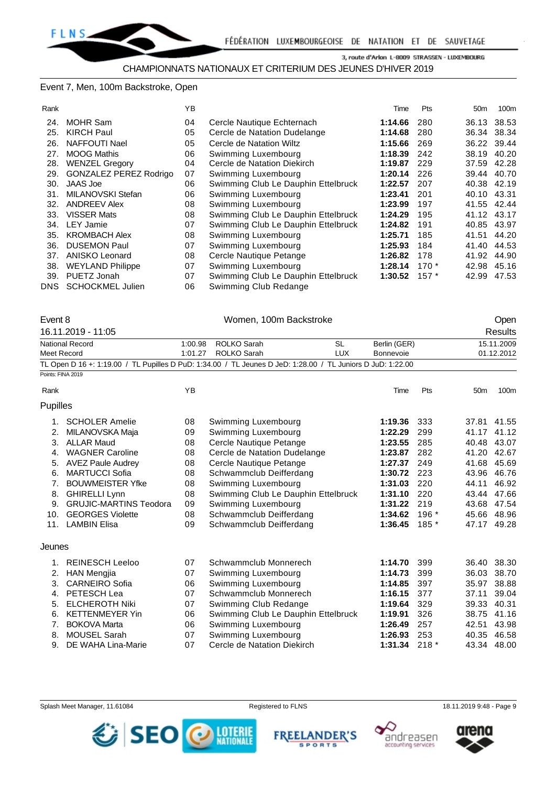#### Event 7, Men, 100m Backstroke, Open

| Rank |                         | YB |                                     | Time    | Pts    | 50 <sub>m</sub> | 100m        |
|------|-------------------------|----|-------------------------------------|---------|--------|-----------------|-------------|
| 24.  | <b>MOHR Sam</b>         | 04 | Cercle Nautique Echternach          | 1:14.66 | 280    |                 | 36.13 38.53 |
| 25.  | <b>KIRCH Paul</b>       | 05 | Cercle de Natation Dudelange        | 1:14.68 | 280    | 36.34           | 38.34       |
| 26.  | NAFFOUTI Nael           | 05 | Cercle de Natation Wiltz            | 1:15.66 | 269    |                 | 36.22 39.44 |
| 27.  | <b>MOOG Mathis</b>      | 06 | Swimming Luxembourg                 | 1:18.39 | 242    | 38.19           | 40.20       |
| 28.  | <b>WENZEL Gregory</b>   | 04 | Cercle de Natation Diekirch         | 1:19.87 | 229    | 37.59           | 42.28       |
| 29.  | GONZALEZ PEREZ Rodrigo  | 07 | Swimming Luxembourg                 | 1:20.14 | 226    |                 | 39.44 40.70 |
| 30.  | JAAS Joe                | 06 | Swimming Club Le Dauphin Ettelbruck | 1:22.57 | 207    |                 | 40.38 42.19 |
| 31.  | MILANOVSKI Stefan       | 06 | Swimming Luxembourg                 | 1:23.41 | 201    | 40.10 43.31     |             |
| 32.  | <b>ANDREEV Alex</b>     | 08 | Swimming Luxembourg                 | 1:23.99 | 197    | 41.55           | 42.44       |
| 33.  | <b>VISSER Mats</b>      | 08 | Swimming Club Le Dauphin Ettelbruck | 1:24.29 | 195    | 41.12           | 43.17       |
| 34.  | <b>LEY Jamie</b>        | 07 | Swimming Club Le Dauphin Ettelbruck | 1:24.82 | 191    | 40.85           | 43.97       |
| 35.  | <b>KROMBACH Alex</b>    | 08 | Swimming Luxembourg                 | 1:25.71 | 185    | 41.51           | 44.20       |
| 36.  | <b>DUSEMON Paul</b>     | 07 | Swimming Luxembourg                 | 1:25.93 | 184    | 41.40           | 44.53       |
| 37.  | ANISKO Leonard          | 08 | Cercle Nautique Petange             | 1:26.82 | 178    | 41.92           | 44.90       |
| 38.  | <b>WEYLAND Philippe</b> | 07 | Swimming Luxembourg                 | 1:28.14 | $170*$ | 42.98           | 45.16       |
| 39.  | PUETZ Jonah             | 07 | Swimming Club Le Dauphin Ettelbruck | 1:30.52 | $157*$ | 42.99           | 47.53       |
| DNS. | <b>SCHOCKMEL Julien</b> | 06 | Swimming Club Redange               |         |        |                 |             |

| Event 8  |                                                                               | Women, 100m Backstroke |                                                                                                             |            |              |        |                 | Open           |
|----------|-------------------------------------------------------------------------------|------------------------|-------------------------------------------------------------------------------------------------------------|------------|--------------|--------|-----------------|----------------|
|          | 16.11.2019 - 11:05<br><b>National Record</b>                                  |                        |                                                                                                             |            |              |        |                 | <b>Results</b> |
|          |                                                                               | 1:00.98                | <b>ROLKO Sarah</b>                                                                                          | <b>SL</b>  | Berlin (GER) |        |                 | 15.11.2009     |
|          | Meet Record                                                                   | 1:01.27                | <b>ROLKO Sarah</b>                                                                                          | <b>LUX</b> | Bonnevoie    |        |                 | 01.12.2012     |
|          |                                                                               |                        | TL Open D 16 +: 1:19.00 / TL Pupilles D PuD: 1:34.00 / TL Jeunes D JeD: 1:28.00 / TL Juniors D JuD: 1:22.00 |            |              |        |                 |                |
|          | Points: FINA 2019                                                             |                        |                                                                                                             |            |              |        |                 |                |
| Rank     |                                                                               | YB                     |                                                                                                             |            | Time         | Pts    | 50 <sub>m</sub> | 100m           |
| Pupilles |                                                                               |                        |                                                                                                             |            |              |        |                 |                |
| 1.       | <b>SCHOLER Amelie</b>                                                         | 08                     | Swimming Luxembourg                                                                                         |            | 1:19.36      | 333    |                 | 37.81 41.55    |
| 2.       | MILANOVSKA Maja                                                               | 09                     | Swimming Luxembourg                                                                                         |            | 1:22.29      | 299    | 41.17           | 41.12          |
| 3.       | <b>ALLAR Maud</b>                                                             | 08                     | Cercle Nautique Petange                                                                                     |            | 1:23.55      | 285    |                 | 40.48 43.07    |
| 4.       | <b>WAGNER Caroline</b>                                                        | 08                     | Cercle de Natation Dudelange                                                                                | 1:23.87    | 282          | 41.20  | 42.67           |                |
| 5.       | <b>AVEZ Paule Audrey</b>                                                      | 08                     | Cercle Nautique Petange                                                                                     | 1:27.37    | 249          | 41.68  | 45.69           |                |
| 6.       | <b>MARTUCCI Sofia</b>                                                         | 08                     | Schwammclub Deifferdang                                                                                     | 1:30.72    | 223          | 43.96  | 46.76           |                |
| 7.       | <b>BOUWMEISTER Yfke</b>                                                       | 08                     | Swimming Luxembourg                                                                                         | 1:31.03    | 220          | 44.11  | 46.92           |                |
| 8.       | <b>GHIRELLI Lynn</b>                                                          | 08                     | Swimming Club Le Dauphin Ettelbruck                                                                         |            | 1:31.10      | 220    |                 | 43.44 47.66    |
| 9.       | <b>GRUJIC-MARTINS Teodora</b>                                                 | 09                     | Swimming Luxembourg                                                                                         |            | 1:31.22      | 219    | 43.68 47.54     |                |
| 10.      | <b>GEORGES Violette</b>                                                       | 08                     | Schwammclub Deifferdang                                                                                     |            | 1:34.62      | 196 *  |                 | 45.66 48.96    |
| 11.      | <b>LAMBIN Elisa</b>                                                           | 09                     | Schwammclub Deifferdang                                                                                     |            | 1:36.45      | $185*$ | 47.17 49.28     |                |
| Jeunes   |                                                                               |                        |                                                                                                             |            |              |        |                 |                |
| 1.       | <b>REINESCH Leeloo</b>                                                        | 07                     | Schwammclub Monnerech                                                                                       |            | 1:14.70      | 399    |                 | 36.40 38.30    |
| 2.       | <b>HAN Mengjia</b>                                                            | 07                     | Swimming Luxembourg                                                                                         |            | 1:14.73      | 399    | 36.03           | 38.70          |
| 3.       | <b>CARNEIRO Sofia</b>                                                         | 06                     | Swimming Luxembourg                                                                                         |            | 1:14.85      | 397    | 35.97           | 38.88          |
| 4.       | PETESCH Lea                                                                   | 07                     | Schwammclub Monnerech                                                                                       |            | 1:16.15      | 377    | 37.11           | 39.04          |
| 5.       | <b>ELCHEROTH Niki</b>                                                         | 07                     | Swimming Club Redange                                                                                       |            | 1:19.64      | 329    | 39.33 40.31     |                |
| 6.       | <b>KETTENMEYER Yin</b>                                                        | 06                     | Swimming Club Le Dauphin Ettelbruck                                                                         |            | 1:19.91      | 326    | 38.75           | 41.16          |
| 7.       | <b>BOKOVA Marta</b>                                                           |                        | 1:26.49                                                                                                     | 257        | 42.51        | 43.98  |                 |                |
| 8.       | Swimming Luxembourg<br>06<br>Swimming Luxembourg<br><b>MOUSEL Sarah</b><br>07 |                        |                                                                                                             |            |              | 253    | 40.35 46.58     |                |
| 9.       | 07<br>DE WAHA Lina-Marie<br>Cercle de Natation Diekirch                       |                        |                                                                                                             |            |              | $218*$ | 43.34 48.00     |                |







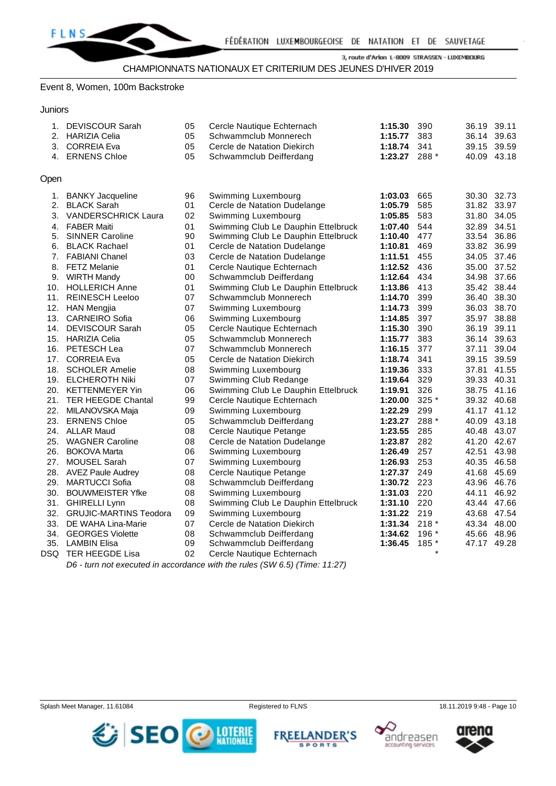

#### Event 8, Women, 100m Backstroke

**Juniors** 

| 1.<br>2. | <b>DEVISCOUR Sarah</b><br><b>HARIZIA Celia</b><br>3. CORREIA Eva<br>4. ERNENS Chloe | 05<br>05<br>05<br>05 | Cercle Nautique Echternach<br>Schwammclub Monnerech<br>Cercle de Natation Diekirch<br>Schwammclub Deifferdang | 1:15.30<br>1:15.77<br>1:18.74<br>1:23.27 288 * | 390<br>383<br>341 | 36.19<br>36.14 39.63<br>39.15 39.59<br>40.09 43.18 | 39.11 |
|----------|-------------------------------------------------------------------------------------|----------------------|---------------------------------------------------------------------------------------------------------------|------------------------------------------------|-------------------|----------------------------------------------------|-------|
| Open     |                                                                                     |                      |                                                                                                               |                                                |                   |                                                    |       |
| 1.<br>2. | <b>BANKY Jacqueline</b><br><b>BLACK Sarah</b>                                       | 96<br>01             | Swimming Luxembourg<br>Cercle de Natation Dudelange                                                           | 1:03.03<br>1:05.79                             | 665<br>585        | 30.30 32.73<br>31.82 33.97                         |       |
| 3.       | <b>VANDERSCHRICK Laura</b>                                                          | 02                   | Swimming Luxembourg                                                                                           | 1:05.85                                        | 583               | 31.80 34.05                                        |       |
|          | 4. FABER Maiti                                                                      | 01                   | Swimming Club Le Dauphin Ettelbruck                                                                           | 1:07.40                                        | 544               | 32.89 34.51                                        |       |
| 5.       | <b>SINNER Caroline</b>                                                              | 90                   | Swimming Club Le Dauphin Ettelbruck                                                                           | 1:10.40                                        | 477               | 33.54 36.86                                        |       |
|          | 6. BLACK Rachael                                                                    | 01                   | Cercle de Natation Dudelange                                                                                  | 1:10.81                                        | 469               | 33.82 36.99                                        |       |
|          | 7. FABIANI Chanel                                                                   | 03                   | Cercle de Natation Dudelange                                                                                  | 1:11.51                                        | 455               | 34.05 37.46                                        |       |
|          | 8. FETZ Melanie                                                                     | 01                   | Cercle Nautique Echternach                                                                                    | 1:12.52                                        | 436               | 35.00 37.52                                        |       |
|          | 9. WIRTH Mandy                                                                      | 00                   | Schwammclub Deifferdang                                                                                       | 1:12.64                                        | 434               | 34.98 37.66                                        |       |
|          | 10. HOLLERICH Anne                                                                  | 01                   | Swimming Club Le Dauphin Ettelbruck                                                                           | 1:13.86                                        | 413               | 35.42 38.44                                        |       |
|          | 11. REINESCH Leeloo                                                                 | 07                   | Schwammclub Monnerech                                                                                         | 1:14.70                                        | 399               | 36.40 38.30                                        |       |
|          | 12. HAN Mengjia                                                                     | 07                   | Swimming Luxembourg                                                                                           | 1:14.73                                        | 399               | 36.03 38.70                                        |       |
|          | 13. CARNEIRO Sofia                                                                  | 06                   | Swimming Luxembourg                                                                                           | 1:14.85                                        | 397               | 35.97 38.88                                        |       |
|          | 14. DEVISCOUR Sarah                                                                 | 05                   | Cercle Nautique Echternach                                                                                    | 1:15.30                                        | 390               | 36.19                                              | 39.11 |
|          | 15. HARIZIA Celia                                                                   | 05                   | Schwammclub Monnerech                                                                                         | 1:15.77                                        | 383               | 36.14 39.63                                        |       |
|          | 16. PETESCH Lea                                                                     | 07                   | Schwammclub Monnerech                                                                                         | 1:16.15                                        | 377               | 37.11                                              | 39.04 |
|          | 17. CORREIA Eva                                                                     | 05                   | Cercle de Natation Diekirch                                                                                   | 1:18.74                                        | 341               | 39.15 39.59                                        |       |
|          | 18. SCHOLER Amelie                                                                  | 08                   | Swimming Luxembourg                                                                                           | 1:19.36                                        | 333               | 37.81 41.55                                        |       |
|          | 19. ELCHEROTH Niki                                                                  | 07                   | Swimming Club Redange                                                                                         | 1:19.64                                        | 329               | 39.33 40.31                                        |       |
|          | 20. KETTENMEYER Yin                                                                 | 06                   | Swimming Club Le Dauphin Ettelbruck                                                                           | 1:19.91                                        | 326               | 38.75 41.16                                        |       |
|          | 21. TER HEEGDE Chantal                                                              | 99                   | Cercle Nautique Echternach                                                                                    | 1:20.00                                        | 325 *             | 39.32 40.68                                        |       |
| 22.      | MILANOVSKA Maja                                                                     | 09                   | Swimming Luxembourg                                                                                           | 1:22.29                                        | 299               | 41.17 41.12                                        |       |
|          | 23. ERNENS Chloe                                                                    | 05                   | Schwammclub Deifferdang                                                                                       | 1:23.27                                        | 288 *             | 40.09 43.18                                        |       |
|          | 24. ALLAR Maud                                                                      | 08                   | Cercle Nautique Petange                                                                                       | 1:23.55                                        | 285               | 40.48 43.07                                        |       |
|          | 25. WAGNER Caroline                                                                 | 08                   | Cercle de Natation Dudelange                                                                                  | 1:23.87                                        | 282               | 41.20 42.67                                        |       |
| 26.      | <b>BOKOVA Marta</b>                                                                 | 06                   | Swimming Luxembourg                                                                                           | 1:26.49                                        | 257               | 42.51 43.98                                        |       |
| 27.      | <b>MOUSEL Sarah</b>                                                                 | 07                   | Swimming Luxembourg                                                                                           | 1:26.93                                        | 253               | 40.35 46.58                                        |       |
|          | 28. AVEZ Paule Audrey                                                               | 08                   | Cercle Nautique Petange                                                                                       | 1:27.37                                        | 249               | 41.68 45.69                                        |       |
| 29.      | <b>MARTUCCI Sofia</b>                                                               | 08                   | Schwammclub Deifferdang                                                                                       | 1:30.72 223                                    |                   | 43.96 46.76                                        |       |
|          | 30. BOUWMEISTER Yfke                                                                | 08                   | Swimming Luxembourg                                                                                           | 1:31.03                                        | 220               | 44.11 46.92                                        |       |
|          | 31. GHIRELLI Lynn                                                                   | 08                   | Swimming Club Le Dauphin Ettelbruck                                                                           | 1:31.10 220                                    |                   | 43.44 47.66                                        |       |
|          | 32. GRUJIC-MARTINS Teodora                                                          | 09                   | Swimming Luxembourg                                                                                           | 1:31.22 219                                    |                   | 43.68 47.54                                        |       |
| 33.      | DE WAHA Lina-Marie                                                                  | 07                   | Cercle de Natation Diekirch                                                                                   | 1:31.34                                        | $218*$            | 43.34 48.00                                        |       |
| 34.      | <b>GEORGES Violette</b>                                                             | 08                   | Schwammclub Deifferdang                                                                                       | 1:34.62                                        | 196 *             | 45.66 48.96                                        |       |
| 35.      | <b>LAMBIN Elisa</b>                                                                 | 09                   | Schwammclub Deifferdang                                                                                       | 1:36.45                                        | 185 *             | 47.17 49.28                                        |       |
|          | DSQ TER HEEGDE Lisa                                                                 | 02                   | Cercle Nautique Echternach                                                                                    |                                                | $\star$           |                                                    |       |

*D6 - turn not executed in accordance with the rules (SW 6.5) (Time: 11:27)*





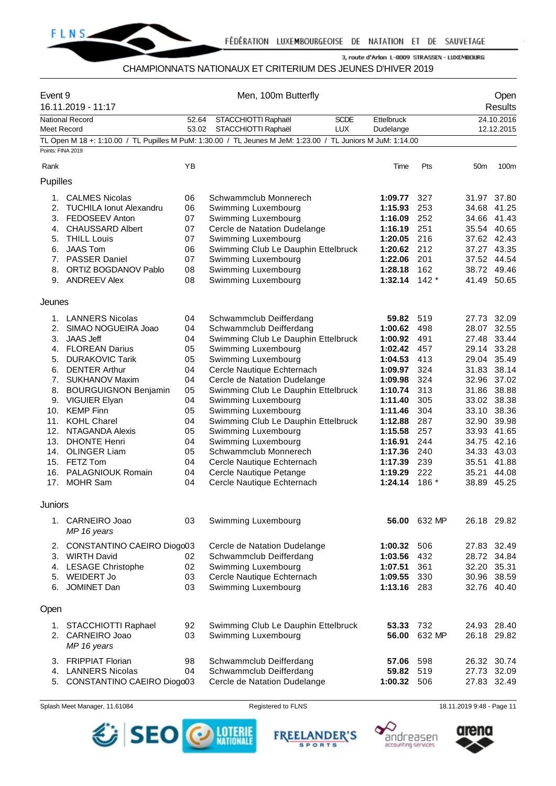

# CHAMPIONNATS NATIONAUX ET CRITERIUM DES JEUNES D'HIVER 2019

|                   | Event 9<br>16.11.2019 - 11:17   |       | Men, 100m Butterfly                                                                                         |             |              |                 | Open<br><b>Results</b> |
|-------------------|---------------------------------|-------|-------------------------------------------------------------------------------------------------------------|-------------|--------------|-----------------|------------------------|
|                   | <b>National Record</b>          | 52.64 | STACCHIOTTI Raphaël<br><b>SCDE</b>                                                                          | Ettelbruck  |              |                 | 24.10.2016             |
| Meet Record       |                                 | 53.02 | <b>LUX</b><br>STACCHIOTTI Raphaël                                                                           | Dudelange   |              |                 | 12.12.2015             |
| Points: FINA 2019 |                                 |       | TL Open M 18 +: 1:10.00 / TL Pupilles M PuM: 1:30.00 / TL Jeunes M JeM: 1:23.00 / TL Juniors M JuM: 1:14.00 |             |              |                 |                        |
|                   |                                 |       |                                                                                                             |             |              |                 |                        |
| Rank              |                                 | ΥB    |                                                                                                             | Time        | Pts          | 50 <sub>m</sub> | 100m                   |
| Pupilles          |                                 |       |                                                                                                             |             |              |                 |                        |
| 1.                | <b>CALMES Nicolas</b>           | 06    | Schwammclub Monnerech                                                                                       | 1:09.77     | 327          |                 | 31.97 37.80            |
| 2.                | <b>TUCHILA Ionut Alexandru</b>  | 06    | Swimming Luxembourg                                                                                         | 1:15.93     | 253          | 34.68           | 41.25                  |
|                   | 3. FEDOSEEV Anton               | 07    | Swimming Luxembourg                                                                                         | 1:16.09     | 252          |                 | 34.66 41.43            |
| 4.                | <b>CHAUSSARD Albert</b>         | 07    | Cercle de Natation Dudelange                                                                                | 1:16.19     | 251          | 35.54 40.65     |                        |
| 5.                | <b>THILL Louis</b>              | 07    | Swimming Luxembourg                                                                                         | 1:20.05     | 216          | 37.62 42.43     |                        |
| 6.                | <b>JAAS Tom</b>                 | 06    | Swimming Club Le Dauphin Ettelbruck                                                                         | 1:20.62     | 212          | 37.27 43.35     |                        |
|                   | 7. PASSER Daniel                | 07    | Swimming Luxembourg                                                                                         | 1:22.06     | 201          | 37.52 44.54     |                        |
| 8.                | <b>ORTIZ BOGDANOV Pablo</b>     | 08    | Swimming Luxembourg                                                                                         | 1:28.18     | 162          | 38.72 49.46     |                        |
|                   | 9. ANDREEV Alex                 | 08    | Swimming Luxembourg                                                                                         | 1:32.14     | $142*$       | 41.49 50.65     |                        |
|                   |                                 |       |                                                                                                             |             |              |                 |                        |
| Jeunes            |                                 |       |                                                                                                             |             |              |                 |                        |
|                   | 1. LANNERS Nicolas              | 04    | Schwammclub Deifferdang                                                                                     | 59.82       | 519          | 27.73 32.09     |                        |
| 2.                | SIMAO NOGUEIRA Joao             | 04    | Schwammclub Deifferdang                                                                                     | 1:00.62     | 498          | 28.07           | 32.55                  |
| 3.                | <b>JAAS Jeff</b>                | 04    | Swimming Club Le Dauphin Ettelbruck                                                                         | 1:00.92     | 491          | 27.48           | 33.44                  |
|                   | 4. FLOREAN Darius               | 05    | Swimming Luxembourg                                                                                         | 1:02.42     | 457          | 29.14 33.28     |                        |
| 5.                | <b>DURAKOVIC Tarik</b>          | 05    | Swimming Luxembourg                                                                                         | 1:04.53     | 413          | 29.04           | 35.49                  |
| 6.                | <b>DENTER Arthur</b>            | 04    | Cercle Nautique Echternach                                                                                  | 1:09.97     | 324          | 31.83           | 38.14                  |
| 7.                | <b>SUKHANOV Maxim</b>           | 04    | Cercle de Natation Dudelange                                                                                | 1:09.98     | 324          | 32.96 37.02     |                        |
| 8.                | <b>BOURGUIGNON Benjamin</b>     | 05    | Swimming Club Le Dauphin Ettelbruck                                                                         | 1:10.74     | 313          | 31.86           | 38.88                  |
|                   | 9. VIGUIER Elyan                | 04    | Swimming Luxembourg                                                                                         | 1:11.40     | 305          | 33.02           | 38.38                  |
| 10.               | <b>KEMP Finn</b>                | 05    | Swimming Luxembourg                                                                                         | 1:11.46     | 304          | 33.10 38.36     |                        |
| 11.               | <b>KOHL Charel</b>              | 04    | Swimming Club Le Dauphin Ettelbruck                                                                         | 1:12.88     | 287          | 32.90           | 39.98                  |
| 12.               | <b>NTAGANDA Alexis</b>          | 05    | Swimming Luxembourg                                                                                         | 1:15.58     | 257          | 33.93           | 41.65                  |
| 13.               | <b>DHONTE Henri</b>             | 04    | Swimming Luxembourg                                                                                         | 1:16.91     | 244          | 34.75           | 42.16                  |
| 14.               | <b>OLINGER Liam</b>             | 05    | Schwammclub Monnerech                                                                                       | 1:17.36     | 240          | 34.33           | 43.03                  |
|                   | 15. FETZ Tom                    | 04    | Cercle Nautique Echternach                                                                                  | 1:17.39     | 239          | 35.51 41.88     |                        |
|                   | 16. PALAGNIOUK Romain           | 04    | Cercle Nautique Petange                                                                                     | 1:19.29     | 222          | 35.21           | 44.08                  |
| 17.               | <b>MOHR Sam</b>                 | 04    | Cercle Nautique Echternach                                                                                  | 1:24.14     | 186 *        | 38.89           | 45.25                  |
|                   |                                 |       |                                                                                                             |             |              |                 |                        |
| Juniors           |                                 |       |                                                                                                             |             |              |                 |                        |
|                   | 1. CARNEIRO Joao<br>MP 16 years | 03    | Swimming Luxembourg                                                                                         |             | 56.00 632 MP |                 | 26.18 29.82            |
| 2.                | CONSTANTINO CAEIRO Diogo03      |       | Cercle de Natation Dudelange                                                                                | 1:00.32     | 506          | 27.83           | 32.49                  |
| 3.                | <b>WIRTH David</b>              | 02    | Schwammclub Deifferdang                                                                                     | 1:03.56     | 432          | 28.72 34.84     |                        |
| 4.                | <b>LESAGE Christophe</b>        | 02    | Swimming Luxembourg                                                                                         | 1:07.51     | 361          | 32.20           | 35.31                  |
|                   | 5. WEIDERT Jo                   | 03    | Cercle Nautique Echternach                                                                                  | 1:09.55     | 330          | 30.96           | 38.59                  |
| 6.                | JOMINET Dan                     | 03    | Swimming Luxembourg                                                                                         | 1:13.16 283 |              |                 | 32.76 40.40            |
| Open              |                                 |       |                                                                                                             |             |              |                 |                        |
|                   | 1. STACCHIOTTI Raphael          | 92    | Swimming Club Le Dauphin Ettelbruck                                                                         | 53.33       | 732          |                 | 24.93 28.40            |
|                   |                                 | 03    | Swimming Luxembourg                                                                                         | 56.00       | 632 MP       |                 | 26.18 29.82            |
|                   | 2. CARNEIRO Joao<br>MP 16 years |       |                                                                                                             |             |              |                 |                        |
|                   |                                 | 98    | Schwammclub Deifferdang                                                                                     |             |              |                 |                        |
|                   | 3. FRIPPIAT Florian             | 57.06 | 598                                                                                                         | 26.32 30.74 |              |                 |                        |
| 4.                | <b>LANNERS Nicolas</b>          | 04    | Schwammclub Deifferdang                                                                                     | 59.82       | 519          |                 | 27.73 32.09            |
| 5.                | CONSTANTINO CAEIRO Diogo03      |       | Cercle de Natation Dudelange                                                                                | 1:00.32 506 |              |                 | 27.83 32.49            |

Splash Meet Manager, 11.61084 **Registered to FLNS** Registered to FLNS 18.11.2019 9:48 - Page 11



**FREELANDER'S SPORTS** 



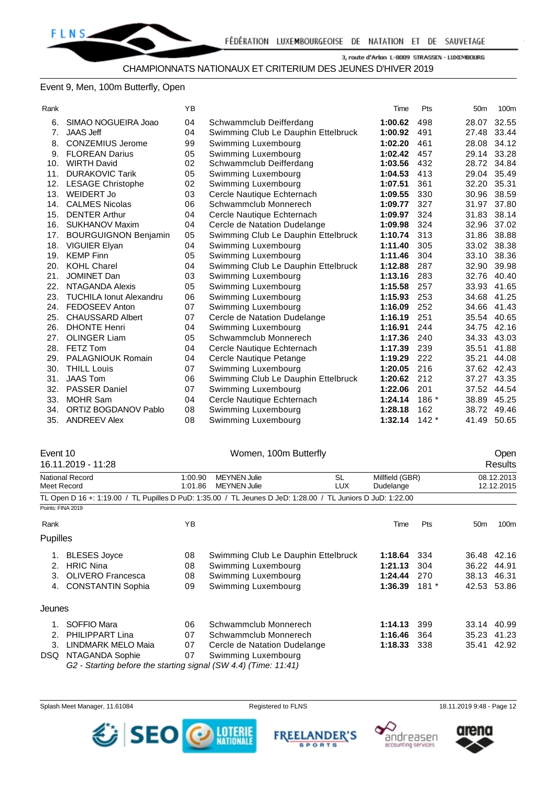# Event 9, Men, 100m Butterfly, Open

| ____ |
|------|
|------|

| Rank |                                | ΥB |                                     | Time    | Pts    | 50 <sub>m</sub> | 100m  |
|------|--------------------------------|----|-------------------------------------|---------|--------|-----------------|-------|
| 6.   | SIMAO NOGUEIRA Joao            | 04 | Schwammclub Deifferdang             | 1:00.62 | 498    | 28.07           | 32.55 |
| 7.   | <b>JAAS Jeff</b>               | 04 | Swimming Club Le Dauphin Ettelbruck | 1:00.92 | 491    | 27.48           | 33.44 |
| 8.   | <b>CONZEMIUS Jerome</b>        | 99 | Swimming Luxembourg                 | 1:02.20 | 461    | 28.08           | 34.12 |
| 9.   | <b>FLOREAN Darius</b>          | 05 | Swimming Luxembourg                 | 1:02.42 | 457    | 29.14           | 33.28 |
| 10.  | <b>WIRTH David</b>             | 02 | Schwammclub Deifferdang             | 1:03.56 | 432    | 28.72           | 34.84 |
| 11.  | <b>DURAKOVIC Tarik</b>         | 05 | Swimming Luxembourg                 | 1:04.53 | 413    | 29.04           | 35.49 |
| 12.  | <b>LESAGE Christophe</b>       | 02 | Swimming Luxembourg                 | 1:07.51 | 361    | 32.20           | 35.31 |
| 13.  | <b>WEIDERT Jo</b>              | 03 | Cercle Nautique Echternach          | 1:09.55 | 330    | 30.96           | 38.59 |
| 14.  | <b>CALMES Nicolas</b>          | 06 | Schwammclub Monnerech               | 1:09.77 | 327    | 31.97           | 37.80 |
| 15.  | <b>DENTER Arthur</b>           | 04 | Cercle Nautique Echternach          | 1:09.97 | 324    | 31.83           | 38.14 |
| 16.  | <b>SUKHANOV Maxim</b>          | 04 | Cercle de Natation Dudelange        | 1:09.98 | 324    | 32.96           | 37.02 |
| 17.  | <b>BOURGUIGNON Benjamin</b>    | 05 | Swimming Club Le Dauphin Ettelbruck | 1:10.74 | 313    | 31.86           | 38.88 |
| 18.  | VIGUIER Elyan                  | 04 | Swimming Luxembourg                 | 1:11.40 | 305    | 33.02           | 38.38 |
| 19.  | <b>KEMP Finn</b>               | 05 | Swimming Luxembourg                 | 1:11.46 | 304    | 33.10           | 38.36 |
| 20.  | <b>KOHL Charel</b>             | 04 | Swimming Club Le Dauphin Ettelbruck | 1:12.88 | 287    | 32.90           | 39.98 |
| 21.  | <b>JOMINET Dan</b>             | 03 | Swimming Luxembourg                 | 1:13.16 | 283    | 32.76           | 40.40 |
| 22.  | NTAGANDA Alexis                | 05 | Swimming Luxembourg                 | 1:15.58 | 257    | 33.93           | 41.65 |
| 23.  | <b>TUCHILA Ionut Alexandru</b> | 06 | Swimming Luxembourg                 | 1:15.93 | 253    | 34.68           | 41.25 |
| 24.  | FEDOSEEV Anton                 | 07 | Swimming Luxembourg                 | 1:16.09 | 252    | 34.66           | 41.43 |
| 25.  | <b>CHAUSSARD Albert</b>        | 07 | Cercle de Natation Dudelange        | 1:16.19 | 251    | 35.54           | 40.65 |
| 26.  | <b>DHONTE Henri</b>            | 04 | Swimming Luxembourg                 | 1:16.91 | 244    | 34.75           | 42.16 |
| 27.  | <b>OLINGER Liam</b>            | 05 | Schwammclub Monnerech               | 1:17.36 | 240    | 34.33           | 43.03 |
| 28.  | FETZ Tom                       | 04 | Cercle Nautique Echternach          | 1:17.39 | 239    | 35.51           | 41.88 |
| 29.  | <b>PALAGNIOUK Romain</b>       | 04 | Cercle Nautique Petange             | 1:19.29 | 222    | 35.21           | 44.08 |
| 30.  | <b>THILL Louis</b>             | 07 | Swimming Luxembourg                 | 1:20.05 | 216    | 37.62 42.43     |       |
| 31.  | <b>JAAS Tom</b>                | 06 | Swimming Club Le Dauphin Ettelbruck | 1:20.62 | 212    | 37.27           | 43.35 |
| 32.  | <b>PASSER Daniel</b>           | 07 | Swimming Luxembourg                 | 1:22.06 | 201    | 37.52           | 44.54 |
| 33.  | <b>MOHR Sam</b>                | 04 | Cercle Nautique Echternach          | 1:24.14 | 186 *  | 38.89           | 45.25 |
| 34.  | <b>ORTIZ BOGDANOV Pablo</b>    | 08 | Swimming Luxembourg                 | 1:28.18 | 162    | 38.72           | 49.46 |
| 35.  | <b>ANDREEV Alex</b>            | 08 | Swimming Luxembourg                 | 1:32.14 | $142*$ | 41.49           | 50.65 |
|      |                                |    |                                     |         |        |                 |       |

| Event 10 |                                                                 |         | Women, 100m Butterfly                                                                                       |                 | Open   |                 |             |  |
|----------|-----------------------------------------------------------------|---------|-------------------------------------------------------------------------------------------------------------|-----------------|--------|-----------------|-------------|--|
|          | 16.11.2019 - 11:28                                              |         |                                                                                                             |                 |        |                 | Results     |  |
|          | <b>National Record</b>                                          | 1:00.90 | <b>MEYNEN Julie</b><br>SL                                                                                   | Millfield (GBR) |        | 08.12.2013      |             |  |
|          | Meet Record                                                     | 1:01.86 | <b>MEYNEN Julie</b><br><b>LUX</b>                                                                           | Dudelange       |        |                 | 12.12.2015  |  |
|          |                                                                 |         | TL Open D 16 +: 1:19.00 / TL Pupilles D PuD: 1:35.00 / TL Jeunes D JeD: 1:28.00 / TL Juniors D JuD: 1:22.00 |                 |        |                 |             |  |
|          | Points: FINA 2019                                               |         |                                                                                                             |                 |        |                 |             |  |
| Rank     |                                                                 | YB      |                                                                                                             | Time            | Pts    | 50 <sub>m</sub> | 100m        |  |
| Pupilles |                                                                 |         |                                                                                                             |                 |        |                 |             |  |
| 1.       | <b>BLESES Joyce</b>                                             | 08      | Swimming Club Le Dauphin Ettelbruck                                                                         | 1:18.64         | 334    |                 | 36.48 42.16 |  |
| 2.       | <b>HRIC Nina</b>                                                | 08      | Swimming Luxembourg                                                                                         | 1:21.13         | 304    | 36.22           | 44.91       |  |
| 3.       | <b>OLIVERO</b> Francesca                                        | 08      | Swimming Luxembourg                                                                                         | 1:24.44         | 270    | 38.13           | 46.31       |  |
| 4.       | <b>CONSTANTIN Sophia</b>                                        | 09      | Swimming Luxembourg                                                                                         | 1:36.39         | $181*$ | 42.53           | 53.86       |  |
| Jeunes   |                                                                 |         |                                                                                                             |                 |        |                 |             |  |
| 1.       | SOFFIO Mara                                                     | 06      | Schwammclub Monnerech                                                                                       | 1:14.13         | 399    | 33.14           | 40.99       |  |
| 2.       | <b>PHILIPPART Lina</b>                                          | 07      | Schwammclub Monnerech                                                                                       | 1:16.46         | 364    | 35.23           | 41.23       |  |
| 3.       | LINDMARK MELO Maia                                              | 07      | Cercle de Natation Dudelange                                                                                | 1:18.33         | 338    | 35.41           | 42.92       |  |
| DSQ.     | NTAGANDA Sophie                                                 | 07      | Swimming Luxembourg                                                                                         |                 |        |                 |             |  |
|          | G2 - Starting before the starting signal (SW 4.4) (Time: 11:41) |         |                                                                                                             |                 |        |                 |             |  |







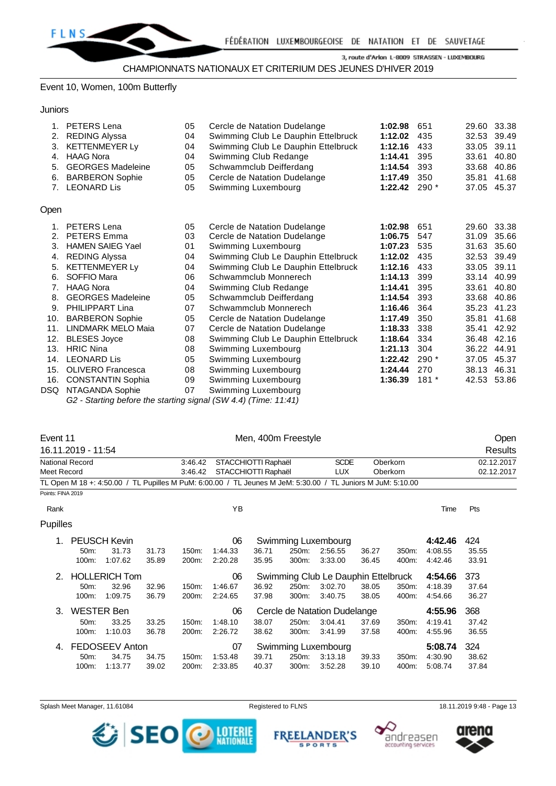

#### Event 10, Women, 100m Butterfly

**Juniors** 

| 1.   | PETERS Lena               | 05 | Cercle de Natation Dudelange        | 1:02.98 | 651    | 29.60 | 33.38       |
|------|---------------------------|----|-------------------------------------|---------|--------|-------|-------------|
| 2.   | <b>REDING Alyssa</b>      | 04 | Swimming Club Le Dauphin Ettelbruck | 1:12.02 | 435    | 32.53 | 39.49       |
| 3.   | <b>KETTENMEYER Ly</b>     | 04 | Swimming Club Le Dauphin Ettelbruck | 1:12.16 | 433    | 33.05 | 39.11       |
| 4.   | <b>HAAG Nora</b>          | 04 | Swimming Club Redange               | 1:14.41 | 395    | 33.61 | 40.80       |
| 5.   | <b>GEORGES Madeleine</b>  | 05 | Schwammclub Deifferdang             | 1:14.54 | 393    | 33.68 | 40.86       |
| 6.   | <b>BARBERON Sophie</b>    | 05 | Cercle de Natation Dudelange        | 1:17.49 | 350    | 35.81 | 41.68       |
| 7.   | <b>LEONARD Lis</b>        | 05 | Swimming Luxembourg                 | 1:22.42 | $290*$ | 37.05 | 45.37       |
| Open |                           |    |                                     |         |        |       |             |
| 1.   | <b>PETERS Lena</b>        | 05 | Cercle de Natation Dudelange        | 1:02.98 | 651    | 29.60 | 33.38       |
| 2.   | <b>PETERS Emma</b>        | 03 | Cercle de Natation Dudelange        | 1:06.75 | 547    | 31.09 | 35.66       |
| 3.   | <b>HAMEN SAIEG Yael</b>   | 01 | Swimming Luxembourg                 | 1:07.23 | 535    | 31.63 | 35.60       |
| 4.   | <b>REDING Alyssa</b>      | 04 | Swimming Club Le Dauphin Ettelbruck | 1:12.02 | 435    |       | 32.53 39.49 |
| 5.   | <b>KETTENMEYER Ly</b>     | 04 | Swimming Club Le Dauphin Ettelbruck | 1:12.16 | 433    | 33.05 | 39.11       |
| 6.   | SOFFIO Mara               | 06 | Schwammclub Monnerech               | 1:14.13 | 399    | 33.14 | 40.99       |
| 7.   | <b>HAAG Nora</b>          | 04 | Swimming Club Redange               | 1:14.41 | 395    | 33.61 | 40.80       |
| 8.   | <b>GEORGES Madeleine</b>  | 05 | Schwammclub Deifferdang             | 1:14.54 | 393    | 33.68 | 40.86       |
| 9.   | PHILIPPART Lina           | 07 | Schwammclub Monnerech               | 1:16.46 | 364    | 35.23 | 41.23       |
| 10.  | <b>BARBERON Sophie</b>    | 05 | Cercle de Natation Dudelange        | 1:17.49 | 350    | 35.81 | 41.68       |
| 11.  | <b>LINDMARK MELO Maia</b> | 07 | Cercle de Natation Dudelange        | 1:18.33 | 338    | 35.41 | 42.92       |
| 12.  | <b>BLESES Joyce</b>       | 08 | Swimming Club Le Dauphin Ettelbruck | 1:18.64 | 334    | 36.48 | 42.16       |
| 13.  | <b>HRIC Nina</b>          | 08 | Swimming Luxembourg                 | 1:21.13 | 304    | 36.22 | 44.91       |
| 14.  | <b>LEONARD Lis</b>        | 05 | Swimming Luxembourg                 | 1:22.42 | $290*$ | 37.05 | 45.37       |
| 15.  | <b>OLIVERO Francesca</b>  | 08 | Swimming Luxembourg                 | 1:24.44 | 270    | 38.13 | 46.31       |
| 16.  | <b>CONSTANTIN Sophia</b>  | 09 | Swimming Luxembourg                 | 1:36.39 | $181*$ |       | 42.53 53.86 |
| DSQ. | NTAGANDA Sophie           | 07 | Swimming Luxembourg                 |         |        |       |             |

*G2 - Starting before the starting signal (SW 4.4) (Time: 11:41)*

| Event 11          |                    |                      | Men, 400m Freestyle |         |                     |       |       |                                                                                                             |       |          | Open    |            |  |
|-------------------|--------------------|----------------------|---------------------|---------|---------------------|-------|-------|-------------------------------------------------------------------------------------------------------------|-------|----------|---------|------------|--|
|                   | 16.11.2019 - 11:54 |                      |                     |         |                     |       |       |                                                                                                             |       |          |         | Results    |  |
|                   | National Record    |                      |                     | 3:46.42 | STACCHIOTTI Raphaël |       |       | <b>SCDE</b>                                                                                                 |       | Oberkorn |         | 02.12.2017 |  |
| Meet Record       |                    |                      |                     | 3:46.42 | STACCHIOTTI Raphaël |       |       | <b>LUX</b>                                                                                                  |       | Oberkorn |         | 02.12.2017 |  |
|                   |                    |                      |                     |         |                     |       |       | TL Open M 18 +: 4:50.00 / TL Pupilles M PuM: 6:00.00 / TL Jeunes M JeM: 5:30.00 / TL Juniors M JuM: 5:10.00 |       |          |         |            |  |
| Points: FINA 2019 |                    |                      |                     |         |                     |       |       |                                                                                                             |       |          |         |            |  |
| Rank              |                    |                      |                     |         | YB                  |       |       |                                                                                                             |       |          | Time    | Pts        |  |
| Pupilles          |                    |                      |                     |         |                     |       |       |                                                                                                             |       |          |         |            |  |
|                   |                    | <b>PEUSCH Kevin</b>  |                     |         | 06                  |       |       | Swimming Luxembourg                                                                                         |       |          | 4:42.46 | 424        |  |
|                   | 50m:               | 31.73                | 31.73               | 150m:   | 1:44.33             | 36.71 | 250m: | 2:56.55                                                                                                     | 36.27 | 350m:    | 4:08.55 | 35.55      |  |
|                   | 100m:              | 1:07.62              | 35.89               | 200m:   | 2:20.28             | 35.95 | 300m: | 3:33.00                                                                                                     | 36.45 | 400m:    | 4:42.46 | 33.91      |  |
| 2.                |                    | <b>HOLLERICH Tom</b> |                     |         | 06                  |       |       | Swimming Club Le Dauphin Ettelbruck                                                                         |       |          | 4:54.66 | 373        |  |
|                   | 50m:               | 32.96                | 32.96               | 150m:   | 1:46.67             | 36.92 | 250m: | 3:02.70                                                                                                     | 38.05 | 350m:    | 4:18.39 | 37.64      |  |
|                   | 100m:              | 1:09.75              | 36.79               | 200m:   | 2:24.65             | 37.98 | 300m: | 3:40.75                                                                                                     | 38.05 | 400m:    | 4:54.66 | 36.27      |  |
| 3.                | <b>WESTER Ben</b>  |                      |                     |         | 06                  |       |       | Cercle de Natation Dudelange                                                                                |       |          | 4:55.96 | 368        |  |
|                   | 50 <sub>m</sub> :  | 33.25                | 33.25               | 150m:   | 1:48.10             | 38.07 | 250m: | 3:04.41                                                                                                     | 37.69 | 350m:    | 4:19.41 | 37.42      |  |
|                   | 100m:              | 1:10.03              | 36.78               | 200m:   | 2:26.72             | 38.62 | 300m: | 3:41.99                                                                                                     | 37.58 | 400m:    | 4:55.96 | 36.55      |  |
| 4.                |                    | FEDOSEEV Anton       |                     |         | 07                  |       |       | Swimming Luxembourg                                                                                         |       |          | 5:08.74 | 324        |  |
|                   | 50m:               | 34.75                | 34.75               | 150m:   | 1:53.48             | 39.71 | 250m: | 3:13.18                                                                                                     | 39.33 | 350m:    | 4:30.90 | 38.62      |  |
|                   | 100m:              | 1:13.77              | 39.02               | 200m:   | 2:33.85             | 40.37 | 300m: | 3:52.28                                                                                                     | 39.10 | 400m:    | 5:08.74 | 37.84      |  |

Splash Meet Manager, 11.61084 **Registered to FLNS Registered to FLNS** 18.11.2019 9:48 - Page 13



**FREEL** ANDER'S **SPORTS** 



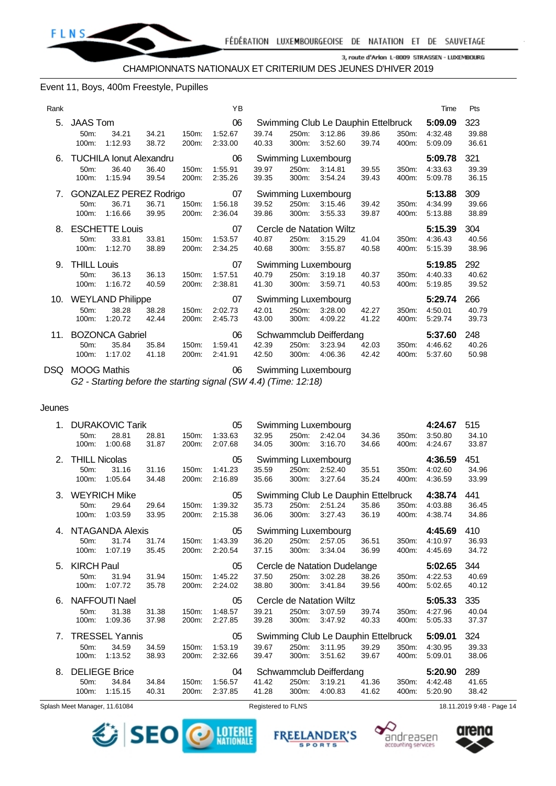

#### Event 11, Boys, 400m Freestyle, Pupilles

| Rank |                                                  |                                                    |                |                   | YB                       |                |                |                                                           |                |                | Time                          | Pts                   |
|------|--------------------------------------------------|----------------------------------------------------|----------------|-------------------|--------------------------|----------------|----------------|-----------------------------------------------------------|----------------|----------------|-------------------------------|-----------------------|
| 5.   | <b>JAAS Tom</b><br>50 <sub>m</sub> :<br>100m:    | 34.21<br>1:12.93                                   | 34.21<br>38.72 | 150m:<br>200m:    | 06<br>1:52.67<br>2:33.00 | 39.74<br>40.33 | 250m:<br>300m: | Swimming Club Le Dauphin Ettelbruck<br>3:12.86<br>3:52.60 | 39.86<br>39.74 | 350m:<br>400m: | 5:09.09<br>4:32.48<br>5:09.09 | 323<br>39.88<br>36.61 |
| 6.   | 50 <sub>m</sub> :<br>100m:                       | <b>TUCHILA Ionut Alexandru</b><br>36.40<br>1:15.94 | 36.40<br>39.54 | $150m$ :<br>200m: | 06<br>1:55.91<br>2:35.26 | 39.97<br>39.35 | 250m:<br>300m: | Swimming Luxembourg<br>3:14.81<br>3:54.24                 | 39.55<br>39.43 | 350m:<br>400m: | 5:09.78<br>4:33.63<br>5:09.78 | 321<br>39.39<br>36.15 |
| 7.   | 50m:<br>100m:                                    | <b>GONZALEZ PEREZ Rodrigo</b><br>36.71<br>1:16.66  | 36.71<br>39.95 | 150m:<br>200m:    | 07<br>1:56.18<br>2:36.04 | 39.52<br>39.86 | 250m:<br>300m: | Swimming Luxembourg<br>3:15.46<br>3:55.33                 | 39.42<br>39.87 | 350m:<br>400m: | 5:13.88<br>4:34.99<br>5:13.88 | 309<br>39.66<br>38.89 |
| 8.   | 50 <sub>m</sub> :<br>100m:                       | <b>ESCHETTE Louis</b><br>33.81<br>1:12.70          | 33.81<br>38.89 | 150m:<br>200m:    | 07<br>1:53.57<br>2:34.25 | 40.87<br>40.68 | 250m:<br>300m: | Cercle de Natation Wiltz<br>3:15.29<br>3:55.87            | 41.04<br>40.58 | 350m:<br>400m: | 5:15.39<br>4:36.43<br>5:15.39 | 304<br>40.56<br>38.96 |
| 9.   | <b>THILL Louis</b><br>50 <sub>m</sub> :<br>100m: | 36.13<br>1:16.72                                   | 36.13<br>40.59 | 150m:<br>200m:    | 07<br>1:57.51<br>2:38.81 | 40.79<br>41.30 | 250m:<br>300m: | Swimming Luxembourg<br>3:19.18<br>3:59.71                 | 40.37<br>40.53 | 350m:<br>400m: | 5:19.85<br>4:40.33<br>5:19.85 | 292<br>40.62<br>39.52 |
| 10.  | $50m$ :<br>100m:                                 | <b>WEYLAND Philippe</b><br>38.28<br>1:20.72        | 38.28<br>42.44 | $150m$ :<br>200m: | 07<br>2:02.73<br>2:45.73 | 42.01<br>43.00 | 250m:<br>300m: | Swimming Luxembourg<br>3:28.00<br>4:09.22                 | 42.27<br>41.22 | 350m:<br>400m: | 5:29.74<br>4:50.01<br>5:29.74 | 266<br>40.79<br>39.73 |
| 11.  | $50m$ :<br>100m:                                 | <b>BOZONCA Gabriel</b><br>35.84<br>1:17.02         | 35.84<br>41.18 | 150m:<br>200m:    | 06<br>1:59.41<br>2:41.91 | 42.39<br>42.50 | 250m:<br>300m: | Schwammclub Deifferdang<br>3:23.94<br>4:06.36             | 42.03<br>42.42 | 350m:<br>400m: | 5:37.60<br>4:46.62<br>5:37.60 | 248<br>40.26<br>50.98 |

DSQ MOOG Mathis 06 Swimming Luxembourg *G2 - Starting before the starting signal (SW 4.4) (Time: 12:18)*

# Jeunes

| $1_{-}$        |                      | <b>DURAKOVIC Tarik</b> |                |                | 05                 |                |                | Swimming Luxembourg                 |                |                | 4:24.67            | 515            |
|----------------|----------------------|------------------------|----------------|----------------|--------------------|----------------|----------------|-------------------------------------|----------------|----------------|--------------------|----------------|
|                | 50m:<br>100m:        | 28.81<br>1:00.68       | 28.81<br>31.87 | 150m:<br>200m: | 1:33.63<br>2:07.68 | 32.95<br>34.05 | 250m:<br>300m: | 2:42.04<br>3:16.70                  | 34.36<br>34.66 | 350m:<br>400m: | 3:50.80<br>4:24.67 | 34.10<br>33.87 |
| 2.             | <b>THILL Nicolas</b> |                        |                |                | 05                 |                |                | Swimming Luxembourg                 |                |                | 4:36.59            | 451            |
|                | 50m:                 | 31.16                  | 31.16          | 150m:          | 1:41.23            | 35.59          | 250m:          | 2:52.40                             | 35.51          | 350m:          | 4:02.60            | 34.96          |
|                | 100m:                | 1:05.64                | 34.48          | 200m:          | 2:16.89            | 35.66          | 300m:          | 3:27.64                             | 35.24          | 400m:          | 4:36.59            | 33.99          |
| 3.             |                      | <b>WEYRICH Mike</b>    |                |                | 05                 |                |                | Swimming Club Le Dauphin Ettelbruck |                |                | 4:38.74            | 441            |
|                | 50m:<br>100m:        | 29.64<br>1:03.59       | 29.64<br>33.95 | 150m:<br>200m: | 1:39.32<br>2:15.38 | 35.73<br>36.06 | 250m:<br>300m: | 2:51.24<br>3:27.43                  | 35.86<br>36.19 | 350m:<br>400m: | 4:03.88<br>4:38.74 | 36.45<br>34.86 |
| 4.             |                      | NTAGANDA Alexis        |                |                | 05                 |                |                | Swimming Luxembourg                 |                |                | 4:45.69            | 410            |
|                | 50m:                 | 31.74                  | 31.74          | 150m:          | 1:43.39            | 36.20          | 250m:          | 2:57.05                             | 36.51          | 350m:          | 4:10.97            | 36.93          |
|                | 100m:                | 1:07.19                | 35.45          | 200m:          | 2:20.54            | 37.15          | 300m:          | 3:34.04                             | 36.99          | 400m:          | 4:45.69            | 34.72          |
|                |                      |                        |                |                |                    |                |                |                                     |                |                |                    |                |
| 5.             | <b>KIRCH Paul</b>    |                        |                |                | 05                 |                |                | Cercle de Natation Dudelange        |                |                | 5:02.65            | 344            |
|                | 50m:                 | 31.94                  | 31.94          | 150m:          | 1:45.22            | 37.50          | 250m:          | 3:02.28                             | 38.26          | 350m:          | 4:22.53            | 40.69          |
|                | 100m:                | 1:07.72                | 35.78          | 200m:          | 2:24.02            | 38.80          | 300m:          | 3:41.84                             | 39.56          | 400m:          | 5:02.65            | 40.12          |
| 6.             |                      | <b>NAFFOUTI Nael</b>   |                |                | 05                 |                |                | Cercle de Natation Wiltz            |                |                | 5:05.33            | 335            |
|                | 50m:<br>100m:        | 31.38<br>1:09.36       | 31.38<br>37.98 | 150m:<br>200m: | 1:48.57<br>2:27.85 | 39.21<br>39.28 | 250m:<br>300m: | 3:07.59<br>3:47.92                  | 39.74<br>40.33 | 350m:<br>400m: | 4:27.96<br>5:05.33 | 40.04<br>37.37 |
| 7 <sub>1</sub> |                      | <b>TRESSEL Yannis</b>  |                |                | 05                 |                |                | Swimming Club Le Dauphin Ettelbruck |                |                | 5:09.01            | 324            |
|                | 50m:                 | 34.59                  | 34.59          | 150m:          | 1:53.19            | 39.67          | 250m:          | 3:11.95                             | 39.29          | 350m:          | 4:30.95            | 39.33          |
|                | 100m:                | 1:13.52                | 38.93          | 200m:          | 2:32.66            | 39.47          | 300m:          | 3:51.62                             | 39.67          | 400m:          | 5:09.01            | 38.06          |
| 8.             |                      | <b>DELIEGE Brice</b>   |                |                | 04                 |                |                | Schwammclub Deifferdang             |                |                | 5:20.90            | 289            |
|                | 50m:<br>100m:        | 34.84<br>1:15.15       | 34.84<br>40.31 | 150m:<br>200m: | 1:56.57<br>2:37.85 | 41.42<br>41.28 | 250m:<br>300m: | 3:19.21<br>4:00.83                  | 41.36<br>41.62 | 350m:<br>400m: | 4:42.48<br>5:20.90 | 41.65<br>38.42 |

Splash Meet Manager, 11.61084 **Registered to FLNS** 18.11.2019 9:48 - Page 14



**FREEI** 

**ANDER'S** 

**SPORTS** 



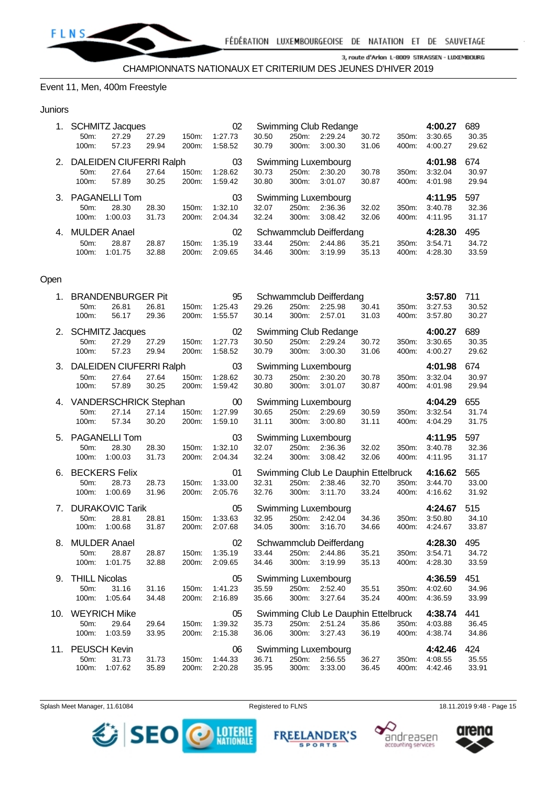

#### Event 11, Men, 400m Freestyle

#### Juniors

| 1. |                   | <b>SCHMITZ Jacques</b>     |       |          | 02      |       |       | Swimming Club Redange   |       |          | 4:00.27 | 689   |
|----|-------------------|----------------------------|-------|----------|---------|-------|-------|-------------------------|-------|----------|---------|-------|
|    | 50m:              | 27.29                      | 27.29 | 150m:    | 1:27.73 | 30.50 | 250m: | 2:29.24                 | 30.72 | 350m:    | 3:30.65 | 30.35 |
|    | 100m:             | 57.23                      | 29.94 | 200m:    | 1:58.52 | 30.79 | 300m: | 3:00.30                 | 31.06 | 400m:    | 4:00.27 | 29.62 |
|    |                   | 2. DALEIDEN CIUFERRI Ralph |       |          | 03      |       |       | Swimming Luxembourg     |       |          | 4:01.98 | 674   |
|    | 50 <sub>m</sub> : | 27.64                      | 27.64 | $150m$ : | 1:28.62 | 30.73 | 250m: | 2:30.20                 | 30.78 | 350m:    | 3:32.04 | 30.97 |
|    | 100m:             | 57.89                      | 30.25 | 200m:    | 1:59.42 | 30.80 | 300m: | 3:01.07                 | 30.87 | 400m:    | 4:01.98 | 29.94 |
| 3. |                   | <b>PAGANELLI Tom</b>       |       |          | 03      |       |       | Swimming Luxembourg     |       |          | 4:11.95 | 597   |
|    | $50m$ :           | 28.30                      | 28.30 | $150m$ : | 1:32.10 | 32.07 | 250m: | 2:36.36                 | 32.02 | $350m$ : | 3:40.78 | 32.36 |
|    | $100m$ :          | 1:00.03                    | 31.73 | 200m:    | 2:04.34 | 32.24 | 300m: | 3:08.42                 | 32.06 | 400m:    | 4:11.95 | 31.17 |
| 4. |                   | <b>MULDER Anael</b>        |       |          | 02      |       |       | Schwammclub Deifferdang |       |          | 4:28.30 | 495   |
|    |                   |                            |       |          |         |       |       |                         |       |          |         |       |
|    | 50m:              | 28.87                      | 28.87 | $150m$ : | 1:35.19 | 33.44 | 250m: | 2:44.86                 | 35.21 | 350m:    | 3:54.71 | 34.72 |

#### Open

|     |                                   | 1. BRANDENBURGER Pit                         |                |                | 95                           |                |                   | Schwammclub Deifferdang                                   |                |                | 3:57.80                       | 711                   |
|-----|-----------------------------------|----------------------------------------------|----------------|----------------|------------------------------|----------------|-------------------|-----------------------------------------------------------|----------------|----------------|-------------------------------|-----------------------|
|     | 50m:<br>100m:                     | 26.81<br>56.17                               | 26.81<br>29.36 | 150m:<br>200m: | 1:25.43<br>1:55.57           | 29.26<br>30.14 | 250m:<br>300m:    | 2:25.98<br>2:57.01                                        | 30.41<br>31.03 | 350m:<br>400m: | 3:27.53<br>3:57.80            | 30.52<br>30.27        |
|     | 50m:<br>100m:                     | 2. SCHMITZ Jacques<br>27.29<br>57.23         | 27.29<br>29.94 | 150m:<br>200m: | 02<br>1:27.73<br>1:58.52     | 30.50<br>30.79 | 250m:<br>300m:    | Swimming Club Redange<br>2:29.24<br>3:00.30               | 30.72<br>31.06 | 350m:<br>400m: | 4:00.27<br>3:30.65<br>4:00.27 | 689<br>30.35<br>29.62 |
|     | 50 <sub>m</sub> :<br>100m:        | 3. DALEIDEN CIUFERRI Ralph<br>27.64<br>57.89 | 27.64<br>30.25 | 150m:<br>200m: | 03<br>1:28.62<br>1:59.42     | 30.73<br>30.80 | 300m:             | Swimming Luxembourg<br>250m: 2:30.20<br>3:01.07           | 30.78<br>30.87 | 350m:<br>400m: | 4:01.98<br>3:32.04<br>4:01.98 | 674<br>30.97<br>29.94 |
|     | 50m:<br>100m:                     | 4. VANDERSCHRICK Stephan<br>27.14<br>57.34   | 27.14<br>30.20 | 150m:<br>200m: | $00\,$<br>1:27.99<br>1:59.10 | 30.65<br>31.11 | 250m:<br>300m:    | Swimming Luxembourg<br>2:29.69<br>3:00.80                 | 30.59<br>31.11 | 350m:<br>400m: | 4:04.29<br>3:32.54<br>4:04.29 | 655<br>31.74<br>31.75 |
|     | 50m:<br>100m:                     | 5. PAGANELLI Tom<br>28.30<br>1:00.03         | 28.30<br>31.73 | 150m:<br>200m: | 03<br>1:32.10<br>2:04.34     | 32.07<br>32.24 | 300m:             | Swimming Luxembourg<br>250m: 2:36.36<br>3:08.42           | 32.02<br>32.06 | 350m:<br>400m: | 4:11.95<br>3:40.78<br>4:11.95 | 597<br>32.36<br>31.17 |
|     | 50m:<br>100m:                     | 6. BECKERS Felix<br>28.73<br>1:00.69         | 28.73<br>31.96 | 150m:<br>200m: | 01<br>1:33.00<br>2:05.76     | 32.31<br>32.76 | 250m:<br>300m:    | Swimming Club Le Dauphin Ettelbruck<br>2:38.46<br>3:11.70 | 32.70<br>33.24 | 350m:<br>400m: | 4:16.62<br>3:44.70<br>4:16.62 | 565<br>33.00<br>31.92 |
|     | 50m:<br>100m:                     | 7. DURAKOVIC Tarik<br>28.81<br>1:00.68       | 28.81<br>31.87 | 150m:<br>200m: | 05<br>1:33.63<br>2:07.68     | 32.95<br>34.05 | 300m:             | Swimming Luxembourg<br>250m: 2:42.04<br>3:16.70           | 34.36<br>34.66 | 350m:<br>400m: | 4:24.67<br>3:50.80<br>4:24.67 | 515<br>34.10<br>33.87 |
| 8.  | 50m:<br>100m:                     | <b>MULDER Anael</b><br>28.87<br>1:01.75      | 28.87<br>32.88 | 150m:<br>200m: | 02<br>1:35.19<br>2:09.65     | 33.44<br>34.46 | 250m:<br>300m:    | Schwammclub Deifferdang<br>2:44.86<br>3:19.99             | 35.21<br>35.13 | 350m:<br>400m: | 4:28.30<br>3:54.71<br>4:28.30 | 495<br>34.72<br>33.59 |
|     | 9. THILL Nicolas<br>50m:<br>100m: | 31.16<br>1:05.64                             | 31.16<br>34.48 | 150m:<br>200m: | 05<br>1:41.23<br>2:16.89     | 35.59<br>35.66 | 250m:<br>300m:    | Swimming Luxembourg<br>2:52.40<br>3:27.64                 | 35.51<br>35.24 | 350m:<br>400m: | 4:36.59<br>4:02.60<br>4:36.59 | 451<br>34.96<br>33.99 |
| 10. | 50m:<br>100m:                     | <b>WEYRICH Mike</b><br>29.64<br>1:03.59      | 29.64<br>33.95 | 150m:<br>200m: | 05<br>1:39.32<br>2:15.38     | 35.73<br>36.06 | 250m:<br>300m:    | Swimming Club Le Dauphin Ettelbruck<br>2:51.24<br>3:27.43 | 35.86<br>36.19 | 350m:<br>400m: | 4:38.74<br>4:03.88<br>4:38.74 | 441<br>36.45<br>34.86 |
| 11. | 50m:<br>100m:                     | <b>PEUSCH Kevin</b><br>31.73<br>1:07.62      | 31.73<br>35.89 | 150m:<br>200m: | 06<br>1:44.33<br>2:20.28     | 36.71<br>35.95 | 250m:<br>$300m$ : | Swimming Luxembourg<br>2:56.55<br>3:33.00                 | 36.27<br>36.45 | 350m:<br>400m: | 4:42.46<br>4:08.55<br>4:42.46 | 424<br>35.55<br>33.91 |

Splash Meet Manager, 11.61084 **Registered to FLNS** Registered to FLNS 18.11.2019 9:48 - Page 15

SEO





**DESCRIPTION ALE FREEL ANDER'S SPORTS**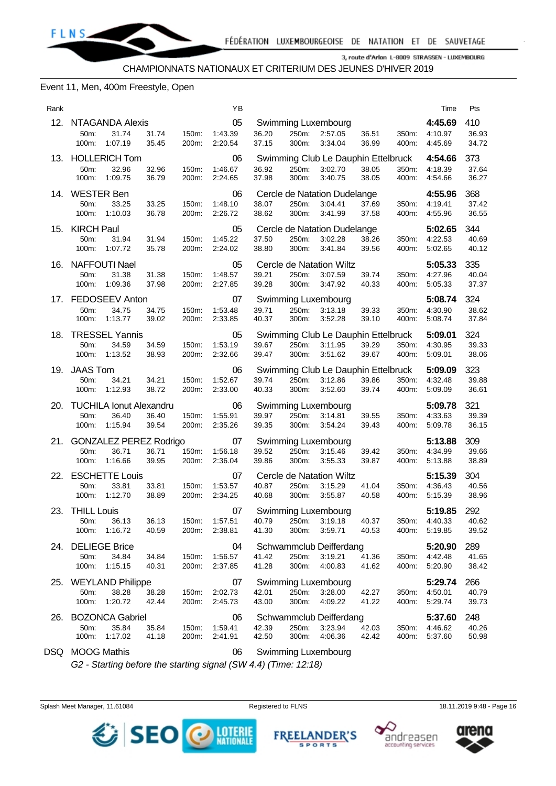

#### Event 11, Men, 400m Freestyle, Open

| Rank |                 |                               |                |                | ΥB                 |                |                |                                     |                |                | Time                     | Pts            |
|------|-----------------|-------------------------------|----------------|----------------|--------------------|----------------|----------------|-------------------------------------|----------------|----------------|--------------------------|----------------|
|      |                 | 12. NTAGANDA Alexis           |                |                | 05                 |                |                | Swimming Luxembourg                 |                |                | 4:45.69                  | 410            |
|      | 50m:<br>100m:   | 31.74<br>1:07.19              | 31.74<br>35.45 | 150m:<br>200m: | 1:43.39<br>2:20.54 | 36.20<br>37.15 | 250m.<br>300m: | 2:57.05<br>3:34.04                  | 36.51<br>36.99 | 350m:<br>400m: | 4:10.97<br>4:45.69       | 36.93<br>34.72 |
|      |                 | 13. HOLLERICH Tom             |                |                | 06                 |                |                | Swimming Club Le Dauphin Ettelbruck |                |                | 4:54.66                  | 373            |
|      | 50m:            | 32.96<br>100m: 1:09.75        | 32.96<br>36.79 | 150m:<br>200m: | 1:46.67<br>2:24.65 | 36.92<br>37.98 | 250m:<br>300m: | 3:02.70<br>3:40.75                  | 38.05<br>38.05 | 350m:<br>400m: | 4:18.39<br>4:54.66       | 37.64<br>36.27 |
|      | 14. WESTER Ben  |                               |                |                | 06                 |                |                | Cercle de Natation Dudelange        |                |                | 4:55.96                  | 368            |
|      | 50m:            | 33.25                         | 33.25          | 150m:          | 1:48.10            | 38.07          | 250m:          | 3:04.41                             | 37.69          | 350m:          | 4:19.41                  | 37.42          |
|      | 100m:           | 1:10.03                       | 36.78          | 200m:          | 2:26.72            | 38.62          | 300m:          | 3:41.99                             | 37.58          | 400m:          | 4:55.96                  | 36.55          |
|      | 15. KIRCH Paul  |                               |                |                | 05                 |                |                | Cercle de Natation Dudelange        |                |                | 5:02.65                  | 344            |
|      | 50m:            | 31.94                         | 31.94          | 150m:          | 1:45.22            | 37.50          | 250m:          | 3:02.28                             | 38.26          | 350m:          | 4:22.53                  | 40.69          |
|      | 100m:           | 1:07.72                       | 35.78          | 200m:          | 2:24.02            | 38.80          | 300m:          | 3:41.84                             | 39.56          | 400m:          | 5:02.65                  | 40.12          |
|      |                 | 16. NAFFOUTI Nael             |                |                | 05                 |                |                | Cercle de Natation Wiltz            |                |                | 5:05.33                  | 335            |
|      | 50m:            | 31.38                         | 31.38          | 150m:          | 1:48.57            | 39.21          | 250m:          | 3:07.59                             | 39.74          |                | 350m: 4:27.96            | 40.04          |
|      | 100m:           | 1:09.36                       | 37.98          | 200m:          | 2:27.85            | 39.28          | 300m:          | 3:47.92                             | 40.33          | 400m:          | 5:05.33                  | 37.37          |
|      |                 | 17. FEDOSEEV Anton            |                |                | 07                 |                |                | <b>Swimming Luxembourg</b>          |                |                | 5:08.74                  | 324            |
|      | 50m:            | 34.75                         | 34.75          | 150m:          | 1:53.48            | 39.71          | 250m:          | 3:13.18                             | 39.33          | 350m:          | 4:30.90                  | 38.62          |
|      | 100m:           | 1:13.77                       | 39.02          | 200m:          | 2:33.85            | 40.37          | 300m:          | 3:52.28                             | 39.10          | 400m:          | 5:08.74                  | 37.84          |
|      |                 | 18. TRESSEL Yannis            |                |                | 05                 |                |                | Swimming Club Le Dauphin Ettelbruck |                |                | 5:09.01                  | 324            |
|      | 50m:            | 34.59                         | 34.59          | 150m:          | 1:53.19            | 39.67          | 250m:          | 3:11.95                             | 39.29          | 350m:          | 4:30.95                  | 39.33          |
|      | 100m:           | 1:13.52                       | 38.93          | 200m:          | 2:32.66            | 39.47          | 300m:          | 3:51.62                             | 39.67          | 400m:          | 5:09.01                  | 38.06          |
|      | 19. JAAS Tom    |                               |                |                | 06                 |                |                | Swimming Club Le Dauphin Ettelbruck |                |                | 5:09.09                  | 323            |
|      | 50m:            | 34.21                         | 34.21          | 150m:          | 1:52.67            | 39.74          | 250m:          | 3:12.86                             | 39.86          | 350m:          | 4:32.48                  | 39.88          |
|      | 100m:           | 1:12.93                       | 38.72          | 200m:          | 2:33.00            | 40.33          | 300m:          | 3:52.60                             | 39.74          | 400m:          | 5:09.09                  | 36.61          |
|      |                 | 20. TUCHILA Ionut Alexandru   |                |                | 06                 |                |                | Swimming Luxembourg                 |                |                | 5:09.78                  | 321            |
|      | 50m:            | 36.40                         | 36.40          | 150m:          | 1:55.91            | 39.97          | 250m:          | 3:14.81                             | 39.55          | 350m:          | 4:33.63                  | 39.39          |
|      | 100m:           | 1:15.94                       | 39.54          | 200m:          | 2:35.26            | 39.35          | 300m:          | 3:54.24                             | 39.43          | 400m:          | 5:09.78                  | 36.15          |
|      |                 | 21. GONZALEZ PEREZ Rodrigo    |                |                | 07                 |                |                | Swimming Luxembourg                 |                |                | 5:13.88                  | 309            |
|      | 50m:            | 36.71                         | 36.71          | 150m:          | 1:56.18            | 39.52          | 250m:          | 3:15.46                             | 39.42          | 350m:          | 4:34.99                  | 39.66          |
|      | 100m:           | 1:16.66                       | 39.95          | 200m:          | 2:36.04            | 39.86          | 300m:          | 3:55.33                             | 39.87          | 400m:          | 5:13.88                  | 38.89          |
|      |                 | 22. ESCHETTE Louis            |                |                | 07                 |                |                | Cercle de Natation Wiltz            |                |                | 5:15.39                  | 304            |
|      | 50m:            | 33.81                         | 33.81          | 150m:          | 1:53.57            | 40.87          | 250m:          | 3:15.29                             | 41.04          | 350m:          | 4:36.43                  | 40.56          |
|      | 100m:           | 1:12.70                       | 38.89          | 200m:          | 2:34.25            | 40.68          | 300m:          | 3:55.87                             | 40.58          | 400m:          | 5:15.39                  | 38.96          |
|      | 23. THILL Louis |                               |                |                | 07                 |                |                | Swimming Luxembourg                 |                |                | 5:19.85                  | 292            |
|      |                 | 50m: 36.13                    | 36.13          |                | 150m: 1:57.51      | 40.79          |                | 250m: 3:19.18 40.37                 |                |                | 350m: 4:40.33            | 40.62          |
|      |                 | 100m: 1:16.72                 | 40.59          | 200m:          | 2:38.81            | 41.30          | 300m:          | 3:59.71                             | 40.53          |                | 400m: 5:19.85            | 39.52          |
| 24.  |                 | <b>DELIEGE Brice</b>          |                |                | 04                 |                |                | Schwammclub Deifferdang             |                |                | 5:20.90                  | 289            |
|      | 50m:            | 34.84                         | 34.84          | 150m:          | 1:56.57            | 41.42          | 250m:          | 3:19.21                             | 41.36          |                | 350m: 4:42.48            | 41.65          |
|      |                 | 100m: 1:15.15                 | 40.31          | 200m:          | 2:37.85            | 41.28          | 300m:          | 4:00.83                             | 41.62          |                | 400m: 5:20.90            | 38.42          |
|      |                 |                               |                |                |                    |                |                |                                     |                |                |                          |                |
|      | 50m:            | 25. WEYLAND Philippe<br>38.28 | 38.28          | 150m:          | 07<br>2:02.73      | 42.01          | 250m:          | Swimming Luxembourg<br>3:28.00      | 42.27          | 350m:          | 5:29.74<br>4:50.01       | 266<br>40.79   |
|      | 100m:           | 1:20.72                       | 42.44          | 200m:          | 2:45.73            | 43.00          | 300m:          | 4:09.22                             | 41.22          | 400m:          | 5:29.74                  | 39.73          |
|      |                 |                               |                |                |                    |                |                |                                     |                |                |                          |                |
|      |                 | 26. BOZONCA Gabriel           |                |                | 06                 |                |                | Schwammclub Deifferdang             |                |                | 5:37.60                  | 248            |
|      | 50m:<br>100m:   | 35.84<br>1:17.02              | 35.84<br>41.18 | 150m:<br>200m: | 1:59.41<br>2:41.91 | 42.39<br>42.50 | 250m:<br>300m: | 3:23.94<br>4:06.36                  | 42.03<br>42.42 | 400m:          | 350m: 4:46.62<br>5:37.60 | 40.26<br>50.98 |
|      |                 |                               |                |                |                    |                |                |                                     |                |                |                          |                |
|      | DSQ MOOG Mathis |                               |                |                | 06                 |                |                | Swimming Luxembourg                 |                |                |                          |                |

*G2 - Starting before the starting signal (SW 4.4) (Time: 12:18)*

Splash Meet Manager, 11.61084 **Registered to FLNS** 18.11.2019 9:48 - Page 16



**FREE ANDER'S** 

**SPORTS** 



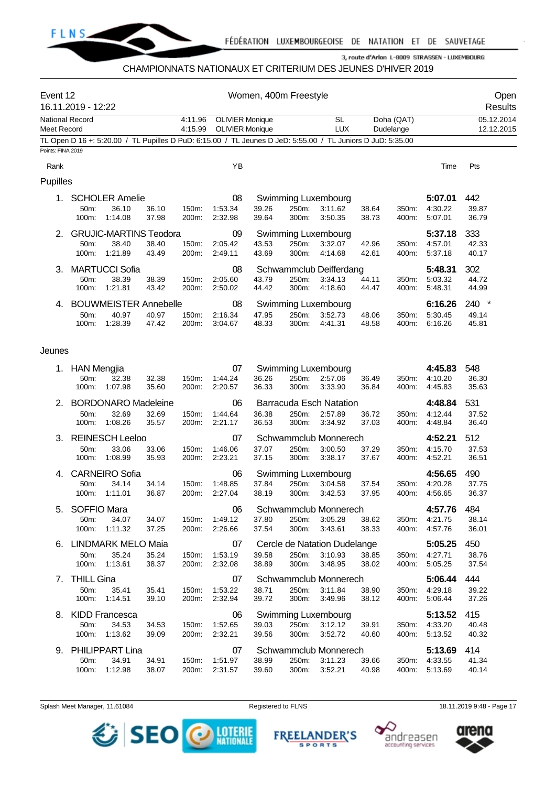

### CHAMPIONNATS NATIONAUX ET CRITERIUM DES JEUNES D'HIVER 2019

| Event 12               | 16.11.2019 - 12:22                                                                                          |                |                    |                                                  | Women, 400m Freestyle |                |                                                      |                |                |                               | Open<br>Results                  |
|------------------------|-------------------------------------------------------------------------------------------------------------|----------------|--------------------|--------------------------------------------------|-----------------------|----------------|------------------------------------------------------|----------------|----------------|-------------------------------|----------------------------------|
| <b>National Record</b> |                                                                                                             |                | 4:11.96<br>4:15.99 | <b>OLIVIER Monique</b><br><b>OLIVIER Monique</b> |                       |                | <b>SL</b><br><b>LUX</b>                              |                | Doha (QAT)     |                               | 05.12.2014<br>12.12.2015         |
| Meet Record            | TL Open D 16 +: 5:20.00 / TL Pupilles D PuD: 6:15.00 / TL Jeunes D JeD: 5:55.00 / TL Juniors D JuD: 5:35.00 |                |                    |                                                  |                       |                |                                                      |                | Dudelange      |                               |                                  |
| Points: FINA 2019      |                                                                                                             |                |                    |                                                  |                       |                |                                                      |                |                |                               |                                  |
| Rank                   |                                                                                                             |                |                    | YB                                               |                       |                |                                                      |                |                | Time                          | Pts                              |
| Pupilles               |                                                                                                             |                |                    |                                                  |                       |                |                                                      |                |                |                               |                                  |
| 1.                     | <b>SCHOLER Amelie</b><br>50m:<br>36.10<br>1:14.08<br>100m:                                                  | 36.10<br>37.98 | 150m:<br>200m:     | 08<br>1:53.34<br>2:32.98                         | 39.26<br>39.64        | 250m:<br>300m: | Swimming Luxembourg<br>3:11.62<br>3:50.35            | 38.64<br>38.73 | 350m:<br>400m: | 5:07.01<br>4:30.22<br>5:07.01 | 442<br>39.87<br>36.79            |
| 2.                     | <b>GRUJIC-MARTINS Teodora</b><br>50m:<br>38.40<br>100m:<br>1:21.89                                          | 38.40<br>43.49 | 150m:<br>200m:     | 09<br>2:05.42<br>2:49.11                         | 43.53<br>43.69        | 250m:<br>300m: | Swimming Luxembourg<br>3:32.07<br>4:14.68            | 42.96<br>42.61 | 350m:<br>400m: | 5:37.18<br>4:57.01<br>5:37.18 | 333<br>42.33<br>40.17            |
| 3.                     | <b>MARTUCCI Sofia</b><br>50m:<br>38.39<br>100m:<br>1:21.81                                                  | 38.39<br>43.42 | 150m:<br>200m:     | 08<br>2:05.60<br>2:50.02                         | 43.79<br>44.42        | 250m:<br>300m: | Schwammclub Deifferdang<br>3:34.13<br>4:18.60        | 44.11<br>44.47 | 350m:<br>400m: | 5:48.31<br>5:03.32<br>5:48.31 | 302<br>44.72<br>44.99            |
| 4.                     | <b>BOUWMEISTER Annebelle</b><br>50m:<br>40.97<br>1:28.39<br>100m:                                           | 40.97<br>47.42 | 150m:<br>200m:     | 08<br>2:16.34<br>3:04.67                         | 47.95<br>48.33        | 250m:<br>300m: | Swimming Luxembourg<br>3:52.73<br>4:41.31            | 48.06<br>48.58 | 350m:<br>400m: | 6:16.26<br>5:30.45<br>6:16.26 | 240<br>$\star$<br>49.14<br>45.81 |
| Jeunes                 |                                                                                                             |                |                    |                                                  |                       |                |                                                      |                |                |                               |                                  |
| 1.                     | <b>HAN Mengjia</b><br>32.38<br>50m:<br>1:07.98<br>100m:                                                     | 32.38<br>35.60 | 150m:<br>200m:     | 07<br>1:44.24<br>2:20.57                         | 36.26<br>36.33        | 250m:<br>300m: | Swimming Luxembourg<br>2:57.06<br>3:33.90            | 36.49<br>36.84 | 350m:<br>400m: | 4:45.83<br>4:10.20<br>4:45.83 | 548<br>36.30<br>35.63            |
| 2.                     | <b>BORDONARO Madeleine</b><br>50m:<br>32.69<br>100m:<br>1:08.26                                             | 32.69<br>35.57 | 150m:<br>200m:     | 06<br>1:44.64<br>2:21.17                         | 36.38<br>36.53        | 250m:<br>300m: | <b>Barracuda Esch Natation</b><br>2:57.89<br>3:34.92 | 36.72<br>37.03 | 350m:<br>400m: | 4:48.84<br>4:12.44<br>4:48.84 | 531<br>37.52<br>36.40            |
| 3.                     | <b>REINESCH Leeloo</b><br>50m:<br>33.06<br>100m:<br>1:08.99                                                 | 33.06<br>35.93 | 150m:<br>200m:     | 07<br>1:46.06<br>2:23.21                         | 37.07<br>37.15        | 250m:<br>300m: | Schwammclub Monnerech<br>3:00.50<br>3:38.17          | 37.29<br>37.67 | 350m:<br>400m: | 4:52.21<br>4:15.70<br>4:52.21 | 512<br>37.53<br>36.51            |
| 4.                     | <b>CARNEIRO Sofia</b><br>34.14<br>50m:<br>1:11.01<br>100m:                                                  | 34.14<br>36.87 | 150m:<br>200m:     | 06<br>1:48.85<br>2:27.04                         | 37.84<br>38.19        | 250m:<br>300m: | Swimming Luxembourg<br>3:04.58<br>3:42.53            | 37.54<br>37.95 | 350m:<br>400m: | 4:56.65<br>4:20.28<br>4:56.65 | 490<br>37.75<br>36.37            |
|                        | 5. SOFFIO Mara<br>50m:<br>34.07<br>100m:<br>1:11.32                                                         | 34.07<br>37.25 | 150m:<br>200m:     | 06<br>1:49.12<br>2:26.66                         | 37.80<br>37.54        | 250m:<br>300m: | Schwammclub Monnerech<br>3:05.28<br>3:43.61          | 38.62<br>38.33 | 350m:<br>400m: | 4:57.76<br>4:21.75<br>4:57.76 | 484<br>38.14<br>36.01            |
|                        | 6. LINDMARK MELO Maia<br>35.24<br>50m:<br>100m:<br>1:13.61                                                  | 35.24<br>38.37 | 150m:<br>200m:     | 07<br>1:53.19<br>2:32.08                         | 39.58<br>38.89        | 250m:<br>300m: | Cercle de Natation Dudelange<br>3:10.93<br>3:48.95   | 38.85<br>38.02 | 350m:<br>400m: | 5:05.25<br>4:27.71<br>5:05.25 | 450<br>38.76<br>37.54            |
| 7.                     | <b>THILL Gina</b><br>50m:<br>35.41<br>100m:<br>1:14.51                                                      | 35.41<br>39.10 | 150m:<br>200m:     | 07<br>1:53.22<br>2:32.94                         | 38.71<br>39.72        | 250m:<br>300m: | Schwammclub Monnerech<br>3:11.84<br>3:49.96          | 38.90<br>38.12 | 350m:<br>400m: | 5:06.44<br>4:29.18<br>5:06.44 | 444<br>39.22<br>37.26            |
| 8.                     | <b>KIDD Francesca</b><br>50m:<br>34.53<br>100m:<br>1:13.62                                                  | 34.53<br>39.09 | 150m:<br>200m:     | 06<br>1:52.65<br>2:32.21                         | 39.03<br>39.56        | 250m:<br>300m: | Swimming Luxembourg<br>3:12.12<br>3:52.72            | 39.91<br>40.60 | 350m:<br>400m: | 5:13.52<br>4:33.20<br>5:13.52 | 415<br>40.48<br>40.32            |
|                        | 9. PHILIPPART Lina<br>50m:<br>34.91<br>100m:<br>1:12.98                                                     | 34.91<br>38.07 | 150m:<br>200m:     | 07<br>1:51.97<br>2:31.57                         | 38.99<br>39.60        | 250m:<br>300m: | Schwammclub Monnerech<br>3:11.23<br>3:52.21          | 39.66<br>40.98 | 350m:<br>400m: | 5:13.69<br>4:33.55<br>5:13.69 | 414<br>41.34<br>40.14            |

Splash Meet Manager, 11.61084 **Registered to FLNS** Registered to FLNS 18.11.2019 9:48 - Page 17





**FREELANDER'S** 

**SPORTS** 

andreasen

accounting services

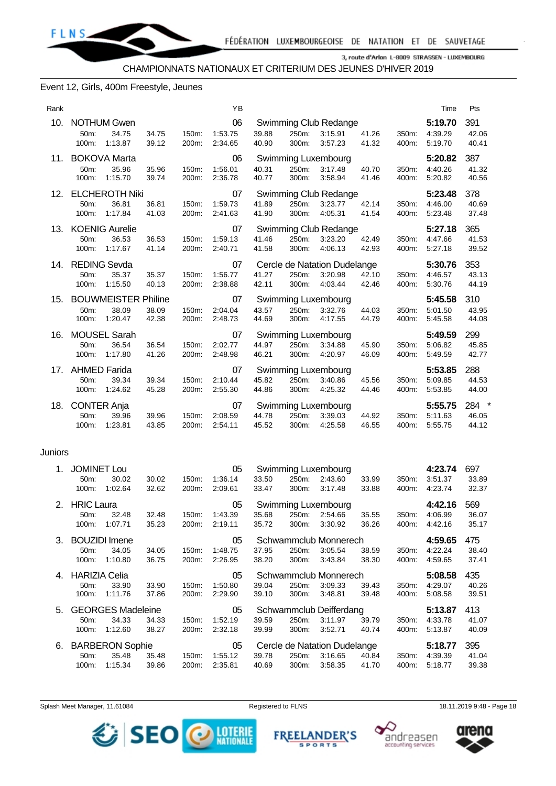

#### Event 12, Girls, 400m Freestyle, Jeunes

| Rank |                                                                              |                |                | YB                       |                |                |                                                    |                |                | Time                          | Pts                             |
|------|------------------------------------------------------------------------------|----------------|----------------|--------------------------|----------------|----------------|----------------------------------------------------|----------------|----------------|-------------------------------|---------------------------------|
| 10.  | <b>NOTHUM Gwen</b><br>50m:<br>34.75<br>1:13.87<br>100m:                      | 34.75<br>39.12 | 150m:<br>200m: | 06<br>1:53.75<br>2:34.65 | 39.88<br>40.90 | 250m:<br>300m: | Swimming Club Redange<br>3:15.91<br>3:57.23        | 41.26<br>41.32 | 350m:<br>400m: | 5:19.70<br>4:39.29<br>5:19.70 | 391<br>42.06<br>40.41           |
| 11.  | <b>BOKOVA Marta</b><br>50m:<br>35.96<br>1:15.70<br>100m:                     | 35.96<br>39.74 | 150m:<br>200m: | 06<br>1:56.01<br>2:36.78 | 40.31<br>40.77 | 250m:<br>300m: | Swimming Luxembourg<br>3:17.48<br>3:58.94          | 40.70<br>41.46 | 350m:<br>400m: | 5:20.82<br>4:40.26<br>5:20.82 | 387<br>41.32<br>40.56           |
| 12.  | <b>ELCHEROTH Niki</b><br>50m:<br>36.81<br>1:17.84<br>100m:                   | 36.81<br>41.03 | 150m:<br>200m: | 07<br>1:59.73<br>2:41.63 | 41.89<br>41.90 | 250m:<br>300m: | Swimming Club Redange<br>3:23.77<br>4:05.31        | 42.14<br>41.54 | 350m:<br>400m: | 5:23.48<br>4:46.00<br>5:23.48 | 378<br>40.69<br>37.48           |
| 13.  | <b>KOENIG Aurelie</b><br>50m:<br>36.53<br>1:17.67<br>100m:                   | 36.53<br>41.14 | 150m:<br>200m: | 07<br>1:59.13<br>2:40.71 | 41.46<br>41.58 | 250m:<br>300m: | Swimming Club Redange<br>3:23.20<br>4:06.13        | 42.49<br>42.93 | 350m:<br>400m: | 5:27.18<br>4:47.66<br>5:27.18 | 365<br>41.53<br>39.52           |
| 14.  | <b>REDING Sevda</b><br>50m:<br>35.37<br>1:15.50<br>100m:                     | 35.37<br>40.13 | 150m:<br>200m: | 07<br>1:56.77<br>2:38.88 | 41.27<br>42.11 | 250m:<br>300m: | Cercle de Natation Dudelange<br>3:20.98<br>4:03.44 | 42.10<br>42.46 | 350m:<br>400m: | 5:30.76<br>4:46.57<br>5:30.76 | 353<br>43.13<br>44.19           |
| 15.  | <b>BOUWMEISTER Philine</b><br>38.09<br>50 <sub>m</sub> :<br>1:20.47<br>100m: | 38.09<br>42.38 | 150m:<br>200m: | 07<br>2:04.04<br>2:48.73 | 43.57<br>44.69 | 250m:<br>300m: | Swimming Luxembourg<br>3:32.76<br>4:17.55          | 44.03<br>44.79 | 350m:<br>400m: | 5:45.58<br>5:01.50<br>5:45.58 | 310<br>43.95<br>44.08           |
| 16.  | <b>MOUSEL Sarah</b><br>50 <sub>m</sub> :<br>36.54<br>1:17.80<br>100m:        | 36.54<br>41.26 | 150m:<br>200m: | 07<br>2:02.77<br>2:48.98 | 44.97<br>46.21 | 250m:<br>300m: | Swimming Luxembourg<br>3:34.88<br>4:20.97          | 45.90<br>46.09 | 350m:<br>400m: | 5:49.59<br>5:06.82<br>5:49.59 | 299<br>45.85<br>42.77           |
| 17.  | <b>AHMED Farida</b><br>39.34<br>50m:<br>100m:<br>1:24.62                     | 39.34<br>45.28 | 150m:<br>200m: | 07<br>2:10.44<br>2:55.30 | 45.82<br>44.86 | 250m:<br>300m: | Swimming Luxembourg<br>3:40.86<br>4:25.32          | 45.56<br>44.46 | 350m:<br>400m: | 5:53.85<br>5:09.85<br>5:53.85 | 288<br>44.53<br>44.00           |
| 18.  | <b>CONTER Anja</b><br>50m:<br>39.96<br>1:23.81<br>100m:                      | 39.96<br>43.85 | 150m:<br>200m: | 07<br>2:08.59<br>2:54.11 | 44.78<br>45.52 | 250m:<br>300m: | Swimming Luxembourg<br>3:39.03<br>4:25.58          | 44.92<br>46.55 | 350m:<br>400m: | 5:55.75<br>5:11.63<br>5:55.75 | $\ast$<br>284<br>46.05<br>44.12 |

#### Juniors

| 1. | <b>JOMINET Lou</b> |                          |       |       | 05      |       |       | Swimming Luxembourg          |       |       | 4:23.74 | 697   |
|----|--------------------|--------------------------|-------|-------|---------|-------|-------|------------------------------|-------|-------|---------|-------|
|    | $50m$ :            | 30.02                    | 30.02 | 150m: | 1:36.14 | 33.50 | 250m: | 2:43.60                      | 33.99 | 350m: | 3:51.37 | 33.89 |
|    | 100m:              | 1:02.64                  | 32.62 | 200m: | 2:09.61 | 33.47 | 300m: | 3:17.48                      | 33.88 | 400m: | 4:23.74 | 32.37 |
| 2. | <b>HRIC Laura</b>  |                          |       |       | 05      |       |       | Swimming Luxembourg          |       |       | 4:42.16 | 569   |
|    | $50m$ :            | 32.48                    | 32.48 | 150m: | 1:43.39 | 35.68 | 250m: | 2:54.66                      | 35.55 | 350m: | 4:06.99 | 36.07 |
|    | 100m:              | 1:07.71                  | 35.23 | 200m: | 2:19.11 | 35.72 | 300m: | 3:30.92                      | 36.26 | 400m: | 4:42.16 | 35.17 |
| 3. |                    | <b>BOUZIDI</b> Imene     |       |       | 05      |       |       | Schwammclub Monnerech        |       |       | 4:59.65 | 475   |
|    | $50m$ :            | 34.05                    | 34.05 | 150m: | 1:48.75 | 37.95 | 250m: | 3:05.54                      | 38.59 | 350m: | 4:22.24 | 38.40 |
|    | 100m:              | 1:10.80                  | 36.75 | 200m: | 2:26.95 | 38.20 | 300m. | 3:43.84                      | 38.30 | 400m: | 4:59.65 | 37.41 |
|    | 4. HARIZIA Celia   |                          |       |       | 05      |       |       | Schwammclub Monnerech        |       |       | 5:08.58 | 435   |
|    | 50m:               | 33.90                    | 33.90 | 150m: | 1:50.80 | 39.04 | 250m: | 3:09.33                      | 39.43 | 350m: | 4:29.07 | 40.26 |
|    | 100m:              | 1:11.76                  | 37.86 | 200m: | 2:29.90 | 39.10 | 300m: | 3:48.81                      | 39.48 | 400m: | 5:08.58 | 39.51 |
| 5. |                    | <b>GEORGES Madeleine</b> |       |       | 05      |       |       | Schwammclub Deifferdang      |       |       | 5:13.87 | 413   |
|    | $50m$ :            | 34.33                    | 34.33 | 150m: | 1:52.19 | 39.59 | 250m: | 3:11.97                      | 39.79 | 350m: | 4:33.78 | 41.07 |
|    |                    |                          |       |       |         |       |       |                              |       |       |         |       |
|    | 100m:              | 1:12.60                  | 38.27 | 200m: | 2:32.18 | 39.99 | 300m: | 3:52.71                      | 40.74 | 400m: | 5:13.87 | 40.09 |
| 6. |                    | <b>BARBERON Sophie</b>   |       |       | 05      |       |       | Cercle de Natation Dudelange |       |       | 5:18.77 | 395   |
|    | 50m:               | 35.48                    | 35.48 | 150m: | 1:55.12 | 39.78 | 250m: | 3:16.65                      | 40.84 | 350m: | 4:39.39 | 41.04 |

Splash Meet Manager, 11.61084 **Registered to FLNS** 18.11.2019 9:48 - Page 18





**FREEL ANDER'S** 

**SPORTS** 



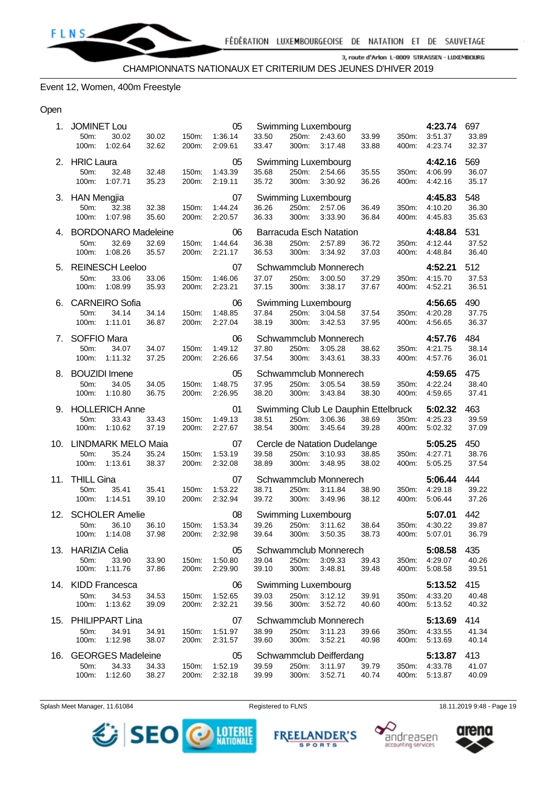#### Event 12, Women, 400m Freestyle

#### Open

| 1.  | <b>JOMINET Lou</b><br>50m:<br>30.02<br>100m:<br>1:02.64         | 30.02<br>32.62 | 150m:<br>200m: | 05<br>1:36.14<br>2:09.61 | 33.50<br>33.47 | 250m:<br>300m: | Swimming Luxembourg<br>2:43.60<br>3:17.48                 | 33.99<br>33.88 | 350m:<br>400m: | 4:23.74<br>3:51.37<br>4:23.74 | 697<br>33.89<br>32.37 |
|-----|-----------------------------------------------------------------|----------------|----------------|--------------------------|----------------|----------------|-----------------------------------------------------------|----------------|----------------|-------------------------------|-----------------------|
|     | 2. HRIC Laura<br>50m:<br>32.48<br>100m:<br>1:07.71              | 32.48<br>35.23 | 150m:<br>200m: | 05<br>1:43.39<br>2:19.11 | 35.68<br>35.72 | 250m:<br>300m: | Swimming Luxembourg<br>2:54.66<br>3:30.92                 | 35.55<br>36.26 | 350m:<br>400m: | 4:42.16<br>4:06.99<br>4:42.16 | 569<br>36.07<br>35.17 |
|     | 3. HAN Mengjia<br>50m:<br>32.38<br>100m:<br>1:07.98             | 32.38<br>35.60 | 150m:<br>200m: | 07<br>1:44.24<br>2:20.57 | 36.26<br>36.33 | 250m:<br>300m: | Swimming Luxembourg<br>2:57.06<br>3:33.90                 | 36.49<br>36.84 | 350m:<br>400m: | 4:45.83<br>4:10.20<br>4:45.83 | 548<br>36.30<br>35.63 |
| 4.  | <b>BORDONARO Madeleine</b><br>50m:<br>32.69<br>100m:<br>1:08.26 | 32.69<br>35.57 | 150m:<br>200m: | 06<br>1:44.64<br>2:21.17 | 36.38<br>36.53 | 250m:<br>300m: | <b>Barracuda Esch Natation</b><br>2:57.89<br>3:34.92      | 36.72<br>37.03 | 350m:<br>400m: | 4:48.84<br>4:12.44<br>4:48.84 | 531<br>37.52<br>36.40 |
| 5.  | <b>REINESCH Leeloo</b><br>33.06<br>50m:<br>100m:<br>1:08.99     | 33.06<br>35.93 | 150m:<br>200m: | 07<br>1:46.06<br>2:23.21 | 37.07<br>37.15 | 250m:<br>300m: | Schwammclub Monnerech<br>3:00.50<br>3:38.17               | 37.29<br>37.67 | 350m:<br>400m: | 4:52.21<br>4:15.70<br>4:52.21 | 512<br>37.53<br>36.51 |
| 6.  | <b>CARNEIRO Sofia</b><br>50m:<br>34.14<br>100m:<br>1:11.01      | 34.14<br>36.87 | 150m:<br>200m: | 06<br>1:48.85<br>2:27.04 | 37.84<br>38.19 | 250m:<br>300m: | Swimming Luxembourg<br>3:04.58<br>3:42.53                 | 37.54<br>37.95 | 350m:<br>400m: | 4:56.65<br>4:20.28<br>4:56.65 | 490<br>37.75<br>36.37 |
| 7.  | <b>SOFFIO Mara</b><br>50m:<br>34.07<br>100m:<br>1:11.32         | 34.07<br>37.25 | 150m:<br>200m: | 06<br>1:49.12<br>2:26.66 | 37.80<br>37.54 | 250m:<br>300m: | Schwammclub Monnerech<br>3:05.28<br>3:43.61               | 38.62<br>38.33 | 350m:<br>400m: | 4:57.76<br>4:21.75<br>4:57.76 | 484<br>38.14<br>36.01 |
| 8.  | <b>BOUZIDI</b> Imene<br>50m:<br>34.05<br>100m:<br>1:10.80       | 34.05<br>36.75 | 150m:<br>200m: | 05<br>1:48.75<br>2:26.95 | 37.95<br>38.20 | 250m:<br>300m: | Schwammclub Monnerech<br>3:05.54<br>3:43.84               | 38.59<br>38.30 | 350m:<br>400m: | 4:59.65<br>4:22.24<br>4:59.65 | 475<br>38.40<br>37.41 |
| 9.  | <b>HOLLERICH Anne</b><br>50m:<br>33.43<br>100m:<br>1:10.62      | 33.43<br>37.19 | 150m:<br>200m: | 01<br>1:49.13<br>2:27.67 | 38.51<br>38.54 | 250m:<br>300m: | Swimming Club Le Dauphin Ettelbruck<br>3:06.36<br>3:45.64 | 38.69<br>39.28 | 350m:<br>400m: | 5:02.32<br>4:25.23<br>5:02.32 | 463<br>39.59<br>37.09 |
| 10. | <b>LINDMARK MELO Maia</b><br>50m:<br>35.24<br>100m:<br>1:13.61  | 35.24<br>38.37 | 150m:<br>200m: | 07<br>1:53.19<br>2:32.08 | 39.58<br>38.89 | 250m:<br>300m: | Cercle de Natation Dudelange<br>3:10.93<br>3:48.95        | 38.85<br>38.02 | 350m:<br>400m: | 5:05.25<br>4:27.71<br>5.05.25 | 450<br>38.76<br>37.54 |
| 11. | <b>THILL Gina</b><br>50m:<br>35.41<br>100m:<br>1:14.51          | 35.41<br>39.10 | 150m:<br>200m: | 07<br>1:53.22<br>2:32.94 | 38.71<br>39.72 | 250m:<br>300m: | Schwammclub Monnerech<br>3:11.84<br>3:49.96               | 38.90<br>38.12 | 350m:<br>400m: | 5:06.44<br>4:29.18<br>5:06.44 | 444<br>39.22<br>37.26 |
| 12. | <b>SCHOLER Amelie</b><br>36.10<br>50m:<br>100m:<br>1:14.08      | 36.10<br>37.98 | 150m:<br>200m: | 08<br>1:53.34<br>2:32.98 | 39.26<br>39.64 | 250m:<br>300m: | Swimming Luxembourg<br>3:11.62<br>3:50.35                 | 38.64<br>38.73 | 350m:<br>400m: | 5:07.01<br>4:30.22<br>5:07.01 | 442<br>39.87<br>36.79 |
|     | 13. HARIZIA Celia<br>50m:<br>33.90<br>100m:<br>1:11.76          | 33.90<br>37.86 | 150m:<br>200m: | 05<br>1:50.80<br>2:29.90 | 39.04<br>39.10 | 250m:<br>300m: | Schwammclub Monnerech<br>3:09.33<br>3:48.81               | 39.43<br>39.48 | 350m:<br>400m: | 5:08.58<br>4:29.07<br>5:08.58 | 435<br>40.26<br>39.51 |
| 14. | <b>KIDD Francesca</b><br>50m:<br>34.53<br>100m:<br>1:13.62      | 34.53<br>39.09 | 150m:<br>200m: | 06<br>1:52.65<br>2:32.21 | 39.03<br>39.56 | 250m:<br>300m: | Swimming Luxembourg<br>3:12.12<br>3:52.72                 | 39.91<br>40.60 | 350m:<br>400m: | 5:13.52<br>4:33.20<br>5.13.52 | 415<br>40.48<br>40.32 |
| 15. | <b>PHILIPPART Lina</b><br>50m:<br>34.91<br>100m:<br>1:12.98     | 34.91<br>38.07 | 150m:<br>200m: | 07<br>1:51.97<br>2:31.57 | 38.99<br>39.60 | 250m:<br>300m: | Schwammclub Monnerech<br>3:11.23<br>3:52.21               | 39.66<br>40.98 | 350m:<br>400m: | 5:13.69<br>4.33.55<br>5:13.69 | 414<br>41.34<br>40.14 |
| 16. | <b>GEORGES Madeleine</b><br>50m:<br>34.33                       | 34.33          | 150m:          | 05<br>1:52.19            | 39.59          | 250m:          | Schwammclub Deifferdang<br>3:11.97                        | 39.79          | 350m:          | 5:13.87<br>4:33.78            | 413<br>41.07          |

Splash Meet Manager, 11.61084 **Registered to FLNS** Registered to FLNS 18.11.2019 9:48 - Page 19

*<u>SEO</u>* **DESCRIPTIONALE** 

**FREEI** 

**ANDER'S** 

**SPORTS** 



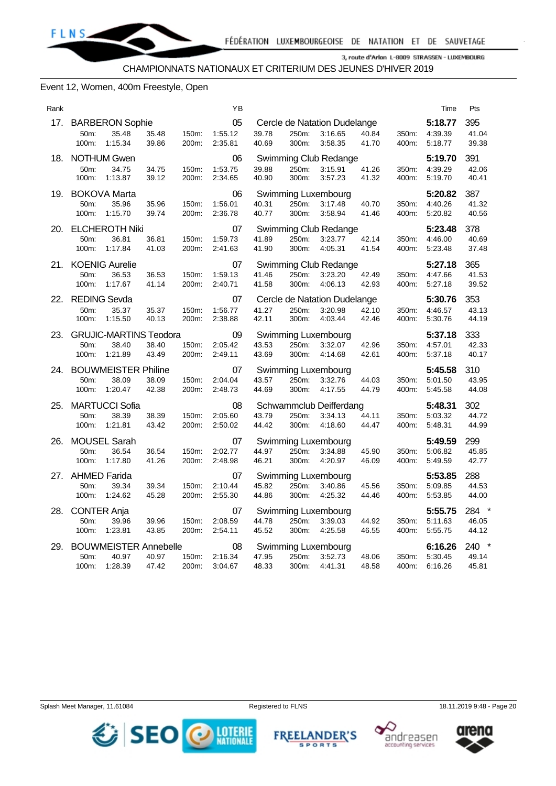

#### Event 12, Women, 400m Freestyle, Open

| Rank |                                                                    |                                  | ΥB                       |                |                |                                                    |                |                | Time                          | Pts                     |
|------|--------------------------------------------------------------------|----------------------------------|--------------------------|----------------|----------------|----------------------------------------------------|----------------|----------------|-------------------------------|-------------------------|
| 17.  | <b>BARBERON Sophie</b><br>50m:<br>35.48<br>100m:<br>1:15.34        | 150m:<br>35.48<br>39.86<br>200m: | 05<br>1:55.12<br>2:35.81 | 39.78<br>40.69 | 250m:<br>300m: | Cercle de Natation Dudelange<br>3:16.65<br>3:58.35 | 40.84<br>41.70 | 350m:<br>400m: | 5:18.77<br>4:39.39<br>5:18.77 | 395<br>41.04<br>39.38   |
| 18.  | <b>NOTHUM Gwen</b><br>50m:<br>34.75<br>100m:<br>1:13.87            | 34.75<br>150m:<br>39.12<br>200m: | 06<br>1:53.75<br>2:34.65 | 39.88<br>40.90 | 250m:<br>300m: | Swimming Club Redange<br>3.15.91<br>3:57.23        | 41.26<br>41.32 | 350m:<br>400m: | 5:19.70<br>4:39.29<br>5:19.70 | 391<br>42.06<br>40.41   |
| 19.  | <b>BOKOVA Marta</b><br>50m:<br>35.96<br>100m:<br>1:15.70           | 35.96<br>150m:<br>39.74<br>200m: | 06<br>1:56.01<br>2:36.78 | 40.31<br>40.77 | 250m:<br>300m: | Swimming Luxembourg<br>3:17.48<br>3:58.94          | 40.70<br>41.46 | 350m:<br>400m: | 5:20.82<br>4:40.26<br>5:20.82 | 387<br>41.32<br>40.56   |
| 20.  | <b>ELCHEROTH Niki</b><br>50m:<br>36.81<br>1:17.84<br>100m:         | 36.81<br>150m:<br>41.03<br>200m: | 07<br>1:59.73<br>2:41.63 | 41.89<br>41.90 | 250m:<br>300m: | Swimming Club Redange<br>3:23.77<br>4:05.31        | 42.14<br>41.54 | 350m:<br>400m: | 5:23.48<br>4:46.00<br>5:23.48 | 378<br>40.69<br>37.48   |
| 21.  | <b>KOENIG Aurelie</b><br>50m:<br>36.53<br>100m:<br>1:17.67         | 36.53<br>150m:<br>41.14<br>200m: | 07<br>1:59.13<br>2:40.71 | 41.46<br>41.58 | 250m:<br>300m: | Swimming Club Redange<br>3:23.20<br>4:06.13        | 42.49<br>42.93 | 350m:<br>400m: | 5:27.18<br>4:47.66<br>5:27.18 | 365<br>41.53<br>39.52   |
| 22.  | <b>REDING Sevda</b><br>50m:<br>35.37<br>100m:<br>1:15.50           | 35.37<br>150m:<br>40.13<br>200m: | 07<br>1:56.77<br>2:38.88 | 41.27<br>42.11 | 250m:<br>300m: | Cercle de Natation Dudelange<br>3:20.98<br>4:03.44 | 42.10<br>42.46 | 350m:<br>400m: | 5:30.76<br>4:46.57<br>5:30.76 | 353<br>43.13<br>44.19   |
| 23.  | <b>GRUJIC-MARTINS Teodora</b><br>50m:<br>38.40<br>100m:<br>1:21.89 | 38.40<br>150m:<br>43.49<br>200m: | 09<br>2:05.42<br>2:49.11 | 43.53<br>43.69 | 250m:<br>300m: | Swimming Luxembourg<br>3:32.07<br>4:14.68          | 42.96<br>42.61 | 350m:<br>400m: | 5:37.18<br>4:57.01<br>5:37.18 | 333<br>42.33<br>40.17   |
| 24.  | <b>BOUWMEISTER Philine</b><br>50m:<br>38.09<br>100m:<br>1:20.47    | 38.09<br>150m:<br>42.38<br>200m: | 07<br>2:04.04<br>2:48.73 | 43.57<br>44.69 | 250m:<br>300m: | Swimming Luxembourg<br>3:32.76<br>4:17.55          | 44.03<br>44.79 | 350m:<br>400m: | 5:45.58<br>5:01.50<br>5:45.58 | 310<br>43.95<br>44.08   |
| 25.  | <b>MARTUCCI Sofia</b><br>50m:<br>38.39<br>100m:<br>1:21.81         | 38.39<br>150m:<br>43.42<br>200m: | 08<br>2:05.60<br>2:50.02 | 43.79<br>44.42 | 250m:<br>300m: | Schwammclub Deifferdang<br>3:34.13<br>4:18.60      | 44.11<br>44.47 | 350m:<br>400m: | 5:48.31<br>5:03.32<br>5:48.31 | 302<br>44.72<br>44.99   |
| 26.  | <b>MOUSEL Sarah</b><br>36.54<br>50m:<br>1:17.80<br>100m:           | 36.54<br>150m:<br>41.26<br>200m: | 07<br>2:02.77<br>2:48.98 | 44.97<br>46.21 | 250m:<br>300m: | Swimming Luxembourg<br>3:34.88<br>4:20.97          | 45.90<br>46.09 | 350m:<br>400m: | 5:49.59<br>5:06.82<br>5:49.59 | 299<br>45.85<br>42.77   |
| 27.  | AHMED Farida<br>50m:<br>39.34<br>1:24.62<br>100m:                  | 150m:<br>39.34<br>45.28<br>200m: | 07<br>2:10.44<br>2:55.30 | 45.82<br>44.86 | 250m:<br>300m: | Swimming Luxembourg<br>3:40.86<br>4:25.32          | 45.56<br>44.46 | 350m:<br>400m: | 5:53.85<br>5:09.85<br>5:53.85 | 288<br>44.53<br>44.00   |
| 28.  | <b>CONTER Anja</b><br>50m:<br>39.96<br>100m:<br>1:23.81            | 39.96<br>150m:<br>43.85<br>200m: | 07<br>2:08.59<br>2:54.11 | 44.78<br>45.52 | 250m:<br>300m: | Swimming Luxembourg<br>3:39.03<br>4:25.58          | 44.92<br>46.55 | 350m:<br>400m: | 5:55.75<br>5:11.63<br>5.55.75 | 284 *<br>46.05<br>44.12 |
| 29.  | <b>BOUWMEISTER Annebelle</b><br>50m:<br>40.97<br>100m:<br>1:28.39  | 40.97<br>150m:<br>47.42<br>200m: | 08<br>2:16.34<br>3:04.67 | 47.95<br>48.33 | 250m:<br>300m: | Swimming Luxembourg<br>3:52.73<br>4:41.31          | 48.06<br>48.58 | 350m:<br>400m: | 6:16.26<br>5:30.45<br>6:16.26 | 240 *<br>49.14<br>45.81 |







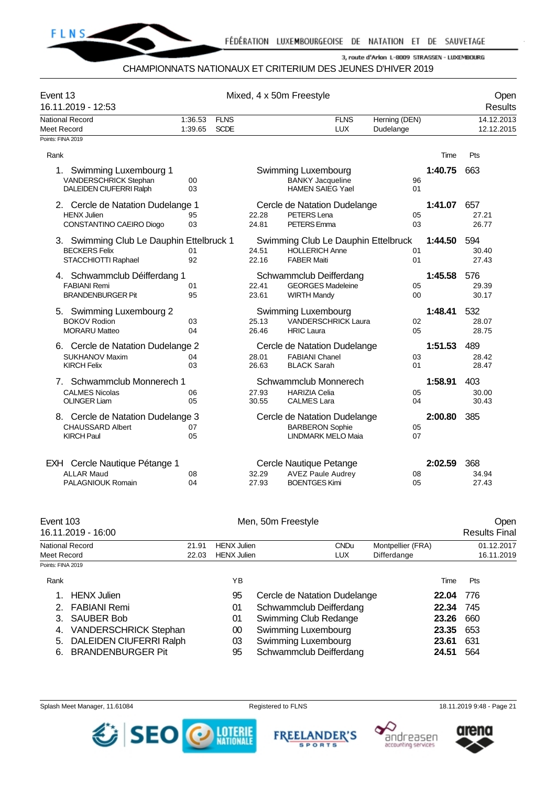

#### CHAMPIONNATS NATIONAUX ET CRITERIUM DES JEUNES D'HIVER 2019

| Event 13<br>16.11.2019 - 12:53                                                           |                    |                            |                | Mixed, 4 x 50m Freestyle                                                  |                            |         | Open<br>Results          |
|------------------------------------------------------------------------------------------|--------------------|----------------------------|----------------|---------------------------------------------------------------------------|----------------------------|---------|--------------------------|
| National Record<br>Meet Record<br>Points: FINA 2019                                      | 1:36.53<br>1:39.65 | <b>FLNS</b><br><b>SCDE</b> |                | <b>FLNS</b><br><b>LUX</b>                                                 | Herning (DEN)<br>Dudelange |         | 14.12.2013<br>12.12.2015 |
|                                                                                          |                    |                            |                |                                                                           |                            |         |                          |
| Rank                                                                                     |                    |                            |                |                                                                           |                            | Time    | Pts                      |
| $1_{\cdot}$<br>Swimming Luxembourg 1<br>VANDERSCHRICK Stephan<br>DALEIDEN CIUFERRI Ralph | $00 \,$<br>03      |                            |                | Swimming Luxembourg<br><b>BANKY Jacqueline</b><br><b>HAMEN SAIEG Yael</b> | 96<br>01                   | 1:40.75 | 663                      |
| 2. Cercle de Natation Dudelange 1                                                        |                    |                            |                | Cercle de Natation Dudelange                                              |                            | 1:41.07 | 657                      |
| <b>HENX Julien</b><br>CONSTANTINO CAEIRO Diogo                                           | 95<br>03           |                            | 22.28<br>24.81 | PETERS Lena<br>PETERS Emma                                                | 05<br>03                   |         | 27.21<br>26.77           |
| 3. Swimming Club Le Dauphin Ettelbruck 1                                                 |                    |                            |                | Swimming Club Le Dauphin Ettelbruck                                       |                            | 1:44.50 | 594                      |
| <b>BECKERS Felix</b>                                                                     | 01                 |                            | 24.51          | <b>HOLLERICH Anne</b>                                                     | 01                         |         | 30.40                    |
| STACCHIOTTI Raphael                                                                      | 92                 |                            | 22.16          | <b>FABER Maiti</b>                                                        | 01                         |         | 27.43                    |
| 4. Schwammclub Déifferdang 1                                                             |                    |                            |                | Schwammclub Deifferdang                                                   |                            | 1:45.58 | 576                      |
| <b>FABIANI Remi</b>                                                                      | 01                 |                            | 22.41          | <b>GEORGES Madeleine</b>                                                  | 05                         |         | 29.39                    |
| <b>BRANDENBURGER Pit</b>                                                                 | 95                 |                            | 23.61          | <b>WIRTH Mandy</b>                                                        | $00\,$                     |         | 30.17                    |
| 5. Swimming Luxembourg 2<br><b>BOKOV Rodion</b>                                          | 03                 |                            | 25.13          | Swimming Luxembourg<br><b>VANDERSCHRICK Laura</b>                         | 02                         | 1:48.41 | 532<br>28.07             |
| <b>MORARU Matteo</b>                                                                     | 04                 |                            | 26.46          | <b>HRIC Laura</b>                                                         | 05                         |         | 28.75                    |
| 6. Cercle de Natation Dudelange 2                                                        |                    |                            |                | Cercle de Natation Dudelange                                              |                            | 1:51.53 | 489                      |
| <b>SUKHANOV Maxim</b>                                                                    | 04                 |                            | 28.01          | <b>FABIANI Chanel</b>                                                     | 03                         |         | 28.42                    |
| <b>KIRCH Felix</b>                                                                       | 03                 |                            | 26.63          | <b>BLACK Sarah</b>                                                        | 01                         |         | 28.47                    |
| Schwammclub Monnerech 1<br>7.                                                            |                    |                            |                | Schwammclub Monnerech                                                     |                            | 1:58.91 | 403                      |
| <b>CALMES Nicolas</b><br><b>OLINGER Liam</b>                                             | 06<br>05           |                            | 27.93<br>30.55 | <b>HARIZIA Celia</b><br><b>CALMES Lara</b>                                | 05<br>04                   |         | 30.00<br>30.43           |
|                                                                                          |                    |                            |                |                                                                           |                            | 2:00.80 | 385                      |
| 8. Cercle de Natation Dudelange 3<br><b>CHAUSSARD Albert</b>                             | 07                 |                            |                | Cercle de Natation Dudelange<br><b>BARBERON Sophie</b>                    | 05                         |         |                          |
| <b>KIRCH Paul</b>                                                                        | 05                 |                            |                | <b>LINDMARK MELO Maia</b>                                                 | 07                         |         |                          |
| EXH Cercle Nautique Pétange 1                                                            |                    |                            |                | Cercle Nautique Petange                                                   |                            | 2:02.59 | 368                      |
| <b>ALLAR Maud</b><br><b>PALAGNIOUK Romain</b>                                            | 08<br>04           |                            | 32.29<br>27.93 | <b>AVEZ Paule Audrey</b><br><b>BOENTGES Kimi</b>                          | 08<br>05                   |         | 34.94<br>27.43           |
|                                                                                          |                    |                            |                |                                                                           |                            |         |                          |

| Event 103         | 16.11.2019 - 16:00             |                |                                          | Men, 50m Freestyle           |                                  | Open<br><b>Results Final</b> |
|-------------------|--------------------------------|----------------|------------------------------------------|------------------------------|----------------------------------|------------------------------|
| Meet Record       | National Record                | 21.91<br>22.03 | <b>HENX</b> Julien<br><b>HENX Julien</b> | <b>CNDu</b><br><b>LUX</b>    | Montpellier (FRA)<br>Differdange | 01.12.2017<br>16.11.2019     |
| Points: FINA 2019 |                                |                |                                          |                              |                                  |                              |
| Rank              |                                |                | YB                                       |                              | Time                             | Pts                          |
| 1.                | <b>HENX</b> Julien             |                | 95                                       | Cercle de Natation Dudelange | 22.04                            | 776                          |
| 2 <sub>1</sub>    | <b>FABIANI Remi</b>            |                | 01                                       | Schwammclub Deifferdang      | 22.34                            | 745                          |
| 3.                | <b>SAUBER Bob</b>              |                | 01                                       | Swimming Club Redange        | 23.26                            | 660                          |
| 4.                | <b>VANDERSCHRICK Stephan</b>   |                | $00\,$                                   | Swimming Luxembourg          | 23.35                            | 653                          |
| 5.                | <b>DALEIDEN CIUFERRI Ralph</b> |                | 03                                       | Swimming Luxembourg          | 23.61                            | 631                          |
| 6.                | <b>BRANDENBURGER Pit</b>       |                | 95                                       | Schwammclub Deifferdang      | 24.51                            | 564                          |

Splash Meet Manager, 11.61084 **Registered to FLNS** Registered to FLNS 18.11.2019 9:48 - Page 21







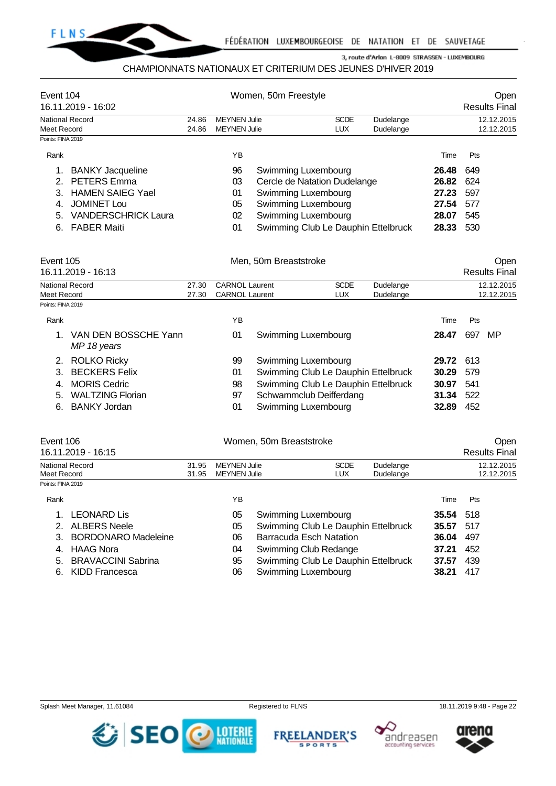

## CHAMPIONNATS NATIONAUX ET CRITERIUM DES JEUNES D'HIVER 2019

| Event 104<br>16.11.2019 - 16:02                                                                                                                                                             |                |                                            | Women, 50m Freestyle                                                                                                                                            |                           |                        |                                                            | Open<br><b>Results Final</b>                  |
|---------------------------------------------------------------------------------------------------------------------------------------------------------------------------------------------|----------------|--------------------------------------------|-----------------------------------------------------------------------------------------------------------------------------------------------------------------|---------------------------|------------------------|------------------------------------------------------------|-----------------------------------------------|
| National Record<br>Meet Record                                                                                                                                                              | 24.86<br>24.86 | <b>MEYNEN Julie</b><br><b>MEYNEN Julie</b> |                                                                                                                                                                 | <b>SCDE</b><br><b>LUX</b> | Dudelange<br>Dudelange |                                                            | 12.12.2015<br>12.12.2015                      |
| Points: FINA 2019<br>Rank<br><b>BANKY Jacqueline</b><br><b>PETERS</b> Emma<br><b>HAMEN SAIEG Yael</b><br><b>JOMINET LOU</b><br><b>VANDERSCHRICK Laura</b><br>5.<br><b>FABER Maiti</b><br>6. |                | ΥB<br>96<br>03<br>01<br>05<br>02<br>01     | Swimming Luxembourg<br>Cercle de Natation Dudelange<br>Swimming Luxembourg<br>Swimming Luxembourg<br>Swimming Luxembourg<br>Swimming Club Le Dauphin Ettelbruck |                           |                        | Time<br>26.48<br>26.82<br>27.23<br>27.54<br>28.07<br>28.33 | Pts<br>649<br>624<br>597<br>577<br>545<br>530 |

| Event 105<br>16.11.2019 - 16:13 |                                     |       |                       | Men, 50m Breaststroke               |             |           |       |     | Open<br><b>Results Final</b> |
|---------------------------------|-------------------------------------|-------|-----------------------|-------------------------------------|-------------|-----------|-------|-----|------------------------------|
|                                 | National Record                     | 27.30 | <b>CARNOL Laurent</b> |                                     | <b>SCDE</b> | Dudelange |       |     | 12.12.2015                   |
| Meet Record                     |                                     | 27.30 | <b>CARNOL Laurent</b> |                                     | <b>LUX</b>  | Dudelange |       |     | 12.12.2015                   |
| Points: FINA 2019               |                                     |       |                       |                                     |             |           |       |     |                              |
| Rank                            |                                     |       | ΥB                    |                                     |             |           | Time  | Pts |                              |
|                                 | VAN DEN BOSSCHE Yann<br>MP 18 years |       | 01                    | Swimming Luxembourg                 |             |           | 28.47 | 697 | MP                           |
| 2.                              | <b>ROLKO Ricky</b>                  |       | 99                    | Swimming Luxembourg                 |             |           | 29.72 | 613 |                              |
| 3.                              | <b>BECKERS Felix</b>                |       | 01                    | Swimming Club Le Dauphin Ettelbruck |             |           | 30.29 | 579 |                              |
| 4.                              | <b>MORIS Cedric</b>                 |       | 98                    | Swimming Club Le Dauphin Ettelbruck |             |           | 30.97 | 541 |                              |
| 5.                              | <b>WALTZING Florian</b>             |       | 97                    | Schwammclub Deifferdang             |             |           | 31.34 | 522 |                              |
| 6.                              | <b>BANKY Jordan</b>                 |       | 01                    | Swimming Luxembourg                 |             |           | 32.89 | 452 |                              |
|                                 |                                     |       |                       |                                     |             |           |       |     |                              |

| Event 106                             |                |                                            | Women, 50m Breaststroke        |                                     |                        |       | Open                     |
|---------------------------------------|----------------|--------------------------------------------|--------------------------------|-------------------------------------|------------------------|-------|--------------------------|
| 16.11.2019 - 16:15                    |                |                                            |                                |                                     |                        |       | <b>Results Final</b>     |
| <b>National Record</b><br>Meet Record | 31.95<br>31.95 | <b>MEYNEN Julie</b><br><b>MEYNEN Julie</b> |                                | <b>SCDE</b><br>LUX                  | Dudelange<br>Dudelange |       | 12.12.2015<br>12.12.2015 |
| Points: FINA 2019                     |                |                                            |                                |                                     |                        |       |                          |
| Rank                                  |                | ΥB                                         |                                |                                     |                        | Time  | <b>Pts</b>               |
| LEONARD Lis                           |                | 05                                         | <b>Swimming Luxembourg</b>     |                                     |                        | 35.54 | 518                      |
| <b>ALBERS Neele</b><br>2.             |                | 05                                         |                                | Swimming Club Le Dauphin Ettelbruck |                        | 35.57 | 517                      |
| <b>BORDONARO Madeleine</b><br>3.      |                | 06                                         | <b>Barracuda Esch Natation</b> |                                     |                        | 36.04 | 497                      |
| HAAG Nora                             |                | N4.                                        | Swimming Club Redange          |                                     |                        | 37 21 | 452                      |

| 4. HAAG Nora          | Swimming Club Redange               | 37.21 452        |  |
|-----------------------|-------------------------------------|------------------|--|
| 5. BRAVACCINI Sabrina | Swimming Club Le Dauphin Ettelbruck | <b>37.57</b> 439 |  |
| 6. KIDD Francesca     | Swimming Luxembourg                 | 38.21 417        |  |







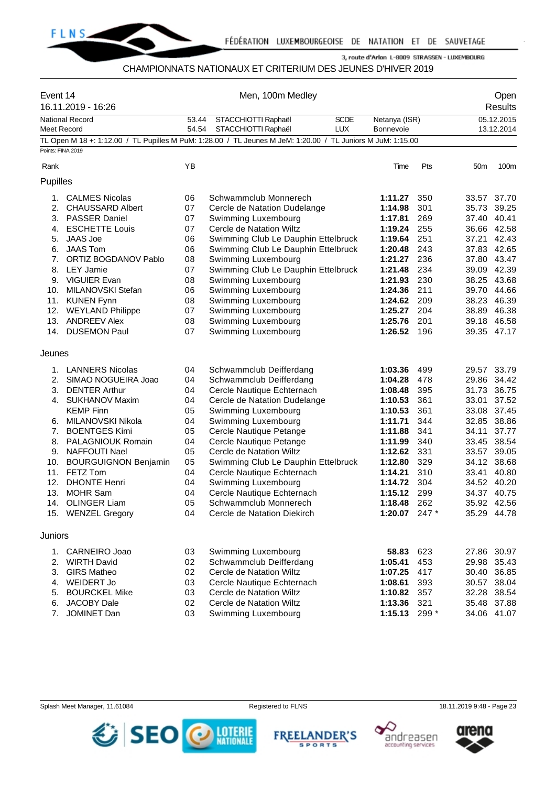

### CHAMPIONNATS NATIONAUX ET CRITERIUM DES JEUNES D'HIVER 2019

| Event 14          | 16.11.2019 - 16:26                         |          | Men, 100m Medley                                                                                            |                    |            |                            | Open<br><b>Results</b> |
|-------------------|--------------------------------------------|----------|-------------------------------------------------------------------------------------------------------------|--------------------|------------|----------------------------|------------------------|
|                   | <b>National Record</b>                     | 53.44    | STACCHIOTTI Raphaël<br><b>SCDE</b>                                                                          | Netanya (ISR)      |            |                            | 05.12.2015             |
| Meet Record       |                                            | 54.54    | <b>LUX</b><br>STACCHIOTTI Raphaël                                                                           | Bonnevoie          |            |                            | 13.12.2014             |
|                   |                                            |          | TL Open M 18 +: 1:12.00 / TL Pupilles M PuM: 1:28.00 / TL Jeunes M JeM: 1:20.00 / TL Juniors M JuM: 1:15.00 |                    |            |                            |                        |
| Points: FINA 2019 |                                            |          |                                                                                                             |                    |            |                            |                        |
| Rank              |                                            | ΥB       |                                                                                                             | Time               | Pts        | 50 <sub>m</sub>            | 100m                   |
|                   |                                            |          |                                                                                                             |                    |            |                            |                        |
| Pupilles          |                                            |          |                                                                                                             |                    |            |                            |                        |
| 1.                | <b>CALMES Nicolas</b>                      | 06       | Schwammclub Monnerech                                                                                       | 1:11.27            | 350        | 33.57                      | 37.70                  |
| 2.                | <b>CHAUSSARD Albert</b>                    | 07       | Cercle de Natation Dudelange                                                                                | 1:14.98            | 301        | 35.73                      | 39.25                  |
| 3.                | <b>PASSER Daniel</b>                       | 07       | Swimming Luxembourg                                                                                         | 1:17.81            | 269        | 37.40                      | 40.41                  |
| 4.                | <b>ESCHETTE Louis</b>                      | 07       | Cercle de Natation Wiltz                                                                                    | 1:19.24            | 255        | 36.66 42.58                |                        |
| 5.                | JAAS Joe                                   | 06       | Swimming Club Le Dauphin Ettelbruck                                                                         | 1:19.64            | 251        | 37.21                      | 42.43                  |
| 6.                | <b>JAAS Tom</b>                            | 06       | Swimming Club Le Dauphin Ettelbruck                                                                         | 1:20.48            | 243        | 37.83                      | 42.65                  |
| 7.                | ORTIZ BOGDANOV Pablo                       | 08       | Swimming Luxembourg                                                                                         | 1:21.27            | 236        | 37.80 43.47                |                        |
| 8.                | <b>LEY Jamie</b>                           | 07       | Swimming Club Le Dauphin Ettelbruck                                                                         | 1:21.48            | 234        | 39.09                      | 42.39                  |
| 9.                | <b>VIGUIER Evan</b>                        | 08       | Swimming Luxembourg                                                                                         | 1:21.93            | 230        | 38.25                      | 43.68                  |
| 10.               | MILANOVSKI Stefan                          | 06       | Swimming Luxembourg                                                                                         | 1:24.36            | 211        | 39.70 44.66                |                        |
| 11.               | <b>KUNEN Fynn</b>                          | 08       | Swimming Luxembourg                                                                                         | 1:24.62            | 209        | 38.23                      | 46.39                  |
| 12.               | <b>WEYLAND Philippe</b>                    | 07       | Swimming Luxembourg                                                                                         | 1:25.27            | 204        | 38.89                      | 46.38                  |
|                   | 13. ANDREEV Alex                           | 08       | Swimming Luxembourg                                                                                         | 1:25.76            | 201        | 39.18 46.58                |                        |
| 14.               | <b>DUSEMON Paul</b>                        | 07       | Swimming Luxembourg                                                                                         | 1:26.52            | 196        | 39.35 47.17                |                        |
| Jeunes            |                                            |          |                                                                                                             |                    |            |                            |                        |
|                   | 1. LANNERS Nicolas                         | 04       | Schwammclub Deifferdang                                                                                     | 1:03.36            | 499        | 29.57                      | 33.79                  |
| 2.                | SIMAO NOGUEIRA Joao                        | 04       | Schwammclub Deifferdang                                                                                     | 1:04.28            | 478        | 29.86                      | 34.42                  |
| 3.                | <b>DENTER Arthur</b>                       | 04       | Cercle Nautique Echternach                                                                                  | 1:08.48            | 395        | 31.73                      | 36.75                  |
| 4.                | <b>SUKHANOV Maxim</b>                      | 04       | Cercle de Natation Dudelange                                                                                | 1:10.53            | 361        | 33.01                      | 37.52                  |
|                   | <b>KEMP Finn</b>                           | 05       | Swimming Luxembourg                                                                                         | 1:10.53            | 361        | 33.08                      | 37.45                  |
| 6.                | MILANOVSKI Nikola                          | 04       | Swimming Luxembourg                                                                                         | 1:11.71            | 344        | 32.85                      | 38.86                  |
| 7.                | <b>BOENTGES Kimi</b>                       | 05       | Cercle Nautique Petange                                                                                     | 1:11.88            | 341        | 34.11                      | 37.77                  |
| 8.                | <b>PALAGNIOUK Romain</b>                   | 04       | Cercle Nautique Petange                                                                                     | 1:11.99            | 340        | 33.45                      | 38.54                  |
| 9.                | <b>NAFFOUTI Nael</b>                       | 05       | Cercle de Natation Wiltz                                                                                    | 1:12.62            | 331        | 33.57                      | 39.05                  |
| 10.               | <b>BOURGUIGNON Benjamin</b>                | 05       | Swimming Club Le Dauphin Ettelbruck                                                                         | 1:12.80            | 329        | 34.12                      | 38.68                  |
|                   | 11. FETZ Tom                               | 04       | Cercle Nautique Echternach                                                                                  | 1:14.21            | 310        | 33.41                      | 40.80                  |
| 12.               | <b>DHONTE Henri</b>                        | 04       | Swimming Luxembourg                                                                                         | 1:14.72            | 304        | 34.52                      | 40.20                  |
| 13.               | <b>MOHR Sam</b>                            | 04       | Cercle Nautique Echternach                                                                                  | 1:15.12            | 299        | 34.37 40.75                |                        |
|                   | 14. OLINGER Liam                           | 05       | Schwammclub Monnerech                                                                                       | 1:18.48            | 262        | 35.92 42.56                |                        |
|                   | 15. WENZEL Gregory                         | 04       | Cercle de Natation Diekirch                                                                                 | 1:20.07 247 $*$    |            | 35.29 44.78                |                        |
| Juniors           |                                            |          |                                                                                                             |                    |            |                            |                        |
|                   |                                            |          |                                                                                                             |                    |            |                            |                        |
| 1.                | <b>CARNEIRO Joao</b>                       | 03       | Swimming Luxembourg                                                                                         | 58.83              | 623        | 27.86 30.97                |                        |
|                   | 2. WIRTH David                             | 02       | Schwammclub Deifferdang                                                                                     | 1:05.41            | 453        | 29.98                      | 35.43                  |
| 3.                | <b>GIRS Matheo</b>                         | 02       | Cercle de Natation Wiltz                                                                                    | 1:07.25            | 417        | 30.40 36.85                |                        |
| 4.<br>5.          | <b>WEIDERT Jo</b>                          | 03<br>03 | Cercle Nautique Echternach<br>Cercle de Natation Wiltz                                                      | 1:08.61            | 393        | 30.57 38.04                |                        |
| 6.                | <b>BOURCKEL Mike</b><br><b>JACOBY Dale</b> | 02       | Cercle de Natation Wiltz                                                                                    | 1:10.82<br>1:13.36 | 357<br>321 | 32.28 38.54<br>35.48 37.88 |                        |
| 7.                | JOMINET Dan                                | 03       | Swimming Luxembourg                                                                                         | 1:15.13            | 299 *      | 34.06 41.07                |                        |
|                   |                                            |          |                                                                                                             |                    |            |                            |                        |

Splash Meet Manager, 11.61084 **Registered to FLNS** Registered to FLNS 18.11.2019 9:48 - Page 23







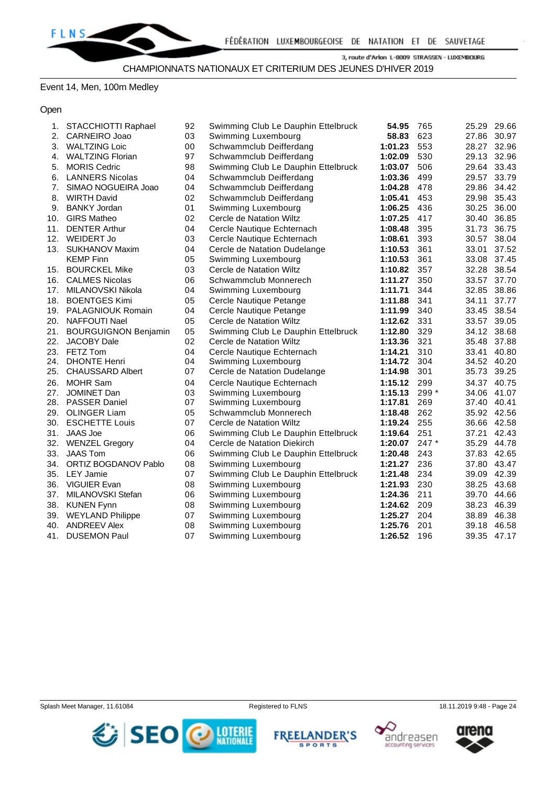# Event 14, Men, 100m Medley

## Open

| 1.  | STACCHIOTTI Raphael         | 92 | Swimming Club Le Dauphin Ettelbruck | 54.95   | 765     | 25.29 29.66 |             |
|-----|-----------------------------|----|-------------------------------------|---------|---------|-------------|-------------|
| 2.  | <b>CARNEIRO Joao</b>        | 03 | Swimming Luxembourg                 | 58.83   | 623     |             | 27.86 30.97 |
| 3.  | <b>WALTZING Loic</b>        | 00 | Schwammclub Deifferdang             | 1:01.23 | 553     |             | 28.27 32.96 |
| 4.  | <b>WALTZING Florian</b>     | 97 | Schwammclub Deifferdang             | 1:02.09 | 530     | 29.13 32.96 |             |
| 5.  | <b>MORIS Cedric</b>         | 98 | Swimming Club Le Dauphin Ettelbruck | 1:03.07 | 506     | 29.64 33.43 |             |
| 6.  | <b>LANNERS Nicolas</b>      | 04 | Schwammclub Deifferdang             | 1:03.36 | 499     | 29.57 33.79 |             |
| 7.  | SIMAO NOGUEIRA Joao         | 04 | Schwammclub Deifferdang             | 1:04.28 | 478     | 29.86       | 34.42       |
| 8.  | <b>WIRTH David</b>          | 02 | Schwammclub Deifferdang             | 1:05.41 | 453     |             | 29.98 35.43 |
| 9.  | <b>BANKY Jordan</b>         | 01 | Swimming Luxembourg                 | 1:06.25 | 436     | 30.25 36.00 |             |
| 10. | <b>GIRS Matheo</b>          | 02 | Cercle de Natation Wiltz            | 1:07.25 | 417     | 30.40 36.85 |             |
| 11. | <b>DENTER Arthur</b>        | 04 | Cercle Nautique Echternach          | 1:08.48 | 395     | 31.73       | 36.75       |
|     | 12. WEIDERT Jo              | 03 | Cercle Nautique Echternach          | 1:08.61 | 393     | 30.57 38.04 |             |
|     | 13. SUKHANOV Maxim          | 04 | Cercle de Natation Dudelange        | 1:10.53 | 361     | 33.01       | 37.52       |
|     | <b>KEMP Finn</b>            | 05 | Swimming Luxembourg                 | 1:10.53 | 361     |             | 33.08 37.45 |
| 15. | <b>BOURCKEL Mike</b>        | 03 | Cercle de Natation Wiltz            | 1:10.82 | 357     | 32.28 38.54 |             |
| 16. | <b>CALMES Nicolas</b>       | 06 | Schwammclub Monnerech               | 1:11.27 | 350     | 33.57       | 37.70       |
| 17. | MILANOVSKI Nikola           | 04 | Swimming Luxembourg                 | 1:11.71 | 344     | 32.85 38.86 |             |
| 18. | <b>BOENTGES Kimi</b>        | 05 | Cercle Nautique Petange             | 1:11.88 | 341     | 34.11       | 37.77       |
|     | 19. PALAGNIOUK Romain       | 04 | Cercle Nautique Petange             | 1:11.99 | 340     | 33.45 38.54 |             |
| 20. | NAFFOUTI Nael               | 05 | Cercle de Natation Wiltz            | 1:12.62 | 331     | 33.57 39.05 |             |
| 21. | <b>BOURGUIGNON Benjamin</b> | 05 | Swimming Club Le Dauphin Ettelbruck | 1:12.80 | 329     | 34.12 38.68 |             |
| 22. | <b>JACOBY Dale</b>          | 02 | Cercle de Natation Wiltz            | 1:13.36 | 321     | 35.48 37.88 |             |
|     | 23. FETZ Tom                | 04 | Cercle Nautique Echternach          | 1:14.21 | 310     |             | 33.41 40.80 |
| 24. | <b>DHONTE Henri</b>         | 04 | Swimming Luxembourg                 | 1:14.72 | 304     |             | 34.52 40.20 |
|     | 25. CHAUSSARD Albert        | 07 | Cercle de Natation Dudelange        | 1:14.98 | 301     | 35.73 39.25 |             |
|     | 26. MOHR Sam                | 04 | Cercle Nautique Echternach          | 1:15.12 | 299     | 34.37 40.75 |             |
|     | 27. JOMINET Dan             | 03 | Swimming Luxembourg                 | 1:15.13 | 299 *   | 34.06 41.07 |             |
|     | 28. PASSER Daniel           | 07 | Swimming Luxembourg                 | 1:17.81 | 269     | 37.40 40.41 |             |
|     | 29. OLINGER Liam            | 05 | Schwammclub Monnerech               | 1:18.48 | 262     | 35.92 42.56 |             |
| 30. | <b>ESCHETTE Louis</b>       | 07 | Cercle de Natation Wiltz            | 1:19.24 | 255     | 36.66 42.58 |             |
|     | 31. JAAS Joe                | 06 | Swimming Club Le Dauphin Ettelbruck | 1:19.64 | 251     | 37.21 42.43 |             |
|     | 32. WENZEL Gregory          | 04 | Cercle de Natation Diekirch         | 1:20.07 | $247 *$ | 35.29 44.78 |             |
| 33. | <b>JAAS Tom</b>             | 06 | Swimming Club Le Dauphin Ettelbruck | 1:20.48 | 243     | 37.83 42.65 |             |
| 34. | ORTIZ BOGDANOV Pablo        | 08 | Swimming Luxembourg                 | 1:21.27 | 236     |             | 37.80 43.47 |
|     | 35. LEY Jamie               | 07 | Swimming Club Le Dauphin Ettelbruck | 1:21.48 | 234     | 39.09 42.39 |             |
|     | 36. VIGUIER Evan            | 08 | Swimming Luxembourg                 | 1:21.93 | 230     |             | 38.25 43.68 |
|     | 37. MILANOVSKI Stefan       | 06 | Swimming Luxembourg                 | 1:24.36 | 211     | 39.70 44.66 |             |
| 38. | <b>KUNEN Fynn</b>           | 08 | Swimming Luxembourg                 | 1:24.62 | 209     | 38.23 46.39 |             |
| 39. | <b>WEYLAND Philippe</b>     | 07 | Swimming Luxembourg                 | 1:25.27 | 204     | 38.89 46.38 |             |
| 40. | <b>ANDREEV Alex</b>         | 08 | Swimming Luxembourg                 | 1:25.76 | 201     | 39.18 46.58 |             |
| 41. | <b>DUSEMON Paul</b>         | 07 | Swimming Luxembourg                 | 1:26.52 | 196     | 39.35 47.17 |             |







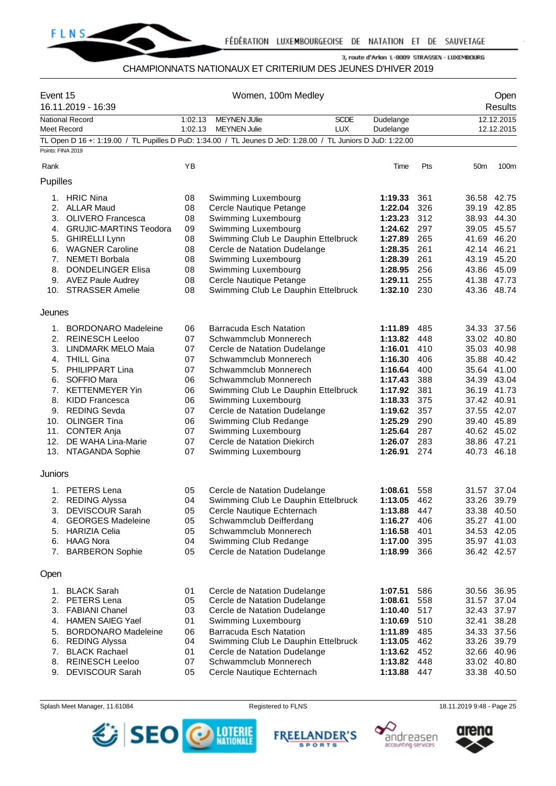

# CHAMPIONNATS NATIONAUX ET CRITERIUM DES JEUNES D'HIVER 2019

|                   | Event 15<br>16.11.2019 - 16:39 |         | Women, 100m Medley                                                                                          |             |           |     |                 | Open<br>Results |
|-------------------|--------------------------------|---------|-------------------------------------------------------------------------------------------------------------|-------------|-----------|-----|-----------------|-----------------|
|                   | <b>National Record</b>         | 1:02.13 | <b>MEYNEN JUlie</b>                                                                                         | <b>SCDE</b> | Dudelange |     |                 | 12.12.2015      |
| Meet Record       |                                | 1:02.13 | <b>MEYNEN Julie</b>                                                                                         | <b>LUX</b>  | Dudelange |     |                 | 12.12.2015      |
|                   |                                |         | TL Open D 16 +: 1:19.00 / TL Pupilles D PuD: 1:34.00 / TL Jeunes D JeD: 1:28.00 / TL Juniors D JuD: 1:22.00 |             |           |     |                 |                 |
| Points: FINA 2019 |                                |         |                                                                                                             |             |           |     |                 |                 |
| Rank              |                                | YB      |                                                                                                             |             | Time      | Pts | 50 <sub>m</sub> | 100m            |
| Pupilles          |                                |         |                                                                                                             |             |           |     |                 |                 |
|                   | 1. HRIC Nina                   | 08      | Swimming Luxembourg                                                                                         |             | 1:19.33   | 361 | 36.58 42.75     |                 |
| 2.                | <b>ALLAR Maud</b>              | 08      | Cercle Nautique Petange                                                                                     |             | 1:22.04   | 326 | 39.19 42.85     |                 |
|                   | 3. OLIVERO Francesca           | 08      | Swimming Luxembourg                                                                                         |             | 1:23.23   | 312 | 38.93 44.30     |                 |
|                   | 4. GRUJIC-MARTINS Teodora      | 09      | Swimming Luxembourg                                                                                         |             | 1:24.62   | 297 | 39.05 45.57     |                 |
|                   | 5. GHIRELLI Lynn               | 08      | Swimming Club Le Dauphin Ettelbruck                                                                         |             | 1:27.89   | 265 | 41.69 46.20     |                 |
|                   | 6. WAGNER Caroline             | 08      | Cercle de Natation Dudelange                                                                                |             | 1:28.35   | 261 | 42.14 46.21     |                 |
| 7.                | <b>NEMETI Borbala</b>          | 08      | Swimming Luxembourg                                                                                         |             | 1:28.39   | 261 | 43.19           | 45.20           |
| 8.                | <b>DONDELINGER Elisa</b>       | 08      | Swimming Luxembourg                                                                                         |             | 1:28.95   | 256 | 43.86 45.09     |                 |
|                   | 9. AVEZ Paule Audrey           | 08      | Cercle Nautique Petange                                                                                     |             | 1:29.11   | 255 | 41.38 47.73     |                 |
|                   | 10. STRASSER Amelie            | 08      | Swimming Club Le Dauphin Ettelbruck                                                                         |             | 1:32.10   | 230 | 43.36 48.74     |                 |
| Jeunes            |                                |         |                                                                                                             |             |           |     |                 |                 |
|                   | 1. BORDONARO Madeleine         | 06      | <b>Barracuda Esch Natation</b>                                                                              |             | 1:11.89   | 485 | 34.33 37.56     |                 |
| 2.                | <b>REINESCH Leeloo</b>         | 07      | Schwammclub Monnerech                                                                                       |             | 1:13.82   | 448 | 33.02 40.80     |                 |
| 3.                | <b>LINDMARK MELO Maia</b>      | 07      | Cercle de Natation Dudelange                                                                                |             | 1:16.01   | 410 | 35.03           | 40.98           |
| 4.                | <b>THILL Gina</b>              | 07      | Schwammclub Monnerech                                                                                       |             | 1:16.30   | 406 | 35.88 40.42     |                 |
| 5.                | PHILIPPART Lina                | 07      | Schwammclub Monnerech                                                                                       |             | 1:16.64   | 400 | 35.64 41.00     |                 |
| 6.                | SOFFIO Mara                    | 06      | Schwammclub Monnerech                                                                                       |             | 1:17.43   | 388 | 34.39           | 43.04           |
| 7.                | <b>KETTENMEYER Yin</b>         | 06      | Swimming Club Le Dauphin Ettelbruck                                                                         |             | 1:17.92   | 381 |                 | 36.19 41.73     |
|                   | 8. KIDD Francesca              | 06      | Swimming Luxembourg                                                                                         |             | 1:18.33   | 375 | 37.42 40.91     |                 |
| 9.                | <b>REDING Sevda</b>            | 07      | Cercle de Natation Dudelange                                                                                |             | 1:19.62   | 357 | 37.55 42.07     |                 |
| 10.               | <b>OLINGER Tina</b>            | 06      | Swimming Club Redange                                                                                       |             | 1:25.29   | 290 | 39.40 45.89     |                 |
|                   | 11. CONTER Anja                | 07      | Swimming Luxembourg                                                                                         |             | 1:25.64   | 287 | 40.62 45.02     |                 |
| 12.               | DE WAHA Lina-Marie             | 07      | Cercle de Natation Diekirch                                                                                 |             | 1:26.07   | 283 | 38.86 47.21     |                 |
|                   | 13. NTAGANDA Sophie            | 07      | Swimming Luxembourg                                                                                         |             | 1:26.91   | 274 | 40.73 46.18     |                 |
| Juniors           |                                |         |                                                                                                             |             |           |     |                 |                 |
|                   | 1. PETERS Lena                 | 05      | Cercle de Natation Dudelange                                                                                |             | 1:08.61   | 558 |                 | 31.57 37.04     |
| 2.                | <b>REDING Alyssa</b>           | 04      | Swimming Club Le Dauphin Ettelbruck                                                                         |             | 1:13.05   | 462 | 33.26 39.79     |                 |
|                   | 3. DEVISCOUR Sarah             | 05      | Cercle Nautique Echternach                                                                                  |             | 1:13.88   | 447 |                 | 33.38 40.50     |
| 4.                | <b>GEORGES Madeleine</b>       | 05      | Schwammclub Deifferdang                                                                                     |             | 1:16.27   | 406 | 35.27 41.00     |                 |
| 5.                | <b>HARIZIA Celia</b>           | 05      | Schwammclub Monnerech                                                                                       |             | 1:16.58   | 401 | 34.53 42.05     |                 |
|                   | 6. HAAG Nora                   | 04      | Swimming Club Redange                                                                                       |             | 1:17.00   | 395 | 35.97 41.03     |                 |
| 7.                | <b>BARBERON Sophie</b>         | 05      | Cercle de Natation Dudelange                                                                                |             | 1:18.99   | 366 | 36.42 42.57     |                 |
| Open              |                                |         |                                                                                                             |             |           |     |                 |                 |
| 1.                | <b>BLACK Sarah</b>             | 01      | Cercle de Natation Dudelange                                                                                |             | 1:07.51   | 586 | 30.56 36.95     |                 |
| 2.                | PETERS Lena                    | 05      | Cercle de Natation Dudelange                                                                                |             | 1:08.61   | 558 | 31.57           | 37.04           |
| 3.                | <b>FABIANI Chanel</b>          | 03      | Cercle de Natation Dudelange                                                                                |             | 1:10.40   | 517 | 32.43 37.97     |                 |
| 4.                | <b>HAMEN SAIEG Yael</b>        | 01      | Swimming Luxembourg                                                                                         |             | 1:10.69   | 510 | 32.41           | 38.28           |
| 5.                | <b>BORDONARO Madeleine</b>     | 06      | <b>Barracuda Esch Natation</b>                                                                              |             | 1:11.89   | 485 | 34.33           | 37.56           |
|                   | 6. REDING Alyssa               | 04      | Swimming Club Le Dauphin Ettelbruck                                                                         |             | 1:13.05   | 462 | 33.26 39.79     |                 |
| 7.                | <b>BLACK Rachael</b>           | 01      | Cercle de Natation Dudelange                                                                                |             | 1:13.62   | 452 | 32.66 40.96     |                 |
| 8.                | <b>REINESCH Leeloo</b>         | 07      | Schwammclub Monnerech                                                                                       |             | 1:13.82   | 448 |                 | 33.02 40.80     |
| 9.                | <b>DEVISCOUR Sarah</b>         | 05      | Cercle Nautique Echternach                                                                                  |             | 1:13.88   | 447 | 33.38 40.50     |                 |

Splash Meet Manager, 11.61084 **Registered to FLNS** Registered to FLNS 18.11.2019 9:48 - Page 25







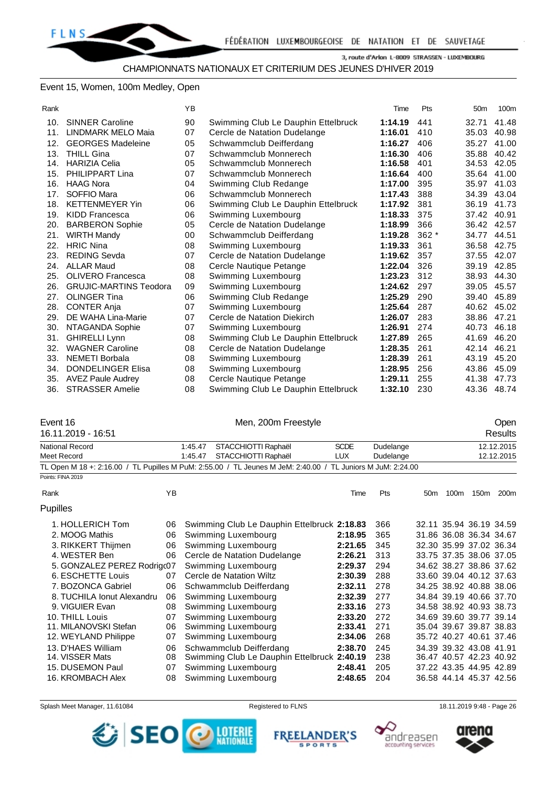#### Event 15, Women, 100m Medley, Open

| Rank |                               | ΥB |                                     | Time    | Pts    | 50 <sub>m</sub> | 100m  |
|------|-------------------------------|----|-------------------------------------|---------|--------|-----------------|-------|
| 10.  | <b>SINNER Caroline</b>        | 90 | Swimming Club Le Dauphin Ettelbruck | 1:14.19 | 441    | 32.71           | 41.48 |
| 11.  | <b>LINDMARK MELO Maia</b>     | 07 | Cercle de Natation Dudelange        | 1:16.01 | 410    | 35.03           | 40.98 |
| 12.  | <b>GEORGES Madeleine</b>      | 05 | Schwammclub Deifferdang             | 1:16.27 | 406    | 35.27           | 41.00 |
| 13.  | <b>THILL Gina</b>             | 07 | Schwammclub Monnerech               | 1:16.30 | 406    | 35.88           | 40.42 |
| 14.  | <b>HARIZIA Celia</b>          | 05 | Schwammclub Monnerech               | 1:16.58 | 401    | 34.53           | 42.05 |
| 15.  | <b>PHILIPPART Lina</b>        | 07 | Schwammclub Monnerech               | 1:16.64 | 400    | 35.64           | 41.00 |
| 16.  | <b>HAAG Nora</b>              | 04 | Swimming Club Redange               | 1:17.00 | 395    | 35.97           | 41.03 |
| 17.  | SOFFIO Mara                   | 06 | Schwammclub Monnerech               | 1:17.43 | 388    | 34.39           | 43.04 |
| 18.  | <b>KETTENMEYER Yin</b>        | 06 | Swimming Club Le Dauphin Ettelbruck | 1:17.92 | 381    | 36.19           | 41.73 |
| 19.  | <b>KIDD Francesca</b>         | 06 | Swimming Luxembourg                 | 1:18.33 | 375    | 37.42           | 40.91 |
| 20.  | <b>BARBERON Sophie</b>        | 05 | Cercle de Natation Dudelange        | 1:18.99 | 366    | 36.42 42.57     |       |
| 21.  | <b>WIRTH Mandy</b>            | 00 | Schwammclub Deifferdang             | 1:19.28 | $362*$ | 34.77           | 44.51 |
| 22.  | <b>HRIC Nina</b>              | 08 | Swimming Luxembourg                 | 1:19.33 | 361    | 36.58           | 42.75 |
| 23.  | <b>REDING Sevda</b>           | 07 | Cercle de Natation Dudelange        | 1:19.62 | 357    | 37.55           | 42.07 |
| 24.  | <b>ALLAR Maud</b>             | 08 | Cercle Nautique Petange             | 1:22.04 | 326    | 39.19           | 42.85 |
| 25.  | OLIVERO Francesca             | 08 | Swimming Luxembourg                 | 1:23.23 | 312    | 38.93           | 44.30 |
| 26.  | <b>GRUJIC-MARTINS Teodora</b> | 09 | Swimming Luxembourg                 | 1:24.62 | 297    | 39.05           | 45.57 |
| 27.  | <b>OLINGER Tina</b>           | 06 | Swimming Club Redange               | 1:25.29 | 290    | 39.40           | 45.89 |
| 28.  | <b>CONTER Anja</b>            | 07 | Swimming Luxembourg                 | 1:25.64 | 287    | 40.62           | 45.02 |
| 29.  | DE WAHA Lina-Marie            | 07 | Cercle de Natation Diekirch         | 1:26.07 | 283    | 38.86           | 47.21 |
| 30.  | NTAGANDA Sophie               | 07 | Swimming Luxembourg                 | 1:26.91 | 274    | 40.73           | 46.18 |
| 31.  | <b>GHIRELLI Lynn</b>          | 08 | Swimming Club Le Dauphin Ettelbruck | 1:27.89 | 265    | 41.69           | 46.20 |
| 32.  | <b>WAGNER Caroline</b>        | 08 | Cercle de Natation Dudelange        | 1:28.35 | 261    | 42.14           | 46.21 |
| 33.  | <b>NEMETI Borbala</b>         | 08 | Swimming Luxembourg                 | 1:28.39 | 261    | 43.19           | 45.20 |
| 34.  | <b>DONDELINGER Elisa</b>      | 08 | Swimming Luxembourg                 | 1:28.95 | 256    | 43.86           | 45.09 |
| 35.  | <b>AVEZ Paule Audrey</b>      | 08 | Cercle Nautique Petange             | 1:29.11 | 255    | 41.38           | 47.73 |
| 36.  | <b>STRASSER Amelie</b>        | 08 | Swimming Club Le Dauphin Ettelbruck | 1:32.10 | 230    | 43.36           | 48.74 |

Event 16 Company of Men, 200m Freestyle Company of the Open

| 16.11.2019 - 16:51 |         |                                                                                                             |             |            |                 |      |      | Results    |
|--------------------|---------|-------------------------------------------------------------------------------------------------------------|-------------|------------|-----------------|------|------|------------|
| National Record    | 1:45.47 | STACCHIOTTI Raphaël                                                                                         | <b>SCDE</b> | Dudelange  |                 |      |      | 12.12.2015 |
| Meet Record        | 1:45.47 | STACCHIOTTI Raphaël                                                                                         | LUX         | Dudelange  |                 |      |      | 12.12.2015 |
|                    |         | TL Open M 18 +: 2:16.00 / TL Pupilles M PuM: 2:55.00 / TL Jeunes M JeM: 2:40.00 / TL Juniors M JuM: 2:24.00 |             |            |                 |      |      |            |
| Points: FINA 2019  |         |                                                                                                             |             |            |                 |      |      |            |
| Rank               | YΒ      |                                                                                                             | Time        | <b>Pts</b> | 50 <sub>m</sub> | 100m | 150m | 200m       |

| <b>Pupilles</b>                         |                   |
|-----------------------------------------|-------------------|
| 1. HOLLERICH Tom                        | 06 Swimming Clu   |
| 2. MOOG Mathis                          | 06 Swimming Lu    |
| 3. RIKKERT Thijmen                      | 06 Swimming Lu    |
| 4. WESTER Ben                           | 06 Cercle de Nat  |
| 5. GONZALEZ PEREZ Rodrigc07 Swimming Lu |                   |
| 6. ESCHETTE Louis                       | 07 Cercle de Nata |

| 1. HOLLERICH Tom            | 06 | Swimming Club Le Dauphin Ettelbruck 2:18.83 |         | 366 |  | 32.11 35.94 36.19 34.59 |  |
|-----------------------------|----|---------------------------------------------|---------|-----|--|-------------------------|--|
| 2. MOOG Mathis              | 06 | Swimming Luxembourg                         | 2:18.95 | 365 |  | 31.86 36.08 36.34 34.67 |  |
| 3. RIKKERT Thijmen          | 06 | Swimming Luxembourg                         | 2:21.65 | 345 |  | 32.30 35.99 37.02 36.34 |  |
| 4. WESTER Ben               | 06 | Cercle de Natation Dudelange                | 2:26.21 | 313 |  | 33.75 37.35 38.06 37.05 |  |
| 5. GONZALEZ PEREZ Rodrigc07 |    | Swimming Luxembourg                         | 2:29.37 | 294 |  | 34.62 38.27 38.86 37.62 |  |
| 6. ESCHETTE Louis           | 07 | Cercle de Natation Wiltz                    | 2:30.39 | 288 |  | 33.60 39.04 40.12 37.63 |  |
| 7. BOZONCA Gabriel          | 06 | Schwammclub Deifferdang                     | 2:32.11 | 278 |  | 34.25 38.92 40.88 38.06 |  |
| 8. TUCHILA Ionut Alexandru  | 06 | Swimming Luxembourg                         | 2:32.39 | 277 |  | 34.84 39.19 40.66 37.70 |  |
| 9. VIGUIER Evan             | 08 | Swimming Luxembourg                         | 2:33.16 | 273 |  | 34.58 38.92 40.93 38.73 |  |
| 10. THILL Louis             | 07 | Swimming Luxembourg                         | 2:33.20 | 272 |  | 34.69 39.60 39.77 39.14 |  |
| 11. MILANOVSKI Stefan       | 06 | Swimming Luxembourg                         | 2:33.41 | 271 |  | 35.04 39.67 39.87 38.83 |  |
| 12. WEYLAND Philippe        | 07 | Swimming Luxembourg                         | 2:34.06 | 268 |  | 35.72 40.27 40.61 37.46 |  |
| 13. D'HAES William          | 06 | Schwammclub Deifferdang                     | 2:38.70 | 245 |  | 34.39 39.32 43.08 41.91 |  |
| 14. VISSER Mats             | 08 | Swimming Club Le Dauphin Ettelbruck 2:40.19 |         | 238 |  | 36.47 40.57 42.23 40.92 |  |
| 15. DUSEMON Paul            | 07 | Swimming Luxembourg                         | 2:48.41 | 205 |  | 37.22 43.35 44.95 42.89 |  |
| 16. KROMBACH Alex           | 08 | Swimming Luxembourg                         | 2:48.65 | 204 |  | 36.58 44.14 45.37 42.56 |  |
|                             |    |                                             |         |     |  |                         |  |

Splash Meet Manager, 11.61084 **Registered to FLNS** Registered to FLNS 18.11.2019 9:48 - Page 26







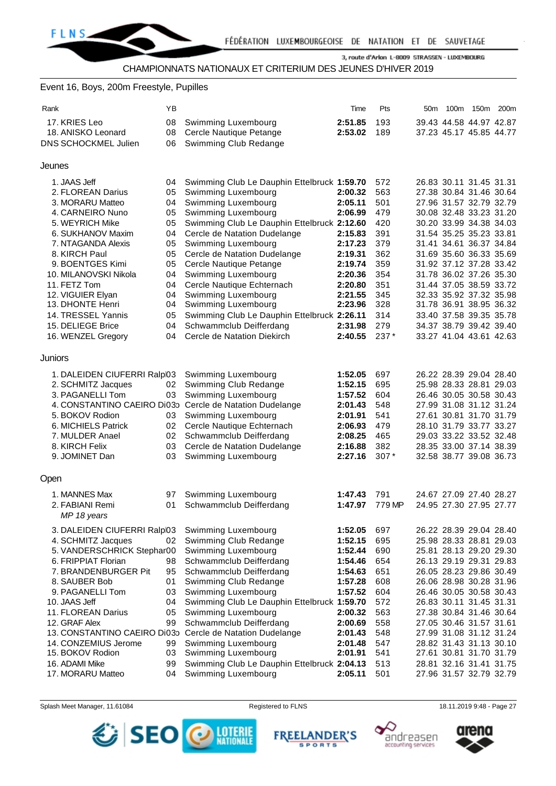#### Event 16, Boys, 200m Freestyle, Pupilles

| Rank    |                                       | ΥB       |                                                           | Time               | Pts        | 50m | 100m | 150m                                               | 200 <sub>m</sub> |
|---------|---------------------------------------|----------|-----------------------------------------------------------|--------------------|------------|-----|------|----------------------------------------------------|------------------|
|         | 17. KRIES Leo                         | 08       | Swimming Luxembourg                                       | 2:51.85            | 193        |     |      | 39.43 44.58 44.97 42.87                            |                  |
|         | 18. ANISKO Leonard                    | 08       | Cercle Nautique Petange                                   | 2:53.02            | 189        |     |      | 37.23 45.17 45.85 44.77                            |                  |
|         | DNS SCHOCKMEL Julien                  | 06       | Swimming Club Redange                                     |                    |            |     |      |                                                    |                  |
|         |                                       |          |                                                           |                    |            |     |      |                                                    |                  |
| Jeunes  |                                       |          |                                                           |                    |            |     |      |                                                    |                  |
|         | 1. JAAS Jeff                          | 04       | Swimming Club Le Dauphin Ettelbruck 1:59.70               |                    | 572        |     |      | 26.83 30.11 31.45 31.31                            |                  |
|         | 2. FLOREAN Darius                     | 05       | Swimming Luxembourg                                       | 2:00.32            | 563        |     |      | 27.38 30.84 31.46 30.64                            |                  |
|         | 3. MORARU Matteo                      | 04       | Swimming Luxembourg                                       | 2:05.11            | 501        |     |      | 27.96 31.57 32.79 32.79                            |                  |
|         | 4. CARNEIRO Nuno                      | 05       | Swimming Luxembourg                                       | 2:06.99            | 479        |     |      | 30.08 32.48 33.23 31.20                            |                  |
|         | 5. WEYRICH Mike                       | 05       | Swimming Club Le Dauphin Ettelbruck 2:12.60               |                    | 420        |     |      | 30.20 33.99 34.38 34.03                            |                  |
|         | 6. SUKHANOV Maxim                     | 04       | Cercle de Natation Dudelange                              | 2:15.83            | 391        |     |      | 31.54 35.25 35.23 33.81                            |                  |
|         | 7. NTAGANDA Alexis                    | 05       | Swimming Luxembourg                                       | 2:17.23            | 379        |     |      | 31.41 34.61 36.37 34.84                            |                  |
|         | 8. KIRCH Paul                         | 05       | Cercle de Natation Dudelange                              | 2:19.31            | 362        |     |      | 31.69 35.60 36.33 35.69                            |                  |
|         | 9. BOENTGES Kimi                      | 05       | Cercle Nautique Petange                                   | 2:19.74            | 359        |     |      | 31.92 37.12 37.28 33.42                            |                  |
|         | 10. MILANOVSKI Nikola                 | 04       | Swimming Luxembourg                                       | 2:20.36<br>2:20.80 | 354        |     |      | 31.78 36.02 37.26 35.30<br>31.44 37.05 38.59 33.72 |                  |
|         | 11. FETZ Tom                          | 04       | Cercle Nautique Echternach<br>Swimming Luxembourg         | 2:21.55            | 351<br>345 |     |      | 32.33 35.92 37.32 35.98                            |                  |
|         | 12. VIGUIER Elyan<br>13. DHONTE Henri | 04<br>04 | Swimming Luxembourg                                       | 2:23.96            | 328        |     |      | 31.78 36.91 38.95 36.32                            |                  |
|         | 14. TRESSEL Yannis                    | 05       | Swimming Club Le Dauphin Ettelbruck 2:26.11               |                    | 314        |     |      | 33.40 37.58 39.35 35.78                            |                  |
|         | 15. DELIEGE Brice                     | 04       | Schwammclub Deifferdang                                   | 2:31.98            | 279        |     |      | 34.37 38.79 39.42 39.40                            |                  |
|         | 16. WENZEL Gregory                    | 04       | Cercle de Natation Diekirch                               | 2:40.55            | $237*$     |     |      | 33.27 41.04 43.61 42.63                            |                  |
|         |                                       |          |                                                           |                    |            |     |      |                                                    |                  |
| Juniors |                                       |          |                                                           |                    |            |     |      |                                                    |                  |
|         | 1. DALEIDEN CIUFERRI Ralpl03          |          | Swimming Luxembourg                                       | 1:52.05            | 697        |     |      | 26.22 28.39 29.04 28.40                            |                  |
|         | 2. SCHMITZ Jacques                    | 02       | Swimming Club Redange                                     | 1:52.15            | 695        |     |      | 25.98 28.33 28.81 29.03                            |                  |
|         | 3. PAGANELLI Tom                      | 03       | Swimming Luxembourg                                       | 1:57.52            | 604        |     |      | 26.46 30.05 30.58 30.43                            |                  |
|         |                                       |          | 4. CONSTANTINO CAEIRO Di03p Cercle de Natation Dudelange  | 2:01.43            | 548        |     |      | 27.99 31.08 31.12 31.24                            |                  |
|         | 5. BOKOV Rodion                       | 03       | Swimming Luxembourg                                       | 2:01.91            | 541        |     |      | 27.61 30.81 31.70 31.79                            |                  |
|         | 6. MICHIELS Patrick                   | 02       | Cercle Nautique Echternach                                | 2:06.93            | 479        |     |      | 28.10 31.79 33.77 33.27                            |                  |
|         | 7. MULDER Anael                       | 02       | Schwammclub Deifferdang                                   | 2:08.25            | 465        |     |      | 29.03 33.22 33.52 32.48                            |                  |
|         | 8. KIRCH Felix                        | 03       | Cercle de Natation Dudelange                              | 2:16.88            | 382        |     |      | 28.35 33.00 37.14 38.39                            |                  |
|         | 9. JOMINET Dan                        | 03       | Swimming Luxembourg                                       | 2:27.16            | $307*$     |     |      | 32.58 38.77 39.08 36.73                            |                  |
| Open    |                                       |          |                                                           |                    |            |     |      |                                                    |                  |
|         | 1. MANNES Max                         | 97       | Swimming Luxembourg                                       | 1:47.43            | 791        |     |      | 24.67 27.09 27.40 28.27                            |                  |
|         | 2. FABIANI Remi                       | 01       | Schwammclub Deifferdang                                   | 1:47.97            | 779 MP     |     |      | 24.95 27.30 27.95 27.77                            |                  |
|         | MP 18 years                           |          |                                                           |                    |            |     |      |                                                    |                  |
|         | 3. DALEIDEN CIUFERRI Ralpl03          |          | Swimming Luxembourg                                       | 1:52.05            | 697        |     |      | 26.22 28.39 29.04 28.40                            |                  |
|         | 4. SCHMITZ Jacques                    | 02       | Swimming Club Redange                                     | 1:52.15            | 695        |     |      | 25.98 28.33 28.81 29.03                            |                  |
|         | 5. VANDERSCHRICK Stephar00            |          | Swimming Luxembourg                                       | 1:52.44            | 690        |     |      | 25.81 28.13 29.20 29.30                            |                  |
|         | 6. FRIPPIAT Florian                   | 98       | Schwammclub Deifferdang                                   | 1:54.46            | 654        |     |      | 26.13 29.19 29.31 29.83                            |                  |
|         | 7. BRANDENBURGER Pit                  | 95       | Schwammclub Deifferdang                                   | 1:54.63            | 651        |     |      | 26.05 28.23 29.86 30.49                            |                  |
|         | 8. SAUBER Bob                         | 01       | Swimming Club Redange                                     | 1:57.28            | 608        |     |      | 26.06 28.98 30.28 31.96                            |                  |
|         | 9. PAGANELLI Tom                      | 03       | Swimming Luxembourg                                       | 1:57.52            | 604        |     |      | 26.46 30.05 30.58 30.43                            |                  |
|         | 10. JAAS Jeff                         | 04       | Swimming Club Le Dauphin Ettelbruck 1:59.70               |                    | 572        |     |      | 26.83 30.11 31.45 31.31                            |                  |
|         | 11. FLOREAN Darius                    | 05       | Swimming Luxembourg                                       | 2:00.32            | 563        |     |      | 27.38 30.84 31.46 30.64                            |                  |
|         | 12. GRAF Alex                         | 99       | Schwammclub Deifferdang                                   | 2:00.69            | 558        |     |      | 27.05 30.46 31.57 31.61                            |                  |
|         |                                       |          | 13. CONSTANTINO CAEIRO Di03p Cercle de Natation Dudelange | 2:01.43            | 548        |     |      | 27.99 31.08 31.12 31.24                            |                  |
|         | 14. CONZEMIUS Jerome                  | 99       | Swimming Luxembourg                                       | 2:01.48            | 547        |     |      | 28.82 31.43 31.13 30.10                            |                  |
|         | 15. BOKOV Rodion                      | 03       | Swimming Luxembourg                                       | 2:01.91            | 541        |     |      | 27.61 30.81 31.70 31.79                            |                  |
|         | 16. ADAMI Mike                        | 99       | Swimming Club Le Dauphin Ettelbruck 2:04.13               |                    | 513        |     |      | 28.81 32.16 31.41 31.75                            |                  |
|         | 17. MORARU Matteo                     | 04       | Swimming Luxembourg                                       | 2:05.11            | 501        |     |      | 27.96 31.57 32.79 32.79                            |                  |

Splash Meet Manager, 11.61084 Registered to FLNS 18.11.2019 9:48 - Page 27



**FREELANDER'S SPORTS** 



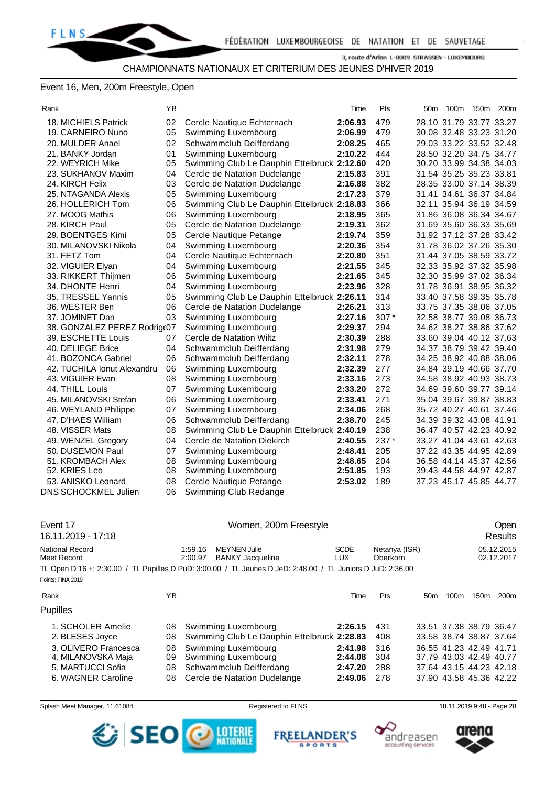#### Event 16, Men, 200m Freestyle, Open

| Rank                         | ΥB |                                             | Time    | Pts  | 50m | 100m 150m 200m          |  |
|------------------------------|----|---------------------------------------------|---------|------|-----|-------------------------|--|
| 18. MICHIELS Patrick         | 02 | Cercle Nautique Echternach                  | 2:06.93 | 479  |     | 28.10 31.79 33.77 33.27 |  |
| 19. CARNEIRO Nuno            | 05 | Swimming Luxembourg                         | 2:06.99 | 479  |     | 30.08 32.48 33.23 31.20 |  |
| 20. MULDER Anael             | 02 | Schwammclub Deifferdang                     | 2:08.25 | 465  |     | 29.03 33.22 33.52 32.48 |  |
| 21. BANKY Jordan             | 01 | Swimming Luxembourg                         | 2:10.22 | 444  |     | 28.50 32.20 34.75 34.77 |  |
| 22. WEYRICH Mike             | 05 | Swimming Club Le Dauphin Ettelbruck 2:12.60 |         | 420  |     | 30.20 33.99 34.38 34.03 |  |
| 23. SUKHANOV Maxim           | 04 | Cercle de Natation Dudelange                | 2:15.83 | 391  |     | 31.54 35.25 35.23 33.81 |  |
| 24. KIRCH Felix              | 03 | Cercle de Natation Dudelange                | 2:16.88 | 382  |     | 28.35 33.00 37.14 38.39 |  |
| 25. NTAGANDA Alexis          | 05 | Swimming Luxembourg                         | 2:17.23 | 379  |     | 31.41 34.61 36.37 34.84 |  |
| 26. HOLLERICH Tom            | 06 | Swimming Club Le Dauphin Ettelbruck 2:18.83 |         | 366  |     | 32.11 35.94 36.19 34.59 |  |
| 27. MOOG Mathis              | 06 | Swimming Luxembourg                         | 2:18.95 | 365  |     | 31.86 36.08 36.34 34.67 |  |
| 28. KIRCH Paul               | 05 | Cercle de Natation Dudelange                | 2:19.31 | 362  |     | 31.69 35.60 36.33 35.69 |  |
| 29. BOENTGES Kimi            | 05 | Cercle Nautique Petange                     | 2:19.74 | 359  |     | 31.92 37.12 37.28 33.42 |  |
| 30. MILANOVSKI Nikola        | 04 | Swimming Luxembourg                         | 2:20.36 | 354  |     | 31.78 36.02 37.26 35.30 |  |
| 31. FETZ Tom                 | 04 | Cercle Nautique Echternach                  | 2:20.80 | 351  |     | 31.44 37.05 38.59 33.72 |  |
| 32. VIGUIER Elyan            | 04 | Swimming Luxembourg                         | 2:21.55 | 345  |     | 32.33 35.92 37.32 35.98 |  |
| 33. RIKKERT Thijmen          | 06 | Swimming Luxembourg                         | 2:21.65 | 345  |     | 32.30 35.99 37.02 36.34 |  |
| 34. DHONTE Henri             | 04 | Swimming Luxembourg                         | 2:23.96 | 328  |     | 31.78 36.91 38.95 36.32 |  |
| 35. TRESSEL Yannis           | 05 | Swimming Club Le Dauphin Ettelbruck 2:26.11 |         | 314  |     | 33.40 37.58 39.35 35.78 |  |
| 36. WESTER Ben               | 06 | Cercle de Natation Dudelange                | 2:26.21 | 313  |     | 33.75 37.35 38.06 37.05 |  |
| 37. JOMINET Dan              | 03 | Swimming Luxembourg                         | 2:27.16 | 307* |     | 32.58 38.77 39.08 36.73 |  |
| 38. GONZALEZ PEREZ Rodrigc07 |    | Swimming Luxembourg                         | 2:29.37 | 294  |     | 34.62 38.27 38.86 37.62 |  |
| 39. ESCHETTE Louis           | 07 | Cercle de Natation Wiltz                    | 2:30.39 | 288  |     | 33.60 39.04 40.12 37.63 |  |
| 40. DELIEGE Brice            | 04 | Schwammclub Deifferdang                     | 2:31.98 | 279  |     | 34.37 38.79 39.42 39.40 |  |
| 41. BOZONCA Gabriel          | 06 | Schwammclub Deifferdang                     | 2:32.11 | 278  |     | 34.25 38.92 40.88 38.06 |  |
| 42. TUCHILA Ionut Alexandru  | 06 | Swimming Luxembourg                         | 2:32.39 | 277  |     | 34.84 39.19 40.66 37.70 |  |
| 43. VIGUIER Evan             | 08 | Swimming Luxembourg                         | 2:33.16 | 273  |     | 34.58 38.92 40.93 38.73 |  |
| 44. THILL Louis              | 07 | Swimming Luxembourg                         | 2:33.20 | 272  |     | 34.69 39.60 39.77 39.14 |  |
| 45. MILANOVSKI Stefan        | 06 | Swimming Luxembourg                         | 2:33.41 | 271  |     | 35.04 39.67 39.87 38.83 |  |
| 46. WEYLAND Philippe         | 07 | Swimming Luxembourg                         | 2:34.06 | 268  |     | 35.72 40.27 40.61 37.46 |  |
| 47. D'HAES William           | 06 | Schwammclub Deifferdang                     | 2:38.70 | 245  |     | 34.39 39.32 43.08 41.91 |  |
| 48. VISSER Mats              | 08 | Swimming Club Le Dauphin Ettelbruck 2:40.19 |         | 238  |     | 36.47 40.57 42.23 40.92 |  |
| 49. WENZEL Gregory           | 04 | Cercle de Natation Diekirch                 | 2:40.55 | 237* |     | 33.27 41.04 43.61 42.63 |  |
| 50. DUSEMON Paul             | 07 | Swimming Luxembourg                         | 2:48.41 | 205  |     | 37.22 43.35 44.95 42.89 |  |
| 51. KROMBACH Alex            | 08 | Swimming Luxembourg                         | 2:48.65 | 204  |     | 36.58 44.14 45.37 42.56 |  |
| 52. KRIES Leo                | 08 | Swimming Luxembourg                         | 2:51.85 | 193  |     | 39.43 44.58 44.97 42.87 |  |
| 53. ANISKO Leonard           | 08 | Cercle Nautique Petange                     | 2:53.02 | 189  |     | 37.23 45.17 45.85 44.77 |  |
| <b>DNS SCHOCKMEL Julien</b>  | 06 | Swimming Club Redange                       |         |      |     |                         |  |

| Event 17<br>16.11.2019 - 17:18 |    | Women, 200m Freestyle                                                                                       |                           |     |                 |                  |                          | <b>Open</b><br>Results |
|--------------------------------|----|-------------------------------------------------------------------------------------------------------------|---------------------------|-----|-----------------|------------------|--------------------------|------------------------|
| National Record<br>Meet Record |    | <b>MEYNEN Julie</b><br>1:59.16<br><b>BANKY Jacqueline</b><br>2:00.97                                        | Netanya (ISR)<br>Oberkorn |     |                 |                  | 05.12.2015<br>02.12.2017 |                        |
|                                |    | TL Open D 16 +: 2:30.00 / TL Pupilles D PuD: 3:00.00 / TL Jeunes D JeD: 2:48.00 / TL Juniors D JuD: 2:36.00 |                           |     |                 |                  |                          |                        |
| Points: FINA 2019              |    |                                                                                                             |                           |     |                 |                  |                          |                        |
| ΥB<br>Rank                     |    |                                                                                                             | Time                      | Pts | 50 <sub>m</sub> | 100 <sub>m</sub> | 150m                     | 200 <sub>m</sub>       |
| Pupilles                       |    |                                                                                                             |                           |     |                 |                  |                          |                        |
| 1. SCHOLER Amelie              | 08 | Swimming Luxembourg                                                                                         | 2:26.15                   | 431 |                 |                  | 33.51 37.38 38.79 36.47  |                        |
| 2. BLESES Joyce                | 08 | Swimming Club Le Dauphin Ettelbruck 2:28.83                                                                 |                           | 408 |                 |                  | 33.58 38.74 38.87 37.64  |                        |
| 3. OLIVERO Francesca           | 08 | Swimming Luxembourg                                                                                         | 2:41.98                   | 316 |                 |                  | 36.55 41.23 42.49 41.71  |                        |
| 4. MILANOVSKA Maja             | 09 | Swimming Luxembourg                                                                                         | 2:44.08                   | 304 |                 |                  | 37.79 43.03 42.49 40.77  |                        |
| 5. MARTUCCI Sofia              | 08 | Schwammclub Deifferdang                                                                                     | 2:47.20                   | 288 |                 |                  | 37.64 43.15 44.23 42.18  |                        |
| 6. WAGNER Caroline             | 08 | Cercle de Natation Dudelange                                                                                | 2:49.06                   | 278 |                 |                  | 37.90 43.58 45.36 42.22  |                        |

Splash Meet Manager, 11.61084 **Registered to FLNS** 18.11.2019 9:48 - Page 28



**FREEL ANDER'S SPORTS** 



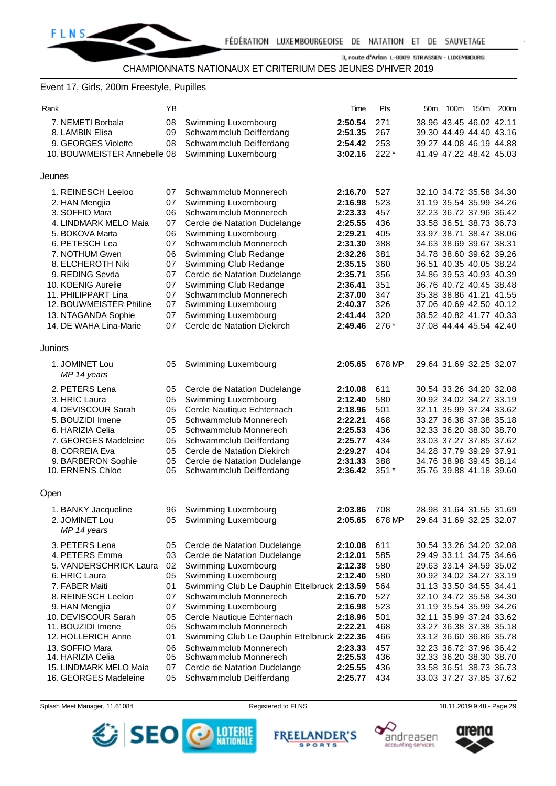#### Event 17, Girls, 200m Freestyle, Pupilles

| Rank                         | YB |                                             | Time    | Pts    | 50m 100m 150m 200m      |  |
|------------------------------|----|---------------------------------------------|---------|--------|-------------------------|--|
| 7. NEMETI Borbala            | 08 | Swimming Luxembourg                         | 2:50.54 | 271    | 38.96 43.45 46.02 42.11 |  |
| 8. LAMBIN Elisa              | 09 | Schwammclub Deifferdang                     | 2:51.35 | 267    | 39.30 44.49 44.40 43.16 |  |
| 9. GEORGES Violette          | 08 | Schwammclub Deifferdang                     | 2:54.42 | 253    | 39.27 44.08 46.19 44.88 |  |
| 10. BOUWMEISTER Annebelle 08 |    | Swimming Luxembourg                         | 3:02.16 | $222*$ | 41.49 47.22 48.42 45.03 |  |
|                              |    |                                             |         |        |                         |  |
| Jeunes                       |    |                                             |         |        |                         |  |
|                              |    |                                             |         |        |                         |  |
| 1. REINESCH Leeloo           | 07 | Schwammclub Monnerech                       | 2:16.70 | 527    | 32.10 34.72 35.58 34.30 |  |
| 2. HAN Mengjia               | 07 | Swimming Luxembourg                         | 2:16.98 | 523    | 31.19 35.54 35.99 34.26 |  |
| 3. SOFFIO Mara               | 06 | Schwammclub Monnerech                       | 2:23.33 | 457    | 32.23 36.72 37.96 36.42 |  |
| 4. LINDMARK MELO Maia        | 07 | Cercle de Natation Dudelange                | 2:25.55 | 436    | 33.58 36.51 38.73 36.73 |  |
| 5. BOKOVA Marta              | 06 | Swimming Luxembourg                         | 2:29.21 | 405    | 33.97 38.71 38.47 38.06 |  |
| 6. PETESCH Lea               | 07 | Schwammclub Monnerech                       | 2:31.30 | 388    | 34.63 38.69 39.67 38.31 |  |
| 7. NOTHUM Gwen               | 06 | Swimming Club Redange                       | 2:32.26 | 381    | 34.78 38.60 39.62 39.26 |  |
| 8. ELCHEROTH Niki            | 07 | Swimming Club Redange                       | 2:35.15 | 360    | 36.51 40.35 40.05 38.24 |  |
| 9. REDING Sevda              | 07 | Cercle de Natation Dudelange                | 2:35.71 | 356    | 34.86 39.53 40.93 40.39 |  |
| 10. KOENIG Aurelie           | 07 | Swimming Club Redange                       | 2:36.41 | 351    | 36.76 40.72 40.45 38.48 |  |
| 11. PHILIPPART Lina          | 07 | Schwammclub Monnerech                       | 2:37.00 | 347    | 35.38 38.86 41.21 41.55 |  |
| 12. BOUWMEISTER Philine      | 07 | Swimming Luxembourg                         | 2:40.37 | 326    | 37.06 40.69 42.50 40.12 |  |
| 13. NTAGANDA Sophie          | 07 | Swimming Luxembourg                         | 2:41.44 | 320    | 38.52 40.82 41.77 40.33 |  |
| 14. DE WAHA Lina-Marie       | 07 | Cercle de Natation Diekirch                 | 2:49.46 | 276*   | 37.08 44.44 45.54 42.40 |  |
|                              |    |                                             |         |        |                         |  |
| <b>Juniors</b>               |    |                                             |         |        |                         |  |
| 1. JOMINET Lou               | 05 | Swimming Luxembourg                         | 2:05.65 | 678 MP | 29.64 31.69 32.25 32.07 |  |
| MP 14 years                  |    |                                             |         |        |                         |  |
| 2. PETERS Lena               | 05 | Cercle de Natation Dudelange                | 2:10.08 | 611    | 30.54 33.26 34.20 32.08 |  |
| 3. HRIC Laura                | 05 | Swimming Luxembourg                         | 2:12.40 | 580    | 30.92 34.02 34.27 33.19 |  |
| 4. DEVISCOUR Sarah           | 05 | Cercle Nautique Echternach                  | 2:18.96 | 501    | 32.11 35.99 37.24 33.62 |  |
| 5. BOUZIDI Imene             | 05 | Schwammclub Monnerech                       | 2:22.21 | 468    | 33.27 36.38 37.38 35.18 |  |
| 6. HARIZIA Celia             | 05 | Schwammclub Monnerech                       | 2:25.53 | 436    | 32.33 36.20 38.30 38.70 |  |
| 7. GEORGES Madeleine         | 05 | Schwammclub Deifferdang                     | 2:25.77 | 434    | 33.03 37.27 37.85 37.62 |  |
| 8. CORREIA Eva               | 05 | Cercle de Natation Diekirch                 | 2:29.27 | 404    | 34.28 37.79 39.29 37.91 |  |
| 9. BARBERON Sophie           | 05 | Cercle de Natation Dudelange                | 2:31.33 | 388    | 34.76 38.98 39.45 38.14 |  |
| 10. ERNENS Chloe             | 05 | Schwammclub Deifferdang                     | 2:36.42 | $351*$ | 35.76 39.88 41.18 39.60 |  |
|                              |    |                                             |         |        |                         |  |
| Open                         |    |                                             |         |        |                         |  |
|                              |    |                                             |         |        |                         |  |
| 1. BANKY Jacqueline          | 96 | Swimming Luxembourg                         | 2:03.86 | 708    | 28.98 31.64 31.55 31.69 |  |
| 2. JOMINE I Lou              | 05 | Swimming Luxembourg                         | 2:05.65 | 678 MP | 29.64 31.69 32.25 32.07 |  |
| MP 14 years                  |    |                                             |         |        |                         |  |
| 3. PETERS Lena               | 05 | Cercle de Natation Dudelange                | 2:10.08 | 611    | 30.54 33.26 34.20 32.08 |  |
| 4. PETERS Emma               | 03 | Cercle de Natation Dudelange                | 2:12.01 | 585    | 29.49 33.11 34.75 34.66 |  |
| 5. VANDERSCHRICK Laura       | 02 | Swimming Luxembourg                         | 2:12.38 | 580    | 29.63 33.14 34.59 35.02 |  |
| 6. HRIC Laura                | 05 | Swimming Luxembourg                         | 2:12.40 | 580    | 30.92 34.02 34.27 33.19 |  |
| 7. FABER Maiti               | 01 | Swimming Club Le Dauphin Ettelbruck 2:13.59 |         | 564    | 31.13 33.50 34.55 34.41 |  |
| 8. REINESCH Leeloo           | 07 | Schwammclub Monnerech                       | 2:16.70 | 527    | 32.10 34.72 35.58 34.30 |  |
| 9. HAN Mengjia               | 07 | Swimming Luxembourg                         | 2:16.98 | 523    | 31.19 35.54 35.99 34.26 |  |
| 10. DEVISCOUR Sarah          | 05 | Cercle Nautique Echternach                  | 2:18.96 | 501    | 32.11 35.99 37.24 33.62 |  |
| 11. BOUZIDI Imene            | 05 | Schwammclub Monnerech                       | 2:22.21 | 468    | 33.27 36.38 37.38 35.18 |  |
| 12. HOLLERICH Anne           | 01 | Swimming Club Le Dauphin Ettelbruck 2:22.36 |         | 466    | 33.12 36.60 36.86 35.78 |  |
| 13. SOFFIO Mara              | 06 | Schwammclub Monnerech                       | 2:23.33 | 457    | 32.23 36.72 37.96 36.42 |  |
| 14. HARIZIA Celia            | 05 | Schwammclub Monnerech                       | 2:25.53 | 436    | 32.33 36.20 38.30 38.70 |  |
| 15. LINDMARK MELO Maia       | 07 | Cercle de Natation Dudelange                | 2:25.55 | 436    | 33.58 36.51 38.73 36.73 |  |
| 16. GEORGES Madeleine        | 05 | Schwammclub Deifferdang                     | 2:25.77 | 434    | 33.03 37.27 37.85 37.62 |  |







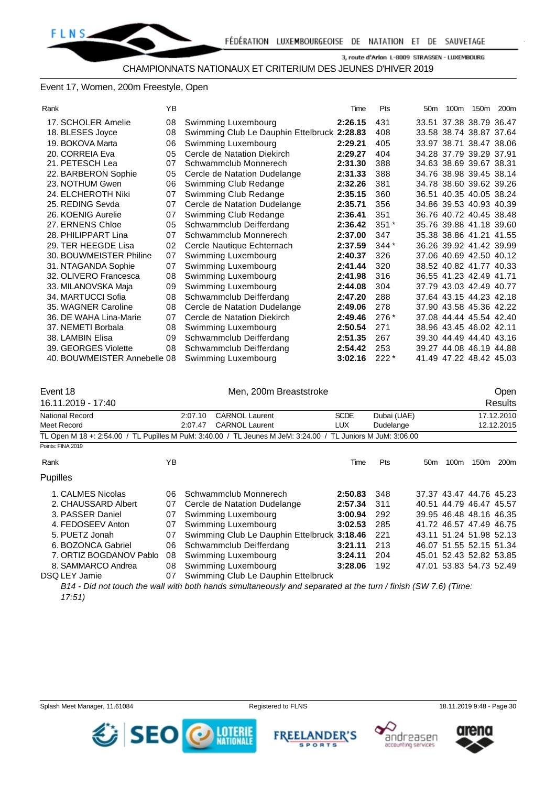#### Event 17, Women, 200m Freestyle, Open

| Rank                         | YB |                                             | Time    | Pts    | 50 <sub>m</sub> | 100m |                         | 150m 200m |
|------------------------------|----|---------------------------------------------|---------|--------|-----------------|------|-------------------------|-----------|
| 17. SCHOLER Amelie           | 08 | Swimming Luxembourg                         | 2:26.15 | 431    |                 |      | 33.51 37.38 38.79 36.47 |           |
| 18. BLESES Joyce             | 08 | Swimming Club Le Dauphin Ettelbruck 2:28.83 |         | 408    |                 |      | 33.58 38.74 38.87 37.64 |           |
| 19. BOKOVA Marta             | 06 | Swimming Luxembourg                         | 2:29.21 | 405    |                 |      | 33.97 38.71 38.47 38.06 |           |
| 20. CORREIA Eva              | 05 | Cercle de Natation Diekirch                 | 2:29.27 | 404    |                 |      | 34.28 37.79 39.29 37.91 |           |
| 21. PETESCH Lea              | 07 | Schwammclub Monnerech                       | 2:31.30 | 388    |                 |      | 34.63 38.69 39.67 38.31 |           |
| 22. BARBERON Sophie          | 05 | Cercle de Natation Dudelange                | 2:31.33 | 388    |                 |      | 34.76 38.98 39.45 38.14 |           |
| 23. NOTHUM Gwen              | 06 | Swimming Club Redange                       | 2:32.26 | 381    |                 |      | 34.78 38.60 39.62 39.26 |           |
| 24. ELCHEROTH Niki           | 07 | Swimming Club Redange                       | 2:35.15 | 360    |                 |      | 36.51 40.35 40.05 38.24 |           |
| 25. REDING Sevda             | 07 | Cercle de Natation Dudelange                | 2:35.71 | 356    |                 |      | 34.86 39.53 40.93 40.39 |           |
| 26. KOENIG Aurelie           | 07 | Swimming Club Redange                       | 2:36.41 | 351    |                 |      | 36.76 40.72 40.45 38.48 |           |
| 27. ERNENS Chloe             | 05 | Schwammclub Deifferdang                     | 2:36.42 | $351*$ |                 |      | 35.76 39.88 41.18 39.60 |           |
| 28. PHILIPPART Lina          | 07 | Schwammclub Monnerech                       | 2:37.00 | 347    |                 |      | 35.38 38.86 41.21 41.55 |           |
| 29. TER HEEGDE Lisa          | 02 | Cercle Nautique Echternach                  | 2:37.59 | $344*$ |                 |      | 36.26 39.92 41.42 39.99 |           |
| 30. BOUWMEISTER Philine      | 07 | Swimming Luxembourg                         | 2:40.37 | 326    |                 |      | 37.06 40.69 42.50 40.12 |           |
| 31. NTAGANDA Sophie          | 07 | Swimming Luxembourg                         | 2:41.44 | 320    |                 |      | 38.52 40.82 41.77 40.33 |           |
| 32. OLIVERO Francesca        | 08 | Swimming Luxembourg                         | 2:41.98 | 316    |                 |      | 36.55 41.23 42.49 41.71 |           |
| 33. MILANOVSKA Maja          | 09 | Swimming Luxembourg                         | 2:44.08 | 304    |                 |      | 37.79 43.03 42.49 40.77 |           |
| 34. MARTUCCI Sofia           | 08 | Schwammclub Deifferdang                     | 2:47.20 | 288    |                 |      | 37.64 43.15 44.23 42.18 |           |
| 35. WAGNER Caroline          | 08 | Cercle de Natation Dudelange                | 2:49.06 | 278    |                 |      | 37.90 43.58 45.36 42.22 |           |
| 36. DE WAHA Lina-Marie       | 07 | Cercle de Natation Diekirch                 | 2:49.46 | $276*$ |                 |      | 37.08 44.44 45.54 42.40 |           |
| 37. NEMETI Borbala           | 08 | Swimming Luxembourg                         | 2:50.54 | 271    |                 |      | 38.96 43.45 46.02 42.11 |           |
| 38. LAMBIN Elisa             | 09 | Schwammclub Deifferdang                     | 2:51.35 | 267    |                 |      | 39.30 44.49 44.40 43.16 |           |
| 39. GEORGES Violette         | 08 | Schwammclub Deifferdang                     | 2:54.42 | 253    |                 |      | 39.27 44.08 46.19 44.88 |           |
| 40. BOUWMEISTER Annebelle 08 |    | Swimming Luxembourg                         | 3:02.16 | $222*$ |                 |      | 41.49 47.22 48.42 45.03 |           |
|                              |    |                                             |         |        |                 |      |                         |           |

| Event 18<br>16.11.2019 - 17:40        |    | Men, 200m Breaststroke                                                                                         |                     |                          |                 |                  |                         | Open<br>Results          |
|---------------------------------------|----|----------------------------------------------------------------------------------------------------------------|---------------------|--------------------------|-----------------|------------------|-------------------------|--------------------------|
| <b>National Record</b><br>Meet Record |    | <b>CARNOL Laurent</b><br>2:07.10<br><b>CARNOL Laurent</b><br>2:07.47                                           | <b>SCDE</b><br>LUX. | Dubai (UAE)<br>Dudelange |                 |                  |                         | 17.12.2010<br>12.12.2015 |
|                                       |    | TL Open M 18 +: 2:54.00 / TL Pupilles M PuM: 3:40.00 / TL Jeunes M JeM: 3:24.00 / TL Juniors M JuM: 3:06.00    |                     |                          |                 |                  |                         |                          |
| Points: FINA 2019                     |    |                                                                                                                |                     |                          |                 |                  |                         |                          |
| Rank                                  | ΥB |                                                                                                                | Time                | Pts                      | 50 <sub>m</sub> | 100 <sub>m</sub> | 150m                    | 200 <sub>m</sub>         |
| <b>Pupilles</b>                       |    |                                                                                                                |                     |                          |                 |                  |                         |                          |
| 1. CALMES Nicolas                     | 06 | Schwammclub Monnerech                                                                                          | 2:50.83             | 348                      |                 |                  | 37.37 43.47 44.76 45.23 |                          |
| 2. CHAUSSARD Albert                   | 07 | Cercle de Natation Dudelange                                                                                   | 2:57.34             | 311                      |                 |                  | 40.51 44.79 46.47 45.57 |                          |
| 3. PASSER Daniel                      | 07 | Swimming Luxembourg                                                                                            | 3:00.94             | 292                      |                 |                  | 39.95 46.48 48.16 46.35 |                          |
| 4. FEDOSEEV Anton                     | 07 | Swimming Luxembourg                                                                                            | 3:02.53             | 285                      |                 |                  | 41.72 46.57 47.49 46.75 |                          |
| 5. PUETZ Jonah                        | 07 | Swimming Club Le Dauphin Ettelbruck 3:18.46                                                                    |                     | 221                      |                 |                  | 43.11 51.24 51.98 52.13 |                          |
| 6. BOZONCA Gabriel                    | 06 | Schwammclub Deifferdang                                                                                        | 3:21.11             | 213                      |                 |                  | 46.07 51.55 52.15 51.34 |                          |
| 7. ORTIZ BOGDANOV Pablo               | 08 | Swimming Luxembourg                                                                                            | 3:24.11             | 204                      |                 |                  | 45.01 52.43 52.82 53.85 |                          |
| 8. SAMMARCO Andrea                    | 08 | Swimming Luxembourg                                                                                            | 3:28.06             | 192                      |                 |                  | 47.01 53.83 54.73 52.49 |                          |
| DSQ LEY Jamie                         | 07 | Swimming Club Le Dauphin Ettelbruck                                                                            |                     |                          |                 |                  |                         |                          |
|                                       |    | B14 - Did not touch the wall with both hands simultaneously and separated at the turn / finish (SW 7.6) (Time: |                     |                          |                 |                  |                         |                          |

*<sup>17:51)</sup>*

Splash Meet Manager, 11.61084 Registered to FLNS 18.11.2019 9:48 - Page 30







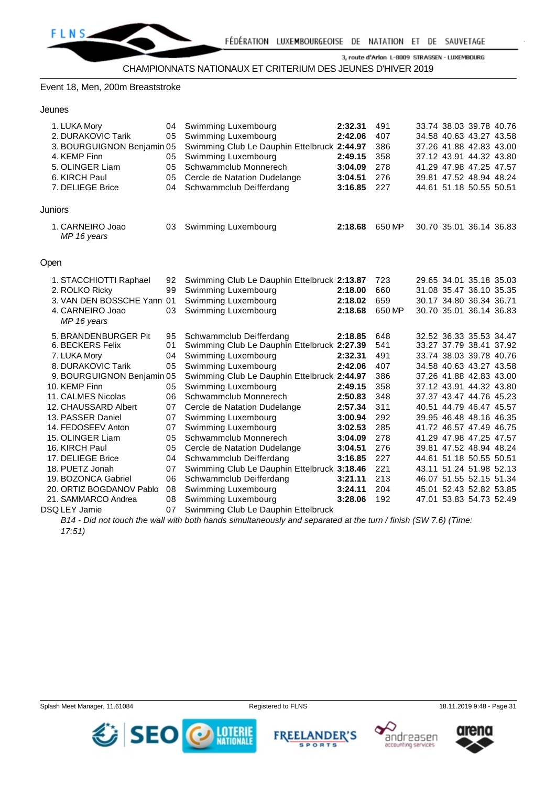#### Event 18, Men, 200m Breaststroke

| 1. LUKA Mory                    | 04 | Swimming Luxembourg                         | 2:32.31 | 491    | 33.74 38.03 39.78 40.76 |  |
|---------------------------------|----|---------------------------------------------|---------|--------|-------------------------|--|
| 2. DURAKOVIC Tarik              | 05 | Swimming Luxembourg                         | 2:42.06 | 407    | 34.58 40.63 43.27 43.58 |  |
| 3. BOURGUIGNON Benjamin 05      |    | Swimming Club Le Dauphin Ettelbruck 2:44.97 |         | 386    | 37.26 41.88 42.83 43.00 |  |
| 4. KEMP Finn                    | 05 | Swimming Luxembourg                         | 2:49.15 | 358    | 37.12 43.91 44.32 43.80 |  |
| 5. OLINGER Liam                 | 05 | Schwammclub Monnerech                       | 3:04.09 | 278    | 41.29 47.98 47.25 47.57 |  |
| 6. KIRCH Paul                   | 05 | Cercle de Natation Dudelange                | 3:04.51 | 276    | 39.81 47.52 48.94 48.24 |  |
| 7. DELIEGE Brice                | 04 | Schwammclub Deifferdang                     | 3:16.85 | 227    | 44.61 51.18 50.55 50.51 |  |
| Juniors                         |    |                                             |         |        |                         |  |
| 1. CARNEIRO Joao<br>MP 16 years | 03 | Swimming Luxembourg                         | 2:18.68 | 650 MP | 30.70 35.01 36.14 36.83 |  |
| Open                            |    |                                             |         |        |                         |  |
| 1. STACCHIOTTI Raphael          | 92 | Swimming Club Le Dauphin Ettelbruck 2:13.87 |         | 723    | 29.65 34.01 35.18 35.03 |  |
| 2. ROLKO Ricky                  | 99 | Swimming Luxembourg                         | 2:18.00 | 660    | 31.08 35.47 36.10 35.35 |  |
| 3. VAN DEN BOSSCHE Yann 01      |    | Swimming Luxembourg                         | 2:18.02 | 659    | 30.17 34.80 36.34 36.71 |  |
| 4. CARNEIRO Joao<br>MP 16 years | 03 | Swimming Luxembourg                         | 2:18.68 | 650 MP | 30.70 35.01 36.14 36.83 |  |
| 5. BRANDENBURGER Pit            | 95 | Schwammclub Deifferdang                     | 2:18.85 | 648    | 32.52 36.33 35.53 34.47 |  |
| 6. BECKERS Felix                | 01 | Swimming Club Le Dauphin Ettelbruck 2:27.39 |         | 541    | 33.27 37.79 38.41 37.92 |  |
| 7. LUKA Mory                    | 04 | Swimming Luxembourg                         | 2:32.31 | 491    | 33.74 38.03 39.78 40.76 |  |
| 8. DURAKOVIC Tarik              | 05 | Swimming Luxembourg                         | 2:42.06 | 407    | 34.58 40.63 43.27 43.58 |  |
| 9. BOURGUIGNON Benjamin 05      |    | Swimming Club Le Dauphin Ettelbruck 2:44.97 |         | 386    | 37.26 41.88 42.83 43.00 |  |
| 10. KEMP Finn                   | 05 | Swimming Luxembourg                         | 2:49.15 | 358    | 37.12 43.91 44.32 43.80 |  |
| 11. CALMES Nicolas              | 06 | Schwammclub Monnerech                       | 2:50.83 | 348    | 37.37 43.47 44.76 45.23 |  |
| 12. CHAUSSARD Albert            | 07 | Cercle de Natation Dudelange                | 2:57.34 | 311    | 40.51 44.79 46.47 45.57 |  |
| 13. PASSER Daniel               | 07 | Swimming Luxembourg                         | 3:00.94 | 292    | 39.95 46.48 48.16 46.35 |  |
| 14. FEDOSEEV Anton              | 07 | Swimming Luxembourg                         | 3:02.53 | 285    | 41.72 46.57 47.49 46.75 |  |
| 15. OLINGER Liam                | 05 | Schwammclub Monnerech                       | 3:04.09 | 278    | 41.29 47.98 47.25 47.57 |  |
| 16. KIRCH Paul                  | 05 | Cercle de Natation Dudelange                | 3:04.51 | 276    | 39.81 47.52 48.94 48.24 |  |
| 17. DELIEGE Brice               | 04 | Schwammclub Deifferdang                     | 3:16.85 | 227    | 44.61 51.18 50.55 50.51 |  |
| 18. PUETZ Jonah                 | 07 | Swimming Club Le Dauphin Ettelbruck 3:18.46 |         | 221    | 43.11 51.24 51.98 52.13 |  |
| 19. BOZONCA Gabriel             | 06 | Schwammclub Deifferdang                     | 3:21.11 | 213    | 46.07 51.55 52.15 51.34 |  |
| 20. ORTIZ BOGDANOV Pablo        | 08 | Swimming Luxembourg                         | 3:24.11 | 204    | 45.01 52.43 52.82 53.85 |  |
| 21. SAMMARCO Andrea             | 08 | Swimming Luxembourg                         | 3:28.06 | 192    | 47.01 53.83 54.73 52.49 |  |
| DSQ LEY Jamie                   | 07 | Swimming Club Le Dauphin Ettelbruck         |         |        |                         |  |

*B14 - Did not touch the wall with both hands simultaneously and separated at the turn / finish (SW 7.6) (Time: 17:51)*









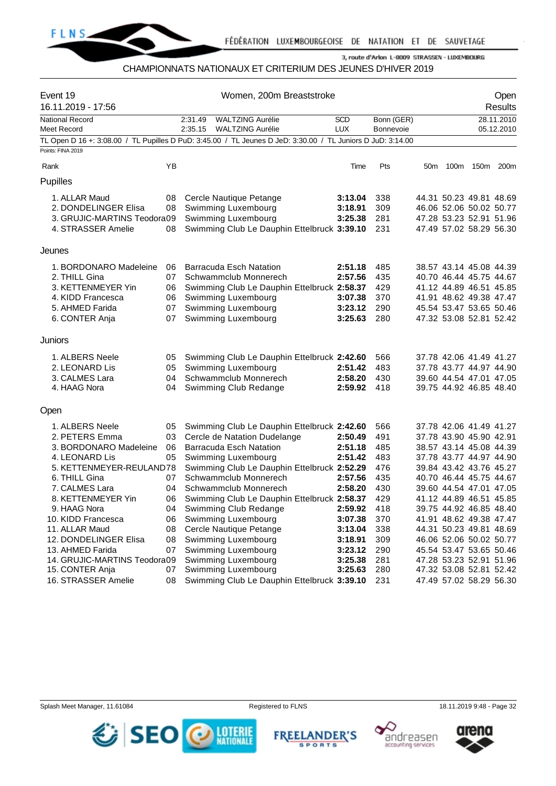

# CHAMPIONNATS NATIONAUX ET CRITERIUM DES JEUNES D'HIVER 2019

| Event 19<br>16.11.2019 - 17:56        |    | Women, 200m Breaststroke                                                                                    |                          | Open<br>Results                |                 |      |                         |                          |
|---------------------------------------|----|-------------------------------------------------------------------------------------------------------------|--------------------------|--------------------------------|-----------------|------|-------------------------|--------------------------|
| <b>National Record</b><br>Meet Record |    | 2:31.49<br><b>WALTZING Aurélie</b><br>2:35.15<br><b>WALTZING Aurélie</b>                                    | <b>SCD</b><br><b>LUX</b> | Bonn (GER)<br><b>Bonnevoie</b> |                 |      |                         | 28.11.2010<br>05.12.2010 |
|                                       |    | TL Open D 16 +: 3:08.00 / TL Pupilles D PuD: 3:45.00 / TL Jeunes D JeD: 3:30.00 / TL Juniors D JuD: 3:14.00 |                          |                                |                 |      |                         |                          |
| Points: FINA 2019                     |    |                                                                                                             |                          |                                |                 |      |                         |                          |
| Rank                                  | YB |                                                                                                             | Time                     | Pts                            | 50 <sub>m</sub> | 100m | 150m                    | 200m                     |
| Pupilles                              |    |                                                                                                             |                          |                                |                 |      |                         |                          |
| 1. ALLAR Maud                         | 08 | Cercle Nautique Petange                                                                                     | 3:13.04                  | 338                            |                 |      | 44.31 50.23 49.81 48.69 |                          |
| 2. DONDELINGER Elisa                  | 08 | Swimming Luxembourg                                                                                         | 3:18.91                  | 309                            |                 |      | 46.06 52.06 50.02 50.77 |                          |
| 3. GRUJIC-MARTINS Teodora09           |    | Swimming Luxembourg                                                                                         | 3:25.38                  | 281                            |                 |      | 47.28 53.23 52.91 51.96 |                          |
| 4. STRASSER Amelie                    | 08 | Swimming Club Le Dauphin Ettelbruck 3:39.10                                                                 |                          | 231                            |                 |      | 47.49 57.02 58.29 56.30 |                          |
| Jeunes                                |    |                                                                                                             |                          |                                |                 |      |                         |                          |
| 1. BORDONARO Madeleine                | 06 | <b>Barracuda Esch Natation</b>                                                                              | 2:51.18                  | 485                            |                 |      | 38.57 43.14 45.08 44.39 |                          |
| 2. THILL Gina                         | 07 | Schwammclub Monnerech                                                                                       | 2:57.56                  | 435                            |                 |      | 40.70 46.44 45.75 44.67 |                          |
| 3. KETTENMEYER Yin                    | 06 | Swimming Club Le Dauphin Ettelbruck 2:58.37                                                                 |                          | 429                            |                 |      | 41.12 44.89 46.51 45.85 |                          |
| 4. KIDD Francesca                     | 06 | Swimming Luxembourg                                                                                         | 3:07.38                  | 370                            |                 |      | 41.91 48.62 49.38 47.47 |                          |
| 5. AHMED Farida                       | 07 | Swimming Luxembourg                                                                                         | 3:23.12                  | 290                            |                 |      | 45.54 53.47 53.65 50.46 |                          |
| 6. CONTER Anja                        | 07 | Swimming Luxembourg                                                                                         | 3:25.63                  | 280                            |                 |      | 47.32 53.08 52.81 52.42 |                          |
| <b>Juniors</b>                        |    |                                                                                                             |                          |                                |                 |      |                         |                          |
| 1. ALBERS Neele                       | 05 | Swimming Club Le Dauphin Ettelbruck 2:42.60                                                                 |                          | 566                            |                 |      | 37.78 42.06 41.49 41.27 |                          |
| 2. LEONARD Lis                        | 05 | Swimming Luxembourg                                                                                         | 2:51.42                  | 483                            |                 |      | 37.78 43.77 44.97 44.90 |                          |
| 3. CALMES Lara                        | 04 | Schwammclub Monnerech                                                                                       | 2:58.20                  | 430                            |                 |      | 39.60 44.54 47.01 47.05 |                          |
| 4. HAAG Nora                          | 04 | Swimming Club Redange                                                                                       | 2:59.92                  | 418                            |                 |      | 39.75 44.92 46.85 48.40 |                          |
| Open                                  |    |                                                                                                             |                          |                                |                 |      |                         |                          |
| 1. ALBERS Neele                       | 05 | Swimming Club Le Dauphin Ettelbruck 2:42.60                                                                 |                          | 566                            |                 |      | 37.78 42.06 41.49 41.27 |                          |
| 2. PETERS Emma                        | 03 | Cercle de Natation Dudelange                                                                                | 2:50.49                  | 491                            |                 |      | 37.78 43.90 45.90 42.91 |                          |
| 3. BORDONARO Madeleine                | 06 | <b>Barracuda Esch Natation</b>                                                                              | 2:51.18                  | 485                            |                 |      | 38.57 43.14 45.08 44.39 |                          |
| 4. LEONARD Lis                        | 05 | Swimming Luxembourg                                                                                         | 2:51.42                  | 483                            |                 |      | 37.78 43.77 44.97 44.90 |                          |
| 5. KETTENMEYER-REULAND78              |    | Swimming Club Le Dauphin Ettelbruck 2:52.29                                                                 |                          | 476                            |                 |      | 39.84 43.42 43.76 45.27 |                          |
| 6. THILL Gina                         | 07 | Schwammclub Monnerech                                                                                       | 2:57.56                  | 435                            |                 |      | 40.70 46.44 45.75 44.67 |                          |
| 7. CALMES Lara                        | 04 | Schwammclub Monnerech                                                                                       | 2:58.20                  | 430                            |                 |      | 39.60 44.54 47.01 47.05 |                          |
| 8. KETTENMEYER Yin                    | 06 | Swimming Club Le Dauphin Ettelbruck 2:58.37                                                                 |                          | 429                            |                 |      | 41.12 44.89 46.51 45.85 |                          |
| 9. HAAG Nora                          | 04 | Swimming Club Redange                                                                                       | 2:59.92                  | 418                            |                 |      | 39.75 44.92 46.85 48.40 |                          |
| 10. KIDD Francesca                    | 06 | Swimming Luxembourg                                                                                         | 3:07.38                  | 370                            |                 |      | 41.91 48.62 49.38 47.47 |                          |
| 11. ALLAR Maud                        | 08 | Cercle Nautique Petange                                                                                     | 3:13.04                  | 338                            |                 |      | 44.31 50.23 49.81 48.69 |                          |
| 12. DONDELINGER Elisa                 | 08 | Swimming Luxembourg                                                                                         | 3:18.91                  | 309                            |                 |      | 46.06 52.06 50.02 50.77 |                          |
| 13. AHMED Farida                      | 07 | Swimming Luxembourg                                                                                         | 3:23.12                  | 290                            |                 |      | 45.54 53.47 53.65 50.46 |                          |
| 14. GRUJIC-MARTINS Teodora09          |    | Swimming Luxembourg                                                                                         | 3:25.38                  | 281                            |                 |      | 47.28 53.23 52.91 51.96 |                          |
| 15. CONTER Anja                       | 07 | Swimming Luxembourg                                                                                         | 3:25.63                  | 280                            |                 |      | 47.32 53.08 52.81 52.42 |                          |
| 16. STRASSER Amelie                   | 08 | Swimming Club Le Dauphin Ettelbruck 3:39.10                                                                 |                          | 231                            |                 |      | 47.49 57.02 58.29 56.30 |                          |

Splash Meet Manager, 11.61084 **Registered to FLNS** Registered to FLNS 18.11.2019 9:48 - Page 32







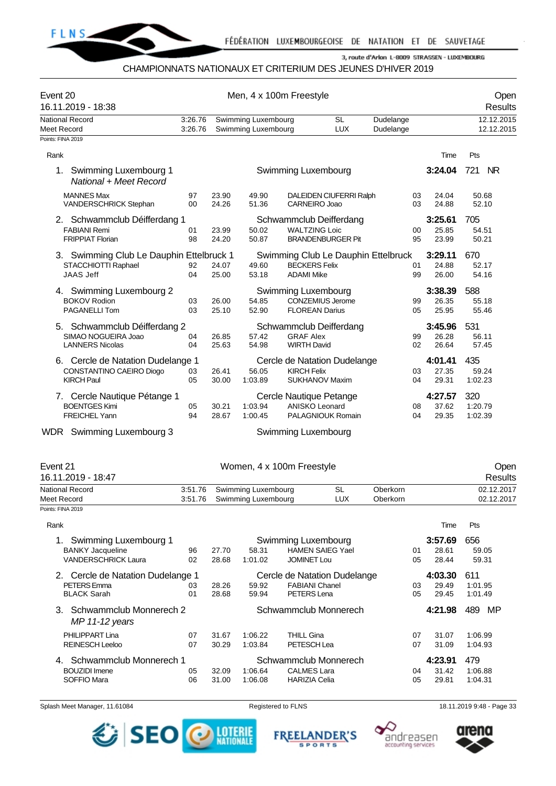

#### CHAMPIONNATS NATIONAUX ET CRITERIUM DES JEUNES D'HIVER 2019

| Event 20<br>16.11.2019 - 18:38                                                      |                      |                                                                                                 | Men, 4 x 100m Freestyle |                                              |                                                       |                                     |          |                           |                           | Open<br>Results |
|-------------------------------------------------------------------------------------|----------------------|-------------------------------------------------------------------------------------------------|-------------------------|----------------------------------------------|-------------------------------------------------------|-------------------------------------|----------|---------------------------|---------------------------|-----------------|
| <b>National Record</b><br>Meet Record                                               | 3:26.76<br>3:26.76   | Swimming Luxembourg<br><b>SL</b><br>Dudelange<br>Swimming Luxembourg<br><b>LUX</b><br>Dudelange |                         |                                              |                                                       |                                     |          |                           | 12.12.2015<br>12.12.2015  |                 |
| Points: FINA 2019<br>Rank                                                           |                      |                                                                                                 |                         |                                              |                                                       |                                     |          | Time                      | Pts                       |                 |
| 1.<br>Swimming Luxembourg 1<br>National + Meet Record                               |                      |                                                                                                 |                         | Swimming Luxembourg                          |                                                       |                                     |          | 3:24.04                   | 721                       | <b>NR</b>       |
| <b>MANNES Max</b><br>VANDERSCHRICK Stephan                                          | 97<br>0 <sub>0</sub> | 23.90<br>24.26                                                                                  | 49.90<br>51.36          | CARNEIRO Joao                                | DALEIDEN CIUFERRI Ralph                               |                                     | 03<br>03 | 24.04<br>24.88            | 50.68<br>52.10            |                 |
| 2. Schwammclub Déifferdang 1<br><b>FABIANI Remi</b><br><b>FRIPPIAT Florian</b>      | 01<br>98             | 23.99<br>24.20                                                                                  | 50.02<br>50.87          | <b>WALTZING Loic</b>                         | Schwammclub Deifferdang<br><b>BRANDENBURGER Pit</b>   |                                     | 00<br>95 | 3:25.61<br>25.85<br>23.99 | 705<br>54.51<br>50.21     |                 |
| 3. Swimming Club Le Dauphin Ettelbruck 1<br>STACCHIOTTI Raphael<br><b>JAAS Jeff</b> | 92<br>04             | 24.07<br>25.00                                                                                  | 49.60<br>53.18          | <b>BECKERS Felix</b><br><b>ADAMI Mike</b>    |                                                       | Swimming Club Le Dauphin Ettelbruck | 01<br>99 | 3:29.11<br>24.88<br>26.00 | 670<br>52.17<br>54.16     |                 |
| 4. Swimming Luxembourg 2<br><b>BOKOV Rodion</b><br><b>PAGANELLI Tom</b>             | 03<br>03             | 26.00<br>25.10                                                                                  | 54.85<br>52.90          | Swimming Luxembourg<br><b>FLOREAN Darius</b> | <b>CONZEMIUS Jerome</b>                               |                                     | 99<br>05 | 3:38.39<br>26.35<br>25.95 | 588<br>55.18<br>55.46     |                 |
| 5. Schwammclub Déifferdang 2<br>SIMAO NOGUEIRA Joao<br><b>LANNERS Nicolas</b>       | 04<br>04             | 26.85<br>25.63                                                                                  | 57.42<br>54.98          | <b>GRAF Alex</b><br><b>WIRTH David</b>       | Schwammclub Deifferdang                               |                                     | 99<br>02 | 3:45.96<br>26.28<br>26.64 | 531<br>56.11<br>57.45     |                 |
| 6. Cercle de Natation Dudelange 1<br>CONSTANTINO CAEIRO Diogo<br><b>KIRCH Paul</b>  | 03<br>05             | 26.41<br>30.00                                                                                  | 56.05<br>1:03.89        | <b>KIRCH Felix</b>                           | Cercle de Natation Dudelange<br><b>SUKHANOV Maxim</b> |                                     | 03<br>04 | 4:01.41<br>27.35<br>29.31 | 435<br>59.24<br>1:02.23   |                 |
| 7. Cercle Nautique Pétange 1<br><b>BOENTGES Kimi</b><br><b>FREICHEL Yann</b>        | 05<br>94             | 30.21<br>28.67                                                                                  | 1:03.94<br>1:00.45      | ANISKO Leonard                               | Cercle Nautique Petange<br>PALAGNIOUK Romain          |                                     | 08<br>04 | 4:27.57<br>37.62<br>29.35 | 320<br>1:20.79<br>1:02.39 |                 |
|                                                                                     |                      |                                                                                                 |                         |                                              |                                                       |                                     |          |                           |                           |                 |

WDR Swimming Luxembourg 3 Swimming Luxembourg 3

| Event 21<br>16.11.2019 - 18:47                                                 |                    |                                            |                                                                             | Women, 4 x 100m Freestyle                                            |                         |                      |                           |                           | Open<br>Results           |
|--------------------------------------------------------------------------------|--------------------|--------------------------------------------|-----------------------------------------------------------------------------|----------------------------------------------------------------------|-------------------------|----------------------|---------------------------|---------------------------|---------------------------|
| National Record<br>Meet Record                                                 | 3:51.76<br>3:51.76 | Swimming Luxembourg<br>Swimming Luxembourg |                                                                             |                                                                      | <b>SL</b><br><b>LUX</b> | Oberkorn<br>Oberkorn |                           |                           | 02.12.2017<br>02.12.2017  |
| Points: FINA 2019                                                              |                    |                                            |                                                                             |                                                                      |                         |                      |                           |                           |                           |
| Rank                                                                           |                    |                                            |                                                                             |                                                                      |                         |                      |                           | Time                      | Pts                       |
| Swimming Luxembourg 1<br><b>BANKY Jacqueline</b><br><b>VANDERSCHRICK Laura</b> | 96<br>02           | 27.70<br>28.68                             | 58.31<br>1:01.02                                                            | Swimming Luxembourg<br><b>HAMEN SAIEG Yael</b><br><b>JOMINET Lou</b> |                         |                      | 01<br>05                  | 3:57.69<br>28.61<br>28.44 | 656<br>59.05<br>59.31     |
| 2. Cercle de Natation Dudelange 1<br>PETERS Emma<br><b>BLACK Sarah</b>         | 28.26<br>28.68     | 59.92<br>59.94                             | Cercle de Natation Dudelange<br><b>FABIANI Chanel</b><br><b>PETERS</b> Lena |                                                                      |                         | 03<br>05             | 4:03.30<br>29.49<br>29.45 | 611<br>1:01.95<br>1:01.49 |                           |
| Schwammclub Monnerech 2<br>3.<br>MP 11-12 years                                |                    |                                            |                                                                             | Schwammclub Monnerech                                                |                         |                      |                           | 4:21.98                   | 489<br>MP                 |
| PHILIPPART Lina<br><b>REINESCH Leeloo</b>                                      | 07<br>07           | 31.67<br>30.29                             | 1:06.22<br>1:03.84                                                          | <b>THILL Gina</b><br>PETESCH Lea                                     |                         |                      | 07<br>07                  | 31.07<br>31.09            | 1:06.99<br>1:04.93        |
| Schwammclub Monnerech 1<br><b>BOUZIDI</b> Imene<br>SOFFIO Mara                 | 05<br>06           | 32.09<br>31.00                             | 1:06.64<br>1:06.08                                                          | Schwammclub Monnerech<br><b>CALMES Lara</b><br><b>HARIZIA Celia</b>  |                         |                      | 04<br>05                  | 4:23.91<br>31.42<br>29.81 | 479<br>1:06.88<br>1:04.31 |

Splash Meet Manager, 11.61084 **Registered to FLNS** Registered to FLNS 18.11.2019 9:48 - Page 33







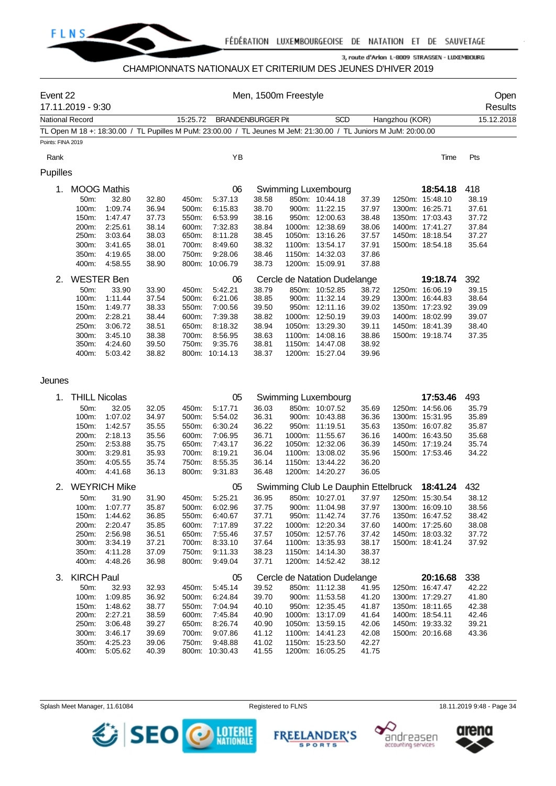

# CHAMPIONNATS NATIONAUX ET CRITERIUM DES JEUNES D'HIVER 2019

| Event 22               | 17.11.2019 - 9:30    |                             |                |                |                          |                | Men, 1500m Freestyle |                                                                                                                 |                |                |                                    | Open<br>Results |  |
|------------------------|----------------------|-----------------------------|----------------|----------------|--------------------------|----------------|----------------------|-----------------------------------------------------------------------------------------------------------------|----------------|----------------|------------------------------------|-----------------|--|
| <b>National Record</b> |                      |                             |                | 15:25.72       | <b>BRANDENBURGER Pit</b> |                |                      | <b>SCD</b>                                                                                                      |                | Hangzhou (KOR) |                                    | 15.12.2018      |  |
|                        |                      |                             |                |                |                          |                |                      | TL Open M 18 +: 18:30.00 / TL Pupilles M PuM: 23:00.00 / TL Jeunes M JeM: 21:30.00 / TL Juniors M JuM: 20:00.00 |                |                |                                    |                 |  |
| Points: FINA 2019      |                      |                             |                |                |                          |                |                      |                                                                                                                 |                |                |                                    |                 |  |
| Rank                   |                      |                             |                |                | YB                       |                |                      |                                                                                                                 |                |                | Time                               | Pts             |  |
| Pupilles               |                      |                             |                |                |                          |                |                      |                                                                                                                 |                |                |                                    |                 |  |
|                        |                      |                             |                |                |                          |                |                      |                                                                                                                 |                |                |                                    |                 |  |
| 1.                     | 50m:                 | <b>MOOG Mathis</b><br>32.80 | 32.80          | 450m:          | 06<br>5.37.13            | 38.58          |                      | Swimming Luxembourg<br>850m: 10:44.18                                                                           | 37.39          |                | 18:54.18<br>1250m: 15:48.10        | 418<br>38.19    |  |
|                        | 100m:                | 1:09.74                     | 36.94          | 500m:          | 6:15.83                  | 38.70          |                      | 900m: 11:22.15                                                                                                  | 37.97          |                | 1300m: 16:25.71                    | 37.61           |  |
|                        | 150m:                | 1:47.47                     | 37.73          | 550m.          | 6:53.99                  | 38.16          |                      | 950m: 12:00.63                                                                                                  | 38.48          |                | 1350m: 17:03.43                    | 37.72           |  |
|                        | 200m:                | 2:25.61                     | 38.14          | 600m:          | 7:32.83                  | 38.84          |                      | 1000m: 12:38.69                                                                                                 | 38.06          |                | 1400m: 17:41.27                    | 37.84           |  |
|                        | 250m:                | 3:03.64                     | 38.03          | 650m:          | 8:11.28                  | 38.45          |                      | 1050m: 13:16.26                                                                                                 | 37.57          |                | 1450m: 18:18.54                    | 37.27           |  |
|                        | 300m:                | 3:41.65                     | 38.01          | 700m:          | 8:49.60                  | 38.32          |                      | 1100m: 13:54.17                                                                                                 | 37.91          |                | 1500m: 18:54.18                    | 35.64           |  |
|                        | 350m:                | 4:19.65                     | 38.00          | 750m:          | 9:28.06                  | 38.46          |                      | 1150m: 14:32.03                                                                                                 | 37.86          |                |                                    |                 |  |
|                        | 400m:                | 4:58.55                     | 38.90          |                | 800m: 10:06.79           | 38.73          |                      | 1200m: 15:09.91                                                                                                 | 37.88          |                |                                    |                 |  |
| 2.                     | <b>WESTER Ben</b>    |                             |                |                | 06                       |                |                      | Cercle de Natation Dudelange                                                                                    |                |                | 19:18.74                           | 392             |  |
|                        | 50m:                 | 33.90                       | 33.90          | 450m:          | 5:42.21                  | 38.79          |                      | 850m: 10:52.85                                                                                                  | 38.72          |                | 1250m: 16:06.19                    | 39.15           |  |
|                        | 100m:                | 1:11.44                     | 37.54          | 500m:          | 6:21.06                  | 38.85          |                      | 900m: 11:32.14                                                                                                  | 39.29          |                | 1300m: 16:44.83                    | 38.64           |  |
|                        | 150m:                | 1:49.77                     | 38.33          | 550m:          | 7:00.56                  | 39.50          |                      | 950m: 12:11.16                                                                                                  | 39.02          |                | 1350m: 17:23.92                    | 39.09           |  |
|                        | 200m:                | 2:28.21                     | 38.44          | 600m:          | 7:39.38                  | 38.82          |                      | 1000m: 12:50.19                                                                                                 | 39.03          |                | 1400m: 18:02.99                    | 39.07           |  |
|                        | 250m:                | 3:06.72                     | 38.51          | 650m:          | 8:18.32                  | 38.94          |                      | 1050m: 13:29.30<br>1100m: 14:08.16                                                                              | 39.11          |                | 1450m: 18:41.39                    | 38.40           |  |
|                        | 300m:<br>350m:       | 3:45.10<br>4:24.60          | 38.38<br>39.50 | 700m:<br>750m: | 8:56.95<br>9:35.76       | 38.63<br>38.81 |                      | 1150m: 14:47.08                                                                                                 | 38.86<br>38.92 |                | 1500m: 19:18.74                    | 37.35           |  |
|                        | 400m:                | 5:03.42                     | 38.82          |                | 800m: 10:14.13           | 38.37          |                      | 1200m: 15:27.04                                                                                                 | 39.96          |                |                                    |                 |  |
|                        |                      |                             |                |                |                          |                |                      |                                                                                                                 |                |                |                                    |                 |  |
| Jeunes                 |                      |                             |                |                |                          |                |                      |                                                                                                                 |                |                |                                    |                 |  |
| 1.                     | <b>THILL Nicolas</b> |                             |                |                | 05                       |                |                      | Swimming Luxembourg                                                                                             |                |                | 17:53.46                           | 493             |  |
|                        | 50m:                 | 32.05                       | 32.05          | 450m:          | 5:17.71                  | 36.03          |                      | 850m: 10:07.52                                                                                                  | 35.69          |                | 1250m: 14:56.06                    | 35.79           |  |
|                        | 100m:                | 1:07.02                     | 34.97          | 500m:          | 5:54.02                  | 36.31          |                      | 900m: 10:43.88                                                                                                  | 36.36          |                | 1300m: 15:31.95                    | 35.89           |  |
|                        | 150m:                | 1:42.57                     | 35.55          | 550m:          | 6:30.24                  | 36.22          |                      | 950m: 11:19.51                                                                                                  | 35.63          |                | 1350m: 16:07.82                    | 35.87           |  |
|                        | 200m:                | 2:18.13                     | 35.56          | 600m:          | 7:06.95                  | 36.71          |                      | 1000m: 11:55.67                                                                                                 | 36.16          |                | 1400m: 16:43.50                    | 35.68           |  |
|                        | 250m:                | 2:53.88                     | 35.75          | 650m:          | 7:43.17                  | 36.22          |                      | 1050m: 12:32.06                                                                                                 | 36.39          |                | 1450m: 17:19.24                    | 35.74           |  |
|                        | 300m:<br>350m:       | 3:29.81<br>4:05.55          | 35.93<br>35.74 | 700m:<br>750m: | 8:19.21<br>8:55.35       | 36.04<br>36.14 |                      | 1100m: 13:08.02<br>1150m: 13:44.22                                                                              | 35.96<br>36.20 |                | 1500m: 17:53.46                    | 34.22           |  |
|                        | 400m:                | 4:41.68                     | 36.13          | 800m:          | 9:31.83                  | 36.48          |                      | 1200m: 14:20.27                                                                                                 | 36.05          |                |                                    |                 |  |
|                        |                      |                             |                |                |                          |                |                      |                                                                                                                 |                |                |                                    |                 |  |
| 2.                     |                      | <b>WEYRICH Mike</b>         |                |                | 05                       |                |                      | Swimming Club Le Dauphin Ettelbruck                                                                             |                |                | 18:41.24                           | 432             |  |
|                        | 50m:                 | 31.90                       | 31.90<br>35.87 | 450m.          | 5:25.21                  | 36.95          |                      | 850m: 10:27.01                                                                                                  | 37.97          |                | 1250m: 15:30.54                    | 38.12           |  |
|                        | 100m:<br>150m:       | 1:07.77<br>1:44.62          | 36.85          | 500m:<br>550m: | 6:02.96<br>6:40.67       | 37.75<br>37.71 |                      | 900m: 11:04.98<br>950m: 11:42.74                                                                                | 37.97<br>37.76 |                | 1300m: 16:09.10<br>1350m: 16:47.52 | 38.56<br>38.42  |  |
|                        | 200m:                | 2:20.47                     | 35.85          | 600m:          | 7:17.89                  | 37.22          |                      | 1000m: 12:20.34                                                                                                 | 37.60          |                | 1400m: 17:25.60                    | 38.08           |  |
|                        | 250m:                | 2:56.98                     | 36.51          | 650m:          | 7:55.46                  | 37.57          |                      | 1050m: 12:57.76                                                                                                 | 37.42          |                | 1450m: 18:03.32                    | 37.72           |  |
|                        | 300m:                | 3:34.19                     | 37.21          | 700m:          | 8:33.10                  | 37.64          |                      | 1100m: 13:35.93                                                                                                 | 38.17          |                | 1500m: 18:41.24                    | 37.92           |  |
|                        | 350m:                | 4:11.28                     | 37.09          | 750m:          | 9:11.33                  | 38.23          |                      | 1150m: 14:14.30                                                                                                 | 38.37          |                |                                    |                 |  |
|                        | 400m:                | 4:48.26                     | 36.98          | 800m:          | 9:49.04                  | 37.71          |                      | 1200m: 14:52.42                                                                                                 | 38.12          |                |                                    |                 |  |
| 3.                     | <b>KIRCH Paul</b>    |                             |                |                | 05                       |                |                      | Cercle de Natation Dudelange                                                                                    |                |                | 20:16.68                           | 338             |  |
|                        | 50m:                 | 32.93                       | 32.93          | 450m:          | 5:45.14                  | 39.52          |                      | 850m: 11:12.38                                                                                                  | 41.95          |                | 1250m: 16:47.47                    | 42.22           |  |
|                        | 100m:                | 1:09.85                     | 36.92          | 500m:          | 6.24.84                  | 39.70          |                      | 900m: 11:53.58                                                                                                  | 41.20          |                | 1300m: 17:29.27                    | 41.80           |  |
|                        | 150m:                | 1:48.62                     | 38.77          | 550m:          | 7:04.94                  | 40.10          |                      | 950m: 12:35.45                                                                                                  | 41.87          |                | 1350m: 18:11.65                    | 42.38           |  |
|                        | 200m:                | 2:27.21                     | 38.59          | 600m:          | 7:45.84                  | 40.90          |                      | 1000m: 13:17.09                                                                                                 | 41.64          |                | 1400m: 18:54.11                    | 42.46           |  |
|                        | 250m:<br>300m:       | 3:06.48<br>3:46.17          | 39.27<br>39.69 | 650m:<br>700m: | 8:26.74<br>9:07.86       | 40.90<br>41.12 |                      | 1050m: 13:59.15<br>1100m: 14:41.23                                                                              | 42.06<br>42.08 |                | 1450m: 19:33.32<br>1500m: 20:16.68 | 39.21<br>43.36  |  |
|                        | 350m:                | 4:25.23                     | 39.06          | 750m:          | 9:48.88                  | 41.02          |                      | 1150m: 15:23.50                                                                                                 | 42.27          |                |                                    |                 |  |
|                        | 400m:                | 5:05.62                     | 40.39          |                | 800m: 10:30.43           | 41.55          |                      | 1200m: 16:05.25                                                                                                 | 41.75          |                |                                    |                 |  |

Splash Meet Manager, 11.61084 **Registered to FLNS** Registered to FLNS 18.11.2019 9:48 - Page 34





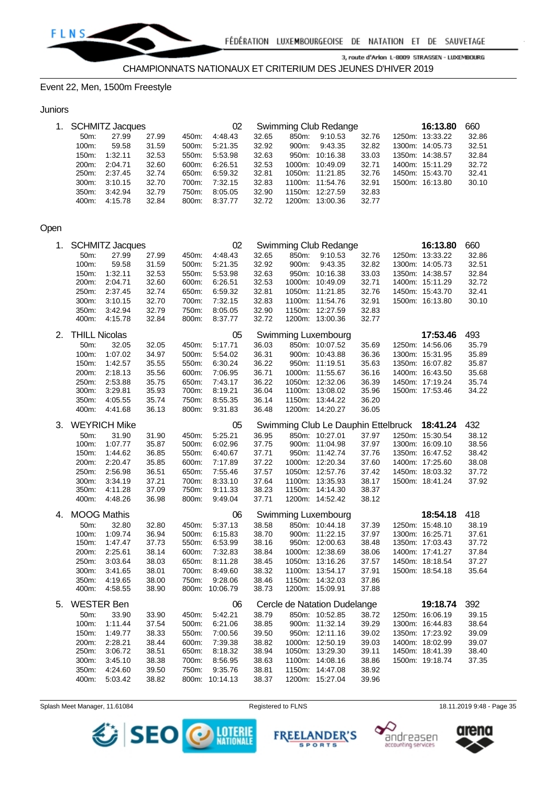

CHAMPIONNATS NATIONAUX ET CRITERIUM DES JEUNES D'HIVER 2019

Event 22, Men, 1500m Freestyle

#### **Juniors**

|                    | 1. SCHMITZ Jacques |       |          | 02      |       | Swimming Club Redange | 16:13.80        | 660   |  |                 |       |
|--------------------|--------------------|-------|----------|---------|-------|-----------------------|-----------------|-------|--|-----------------|-------|
| $50m$ :            | 27.99              | 27.99 | 450m:    | 4:48.43 | 32.65 | 850m:                 | 9:10.53         | 32.76 |  | 1250m: 13:33.22 | 32.86 |
| 100m:              | 59.58              | 31.59 | $500m$ : | 5:21.35 | 32.92 | 900m:                 | 9:43.35         | 32.82 |  | 1300m: 14:05.73 | 32.51 |
| 150m:              | 1:32.11            | 32.53 | 550m:    | 5:53.98 | 32.63 |                       | 950m: 10:16.38  | 33.03 |  | 1350m: 14:38.57 | 32.84 |
| 200 <sub>m</sub> : | 2:04.71            | 32.60 | 600m:    | 6:26.51 | 32.53 |                       | 1000m: 10:49.09 | 32.71 |  | 1400m: 15:11.29 | 32.72 |
| 250m:              | 2:37.45            | 32.74 | 650m:    | 6:59.32 | 32.81 |                       | 1050m: 11:21.85 | 32.76 |  | 1450m: 15:43.70 | 32.41 |
| $300m$ :           | 3:10.15            | 32.70 | 700m:    | 7:32.15 | 32.83 |                       | 1100m: 11:54.76 | 32.91 |  | 1500m: 16:13.80 | 30.10 |
| $350m$ :           | 3:42.94            | 32.79 | 750m:    | 8:05.05 | 32.90 |                       | 1150m: 12:27.59 | 32.83 |  |                 |       |
| 400m:              | 4:15.78            | 32.84 | 800m:    | 8:37.77 | 32.72 | 1200m:                | 13:00.36        | 32.77 |  |                 |       |

## Open

| 1. |                      | <b>SCHMITZ Jacques</b> |       |       | 02<br>Swimming Club Redange |       |       |                                     |       |  |                 | 660   |
|----|----------------------|------------------------|-------|-------|-----------------------------|-------|-------|-------------------------------------|-------|--|-----------------|-------|
|    | 50m:                 | 27.99                  | 27.99 | 450m: | 4:48.43                     | 32.65 | 850m: | 9:10.53                             | 32.76 |  | 1250m: 13:33.22 | 32.86 |
|    | 100m:                | 59.58                  | 31.59 | 500m: | 5:21.35                     | 32.92 | 900m: | 9:43.35                             | 32.82 |  | 1300m: 14:05.73 | 32.51 |
|    | 150m:                | 1:32.11                | 32.53 | 550m: | 5:53.98                     | 32.63 |       | 950m: 10:16.38                      | 33.03 |  | 1350m: 14:38.57 | 32.84 |
|    | 200m:                | 2:04.71                | 32.60 | 600m: | 6:26.51                     | 32.53 |       | 1000m: 10:49.09                     | 32.71 |  | 1400m: 15:11.29 | 32.72 |
|    | 250m:                | 2:37.45                | 32.74 | 650m: | 6:59.32                     | 32.81 |       | 1050m: 11:21.85                     | 32.76 |  | 1450m: 15:43.70 | 32.41 |
|    | 300m:                | 3:10.15                | 32.70 | 700m: | 7:32.15                     | 32.83 |       | 1100m: 11:54.76                     | 32.91 |  | 1500m: 16:13.80 | 30.10 |
|    | 350m:                | 3:42.94                | 32.79 | 750m: | 8:05.05                     | 32.90 |       | 1150m: 12:27.59                     | 32.83 |  |                 |       |
|    | 400m:                | 4:15.78                | 32.84 | 800m: | 8:37.77                     | 32.72 |       | 1200m: 13:00.36                     | 32.77 |  |                 |       |
| 2. | <b>THILL Nicolas</b> |                        |       |       | 05                          |       |       | Swimming Luxembourg                 |       |  | 17:53.46        | 493   |
|    | 50m:                 | 32.05                  | 32.05 | 450m: | 5:17.71                     | 36.03 |       | 850m: 10:07.52                      | 35.69 |  | 1250m: 14:56.06 | 35.79 |
|    | 100m:                | 1:07.02                | 34.97 | 500m: | 5:54.02                     | 36.31 |       | 900m: 10:43.88                      | 36.36 |  | 1300m: 15:31.95 | 35.89 |
|    | 150m:                | 1:42.57                | 35.55 | 550m: | 6:30.24                     | 36.22 |       | 950m: 11:19.51                      | 35.63 |  | 1350m: 16:07.82 | 35.87 |
|    | 200m:                | 2:18.13                | 35.56 | 600m: | 7:06.95                     | 36.71 |       | 1000m: 11:55.67                     | 36.16 |  | 1400m: 16:43.50 | 35.68 |
|    | 250m:                | 2:53.88                | 35.75 | 650m: | 7:43.17                     | 36.22 |       | 1050m: 12:32.06                     | 36.39 |  | 1450m: 17:19.24 | 35.74 |
|    | 300m:                | 3:29.81                | 35.93 | 700m: | 8:19.21                     | 36.04 |       | 1100m: 13:08.02                     | 35.96 |  | 1500m: 17:53.46 | 34.22 |
|    | 350m:                | 4:05.55                | 35.74 | 750m: | 8:55.35                     | 36.14 |       | 1150m: 13:44.22                     | 36.20 |  |                 |       |
|    | 400m:                | 4:41.68                | 36.13 | 800m: | 9:31.83                     | 36.48 |       | 1200m: 14:20.27                     | 36.05 |  |                 |       |
| 3. |                      | <b>WEYRICH Mike</b>    |       |       | 05                          |       |       | Swimming Club Le Dauphin Ettelbruck |       |  | 18:41.24        | 432   |
|    | 50m:                 | 31.90                  | 31.90 | 450m: | 5:25.21                     | 36.95 |       | 850m: 10:27.01                      | 37.97 |  | 1250m: 15:30.54 | 38.12 |
|    | 100m:                | 1:07.77                | 35.87 | 500m: | 6:02.96                     | 37.75 |       | 900m: 11:04.98                      | 37.97 |  | 1300m: 16:09.10 | 38.56 |
|    | 150m:                | 1:44.62                | 36.85 | 550m: | 6:40.67                     | 37.71 |       | 950m: 11:42.74                      | 37.76 |  | 1350m: 16:47.52 | 38.42 |
|    | 200m:                | 2:20.47                | 35.85 | 600m: | 7:17.89                     | 37.22 |       | 1000m: 12:20.34                     | 37.60 |  | 1400m: 17:25.60 | 38.08 |
|    | 250m:                | 2:56.98                | 36.51 | 650m: | 7:55.46                     | 37.57 |       | 1050m: 12:57.76                     | 37.42 |  | 1450m: 18:03.32 | 37.72 |
|    | 300m:                | 3:34.19                | 37.21 | 700m: | 8:33.10                     | 37.64 |       | 1100m: 13:35.93                     | 38.17 |  | 1500m: 18:41.24 | 37.92 |
|    | 350m:                | 4:11.28                | 37.09 | 750m: | 9:11.33                     | 38.23 |       | 1150m: 14:14.30                     | 38.37 |  |                 |       |
|    | 400m:                | 4:48.26                | 36.98 | 800m: | 9:49.04                     | 37.71 |       | 1200m: 14:52.42                     | 38.12 |  |                 |       |
| 4. | <b>MOOG Mathis</b>   |                        |       |       | 06                          |       |       | Swimming Luxembourg                 |       |  | 18:54.18        | 418   |
|    | 50m:                 | 32.80                  | 32.80 | 450m: | 5:37.13                     | 38.58 |       | 850m: 10:44.18                      | 37.39 |  | 1250m: 15:48.10 | 38.19 |
|    | 100m:                | 1:09.74                | 36.94 | 500m: | 6:15.83                     | 38.70 |       | 900m: 11:22.15                      | 37.97 |  | 1300m: 16:25.71 | 37.61 |
|    | 150m:                | 1:47.47                | 37.73 | 550m: | 6:53.99                     | 38.16 |       | 950m: 12:00.63                      | 38.48 |  | 1350m: 17:03.43 | 37.72 |
|    | 200m:                | 2:25.61                | 38.14 | 600m: | 7:32.83                     | 38.84 |       | 1000m: 12:38.69                     | 38.06 |  | 1400m: 17:41.27 | 37.84 |
|    | 250m:                | 3:03.64                | 38.03 | 650m: | 8:11.28                     | 38.45 |       | 1050m: 13:16.26                     | 37.57 |  | 1450m: 18:18.54 | 37.27 |
|    | 300m:                | 3:41.65                | 38.01 | 700m: | 8:49.60                     | 38.32 |       | 1100m: 13:54.17                     | 37.91 |  | 1500m: 18:54.18 | 35.64 |
|    | 350m:                | 4:19.65                | 38.00 | 750m: | 9:28.06                     | 38.46 |       | 1150m: 14:32.03                     | 37.86 |  |                 |       |
|    | 400m:                | 4:58.55                | 38.90 |       | 800m: 10:06.79              | 38.73 |       | 1200m: 15:09.91                     | 37.88 |  |                 |       |
| 5. | <b>WESTER Ben</b>    |                        |       |       | 06                          |       |       | Cercle de Natation Dudelange        |       |  | 19:18.74        | 392   |
|    | 50m:                 | 33.90                  | 33.90 | 450m: | 5:42.21                     | 38.79 |       | 850m: 10:52.85                      | 38.72 |  | 1250m: 16:06.19 | 39.15 |
|    | 100m:                | 1:11.44                | 37.54 | 500m: | 6:21.06                     | 38.85 |       | 900m: 11:32.14                      | 39.29 |  | 1300m: 16:44.83 | 38.64 |
|    | 150m:                | 1:49.77                | 38.33 | 550m: | 7:00.56                     | 39.50 |       | 950m: 12:11.16                      | 39.02 |  | 1350m: 17:23.92 | 39.09 |
|    | 200m:                | 2:28.21                | 38.44 | 600m: | 7:39.38                     | 38.82 |       | 1000m: 12:50.19                     | 39.03 |  | 1400m: 18:02.99 | 39.07 |
|    | 250m:                | 3:06.72                | 38.51 | 650m: | 8:18.32                     | 38.94 |       | 1050m: 13:29.30                     | 39.11 |  | 1450m: 18:41.39 | 38.40 |
|    | 300m:                | 3:45.10                | 38.38 | 700m: | 8:56.95                     | 38.63 |       | 1100m: 14:08.16                     | 38.86 |  | 1500m: 19:18.74 | 37.35 |
|    | 350m.                | 4:24.60                | 39.50 | 750m: | 9:35.76                     | 38.81 |       | 1150m: 14:47.08                     | 38.92 |  |                 |       |
|    | 400m:                | 5:03.42                | 38.82 |       | 800m: 10:14.13              | 38.37 |       | 1200m: 15:27.04                     | 39.96 |  |                 |       |

Splash Meet Manager, 11.61084 **Registered to FLNS** 18.11.2019 9:48 - Page 35



**FREELANDER'S** 

**SPORTS** 



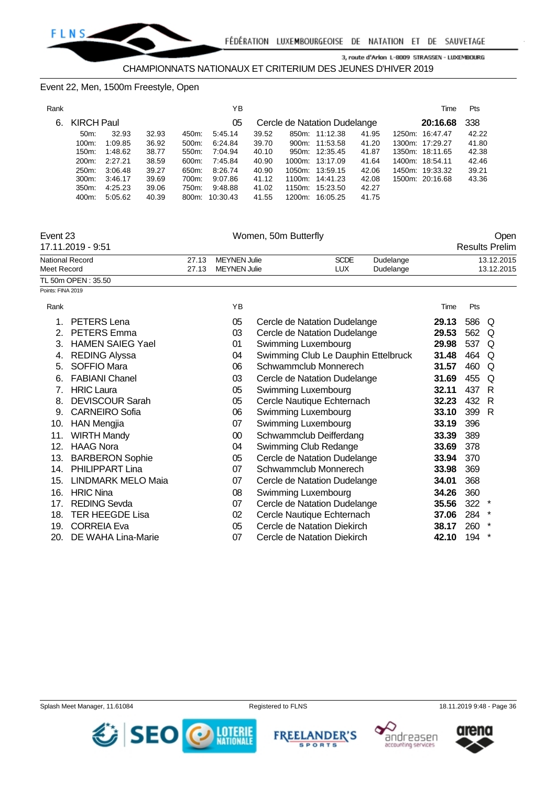#### Event 22, Men, 1500m Freestyle, Open

| Rank |                   |         |       |       | ΥB             |       |        |                              |       | Time            | Pts   |
|------|-------------------|---------|-------|-------|----------------|-------|--------|------------------------------|-------|-----------------|-------|
| 6.   | <b>KIRCH Paul</b> |         |       |       | 05             |       |        | Cercle de Natation Dudelange |       | 20:16.68        | 338   |
|      | $50m$ :           | 32.93   | 32.93 | 450m: | 5:45.14        | 39.52 |        | 850m: 11:12.38               | 41.95 | 1250m: 16:47.47 | 42.22 |
|      | $100m$ :          | 1:09.85 | 36.92 | 500m: | 6:24.84        | 39.70 |        | 900m: 11:53.58               | 41.20 | 1300m: 17:29.27 | 41.80 |
|      | 150m:             | 1:48.62 | 38.77 | 550m: | 7:04.94        | 40.10 |        | 950m: 12:35.45               | 41.87 | 1350m: 18:11.65 | 42.38 |
|      | 200m:             | 2:27.21 | 38.59 | 600m: | 7:45.84        | 40.90 |        | 1000m: 13:17.09              | 41.64 | 1400m: 18:54.11 | 42.46 |
|      | 250m:             | 3:06.48 | 39.27 | 650m: | 8:26.74        | 40.90 |        | 1050m: 13:59.15              | 42.06 | 1450m: 19:33.32 | 39.21 |
|      | 300m:             | 3:46.17 | 39.69 | 700m: | 9:07.86        | 41.12 |        | 1100m: 14:41.23              | 42.08 | 1500m: 20:16.68 | 43.36 |
|      | 350m:             | 4:25.23 | 39.06 | 750m: | 9:48.88        | 41.02 |        | 1150m: 15:23.50              | 42.27 |                 |       |
|      | 400m:             | 5:05.62 | 40.39 |       | 800m: 10:30.43 | 41.55 | 1200m: | 16:05.25                     | 41.75 |                 |       |

| Event 2. |  |
|----------|--|
|----------|--|

Points: FINA 2019

# Event 23 Nomen, 50m Butterfly<br>
Event 23 Nomen, 23 November 2014

| 17.11.2019 - 9:51   |       |                    |             |           | <b>Results Prelim</b> |
|---------------------|-------|--------------------|-------------|-----------|-----------------------|
| National Record     | 27.13 | MEYNEN Julie       | <b>SCDE</b> | Dudelange | 13.12.2015            |
| Meet Record         |       | 27.13 MEYNEN Julie | LUX         | Dudelange | 13.12.2015            |
| TI 50m OPFN : 35.50 |       |                    |             |           |                       |

| Rank |                           | ΥB |                                     | Time  | Pts |         |
|------|---------------------------|----|-------------------------------------|-------|-----|---------|
|      | <b>PETERS Lena</b>        | 05 | Cercle de Natation Dudelange        | 29.13 | 586 | Q       |
| 2.   | <b>PETERS Emma</b>        | 03 | Cercle de Natation Dudelange        | 29.53 | 562 | Q       |
| 3.   | <b>HAMEN SAIEG Yael</b>   | 01 | Swimming Luxembourg                 | 29.98 | 537 | Q       |
| 4.   | <b>REDING Alyssa</b>      | 04 | Swimming Club Le Dauphin Ettelbruck | 31.48 | 464 | Q       |
| 5.   | SOFFIO Mara               | 06 | Schwammclub Monnerech               | 31.57 | 460 | Q       |
| 6.   | <b>FABIANI Chanel</b>     | 03 | Cercle de Natation Dudelange        | 31.69 | 455 | Q       |
| 7.   | <b>HRIC Laura</b>         | 05 | Swimming Luxembourg                 | 32.11 | 437 | R       |
| 8.   | <b>DEVISCOUR Sarah</b>    | 05 | Cercle Nautique Echternach          | 32.23 | 432 | R       |
| 9.   | <b>CARNEIRO Sofia</b>     | 06 | Swimming Luxembourg                 | 33.10 | 399 | R       |
| 10.  | <b>HAN Mengjia</b>        | 07 | Swimming Luxembourg                 | 33.19 | 396 |         |
| 11.  | <b>WIRTH Mandy</b>        | 00 | Schwammclub Deifferdang             | 33.39 | 389 |         |
| 12.  | <b>HAAG Nora</b>          | 04 | Swimming Club Redange               | 33.69 | 378 |         |
| 13.  | <b>BARBERON Sophie</b>    | 05 | Cercle de Natation Dudelange        | 33.94 | 370 |         |
| 14.  | <b>PHILIPPART Lina</b>    | 07 | Schwammclub Monnerech               | 33.98 | 369 |         |
| 15.  | <b>LINDMARK MELO Maia</b> | 07 | Cercle de Natation Dudelange        | 34.01 | 368 |         |
| 16.  | <b>HRIC Nina</b>          | 08 | Swimming Luxembourg                 | 34.26 | 360 |         |
| 17.  | <b>REDING Sevda</b>       | 07 | Cercle de Natation Dudelange        | 35.56 | 322 |         |
| 18.  | <b>TER HEEGDE Lisa</b>    | 02 | Cercle Nautique Echternach          | 37.06 | 284 |         |
| 19.  | <b>CORREIA Eva</b>        | 05 | Cercle de Natation Diekirch         | 38.17 | 260 |         |
| 20.  | DE WAHA Lina-Marie        | 07 | Cercle de Natation Diekirch         | 42.10 | 194 | $\star$ |

Splash Meet Manager, 11.61084 **Registered to FLNS** 18.11.2019 9:48 - Page 36







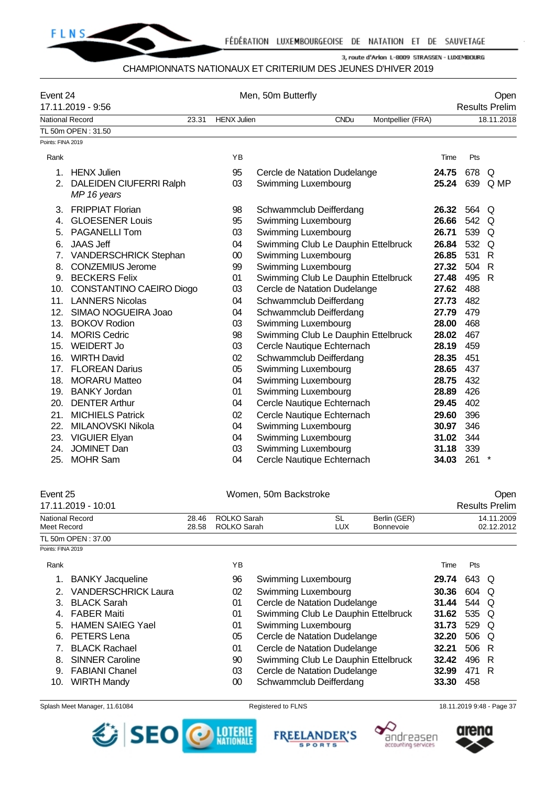

#### CHAMPIONNATS NATIONAUX ET CRITERIUM DES JEUNES D'HIVER 2019

| Event 24          | 17.11.2019 - 9:56                      |                             |           | Men, 50m Butterfly                  |       |            | Open<br><b>Results Prelim</b> |
|-------------------|----------------------------------------|-----------------------------|-----------|-------------------------------------|-------|------------|-------------------------------|
|                   | <b>National Record</b>                 | 23.31<br><b>HENX Julien</b> |           | <b>CNDu</b><br>Montpellier (FRA)    |       | 18.11.2018 |                               |
|                   | TL 50m OPEN: 31.50                     |                             |           |                                     |       |            |                               |
| Points: FINA 2019 |                                        |                             |           |                                     |       |            |                               |
| Rank              |                                        |                             | <b>YB</b> |                                     | Time  | Pts        |                               |
| 1.                | <b>HENX Julien</b>                     |                             | 95        | Cercle de Natation Dudelange        | 24.75 | 678        | Q                             |
| 2.                | DALEIDEN CIUFERRI Ralph<br>MP 16 years |                             | 03        | Swimming Luxembourg                 | 25.24 |            | 639 Q MP                      |
| 3.                | <b>FRIPPIAT Florian</b>                |                             | 98        | Schwammclub Deifferdang             | 26.32 | 564 Q      |                               |
| 4.                | <b>GLOESENER Louis</b>                 |                             | 95        | Swimming Luxembourg                 | 26.66 | 542        | Q                             |
| 5.                | <b>PAGANELLI Tom</b>                   |                             | 03        | Swimming Luxembourg                 | 26.71 | 539        | Q                             |
| 6.                | <b>JAAS Jeff</b>                       |                             | 04        | Swimming Club Le Dauphin Ettelbruck | 26.84 | 532        | Q                             |
| 7.                | VANDERSCHRICK Stephan                  |                             | $00\,$    | Swimming Luxembourg                 | 26.85 | 531        | R                             |
| 8.                | <b>CONZEMIUS Jerome</b>                |                             | 99        | Swimming Luxembourg                 | 27.32 | 504        | R                             |
|                   | 9. BECKERS Felix                       |                             | 01        | Swimming Club Le Dauphin Ettelbruck | 27.48 | 495        | $\mathsf{R}$                  |
| 10.               | CONSTANTINO CAEIRO Diogo               |                             | 03        | Cercle de Natation Dudelange        | 27.62 | 488        |                               |
| 11.               | <b>LANNERS Nicolas</b>                 |                             | 04        | Schwammclub Deifferdang             | 27.73 | 482        |                               |
| 12.               | SIMAO NOGUEIRA Joao                    |                             | 04        | Schwammclub Deifferdang             | 27.79 | 479        |                               |
| 13.               | <b>BOKOV Rodion</b>                    |                             | 03        | Swimming Luxembourg                 | 28.00 | 468        |                               |
| 14.               | <b>MORIS Cedric</b>                    |                             | 98        | Swimming Club Le Dauphin Ettelbruck | 28.02 | 467        |                               |
| 15.               | <b>WEIDERT Jo</b>                      |                             | 03        | Cercle Nautique Echternach          | 28.19 | 459        |                               |
| 16.               | <b>WIRTH David</b>                     |                             | 02        | Schwammclub Deifferdang             | 28.35 | 451        |                               |
| 17.               | <b>FLOREAN Darius</b>                  |                             | 05        | Swimming Luxembourg                 | 28.65 | 437        |                               |
|                   | 18. MORARU Matteo                      |                             | 04        | Swimming Luxembourg                 | 28.75 | 432        |                               |
|                   | 19. BANKY Jordan                       |                             | 01        | Swimming Luxembourg                 | 28.89 | 426        |                               |
| 20.               | <b>DENTER Arthur</b>                   |                             | 04        | Cercle Nautique Echternach          | 29.45 | 402        |                               |
| 21.               | <b>MICHIELS Patrick</b>                |                             | 02        | Cercle Nautique Echternach          | 29.60 | 396        |                               |
| 22.               | MILANOVSKI Nikola                      |                             | 04        | Swimming Luxembourg                 | 30.97 | 346        |                               |
|                   | 23. VIGUIER Elyan                      |                             | 04        | Swimming Luxembourg                 | 31.02 | 344        |                               |
| 24.               | <b>JOMINET Dan</b>                     |                             | 03        | Swimming Luxembourg                 | 31.18 | 339        |                               |
| 25.               | <b>MOHR Sam</b>                        |                             | 04        | Cercle Nautique Echternach          | 34.03 | 261        | $^\star$                      |
|                   |                                        |                             |           |                                     |       |            |                               |

| Event 25                              |                |                            | Women, 50m Backstroke               |  |       |                          | Open                  |
|---------------------------------------|----------------|----------------------------|-------------------------------------|--|-------|--------------------------|-----------------------|
| 17.11.2019 - 10:01                    |                |                            |                                     |  |       |                          | <b>Results Prelim</b> |
| <b>National Record</b><br>Meet Record | 28.46<br>28.58 | ROLKO Sarah<br>ROLKO Sarah | Berlin (GER)<br>Bonnevoie           |  |       | 14.11.2009<br>02.12.2012 |                       |
| TL 50m OPEN: 37.00                    |                |                            |                                     |  |       |                          |                       |
| Points: FINA 2019                     |                |                            |                                     |  |       |                          |                       |
| Rank                                  |                | ΥB                         |                                     |  | Time  | Pts                      |                       |
| <b>BANKY Jacqueline</b>               |                | 96                         | Swimming Luxembourg                 |  | 29.74 | 643 Q                    |                       |
| <b>VANDERSCHRICK Laura</b>            |                | 02                         | Swimming Luxembourg                 |  | 30.36 | 604                      | O                     |
| <b>BLACK Sarah</b><br>3               |                | 01                         | Cercle de Natation Dudelange        |  | 31.44 | 544 Q                    |                       |
| <b>FABER Maiti</b><br>4.              |                | 01                         | Swimming Club Le Dauphin Ettelbruck |  | 31.62 | 535 Q                    |                       |
| <b>HAMEN SAIEG Yael</b><br>5.         |                | 01                         | Swimming Luxembourg                 |  | 31.73 | 529                      | O                     |
| <b>PETERS</b> Lena<br>6.              |                | 05                         | Cercle de Natation Dudelange        |  | 32.20 | 506 Q                    |                       |
| <b>BLACK Rachael</b>                  |                | 01                         | Cercle de Natation Dudelange        |  | 32.21 | 506                      | R                     |

- 8. SINNER Caroline 90 Swimming Club Le Dauphin Ettelbruck **32.42** 496 R 9. FABIANI Chanel 03 Cercle de Natation Dudelange **32.99** 471 R
- 10. WIRTH Mandy 00 Schwammclub Deifferdang **33.30** 458







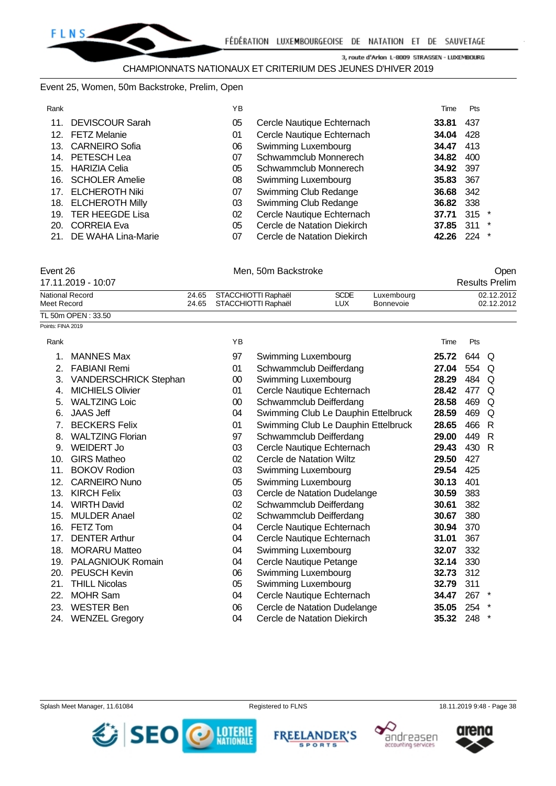#### Event 25, Women, 50m Backstroke, Prelim, Open

| Rank |                        | YB. |                             | Time  | Pts     |        |
|------|------------------------|-----|-----------------------------|-------|---------|--------|
| 11.  | <b>DEVISCOUR Sarah</b> | 05  | Cercle Nautique Echternach  | 33.81 | 437     |        |
|      | 12. FETZ Melanie       | 01  | Cercle Nautique Echternach  | 34.04 | 428     |        |
| 13.  | <b>CARNEIRO Sofia</b>  | 06  | Swimming Luxembourg         | 34.47 | 413     |        |
| 14.  | PETESCH Lea            | 07  | Schwammclub Monnerech       | 34.82 | 400     |        |
| 15.  | HARIZIA Celia          | 05  | Schwammclub Monnerech       | 34.92 | 397     |        |
|      | 16. SCHOLER Amelie     | 08  | Swimming Luxembourg         | 35.83 | 367     |        |
|      | 17. ELCHEROTH Niki     | 07  | Swimming Club Redange       | 36.68 | 342     |        |
| 18.  | <b>ELCHEROTH Milly</b> | 03  | Swimming Club Redange       | 36.82 | 338     |        |
|      | 19. TER HEEGDE Lisa    | 02  | Cercle Nautique Echternach  | 37.71 | $315$ * |        |
| 20.  | <b>CORREIA Eva</b>     | 05  | Cercle de Natation Diekirch | 37.85 | 311     | *      |
| 21.  | DE WAHA Lina-Marie     | 07  | Cercle de Natation Diekirch | 42.26 | 224     | $\ast$ |

| Event 26               | Men. 50m Backstroke       |             |            |                       |  |  |  |
|------------------------|---------------------------|-------------|------------|-----------------------|--|--|--|
| 17.11.2019 - 10:07     |                           |             |            | <b>Results Prelim</b> |  |  |  |
| <b>National Record</b> | 24.65 STACCHIOTTI Raphaël | <b>SCDE</b> | Luxembourg | 02.12.2012            |  |  |  |
| Meet Record            | 24.65 STACCHIOTTI Raphaël | LUX.        | Bonnevoie  | 02.12.2012            |  |  |  |
| TL 50m OPEN: 33.50     |                           |             |            |                       |  |  |  |

| Points: FINA 2019 |                              |        |                                     |       |       |   |
|-------------------|------------------------------|--------|-------------------------------------|-------|-------|---|
| Rank              |                              | YB     |                                     | Time  | Pts   |   |
| 1.                | <b>MANNES Max</b>            | 97     | Swimming Luxembourg                 | 25.72 | 644 Q |   |
| $2 -$             | <b>FABIANI Remi</b>          | 01     | Schwammclub Deifferdang             | 27.04 | 554   | Q |
| 3.                | <b>VANDERSCHRICK Stephan</b> | $00\,$ | Swimming Luxembourg                 | 28.29 | 484   | Q |
| 4.                | <b>MICHIELS Olivier</b>      | 01     | Cercle Nautique Echternach          | 28.42 | 477   | Q |
| 5.                | <b>WALTZING Loic</b>         | $00\,$ | Schwammclub Deifferdang             | 28.58 | 469   | Q |
| 6.                | <b>JAAS Jeff</b>             | 04     | Swimming Club Le Dauphin Ettelbruck | 28.59 | 469   | Q |
| 7 <sub>1</sub>    | <b>BECKERS Felix</b>         | 01     | Swimming Club Le Dauphin Ettelbruck | 28.65 | 466   | R |
| 8.                | <b>WALTZING Florian</b>      | 97     | Schwammclub Deifferdang             | 29.00 | 449   | R |
| 9.                | WEIDERT Jo                   | 03     | Cercle Nautique Echternach          | 29.43 | 430   | R |
| 10.               | <b>GIRS Matheo</b>           | 02     | Cercle de Natation Wiltz            | 29.50 | 427   |   |
| 11.               | <b>BOKOV Rodion</b>          | 03     | Swimming Luxembourg                 | 29.54 | 425   |   |
| 12.               | <b>CARNEIRO Nuno</b>         | 05     | Swimming Luxembourg                 | 30.13 | 401   |   |
| 13.               | <b>KIRCH Felix</b>           | 03     | Cercle de Natation Dudelange        | 30.59 | 383   |   |
| 14.               | <b>WIRTH David</b>           | 02     | Schwammclub Deifferdang             | 30.61 | 382   |   |
| 15.               | <b>MULDER Anael</b>          | 02     | Schwammclub Deifferdang             | 30.67 | 380   |   |
| 16.               | FETZ Tom                     | 04     | Cercle Nautique Echternach          | 30.94 | 370   |   |
| 17.               | <b>DENTER Arthur</b>         | 04     | Cercle Nautique Echternach          | 31.01 | 367   |   |
| 18.               | <b>MORARU Matteo</b>         | 04     | Swimming Luxembourg                 | 32.07 | 332   |   |
| 19.               | PALAGNIOUK Romain            | 04     | Cercle Nautique Petange             | 32.14 | 330   |   |
| 20.               | <b>PEUSCH Kevin</b>          | 06     | <b>Swimming Luxembourg</b>          | 32.73 | 312   |   |
| 21.               | <b>THILL Nicolas</b>         | 05     | Swimming Luxembourg                 | 32.79 | 311   |   |
| 22.               | <b>MOHR Sam</b>              | 04     | Cercle Nautique Echternach          | 34.47 | 267   |   |
| 23.               | <b>WESTER Ben</b>            | 06     | Cercle de Natation Dudelange        | 35.05 | 254   |   |
| 24.               | <b>WENZEL Gregory</b>        | 04     | Cercle de Natation Diekirch         | 35.32 | 248   |   |







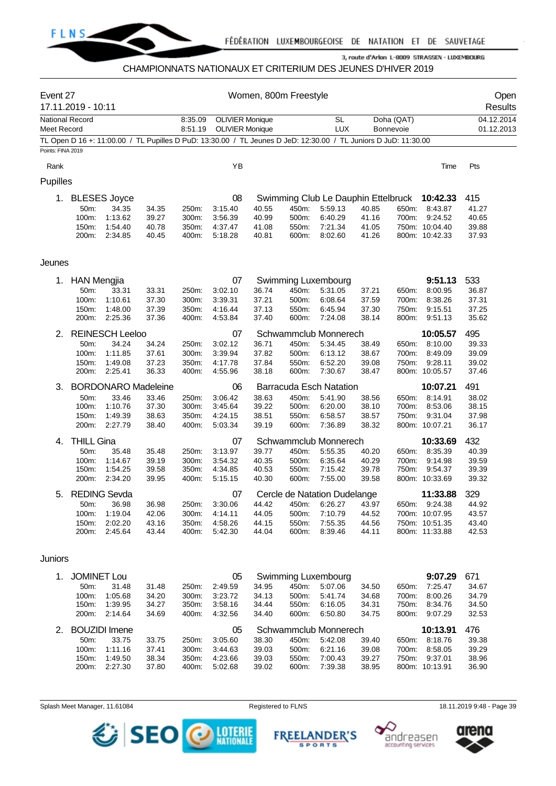

#### CHAMPIONNATS NATIONAUX ET CRITERIUM DES JEUNES D'HIVER 2019

| Event 27                              | 17.11.2019 - 10:11 |                            |                |                    |                                                  | Women, 800m Freestyle |                |                                                                                                                 |                |                                |                           | Open<br>Results          |
|---------------------------------------|--------------------|----------------------------|----------------|--------------------|--------------------------------------------------|-----------------------|----------------|-----------------------------------------------------------------------------------------------------------------|----------------|--------------------------------|---------------------------|--------------------------|
| <b>National Record</b><br>Meet Record |                    |                            |                | 8:35.09<br>8:51.19 | <b>OLIVIER Monique</b><br><b>OLIVIER Monique</b> |                       |                | <b>SL</b><br><b>LUX</b>                                                                                         |                | Doha (QAT)<br><b>Bonnevoie</b> |                           | 04.12.2014<br>01.12.2013 |
|                                       |                    |                            |                |                    |                                                  |                       |                | TL Open D 16 +: 11:00.00 / TL Pupilles D PuD: 13:30.00 / TL Jeunes D JeD: 12:30.00 / TL Juniors D JuD: 11:30.00 |                |                                |                           |                          |
| Points: FINA 2019                     |                    |                            |                |                    |                                                  |                       |                |                                                                                                                 |                |                                |                           |                          |
|                                       |                    |                            |                |                    |                                                  |                       |                |                                                                                                                 |                |                                |                           |                          |
| Rank                                  |                    |                            |                |                    | YB                                               |                       |                |                                                                                                                 |                |                                | Time                      | Pts                      |
| Pupilles                              |                    |                            |                |                    |                                                  |                       |                |                                                                                                                 |                |                                |                           |                          |
| 1.                                    |                    | <b>BLESES Joyce</b>        |                |                    | 08                                               |                       |                | Swimming Club Le Dauphin Ettelbruck                                                                             |                |                                | 10:42.33                  | 415                      |
|                                       | 50m:               | 34.35                      | 34.35          | 250m:              | 3:15.40                                          | 40.55                 | 450m:          | 5:59.13                                                                                                         | 40.85          | 650m:                          | 8:43.87                   | 41.27                    |
|                                       | 100m:              | 1:13.62                    | 39.27          | 300m:              | 3:56.39                                          | 40.99                 | 500m:          | 6:40.29                                                                                                         | 41.16          | 700m:                          | 9:24.52                   | 40.65                    |
|                                       | 150m:              | 1:54.40                    | 40.78          | 350m:              | 4:37.47                                          | 41.08                 | 550m:          | 7:21.34<br>8:02.60                                                                                              | 41.05          |                                | 750m: 10:04.40            | 39.88                    |
|                                       | 200m:              | 2:34.85                    | 40.45          | 400m:              | 5:18.28                                          | 40.81                 | 600m:          |                                                                                                                 | 41.26          |                                | 800m: 10:42.33            | 37.93                    |
| Jeunes                                |                    |                            |                |                    |                                                  |                       |                |                                                                                                                 |                |                                |                           |                          |
| 1.                                    | <b>HAN Mengjia</b> |                            |                |                    | 07                                               |                       |                | Swimming Luxembourg                                                                                             |                |                                | 9:51.13                   | 533                      |
|                                       | 50m:               | 33.31                      | 33.31          | 250m:              | 3:02.10                                          | 36.74                 | 450m:          | 5:31.05                                                                                                         | 37.21          | 650m:                          | 8:00.95                   | 36.87                    |
|                                       | 100m:              | 1:10.61                    | 37.30          | 300m:              | 3:39.31                                          | 37.21                 | 500m:          | 6:08.64                                                                                                         | 37.59          | 700m:                          | 8:38.26                   | 37.31                    |
|                                       | 150m:              | 1:48.00                    | 37.39          | 350m:              | 4:16.44                                          | 37.13                 | 550m:          | 6:45.94                                                                                                         | 37.30          | 750m:                          | 9:15.51                   | 37.25                    |
|                                       | 200m:              | 2:25.36                    | 37.36          | 400m:              | 4:53.84                                          | 37.40                 | 600m:          | 7:24.08                                                                                                         | 38.14          | 800m:                          | 9:51.13                   | 35.62                    |
| 2.                                    |                    | <b>REINESCH Leeloo</b>     |                |                    | 07                                               |                       |                | Schwammclub Monnerech                                                                                           |                |                                | 10:05.57                  | 495                      |
|                                       | 50m:               | 34.24                      | 34.24          | 250m:              | 3:02.12                                          | 36.71                 | 450m:          | 5:34.45                                                                                                         | 38.49          | 650m:                          | 8:10.00                   | 39.33                    |
|                                       | 100m:              | 1:11.85                    | 37.61          | 300m:              | 3:39.94                                          | 37.82                 | 500m:          | 6:13.12                                                                                                         | 38.67          | 700m:                          | 8:49.09                   | 39.09                    |
|                                       | 150m:<br>200m:     | 1:49.08<br>2:25.41         | 37.23<br>36.33 | 350m:<br>400m:     | 4:17.78<br>4:55.96                               | 37.84<br>38.18        | 550m:<br>600m: | 6:52.20<br>7:30.67                                                                                              | 39.08<br>38.47 | 750m:                          | 9:28.11<br>800m: 10:05.57 | 39.02<br>37.46           |
|                                       |                    |                            |                |                    |                                                  |                       |                |                                                                                                                 |                |                                |                           |                          |
| 3.                                    |                    | <b>BORDONARO Madeleine</b> |                |                    | 06                                               |                       |                | <b>Barracuda Esch Natation</b>                                                                                  |                |                                | 10:07.21                  | 491                      |
|                                       | 50m:<br>100m:      | 33.46<br>1:10.76           | 33.46<br>37.30 | 250m:<br>300m:     | 3:06.42<br>3:45.64                               | 38.63<br>39.22        | 450m:<br>500m: | 5:41.90<br>6:20.00                                                                                              | 38.56<br>38.10 | 650m:<br>700m:                 | 8:14.91<br>8:53.06        | 38.02<br>38.15           |
|                                       | 150m:              | 1:49.39                    | 38.63          | 350m:              | 4:24.15                                          | 38.51                 | 550m:          | 6:58.57                                                                                                         | 38.57          | 750m:                          | 9:31.04                   | 37.98                    |
|                                       | 200m:              | 2:27.79                    | 38.40          | 400m:              | 5:03.34                                          | 39.19                 | 600m:          | 7:36.89                                                                                                         | 38.32          |                                | 800m: 10:07.21            | 36.17                    |
| 4.                                    | <b>THILL Gina</b>  |                            |                |                    | 07                                               |                       |                | Schwammclub Monnerech                                                                                           |                |                                | 10:33.69                  | 432                      |
|                                       | 50m:               | 35.48                      | 35.48          | 250m:              | 3:13.97                                          | 39.77                 | 450m:          | 5:55.35                                                                                                         | 40.20          | 650m:                          | 8:35.39                   | 40.39                    |
|                                       | 100m:              | 1:14.67                    | 39.19          | 300m:              | 3:54.32                                          | 40.35                 | 500m:          | 6:35.64                                                                                                         | 40.29          | 700m:                          | 9:14.98                   | 39.59                    |
|                                       | 150m:              | 1:54.25                    | 39.58          | 350m:              | 4:34.85                                          | 40.53                 | 550m:          | 7:15.42                                                                                                         | 39.78          | 750m:                          | 9:54.37                   | 39.39                    |
|                                       | 200m:              | 2:34.20                    | 39.95          | 400m:              | 5:15.15                                          | 40.30                 | 600m:          | 7:55.00                                                                                                         | 39.58          |                                | 800m: 10:33.69            | 39.32                    |
| 5.                                    |                    | <b>REDING Sevda</b>        |                |                    | 07                                               |                       |                | Cercle de Natation Dudelange                                                                                    |                |                                | 11:33.88                  | 329                      |
|                                       | 50m:               | 36.98                      | 36.98          | 250m:              | 3:30.06                                          | 44.42                 | 450m:          | 6:26.27                                                                                                         | 43.97          |                                | 650m: 9:24.38             | 44.92                    |
|                                       | 100m:              | 1:19.04                    | 42.06          | 300m:              | 4:14.11                                          | 44.05                 | 500m:          | 7:10.79                                                                                                         | 44.52          |                                | 700m: 10:07.95            | 43.57                    |
|                                       | 150m:              | 2:02.20                    | 43.16          | 350m:              | 4:58.26                                          | 44.15                 | 550m:          | 7:55.35                                                                                                         | 44.56          |                                | 750m: 10:51.35            | 43.40                    |
|                                       | 200m:              | 2:45.64                    | 43.44          | 400m:              | 5:42.30                                          | 44.04                 | 600m:          | 8:39.46                                                                                                         | 44.11          |                                | 800m: 11:33.88            | 42.53                    |
| Juniors                               |                    |                            |                |                    |                                                  |                       |                |                                                                                                                 |                |                                |                           |                          |
| 1.                                    | <b>JOMINET Lou</b> |                            |                |                    | 05                                               |                       |                | Swimming Luxembourg                                                                                             |                |                                | 9:07.29                   | 671                      |
|                                       | 50m:               | 31.48                      | 31.48          | 250m:              | 2:49.59                                          | 34.95                 | 450m:          | 5:07.06                                                                                                         | 34.50          | 650m:                          | 7:25.47                   | 34.67                    |
|                                       | 100m:              | 1:05.68                    | 34.20          | 300m:              | 3:23.72                                          | 34.13                 | 500m:          | 5:41.74                                                                                                         | 34.68          | 700m:                          | 8:00.26                   | 34.79                    |
|                                       | 150m:              | 1:39.95                    | 34.27          | 350m:              | 3:58.16                                          | 34.44                 | 550m:          | 6:16.05                                                                                                         | 34.31          | 750m:                          | 8:34.76                   | 34.50                    |
|                                       | 200m:              | 2:14.64                    | 34.69          | 400m:              | 4:32.56                                          | 34.40                 | 600m:          | 6:50.80                                                                                                         | 34.75          | 800m:                          | 9:07.29                   | 32.53                    |
| 2.                                    |                    | <b>BOUZIDI</b> Imene       |                |                    | 05                                               |                       |                | Schwammclub Monnerech                                                                                           |                |                                | 10:13.91                  | 476                      |
|                                       | 50m:               | 33.75                      | 33.75          | 250m:              | 3:05.60                                          | 38.30                 | 450m:          | 5:42.08                                                                                                         | 39.40          | 650m:                          | 8:18.76                   | 39.38                    |
|                                       | 100m:              | 1:11.16                    | 37.41          | 300m:              | 3:44.63                                          | 39.03                 | 500m:          | 6:21.16                                                                                                         | 39.08          | 700m:                          | 8:58.05                   | 39.29                    |
|                                       | 150m:<br>200m:     | 1:49.50<br>2:27.30         | 38.34<br>37.80 | 350m:<br>400m:     | 4:23.66<br>5:02.68                               | 39.03<br>39.02        | 550m:<br>600m: | 7:00.43<br>7:39.38                                                                                              | 39.27<br>38.95 | 750m:                          | 9:37.01<br>800m: 10:13.91 | 38.96<br>36.90           |
|                                       |                    |                            |                |                    |                                                  |                       |                |                                                                                                                 |                |                                |                           |                          |

Splash Meet Manager, 11.61084 **Registered to FLNS** Registered to FLNS 18.11.2019 9:48 - Page 39



**FREELANDER'S** 

**SPORTS** 





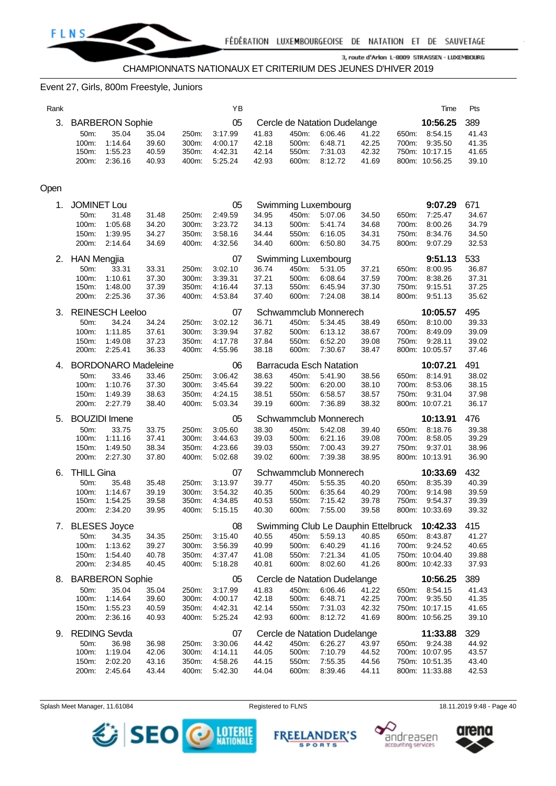

#### Event 27, Girls, 800m Freestyle, Juniors

| Rank |                    |                            |                |                | YB                 |                |                |                                              |                |       | Time                             | Pts            |
|------|--------------------|----------------------------|----------------|----------------|--------------------|----------------|----------------|----------------------------------------------|----------------|-------|----------------------------------|----------------|
| 3.   |                    | <b>BARBERON Sophie</b>     |                |                | 05                 |                |                | Cercle de Natation Dudelange                 |                |       | 10:56.25                         | 389            |
|      | 50m:               | 35.04                      | 35.04          | 250m:          | 3:17.99            | 41.83          | 450m:          | 6:06.46                                      | 41.22          | 650m: | 8:54.15                          | 41.43          |
|      | 100m:              | 1:14.64                    | 39.60          | 300m:          | 4:00.17            | 42.18          | 500m:          | 6:48.71                                      | 42.25          | 700m: | 9:35.50                          | 41.35          |
|      | 150m:              | 1:55.23                    | 40.59          | 350m:          | 4:42.31            | 42.14          | 550m:          | 7:31.03                                      | 42.32          |       | 750m: 10:17.15                   | 41.65          |
|      | 200m:              | 2:36.16                    | 40.93          | 400m:          | 5:25.24            | 42.93          | 600m:          | 8:12.72                                      | 41.69          |       | 800m: 10:56.25                   | 39.10          |
|      |                    |                            |                |                |                    |                |                |                                              |                |       |                                  |                |
| Open |                    |                            |                |                |                    |                |                |                                              |                |       |                                  |                |
| 1.   | <b>JOMINET Lou</b> |                            |                |                | 05                 |                |                |                                              |                |       | 9:07.29                          | 671            |
|      | 50m:               | 31.48                      | 31.48          | 250m:          | 2:49.59            | 34.95          | 450m:          | Swimming Luxembourg<br>5:07.06               | 34.50          | 650m: | 7:25.47                          | 34.67          |
|      | 100m:              | 1:05.68                    | 34.20          | 300m:          | 3:23.72            | 34.13          | 500m:          | 5:41.74                                      | 34.68          | 700m: | 8:00.26                          | 34.79          |
|      | 150m:              | 1:39.95                    | 34.27          | 350m:          | 3:58.16            | 34.44          | 550m:          | 6:16.05                                      | 34.31          | 750m: | 8:34.76                          | 34.50          |
|      | 200m:              | 2:14.64                    | 34.69          | 400m:          | 4:32.56            | 34.40          | 600m:          | 6:50.80                                      | 34.75          | 800m: | 9:07.29                          | 32.53          |
| 2.   | <b>HAN Mengjia</b> |                            |                |                | 07                 |                |                | Swimming Luxembourg                          |                |       | 9:51.13                          | 533            |
|      | 50m:               | 33.31                      | 33.31          | 250m:          | 3:02.10            | 36.74          | 450m:          | 5:31.05                                      | 37.21          | 650m: | 8:00.95                          | 36.87          |
|      | 100m:              | 1:10.61                    | 37.30          | 300m:          | 3:39.31            | 37.21          | 500m:          | 6:08.64                                      | 37.59          | 700m: | 8:38.26                          | 37.31          |
|      | 150m:              | 1:48.00                    | 37.39          | 350m:          | 4:16.44            | 37.13          | 550m:          | 6:45.94                                      | 37.30          | 750m: | 9:15.51                          | 37.25          |
|      | 200m:              | 2:25.36                    | 37.36          | 400m:          | 4:53.84            | 37.40          | 600m:          | 7:24.08                                      | 38.14          | 800m: | 9:51.13                          | 35.62          |
| 3.   |                    | <b>REINESCH Leeloo</b>     |                |                | 07                 |                |                | Schwammclub Monnerech                        |                |       | 10:05.57                         | 495            |
|      | 50m:               | 34.24                      | 34.24          | 250m:          | 3:02.12            | 36.71          | 450m:          | 5:34.45                                      | 38.49          | 650m: | 8:10.00                          | 39.33          |
|      | 100m:              | 1:11.85                    | 37.61          | 300m:          | 3:39.94            | 37.82          | 500m:          | 6:13.12                                      | 38.67          | 700m: | 8:49.09                          | 39.09          |
|      | 150m:              | 1:49.08                    | 37.23          | 350m:          | 4:17.78            | 37.84          | 550m:          | 6:52.20                                      | 39.08          | 750m: | 9:28.11                          | 39.02          |
|      | 200m:              | 2:25.41                    | 36.33          | 400m:          | 4:55.96            | 38.18          | 600m:          | 7:30.67                                      | 38.47          |       | 800m: 10:05.57                   | 37.46          |
| 4.   |                    | <b>BORDONARO Madeleine</b> |                |                | 06                 |                |                | <b>Barracuda Esch Natation</b>               |                |       | 10:07.21                         | 491            |
|      | 50m:               | 33.46                      | 33.46          | 250m:          | 3:06.42            | 38.63          | 450m:          | 5:41.90                                      | 38.56          | 650m: | 8:14.91                          | 38.02          |
|      | 100m:              | 1:10.76                    | 37.30          | 300m:          | 3:45.64            | 39.22          | 500m:          | 6:20.00                                      | 38.10          | 700m: | 8:53.06                          | 38.15          |
|      | 150m:              | 1:49.39                    | 38.63          | 350m:          | 4:24.15            | 38.51          | 550m:          | 6:58.57                                      | 38.57          | 750m: | 9:31.04                          | 37.98          |
|      | 200m:              | 2:27.79                    | 38.40          | 400m:          | 5:03.34            | 39.19          | 600m:          | 7:36.89                                      | 38.32          |       | 800m: 10:07.21                   | 36.17          |
| 5.   |                    | <b>BOUZIDI</b> Imene       |                |                | 05                 |                |                | Schwammclub Monnerech                        |                |       | 10:13.91                         | 476            |
|      | 50m:               | 33.75                      | 33.75          | 250m:          | 3:05.60            | 38.30          | 450m:          | 5:42.08                                      | 39.40          | 650m: | 8:18.76                          | 39.38          |
|      | 100m:              | 1:11.16                    | 37.41          | 300m:          | 3:44.63            | 39.03          | 500m:          | 6:21.16                                      | 39.08          | 700m: | 8:58.05                          | 39.29          |
|      | 150m:              | 1:49.50                    | 38.34          | 350m:          | 4:23.66            | 39.03          | 550m:          | 7:00.43                                      | 39.27          | 750m: | 9:37.01                          | 38.96          |
|      | 200m:              | 2:27.30                    | 37.80          | 400m:          | 5:02.68            | 39.02          | 600m:          | 7:39.38                                      | 38.95          |       | 800m: 10:13.91                   | 36.90          |
| 6.   | <b>THILL Gina</b>  |                            |                |                | 07                 |                |                | Schwammclub Monnerech                        |                |       | 10:33.69                         | 432            |
|      | 50m:               | 35.48                      | 35.48          | 250m:          | 3:13.97            | 39.77          | 450m:          | 5:55.35                                      | 40.20          | 650m: | 8:35.39                          | 40.39          |
|      | 100m:              | 1:14.67                    | 39.19          | 300m:          | 3:54.32            | 40.35          | 500m:          | 6:35.64                                      | 40.29          | 700m: | 9:14.98                          | 39.59          |
|      | 150m:              | 1:54.25                    | 39.58          | 350m:          | 4:34.85            | 40.53          | 550m:          | 7:15.42                                      | 39.78          | 750m: | 9:54.37                          | 39.39          |
|      | 200m:              | 2:34.20                    | 39.95          | 400m:          | 5:15.15            | 40.30          | 600m:          | 7:55.00                                      | 39.58          |       | 800m: 10:33.69                   | 39.32          |
|      |                    | 7. BLESES Joyce            |                |                | 08                 |                |                | Swimming Club Le Dauphin Ettelbruck 10:42.33 |                |       |                                  | 415            |
|      | 50m:               | 34.35                      | 34.35          | 250m:          | 3:15.40            | 40.55          | 450m:          | 5:59.13                                      | 40.85          | 650m: | 8:43.87                          | 41.27          |
|      | 100m:              | 1:13.62                    | 39.27          | 300m:          | 3:56.39            | 40.99          | 500m:          | 6:40.29                                      | 41.16          | 700m: | 9:24.52                          | 40.65          |
|      | 150m:              | 1:54.40                    | 40.78          | 350m:          | 4:37.47            | 41.08          | 550m:          | 7:21.34                                      | 41.05          |       | 750m: 10:04.40                   | 39.88          |
|      | 200m:              | 2:34.85                    | 40.45          | 400m:          | 5:18.28            | 40.81          | 600m:          | 8:02.60                                      | 41.26          |       | 800m: 10:42.33                   | 37.93          |
| 8.   |                    | <b>BARBERON Sophie</b>     |                |                | 05                 |                |                | Cercle de Natation Dudelange                 |                |       | 10:56.25                         | 389            |
|      | 50m:               | 35.04                      | 35.04          | 250m:          | 3:17.99            | 41.83          | 450m:          | 6:06.46                                      | 41.22          | 650m: | 8:54.15                          | 41.43          |
|      | 100m:              | 1:14.64                    | 39.60          | 300m:          | 4:00.17            | 42.18          | 500m:          | 6:48.71                                      | 42.25          | 700m: | 9:35.50                          | 41.35          |
|      | 150m:              | 1:55.23                    | 40.59          | 350m:          | 4:42.31            | 42.14          | 550m:          | 7:31.03                                      | 42.32          |       | 750m: 10:17.15                   | 41.65          |
|      |                    |                            | 40.93          | 400m:          | 5:25.24            | 42.93          | 600m:          | 8:12.72                                      | 41.69          |       | 800m: 10:56.25                   | 39.10          |
|      | 200m:              | 2:36.16                    |                |                |                    |                |                |                                              |                |       |                                  |                |
| 9.   |                    | <b>REDING Sevda</b>        |                |                | 07                 |                |                | Cercle de Natation Dudelange                 |                |       | 11:33.88                         | 329            |
|      | 50m:               | 36.98                      | 36.98          | 250m:          | 3:30.06            | 44.42          | 450m:          | 6:26.27                                      | 43.97          | 650m: | 9:24.38                          | 44.92          |
|      | 100m:              | 1:19.04                    | 42.06          | 300m:          | 4:14.11            | 44.05          | 500m:          | 7:10.79                                      | 44.52          |       | 700m: 10:07.95                   | 43.57          |
|      | 150m:<br>200m:     | 2:02.20<br>2:45.64         | 43.16<br>43.44 | 350m:<br>400m: | 4:58.26<br>5:42.30 | 44.15<br>44.04 | 550m:<br>600m: | 7:55.35<br>8:39.46                           | 44.56<br>44.11 |       | 750m: 10:51.35<br>800m: 11:33.88 | 43.40<br>42.53 |

Splash Meet Manager, 11.61084 Registered to FLNS 18.11.2019 9:48 - Page 40



**FREELANDER'S** 

**SPORTS** 



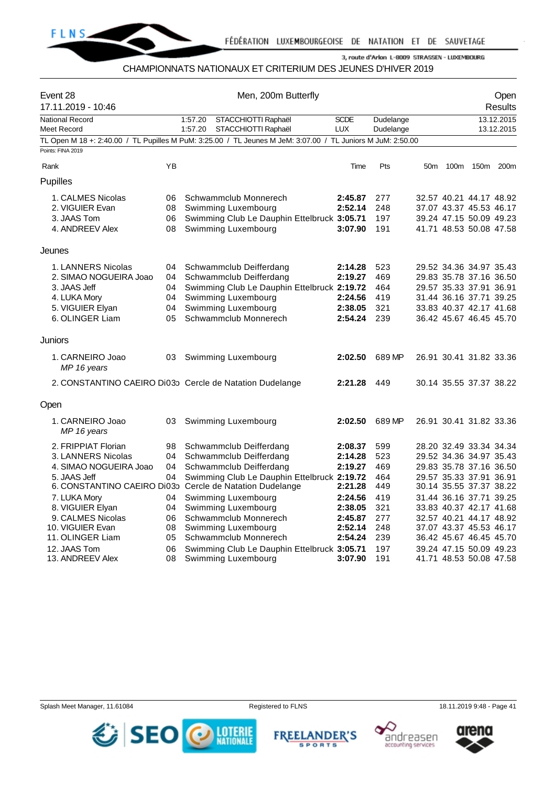

## CHAMPIONNATS NATIONAUX ET CRITERIUM DES JEUNES D'HIVER 2019

| Event 28<br>17.11.2019 - 10:46        |          | Men, 200m Butterfly                                                                                         |                    | Open<br>Results |                 |                                                    |           |            |
|---------------------------------------|----------|-------------------------------------------------------------------------------------------------------------|--------------------|-----------------|-----------------|----------------------------------------------------|-----------|------------|
| <b>National Record</b>                |          | 1:57.20<br>STACCHIOTTI Raphaël                                                                              | <b>SCDE</b>        | Dudelange       |                 |                                                    |           | 13.12.2015 |
| Meet Record                           |          | 1:57.20<br>STACCHIOTTI Raphaël                                                                              | <b>LUX</b>         | Dudelange       |                 |                                                    |           | 13.12.2015 |
| Points: FINA 2019                     |          | TL Open M 18 +: 2:40.00 / TL Pupilles M PuM: 3:25.00 / TL Jeunes M JeM: 3:07.00 / TL Juniors M JuM: 2:50.00 |                    |                 |                 |                                                    |           |            |
|                                       |          |                                                                                                             |                    |                 |                 |                                                    |           |            |
| Rank                                  | YB       |                                                                                                             | Time               | Pts             | 50 <sub>m</sub> | 100m                                               | 150m 200m |            |
| Pupilles                              |          |                                                                                                             |                    |                 |                 |                                                    |           |            |
| 1. CALMES Nicolas                     | 06       | Schwammclub Monnerech                                                                                       | 2:45.87            | 277             |                 | 32.57 40.21 44.17 48.92                            |           |            |
| 2. VIGUIER Evan                       | 08       | Swimming Luxembourg                                                                                         | 2:52.14            | 248             |                 | 37.07 43.37 45.53 46.17                            |           |            |
| 3. JAAS Tom                           | 06       | Swimming Club Le Dauphin Ettelbruck 3:05.71                                                                 |                    | 197             |                 | 39.24 47.15 50.09 49.23                            |           |            |
| 4. ANDREEV Alex                       | 08       | Swimming Luxembourg                                                                                         | 3:07.90            | 191             |                 | 41.71 48.53 50.08 47.58                            |           |            |
| Jeunes                                |          |                                                                                                             |                    |                 |                 |                                                    |           |            |
| 1. LANNERS Nicolas                    | 04       | Schwammclub Deifferdang                                                                                     | 2:14.28            | 523             |                 | 29.52 34.36 34.97 35.43                            |           |            |
| 2. SIMAO NOGUEIRA Joao                | 04       | Schwammclub Deifferdang                                                                                     | 2:19.27            | 469             |                 | 29.83 35.78 37.16 36.50                            |           |            |
| 3. JAAS Jeff                          | 04       | Swimming Club Le Dauphin Ettelbruck 2:19.72                                                                 |                    | 464             |                 | 29.57 35.33 37.91 36.91                            |           |            |
| 4. LUKA Mory                          | 04       | Swimming Luxembourg                                                                                         | 2:24.56            | 419             |                 | 31.44 36.16 37.71 39.25                            |           |            |
| 5. VIGUIER Elyan                      | 04       | Swimming Luxembourg                                                                                         | 2:38.05            | 321             |                 | 33.83 40.37 42.17 41.68                            |           |            |
| 6. OLINGER Liam                       | 05       | Schwammclub Monnerech                                                                                       | 2:54.24            | 239             |                 | 36.42 45.67 46.45 45.70                            |           |            |
| Juniors                               |          |                                                                                                             |                    |                 |                 |                                                    |           |            |
| 1. CARNEIRO Joao<br>MP 16 years       | 03       | Swimming Luxembourg                                                                                         | 2:02.50            | 689 MP          |                 | 26.91 30.41 31.82 33.36                            |           |            |
|                                       |          | 2. CONSTANTINO CAEIRO Di03p Cercle de Natation Dudelange                                                    | 2:21.28            | 449             |                 | 30.14 35.55 37.37 38.22                            |           |            |
| Open                                  |          |                                                                                                             |                    |                 |                 |                                                    |           |            |
| 1. CARNEIRO Joao<br>MP 16 years       | 03       | Swimming Luxembourg                                                                                         | 2:02.50            | 689 MP          |                 | 26.91 30.41 31.82 33.36                            |           |            |
| 2. FRIPPIAT Florian                   | 98       | Schwammclub Deifferdang                                                                                     | 2:08.37            | 599             |                 | 28.20 32.49 33.34 34.34                            |           |            |
| 3. LANNERS Nicolas                    | 04       | Schwammclub Deifferdang                                                                                     | 2:14.28            | 523             |                 | 29.52 34.36 34.97 35.43                            |           |            |
| 4. SIMAO NOGUEIRA Joao                | 04       | Schwammclub Deifferdang                                                                                     | 2:19.27            | 469             |                 | 29.83 35.78 37.16 36.50                            |           |            |
| 5. JAAS Jeff                          | 04       | Swimming Club Le Dauphin Ettelbruck 2:19.72                                                                 |                    | 464             |                 | 29.57 35.33 37.91 36.91                            |           |            |
|                                       |          | 6. CONSTANTINO CAEIRO Di03p Cercle de Natation Dudelange                                                    | 2:21.28            | 449             |                 | 30.14 35.55 37.37 38.22                            |           |            |
| 7. LUKA Mory                          | 04       | Swimming Luxembourg                                                                                         | 2:24.56            | 419             |                 | 31.44 36.16 37.71 39.25                            |           |            |
| 8. VIGUIER Elyan                      | 04       | Swimming Luxembourg                                                                                         | 2:38.05            | 321             |                 | 33.83 40.37 42.17 41.68                            |           |            |
| 9. CALMES Nicolas<br>10. VIGUIER Evan | 06<br>08 | Schwammclub Monnerech<br>Swimming Luxembourg                                                                | 2:45.87<br>2:52.14 | 277<br>248      |                 | 32.57 40.21 44.17 48.92<br>37.07 43.37 45.53 46.17 |           |            |
| 11. OLINGER Liam                      | 05       | Schwammclub Monnerech                                                                                       | 2:54.24            | 239             |                 | 36.42 45.67 46.45 45.70                            |           |            |
| 12. JAAS Tom                          | 06       | Swimming Club Le Dauphin Ettelbruck 3:05.71                                                                 |                    | 197             |                 | 39.24 47.15 50.09 49.23                            |           |            |
| 13. ANDREEV Alex                      | 08       | Swimming Luxembourg                                                                                         | 3:07.90            | 191             |                 | 41.71 48.53 50.08 47.58                            |           |            |







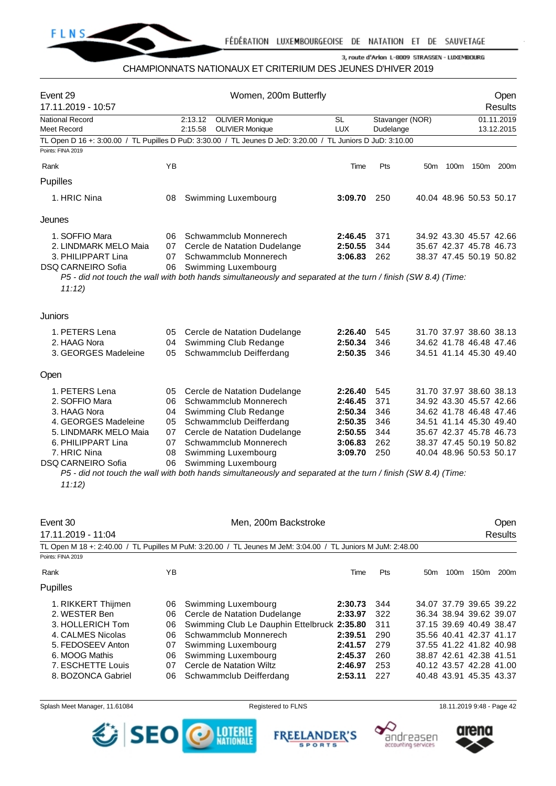

# CHAMPIONNATS NATIONAUX ET CRITERIUM DES JEUNES D'HIVER 2019

| Event 29<br>17.11.2019 - 10:57        |    | Women, 200m Butterfly                                                                                                                |           | Open<br><b>Results</b> |                         |  |           |                          |
|---------------------------------------|----|--------------------------------------------------------------------------------------------------------------------------------------|-----------|------------------------|-------------------------|--|-----------|--------------------------|
| <b>National Record</b><br>Meet Record |    | 2:13.12<br><b>OLIVIER Monique</b><br><b>OLIVIER Monique</b><br>2:15.58                                                               | SL<br>LUX | Dudelange              | Stavanger (NOR)         |  |           | 01.11.2019<br>13.12.2015 |
|                                       |    | TL Open D 16 +: 3:00.00 / TL Pupilles D PuD: 3:30.00 / TL Jeunes D JeD: 3:20.00 / TL Juniors D JuD: 3:10.00                          |           |                        |                         |  |           |                          |
| Points: FINA 2019                     |    |                                                                                                                                      |           |                        |                         |  |           |                          |
| Rank                                  | YB |                                                                                                                                      | Time      | Pts                    | 50 <sub>m</sub>         |  | 100m 150m | 200m                     |
| Pupilles                              |    |                                                                                                                                      |           |                        |                         |  |           |                          |
| 1. HRIC Nina                          | 08 | Swimming Luxembourg                                                                                                                  | 3:09.70   | 250                    | 40.04 48.96 50.53 50.17 |  |           |                          |
| Jeunes                                |    |                                                                                                                                      |           |                        |                         |  |           |                          |
| 1. SOFFIO Mara                        | 06 | Schwammclub Monnerech                                                                                                                | 2:46.45   | 371                    | 34.92 43.30 45.57 42.66 |  |           |                          |
| 2. LINDMARK MELO Maia                 | 07 | Cercle de Natation Dudelange                                                                                                         | 2:50.55   | 344                    | 35.67 42.37 45.78 46.73 |  |           |                          |
| 3. PHILIPPART Lina                    | 07 | Schwammclub Monnerech                                                                                                                | 3:06.83   | 262                    | 38.37 47.45 50.19 50.82 |  |           |                          |
| <b>DSQ CARNEIRO Sofia</b>             | 06 | Swimming Luxembourg                                                                                                                  |           |                        |                         |  |           |                          |
| 11:12)                                |    | P5 - did not touch the wall with both hands simultaneously and separated at the turn / finish (SW 8.4) (Time:                        |           |                        |                         |  |           |                          |
| Juniors                               |    |                                                                                                                                      |           |                        |                         |  |           |                          |
| 1. PETERS Lena                        | 05 | Cercle de Natation Dudelange                                                                                                         | 2:26.40   | 545                    | 31.70 37.97 38.60 38.13 |  |           |                          |
| 2. HAAG Nora                          | 04 | Swimming Club Redange                                                                                                                | 2:50.34   | 346                    | 34.62 41.78 46.48 47.46 |  |           |                          |
| 3. GEORGES Madeleine                  | 05 | Schwammclub Deifferdang                                                                                                              | 2:50.35   | 346                    | 34.51 41.14 45.30 49.40 |  |           |                          |
| Open                                  |    |                                                                                                                                      |           |                        |                         |  |           |                          |
| 1. PETERS Lena                        | 05 | Cercle de Natation Dudelange                                                                                                         | 2:26.40   | 545                    | 31.70 37.97 38.60 38.13 |  |           |                          |
| 2. SOFFIO Mara                        | 06 | Schwammclub Monnerech                                                                                                                | 2:46.45   | 371                    | 34.92 43.30 45.57 42.66 |  |           |                          |
| 3. HAAG Nora                          | 04 | Swimming Club Redange                                                                                                                | 2:50.34   | 346                    | 34.62 41.78 46.48 47.46 |  |           |                          |
| 4. GEORGES Madeleine                  | 05 | Schwammclub Deifferdang                                                                                                              | 2:50.35   | 346                    | 34.51 41.14 45.30 49.40 |  |           |                          |
| 5. LINDMARK MELO Maia                 | 07 | Cercle de Natation Dudelange                                                                                                         | 2:50.55   | 344                    | 35.67 42.37 45.78 46.73 |  |           |                          |
| 6. PHILIPPART Lina                    | 07 | Schwammclub Monnerech                                                                                                                | 3:06.83   | 262                    | 38.37 47.45 50.19 50.82 |  |           |                          |
| 7. HRIC Nina                          | 08 | Swimming Luxembourg                                                                                                                  | 3:09.70   | 250                    | 40.04 48.96 50.53 50.17 |  |           |                          |
| <b>DSQ CARNEIRO Sofia</b>             | 06 | Swimming Luxembourg<br>P5 - did not touch the wall with both hands simultaneously and separated at the turn / finish (SW 8.4) (Time: |           |                        |                         |  |           |                          |
| 11:12)                                |    |                                                                                                                                      |           |                        |                         |  |           |                          |
| Event 30                              |    | Men, 200m Backstroke                                                                                                                 |           |                        |                         |  |           | Open                     |
| 17.11.2019 - 11:04                    |    |                                                                                                                                      |           |                        |                         |  |           | <b>Results</b>           |
| Points: FINA 2019                     |    | TL Open M 18 +: 2:40.00 / TL Pupilles M PuM: 3:20.00 / TL Jeunes M JeM: 3:04.00 / TL Juniors M JuM: 2:48.00                          |           |                        |                         |  |           |                          |
| Rank                                  | YB |                                                                                                                                      | Time      | Pts                    | 50 <sub>m</sub>         |  | 100m 150m | 200m                     |
| Pupilles                              |    |                                                                                                                                      |           |                        |                         |  |           |                          |
| 1. RIKKERT Thijmen                    | 06 | Swimming Luxembourg                                                                                                                  | 2:30.73   | 344                    | 34.07 37.79 39.65 39.22 |  |           |                          |
| 2. WESTER Ben                         | 06 | Cercle de Natation Dudelange                                                                                                         | 2:33.97   | 322                    | 36.34 38.94 39.62 39.07 |  |           |                          |
| 3. HOLLERICH Tom                      | 06 | Swimming Club Le Dauphin Ettelbruck 2:35.80                                                                                          |           | 311                    | 37.15 39.69 40.49 38.47 |  |           |                          |
| 4. CALMES Nicolas                     | 06 | Schwammclub Monnerech                                                                                                                | 2:39.51   | 290                    | 35.56 40.41 42.37 41.17 |  |           |                          |
| 5. FEDOSEEV Anton                     | 07 | Swimming Luxembourg                                                                                                                  | 2:41.57   | 279                    | 37.55 41.22 41.82 40.98 |  |           |                          |
| 6. MOOG Mathis                        | 06 | Swimming Luxembourg                                                                                                                  | 2:45.37   | 260                    | 38.87 42.61 42.38 41.51 |  |           |                          |
| 7. ESCHETTE Louis                     | 07 | Cercle de Natation Wiltz                                                                                                             | 2:46.97   | 253                    | 40.12 43.57 42.28 41.00 |  |           |                          |
| 8. BOZONCA Gabriel<br>06              |    | Schwammclub Deifferdang                                                                                                              | 2:53.11   | 227                    | 40.48 43.91 45.35 43.37 |  |           |                          |







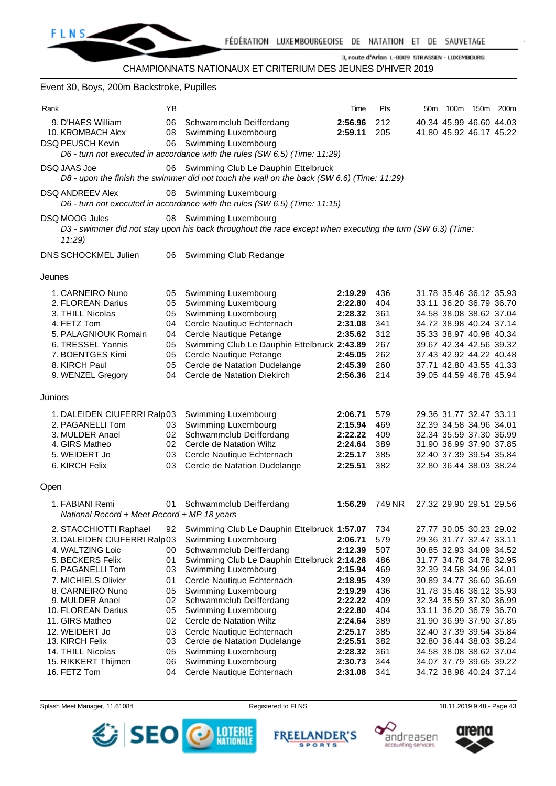| Event 30, Boys, 200m Backstroke, Pupilles                                                                                                                                                              |                                                    |                                                                                                                                                                                                                                                                            |                                                                                      |                                                             |                                                                                                                                                                                                                                                 |  |
|--------------------------------------------------------------------------------------------------------------------------------------------------------------------------------------------------------|----------------------------------------------------|----------------------------------------------------------------------------------------------------------------------------------------------------------------------------------------------------------------------------------------------------------------------------|--------------------------------------------------------------------------------------|-------------------------------------------------------------|-------------------------------------------------------------------------------------------------------------------------------------------------------------------------------------------------------------------------------------------------|--|
| Rank<br>9. D'HAES William<br>10. KROMBACH Alex<br><b>DSQ PEUSCH Kevin</b>                                                                                                                              | YB<br>06<br>08<br>06                               | Schwammclub Deifferdang<br>Swimming Luxembourg<br>Swimming Luxembourg                                                                                                                                                                                                      | Time<br>2:56.96<br>2:59.11                                                           | Pts<br>212<br>205                                           | 50m 100m 150m 200m<br>40.34 45.99 46.60 44.03<br>41.80 45.92 46.17 45.22                                                                                                                                                                        |  |
| DSQ JAAS Joe                                                                                                                                                                                           |                                                    | D6 - turn not executed in accordance with the rules (SW 6.5) (Time: 11:29)<br>06 Swimming Club Le Dauphin Ettelbruck<br>D8 - upon the finish the swimmer did not touch the wall on the back (SW 6.6) (Time: 11:29)                                                         |                                                                                      |                                                             |                                                                                                                                                                                                                                                 |  |
| <b>DSQ ANDREEV Alex</b>                                                                                                                                                                                |                                                    | 08 Swimming Luxembourg<br>D6 - turn not executed in accordance with the rules (SW 6.5) (Time: 11:15)                                                                                                                                                                       |                                                                                      |                                                             |                                                                                                                                                                                                                                                 |  |
| <b>DSQ MOOG Jules</b><br>11:29                                                                                                                                                                         |                                                    | 08 Swimming Luxembourg<br>D3 - swimmer did not stay upon his back throughout the race except when executing the turn (SW 6.3) (Time:                                                                                                                                       |                                                                                      |                                                             |                                                                                                                                                                                                                                                 |  |
| DNS SCHOCKMEL Julien                                                                                                                                                                                   | 06                                                 | Swimming Club Redange                                                                                                                                                                                                                                                      |                                                                                      |                                                             |                                                                                                                                                                                                                                                 |  |
| Jeunes                                                                                                                                                                                                 |                                                    |                                                                                                                                                                                                                                                                            |                                                                                      |                                                             |                                                                                                                                                                                                                                                 |  |
| 1. CARNEIRO Nuno<br>2. FLOREAN Darius<br>3. THILL Nicolas<br>4. FETZ Tom<br>5. PALAGNIOUK Romain<br>6. TRESSEL Yannis<br>7. BOENTGES Kimi<br>8. KIRCH Paul<br>9. WENZEL Gregory                        | 05<br>05<br>05<br>04<br>04<br>05<br>05<br>05<br>04 | Swimming Luxembourg<br>Swimming Luxembourg<br>Swimming Luxembourg<br>Cercle Nautique Echternach<br>Cercle Nautique Petange<br>Swimming Club Le Dauphin Ettelbruck 2:43.89<br>Cercle Nautique Petange<br>Cercle de Natation Dudelange<br>Cercle de Natation Diekirch        | 2:19.29<br>2:22.80<br>2:28.32<br>2:31.08<br>2:35.62<br>2:45.05<br>2:45.39<br>2:56.36 | 436<br>404<br>361<br>341<br>312<br>267<br>262<br>260<br>214 | 31.78 35.46 36.12 35.93<br>33.11 36.20 36.79 36.70<br>34.58 38.08 38.62 37.04<br>34.72 38.98 40.24 37.14<br>35.33 38.97 40.98 40.34<br>39.67 42.34 42.56 39.32<br>37.43 42.92 44.22 40.48<br>37.71 42.80 43.55 41.33<br>39.05 44.59 46.78 45.94 |  |
| Juniors                                                                                                                                                                                                |                                                    |                                                                                                                                                                                                                                                                            |                                                                                      |                                                             |                                                                                                                                                                                                                                                 |  |
| 1. DALEIDEN CIUFERRI Ralpl03<br>2. PAGANELLI Tom<br>3. MULDER Anael<br>4. GIRS Matheo<br>5. WEIDERT Jo<br>6. KIRCH Felix                                                                               | 03<br>02<br>03<br>03                               | Swimming Luxembourg<br>Swimming Luxembourg<br>Schwammclub Deifferdang<br>02 Cercle de Natation Wiltz<br>Cercle Nautique Echternach<br>Cercle de Natation Dudelange                                                                                                         | 2:06.71<br>2:15.94<br>2:22.22<br>2:24.64<br>2:25.17<br>2:25.51                       | 579<br>469<br>409<br>389<br>385<br>382                      | 29.36 31.77 32.47 33.11<br>32.39 34.58 34.96 34.01<br>32.34 35.59 37.30 36.99<br>31.90 36.99 37.90 37.85<br>32.40 37.39 39.54 35.84<br>32.80 36.44 38.03 38.24                                                                                  |  |
| Open                                                                                                                                                                                                   |                                                    |                                                                                                                                                                                                                                                                            |                                                                                      |                                                             |                                                                                                                                                                                                                                                 |  |
| 1. FABIANI Remi<br>National Record + Meet Record + MP 18 years                                                                                                                                         | 01                                                 | Schwammclub Deifferdang                                                                                                                                                                                                                                                    | 1:56.29                                                                              | 749 NR                                                      | 27.32 29.90 29.51 29.56                                                                                                                                                                                                                         |  |
| 2. STACCHIOTTI Raphael<br>3. DALEIDEN CIUFERRI Ralpl03<br>4. WALTZING Loic<br>5. BECKERS Felix<br>6. PAGANELLI Tom<br>7. MICHIELS Olivier<br>8. CARNEIRO Nuno<br>9. MULDER Anael<br>10. FLOREAN Darius | 92<br>00<br>01<br>03<br>01<br>05<br>02<br>05       | Swimming Club Le Dauphin Ettelbruck 1:57.07<br>Swimming Luxembourg<br>Schwammclub Deifferdang<br>Swimming Club Le Dauphin Ettelbruck 2:14.28<br>Swimming Luxembourg<br>Cercle Nautique Echternach<br>Swimming Luxembourg<br>Schwammclub Deifferdang<br>Swimming Luxembourg | 2:06.71<br>2:12.39<br>2:15.94<br>2:18.95<br>2:19.29<br>2:22.22<br>2:22.80            | 734<br>579<br>507<br>486<br>469<br>439<br>436<br>409<br>404 | 27.77 30.05 30.23 29.02<br>29.36 31.77 32.47 33.11<br>30.85 32.93 34.09 34.52<br>31.77 34.78 34.78 32.95<br>32.39 34.58 34.96 34.01<br>30.89 34.77 36.60 36.69<br>31.78 35.46 36.12 35.93<br>32.34 35.59 37.30 36.99<br>33.11 36.20 36.79 36.70 |  |
| 11. GIRS Matheo<br>12. WEIDERT Jo<br>13. KIRCH Felix<br>14. THILL Nicolas<br>15. RIKKERT Thijmen<br>16. FETZ Tom                                                                                       | 02<br>03<br>03<br>05<br>06<br>04                   | Cercle de Natation Wiltz<br>Cercle Nautique Echternach<br>Cercle de Natation Dudelange<br>Swimming Luxembourg<br>Swimming Luxembourg<br>Cercle Nautique Echternach                                                                                                         | 2:24.64<br>2:25.17<br>2:25.51<br>2:28.32<br>2:30.73<br>2:31.08                       | 389<br>385<br>382<br>361<br>344<br>341                      | 31.90 36.99 37.90 37.85<br>32.40 37.39 39.54 35.84<br>32.80 36.44 38.03 38.24<br>34.58 38.08 38.62 37.04<br>34.07 37.79 39.65 39.22<br>34.72 38.98 40.24 37.14                                                                                  |  |

Splash Meet Manager, 11.61084 **Registered to FLNS** Registered to FLNS 18.11.2019 9:48 - Page 43



**FREELANDER'S SPORTS** 



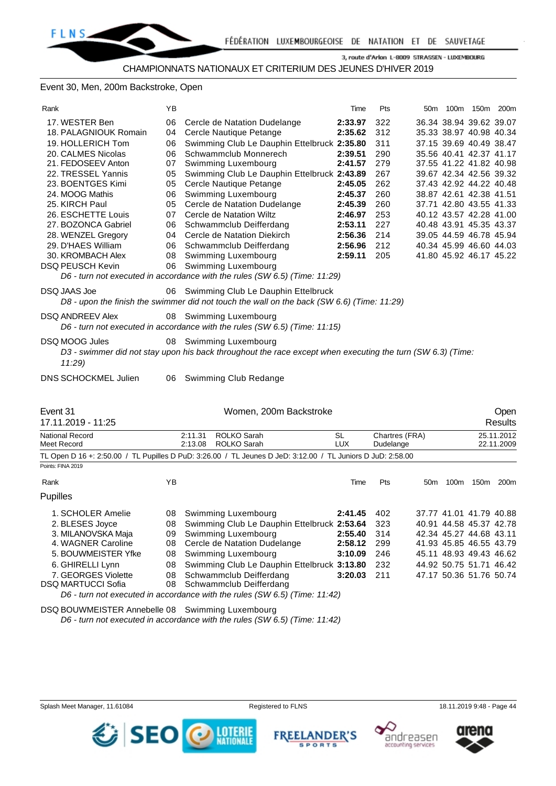#### Event 30, Men, 200m Backstroke, Open

| Rank                                  | ΥB  |                                                                                                                                   | Time                    | Pts                         | 50m             |      | 100m 150m 200m          |                          |
|---------------------------------------|-----|-----------------------------------------------------------------------------------------------------------------------------------|-------------------------|-----------------------------|-----------------|------|-------------------------|--------------------------|
| 17. WESTER Ben                        | 06  | Cercle de Natation Dudelange                                                                                                      | 2:33.97                 | 322                         |                 |      | 36.34 38.94 39.62 39.07 |                          |
| 18. PALAGNIOUK Romain                 | 04  | Cercle Nautique Petange                                                                                                           | 2:35.62                 | 312                         |                 |      | 35.33 38.97 40.98 40.34 |                          |
| 19. HOLLERICH Tom                     | 06  | Swimming Club Le Dauphin Ettelbruck 2:35.80                                                                                       |                         | 311                         |                 |      | 37.15 39.69 40.49 38.47 |                          |
| 20. CALMES Nicolas                    | 06  | Schwammclub Monnerech                                                                                                             | 2:39.51                 | 290                         |                 |      | 35.56 40.41 42.37 41.17 |                          |
| 21. FEDOSEEV Anton                    | 07  | Swimming Luxembourg                                                                                                               | 2:41.57                 | 279                         |                 |      | 37.55 41.22 41.82 40.98 |                          |
| 22. TRESSEL Yannis                    | 05  | Swimming Club Le Dauphin Ettelbruck 2:43.89                                                                                       |                         | 267                         |                 |      | 39.67 42.34 42.56 39.32 |                          |
| 23. BOENTGES Kimi                     | 05  | Cercle Nautique Petange                                                                                                           | 2:45.05                 | 262                         |                 |      | 37.43 42.92 44.22 40.48 |                          |
| 24. MOOG Mathis                       | 06  | Swimming Luxembourg                                                                                                               | 2:45.37                 | 260                         |                 |      | 38.87 42.61 42.38 41.51 |                          |
| 25. KIRCH Paul                        | 05  | Cercle de Natation Dudelange                                                                                                      | 2:45.39                 | 260                         |                 |      | 37.71 42.80 43.55 41.33 |                          |
| 26. ESCHETTE Louis                    | 07  | Cercle de Natation Wiltz                                                                                                          | 2:46.97                 | 253                         |                 |      | 40.12 43.57 42.28 41.00 |                          |
| 27. BOZONCA Gabriel                   | 06  | Schwammclub Deifferdang                                                                                                           | 2:53.11                 | 227                         |                 |      | 40.48 43.91 45.35 43.37 |                          |
| 28. WENZEL Gregory                    | 04  | Cercle de Natation Diekirch                                                                                                       | 2:56.36                 | 214                         |                 |      | 39.05 44.59 46.78 45.94 |                          |
| 29. D'HAES William                    | 06  | Schwammclub Deifferdang                                                                                                           | 2:56.96                 | 212                         |                 |      | 40.34 45.99 46.60 44.03 |                          |
| 30. KROMBACH Alex                     | 08  | Swimming Luxembourg                                                                                                               | 2:59.11                 | 205                         |                 |      | 41.80 45.92 46.17 45.22 |                          |
| <b>DSQ PEUSCH Kevin</b>               | 06  | Swimming Luxembourg                                                                                                               |                         |                             |                 |      |                         |                          |
|                                       |     | D6 - turn not executed in accordance with the rules (SW 6.5) (Time: 11:29)                                                        |                         |                             |                 |      |                         |                          |
| <b>DSQ JAAS Joe</b>                   | 06. | Swimming Club Le Dauphin Ettelbruck<br>D8 - upon the finish the swimmer did not touch the wall on the back (SW 6.6) (Time: 11:29) |                         |                             |                 |      |                         |                          |
| <b>DSQ ANDREEV Alex</b>               | 08. | Swimming Luxembourg<br>D6 - turn not executed in accordance with the rules (SW 6.5) (Time: 11:15)                                 |                         |                             |                 |      |                         |                          |
| DSQ MOOG Jules                        | 08  | Swimming Luxembourg                                                                                                               |                         |                             |                 |      |                         |                          |
| 11:29                                 |     | D3 - swimmer did not stay upon his back throughout the race except when executing the turn (SW 6.3) (Time:                        |                         |                             |                 |      |                         |                          |
|                                       |     |                                                                                                                                   |                         |                             |                 |      |                         |                          |
| <b>DNS SCHOCKMEL Julien</b>           | 06  | Swimming Club Redange                                                                                                             |                         |                             |                 |      |                         |                          |
|                                       |     |                                                                                                                                   |                         |                             |                 |      |                         |                          |
| Event 31                              |     | Women, 200m Backstroke                                                                                                            |                         |                             |                 |      |                         | Open                     |
| 17.11.2019 - 11:25                    |     |                                                                                                                                   |                         |                             |                 |      |                         | <b>Results</b>           |
| National Record<br><b>Meet Record</b> |     | <b>ROLKO Sarah</b><br>2:11.31<br>2:13.08<br><b>ROLKO Sarah</b>                                                                    | <b>SL</b><br><b>LUX</b> | Chartres (FRA)<br>Dudelange |                 |      |                         | 25.11.2012<br>22.11.2009 |
| Points: FINA 2019                     |     | TL Open D 16 +: 2:50.00 / TL Pupilles D PuD: 3:26.00 / TL Jeunes D JeD: 3:12.00 / TL Juniors D JuD: 2:58.00                       |                         |                             |                 |      |                         |                          |
| Rank                                  | ΥB  |                                                                                                                                   | Time                    | Pts                         | 50 <sub>m</sub> | 100m | 150m                    | 200 <sub>m</sub>         |
| <b>Dunilloc</b>                       |     |                                                                                                                                   |                         |                             |                 |      |                         |                          |

Pupilles

| 1. SCHOLER Amelie                                                          |  | 08 Swimming Luxembourg                             | 2:41.45 402   |      |  |  | 37.77 41.01 41.79 40.88 |  |  |  |
|----------------------------------------------------------------------------|--|----------------------------------------------------|---------------|------|--|--|-------------------------|--|--|--|
| 2. BLESES Joyce                                                            |  | 08 Swimming Club Le Dauphin Ettelbruck 2:53.64 323 |               |      |  |  | 40.91 44.58 45.37 42.78 |  |  |  |
| 3. MILANOVSKA Maja                                                         |  | 09 Swimming Luxembourg                             | 2:55.40 314   |      |  |  | 42.34 45.27 44.68 43.11 |  |  |  |
| 4. WAGNER Caroline                                                         |  | 08 Cercle de Natation Dudelange                    | 2:58.12 299   |      |  |  | 41.93 45.85 46.55 43.79 |  |  |  |
| 5. BOUWMEISTER Yfke                                                        |  | 08 Swimming Luxembourg                             | 3:10.09       | -246 |  |  | 45.11 48.93 49.43 46.62 |  |  |  |
| 6. GHIRELLI Lynn                                                           |  | 08 Swimming Club Le Dauphin Ettelbruck 3:13.80 232 |               |      |  |  | 44.92 50.75 51.71 46.42 |  |  |  |
| 7. GEORGES Violette                                                        |  | 08 Schwammclub Deifferdang                         | $3:20.03$ 211 |      |  |  | 47.17 50.36 51.76 50.74 |  |  |  |
| DSQ MARTUCCI Sofia                                                         |  | 08 Schwammclub Deifferdang                         |               |      |  |  |                         |  |  |  |
| D6 - turn not executed in accordance with the rules (SW 6.5) (Time: 11:42) |  |                                                    |               |      |  |  |                         |  |  |  |
|                                                                            |  |                                                    |               |      |  |  |                         |  |  |  |

DSQ BOUWMEISTER Annebelle 08 Swimming Luxembourg

**SEO** 

*D6 - turn not executed in accordance with the rules (SW 6.5) (Time: 11:42)*

**DESCRIPTIONALE** 

**FREEL** 

ANDER'S

**SPORTS** 



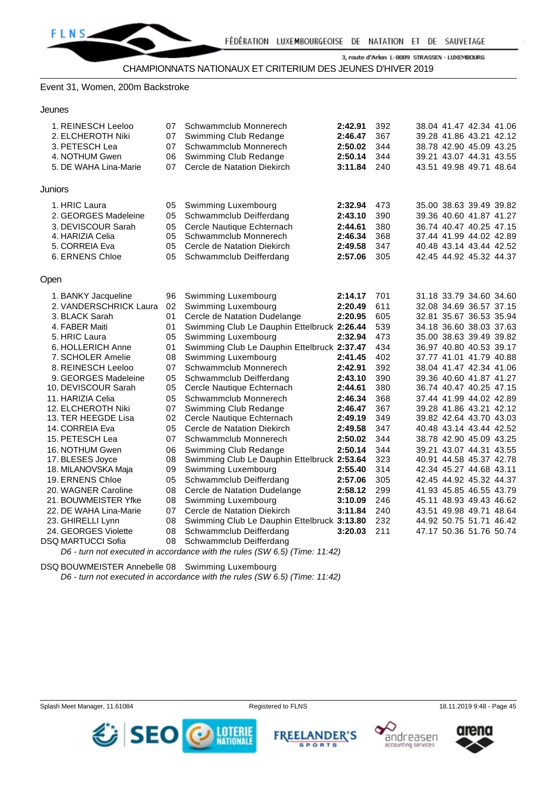#### Event 31, Women, 200m Backstroke

#### Jeunes

| 1. REINESCH Leeloo<br>2. ELCHEROTH Niki<br>3. PETESCH Lea<br>4. NOTHUM Gwen<br>5. DE WAHA Lina-Marie                                                                                                                                                                                                                                                                                                                                                                                 | 07<br>07<br>07<br>06<br>07                                                                                                       | Schwammclub Monnerech<br>Swimming Club Redange<br>Schwammclub Monnerech<br>Swimming Club Redange<br>Cercle de Natation Diekirch                                                                                                                                                                                                                                                                                                                                                                                                                                                                                                                                  | 2:42.91<br>2:46.47<br>2:50.02<br>2:50.14<br>3:11.84                                                                                                                                                           | 392<br>367<br>344<br>344<br>240                                                                                                                        |  | 38.04 41.47 42.34 41.06<br>39.28 41.86 43.21 42.12<br>38.78 42.90 45.09 43.25<br>39.21 43.07 44.31 43.55<br>43.51 49.98 49.71 48.64                                                                                                                                                                                                                                                                                                                                                                                                                                                                            |  |
|--------------------------------------------------------------------------------------------------------------------------------------------------------------------------------------------------------------------------------------------------------------------------------------------------------------------------------------------------------------------------------------------------------------------------------------------------------------------------------------|----------------------------------------------------------------------------------------------------------------------------------|------------------------------------------------------------------------------------------------------------------------------------------------------------------------------------------------------------------------------------------------------------------------------------------------------------------------------------------------------------------------------------------------------------------------------------------------------------------------------------------------------------------------------------------------------------------------------------------------------------------------------------------------------------------|---------------------------------------------------------------------------------------------------------------------------------------------------------------------------------------------------------------|--------------------------------------------------------------------------------------------------------------------------------------------------------|--|----------------------------------------------------------------------------------------------------------------------------------------------------------------------------------------------------------------------------------------------------------------------------------------------------------------------------------------------------------------------------------------------------------------------------------------------------------------------------------------------------------------------------------------------------------------------------------------------------------------|--|
| Juniors                                                                                                                                                                                                                                                                                                                                                                                                                                                                              |                                                                                                                                  |                                                                                                                                                                                                                                                                                                                                                                                                                                                                                                                                                                                                                                                                  |                                                                                                                                                                                                               |                                                                                                                                                        |  |                                                                                                                                                                                                                                                                                                                                                                                                                                                                                                                                                                                                                |  |
| 1. HRIC Laura<br>2. GEORGES Madeleine<br>3. DEVISCOUR Sarah<br>4. HARIZIA Celia<br>5. CORREIA Eva<br>6. ERNENS Chloe                                                                                                                                                                                                                                                                                                                                                                 | 05<br>05<br>05<br>05<br>05<br>05                                                                                                 | Swimming Luxembourg<br>Schwammclub Deifferdang<br>Cercle Nautique Echternach<br>Schwammclub Monnerech<br>Cercle de Natation Diekirch<br>Schwammclub Deifferdang                                                                                                                                                                                                                                                                                                                                                                                                                                                                                                  | 2:32.94<br>2:43.10<br>2:44.61<br>2:46.34<br>2:49.58<br>2:57.06                                                                                                                                                | 473<br>390<br>380<br>368<br>347<br>305                                                                                                                 |  | 35.00 38.63 39.49 39.82<br>39.36 40.60 41.87 41.27<br>36.74 40.47 40.25 47.15<br>37.44 41.99 44.02 42.89<br>40.48 43.14 43.44 42.52<br>42.45 44.92 45.32 44.37                                                                                                                                                                                                                                                                                                                                                                                                                                                 |  |
| Open                                                                                                                                                                                                                                                                                                                                                                                                                                                                                 |                                                                                                                                  |                                                                                                                                                                                                                                                                                                                                                                                                                                                                                                                                                                                                                                                                  |                                                                                                                                                                                                               |                                                                                                                                                        |  |                                                                                                                                                                                                                                                                                                                                                                                                                                                                                                                                                                                                                |  |
| 1. BANKY Jacqueline<br>2. VANDERSCHRICK Laura<br>3. BLACK Sarah<br>4. FABER Maiti<br>5. HRIC Laura<br>6. HOLLERICH Anne<br>7. SCHOLER Amelie<br>8. REINESCH Leeloo<br>9. GEORGES Madeleine<br>10. DEVISCOUR Sarah<br>11. HARIZIA Celia<br>12. ELCHEROTH Niki<br>13. TER HEEGDE Lisa<br>14. CORREIA Eva<br>15. PETESCH Lea<br>16. NOTHUM Gwen<br>17. BLESES Joyce<br>18. MILANOVSKA Maja<br>19. ERNENS Chloe<br>20. WAGNER Caroline<br>21. BOUWMEISTER Yfke<br>22. DE WAHA Lina-Marie | 96<br>02<br>01<br>01<br>05<br>01<br>08<br>07<br>05<br>05<br>05<br>07<br>02<br>05<br>07<br>06<br>08<br>09<br>05<br>08<br>08<br>07 | Swimming Luxembourg<br>Swimming Luxembourg<br>Cercle de Natation Dudelange<br>Swimming Club Le Dauphin Ettelbruck 2:26.44<br>Swimming Luxembourg<br>Swimming Club Le Dauphin Ettelbruck 2:37.47<br>Swimming Luxembourg<br>Schwammclub Monnerech<br>Schwammclub Deifferdang<br>Cercle Nautique Echternach<br>Schwammclub Monnerech<br>Swimming Club Redange<br>Cercle Nautique Echternach<br>Cercle de Natation Diekirch<br>Schwammclub Monnerech<br>Swimming Club Redange<br>Swimming Club Le Dauphin Ettelbruck 2:53.64<br>Swimming Luxembourg<br>Schwammclub Deifferdang<br>Cercle de Natation Dudelange<br>Swimming Luxembourg<br>Cercle de Natation Diekirch | 2:14.17<br>2:20.49<br>2:20.95<br>2:32.94<br>2:41.45<br>2:42.91<br>2:43.10<br>2:44.61<br>2:46.34<br>2:46.47<br>2:49.19<br>2:49.58<br>2:50.02<br>2:50.14<br>2:55.40<br>2:57.06<br>2:58.12<br>3:10.09<br>3:11.84 | 701<br>611<br>605<br>539<br>473<br>434<br>402<br>392<br>390<br>380<br>368<br>367<br>349<br>347<br>344<br>344<br>323<br>314<br>305<br>299<br>246<br>240 |  | 31.18 33.79 34.60 34.60<br>32.08 34.69 36.57 37.15<br>32.81 35.67 36.53 35.94<br>34.18 36.60 38.03 37.63<br>35.00 38.63 39.49 39.82<br>36.97 40.80 40.53 39.17<br>37.77 41.01 41.79 40.88<br>38.04 41.47 42.34 41.06<br>39.36 40.60 41.87 41.27<br>36.74 40.47 40.25 47.15<br>37.44 41.99 44.02 42.89<br>39.28 41.86 43.21 42.12<br>39.82 42.64 43.70 43.03<br>40.48 43.14 43.44 42.52<br>38.78 42.90 45.09 43.25<br>39.21 43.07 44.31 43.55<br>40.91 44.58 45.37 42.78<br>42.34 45.27 44.68 43.11<br>42.45 44.92 45.32 44.37<br>41.93 45.85 46.55 43.79<br>45.11 48.93 49.43 46.62<br>43.51 49.98 49.71 48.64 |  |
| 23. GHIRELLI Lynn<br>24. GEORGES Violette<br><b>DSQ MARTUCCI Sofia</b>                                                                                                                                                                                                                                                                                                                                                                                                               | 08<br>08<br>08                                                                                                                   | Swimming Club Le Dauphin Ettelbruck 3:13.80<br>Schwammclub Deifferdang<br>Schwammclub Deifferdang                                                                                                                                                                                                                                                                                                                                                                                                                                                                                                                                                                | 3:20.03                                                                                                                                                                                                       | 232<br>211                                                                                                                                             |  | 44.92 50.75 51.71 46.42<br>47.17 50.36 51.76 50.74                                                                                                                                                                                                                                                                                                                                                                                                                                                                                                                                                             |  |
| $\mathbf{p}$ and $\mathbf{p}$ and $\mathbf{p}$ and $\mathbf{p}$ and $\mathbf{p}$ and $\mathbf{p}$ and $\mathbf{p}$ and $\mathbf{p}$ and $\mathbf{p}$ and $\mathbf{p}$ and $\mathbf{p}$ and $\mathbf{p}$ and $\mathbf{p}$ and $\mathbf{p}$ and $\mathbf{p}$ and $\mathbf{p}$ and $\mathbf{p}$ and                                                                                                                                                                                     |                                                                                                                                  | $(1, 1)$ $(2, 1)$ $(2, 1)$ $(2, 1)$ $(2, 1)$ $(3, 1)$                                                                                                                                                                                                                                                                                                                                                                                                                                                                                                                                                                                                            |                                                                                                                                                                                                               |                                                                                                                                                        |  |                                                                                                                                                                                                                                                                                                                                                                                                                                                                                                                                                                                                                |  |

*D6 - turn not executed in accordance with the rules (SW 6.5) (Time: 11:42)*

DSQ BOUWMEISTER Annebelle 08 Swimming Luxembourg *D6 - turn not executed in accordance with the rules (SW 6.5) (Time: 11:42)*







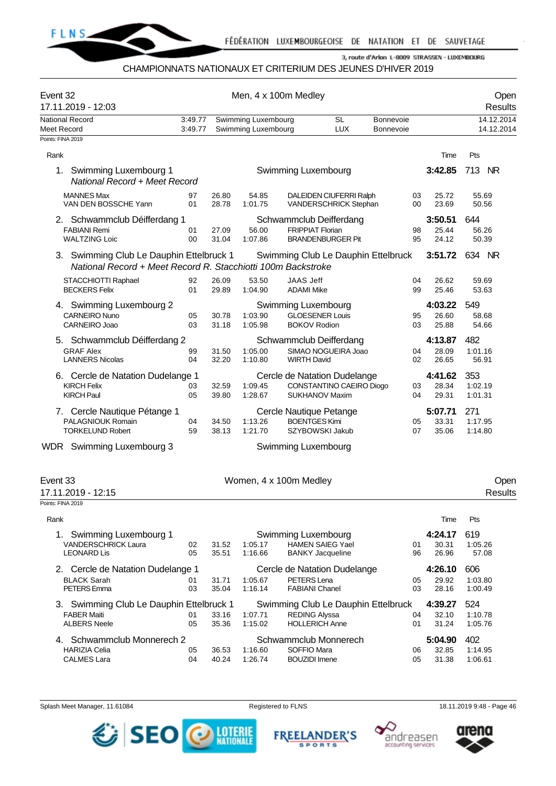

#### CHAMPIONNATS NATIONAUX ET CRITERIUM DES JEUNES D'HIVER 2019

| Swimming Luxembourg<br><b>SL</b><br>Bonnevoie<br>National Record<br>3:49.77<br><b>LUX</b><br>3:49.77<br>Swimming Luxembourg<br><b>Bonnevoie</b><br>Meet Record<br>Points: FINA 2019<br>Rank<br>Time<br>3:42.85<br>1.<br>Swimming Luxembourg 1<br>Swimming Luxembourg<br>National Record + Meet Record<br><b>MANNES Max</b><br>DALEIDEN CIUFERRI Ralph<br>97<br>26.80<br>54.85<br>03<br>25.72<br>VAN DEN BOSSCHE Yann<br>28.78<br>01<br>1:01.75<br>VANDERSCHRICK Stephan<br>00<br>23.69<br>2. Schwammclub Déifferdang 1<br>Schwammclub Deifferdang<br>3:50.51 | 14.12.2014<br>14.12.2014  |
|--------------------------------------------------------------------------------------------------------------------------------------------------------------------------------------------------------------------------------------------------------------------------------------------------------------------------------------------------------------------------------------------------------------------------------------------------------------------------------------------------------------------------------------------------------------|---------------------------|
|                                                                                                                                                                                                                                                                                                                                                                                                                                                                                                                                                              |                           |
|                                                                                                                                                                                                                                                                                                                                                                                                                                                                                                                                                              | Pts                       |
|                                                                                                                                                                                                                                                                                                                                                                                                                                                                                                                                                              | 713<br><b>NR</b>          |
|                                                                                                                                                                                                                                                                                                                                                                                                                                                                                                                                                              | 55.69<br>50.56            |
| <b>FRIPPIAT Florian</b><br><b>FABIANI Remi</b><br>56.00<br>01<br>27.09<br>25.44<br>98<br><b>WALTZING Loic</b><br>00<br><b>BRANDENBURGER Pit</b><br>24.12<br>31.04<br>1:07.86<br>95                                                                                                                                                                                                                                                                                                                                                                           | 644<br>56.26<br>50.39     |
| 3:51.72<br>3. Swimming Club Le Dauphin Ettelbruck 1<br>Swimming Club Le Dauphin Ettelbruck<br>National Record + Meet Record R. Stacchiotti 100m Backstroke                                                                                                                                                                                                                                                                                                                                                                                                   | 634 NR                    |
| <b>JAAS Jeff</b><br>STACCHIOTTI Raphael<br>92<br>26.09<br>53.50<br>04<br>26.62<br><b>BECKERS Felix</b><br>29.89<br>25.46<br>01<br>1:04.90<br><b>ADAMI Mike</b><br>99                                                                                                                                                                                                                                                                                                                                                                                         | 59.69<br>53.63            |
| 4. Swimming Luxembourg 2<br>Swimming Luxembourg<br>4:03.22<br><b>CARNEIRO Nuno</b><br><b>GLOESENER Louis</b><br>05<br>30.78<br>1:03.90<br>26.60<br>95<br>CARNEIRO Joao<br>03<br>1:05.98<br><b>BOKOV Rodion</b><br>25.88<br>31.18<br>03                                                                                                                                                                                                                                                                                                                       | 549<br>58.68<br>54.66     |
| 5. Schwammclub Déifferdang 2<br>Schwammclub Deifferdang<br>4:13.87<br><b>GRAF Alex</b><br>SIMAO NOGUEIRA Joao<br>99<br>31.50<br>1:05.00<br>04<br>28.09<br><b>LANNERS Nicolas</b><br>04<br>32.20<br>1:10.80<br><b>WIRTH David</b><br>02<br>26.65                                                                                                                                                                                                                                                                                                              | 482<br>1:01.16<br>56.91   |
| 6. Cercle de Natation Dudelange 1<br>4:41.62<br>Cercle de Natation Dudelange<br>CONSTANTINO CAEIRO Diogo<br><b>KIRCH Felix</b><br>32.59<br>1:09.45<br>28.34<br>03<br>03<br><b>KIRCH Paul</b><br>05<br>SUKHANOV Maxim<br>29.31<br>39.80<br>1:28.67<br>04                                                                                                                                                                                                                                                                                                      | 353<br>1:02.19<br>1:01.31 |
| 7. Cercle Nautique Pétange 1<br>5:07.71<br>Cercle Nautique Petange<br>PALAGNIOUK Romain<br>1:13.26<br><b>BOENTGES Kimi</b><br>33.31<br>04<br>34.50<br>05<br><b>TORKELUND Robert</b><br>59<br>38.13<br>1:21.70<br>SZYBOWSKI Jakub<br>07<br>35.06                                                                                                                                                                                                                                                                                                              | 271<br>1:17.95<br>1:14.80 |
| WDR Swimming Luxembourg 3<br>Swimming Luxembourg                                                                                                                                                                                                                                                                                                                                                                                                                                                                                                             |                           |
| Event 33<br>Women, 4 x 100m Medley<br>17.11.2019 - 12:15<br>Points: FINA 2019                                                                                                                                                                                                                                                                                                                                                                                                                                                                                | Open<br><b>Results</b>    |
| Rank<br>Time                                                                                                                                                                                                                                                                                                                                                                                                                                                                                                                                                 | Pts                       |
| Swimming Luxembourg 1<br>Swimming Luxembourg<br>4:24.17<br>1.<br><b>HAMEN SAIEG Yael</b><br><b>VANDERSCHRICK Laura</b><br>02<br>31.52<br>1:05.17<br>30.31<br>01<br><b>LEONARD Lis</b><br>05<br>35.51<br>1:16.66<br><b>BANKY Jacqueline</b><br>96<br>26.96                                                                                                                                                                                                                                                                                                    | 619<br>1:05.26<br>57.08   |
| 4:26.10<br>2. Cercle de Natation Dudelange 1<br>Cercle de Natation Dudelange<br>PETERS Lena<br><b>BLACK Sarah</b><br>31.71<br>29.92<br>01<br>1:05.67<br>05<br>PETERS Emma<br>1:16.14<br>03<br>35.04<br><b>FABIANI Chanel</b><br>03<br>28.16                                                                                                                                                                                                                                                                                                                  | 606<br>1:03.80<br>1:00.49 |
| 3. Swimming Club Le Dauphin Ettelbruck 1<br>Swimming Club Le Dauphin Ettelbruck<br>4:39.27<br><b>FABER Maiti</b><br>33.16<br><b>REDING Alyssa</b><br>32.10<br>01<br>1:07.71<br>04<br><b>HOLLERICH Anne</b><br><b>ALBERS Neele</b><br>05<br>35.36<br>1:15.02<br>01<br>31.24                                                                                                                                                                                                                                                                                   | 524<br>1:10.78<br>1:05.76 |
| 4. Schwammclub Monnerech 2<br>Schwammclub Monnerech<br>5:04.90<br><b>HARIZIA Celia</b><br>05<br>1:16.60<br>SOFFIO Mara<br>32.85<br>36.53<br>06<br><b>CALMES Lara</b><br>04<br>40.24<br>1:26.74<br><b>BOUZIDI</b> Imene<br>31.38<br>05                                                                                                                                                                                                                                                                                                                        | 402<br>1:14.95<br>1:06.61 |

Splash Meet Manager, 11.61084 **Registered to FLNS** Registered to FLNS 18.11.2019 9:48 - Page 46



**FREELANDER'S** 

**SPORTS** 



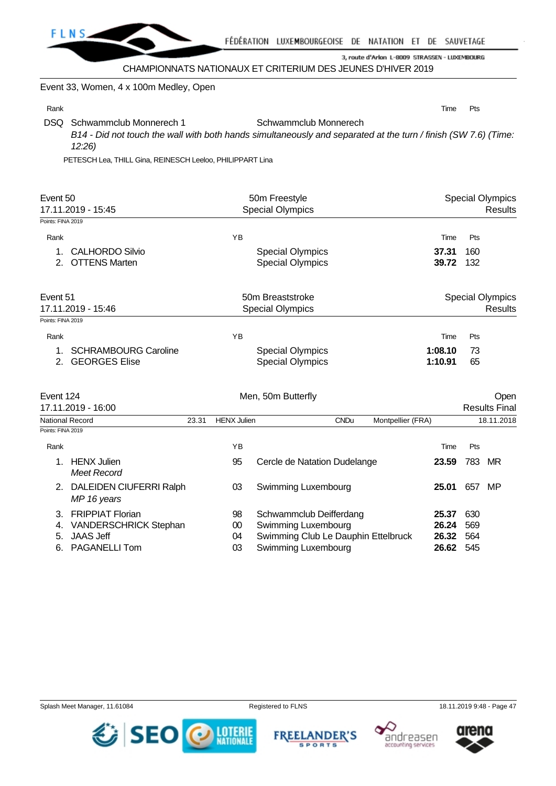

CHAMPIONNATS NATIONAUX ET CRITERIUM DES JEUNES D'HIVER 2019

Event 33, Women, 4 x 100m Medley, Open

Rank **Time Pts** 

3, route d'Arlon L-8009 STRASSEN - LUXEMBOURG

DSQ Schwammclub Monnerech 1 Schwammclub Monnerech *B14 - Did not touch the wall with both hands simultaneously and separated at the turn / finish (SW 7.6) (Time: 12:26)*

PETESCH Lea, THILL Gina, REINESCH Leeloo, PHILIPPART Lina

| Event 50<br>17.11.2019 - 15:45                                        |       |                    | 50m Freestyle<br><b>Special Olympics</b>           | <b>Special Olympics</b><br><b>Results</b> |                    |            |                                           |  |
|-----------------------------------------------------------------------|-------|--------------------|----------------------------------------------------|-------------------------------------------|--------------------|------------|-------------------------------------------|--|
| Points: FINA 2019                                                     |       |                    |                                                    |                                           |                    |            |                                           |  |
| Rank                                                                  |       | YB                 |                                                    |                                           | Time               | Pts        |                                           |  |
| <b>CALHORDO Silvio</b><br>1.<br><b>OTTENS Marten</b><br>$\mathcal{P}$ |       |                    | <b>Special Olympics</b><br><b>Special Olympics</b> |                                           | 37.31<br>39.72     | 160<br>132 |                                           |  |
| Event 51<br>17.11.2019 - 15:46                                        |       |                    | 50m Breaststroke<br><b>Special Olympics</b>        |                                           |                    |            | <b>Special Olympics</b><br><b>Results</b> |  |
| Points: FINA 2019                                                     |       |                    |                                                    |                                           |                    |            |                                           |  |
| Rank                                                                  |       | YB                 |                                                    |                                           | Time               | Pts        |                                           |  |
| <b>SCHRAMBOURG Caroline</b><br>1.<br><b>GEORGES Elise</b><br>2.       |       |                    | <b>Special Olympics</b><br><b>Special Olympics</b> |                                           | 1:08.10<br>1:10.91 | 73<br>65   |                                           |  |
| Event 124<br>17.11.2019 - 16:00                                       |       |                    | Men, 50m Butterfly                                 |                                           |                    |            | Open<br><b>Results Final</b>              |  |
| <b>National Record</b>                                                | 23.31 | <b>HENX Julien</b> |                                                    | <b>CNDu</b>                               | Montpellier (FRA)  |            | 18.11.2018                                |  |
| Points: FINA 2019                                                     |       |                    |                                                    |                                           |                    |            |                                           |  |
| Rank                                                                  |       | YB                 |                                                    |                                           | Time               | Pts        |                                           |  |
| <b>HENX Julien</b><br>1.<br><b>Meet Record</b>                        |       | 95                 | Cercle de Natation Dudelange                       |                                           | 23.59              | 783        | MR                                        |  |

2. DALEIDEN CIUFERRI Ralph 03 Swimming Luxembourg **25.01** 657 MP *MP 16 years* 3. FRIPPIAT Florian 98 Schwammclub Deifferdang **25.37** 630 4. VANDERSCHRICK Stephan 00 Swimming Luxembourg **26.24** 569 5. JAAS Jeff 04 Swimming Club Le Dauphin Ettelbruck **26.32** 564 6. PAGANELLI Tom 03 Swimming Luxembourg **26.62** 545





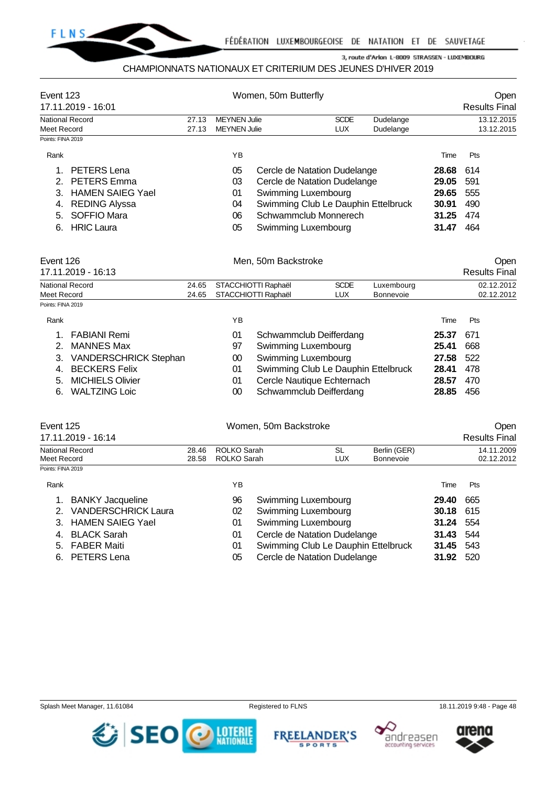

#### CHAMPIONNATS NATIONAUX ET CRITERIUM DES JEUNES D'HIVER 2019

| Event 123<br>17.11.2019 - 16:01                                                                                                                                                  |                |                                            | Women, 50m Butterfly                                                                                                                                                       |                           |                                  |                                                    | Open<br><b>Results Final</b>           |
|----------------------------------------------------------------------------------------------------------------------------------------------------------------------------------|----------------|--------------------------------------------|----------------------------------------------------------------------------------------------------------------------------------------------------------------------------|---------------------------|----------------------------------|----------------------------------------------------|----------------------------------------|
| <b>National Record</b><br><b>Meet Record</b>                                                                                                                                     | 27.13<br>27.13 | <b>MEYNEN Julie</b><br><b>MEYNEN Julie</b> |                                                                                                                                                                            | <b>SCDE</b><br>LUX.       | Dudelange<br>Dudelange           |                                                    | 13.12.2015<br>13.12.2015               |
| Points: FINA 2019                                                                                                                                                                |                |                                            |                                                                                                                                                                            |                           |                                  |                                                    |                                        |
| Rank                                                                                                                                                                             |                | ΥB                                         |                                                                                                                                                                            |                           |                                  | Time                                               | Pts                                    |
| PETERS Lena<br>1.<br><b>PETERS</b> Emma<br>2.<br><b>HAMEN SAIEG Yael</b><br>3.<br><b>REDING Alyssa</b><br>4.<br><b>SOFFIO Mara</b><br>5.<br><b>HRIC Laura</b><br>6.              |                | 05<br>03<br>01<br>04<br>06<br>05           | Cercle de Natation Dudelange<br>Cercle de Natation Dudelange<br>Swimming Luxembourg<br>Swimming Club Le Dauphin Ettelbruck<br>Schwammclub Monnerech<br>Swimming Luxembourg |                           |                                  | 28.68<br>29.05<br>29.65<br>30.91<br>31.25<br>31.47 | 614<br>591<br>555<br>490<br>474<br>464 |
| Event 126<br>17.11.2019 - 16:13                                                                                                                                                  |                |                                            | Men, 50m Backstroke                                                                                                                                                        |                           |                                  |                                                    | Open<br><b>Results Final</b>           |
| <b>National Record</b><br>Meet Record                                                                                                                                            | 24.65<br>24.65 |                                            | STACCHIOTTI Raphaël<br>STACCHIOTTI Raphaël                                                                                                                                 | <b>SCDE</b><br><b>LUX</b> | Luxembourg<br>Bonnevoie          |                                                    | 02.12.2012<br>02.12.2012               |
| Points: FINA 2019                                                                                                                                                                |                |                                            |                                                                                                                                                                            |                           |                                  |                                                    |                                        |
| Rank                                                                                                                                                                             |                | ΥB                                         |                                                                                                                                                                            |                           |                                  | Time                                               | Pts                                    |
| <b>FABIANI Remi</b><br>1.<br>2.<br><b>MANNES Max</b><br>VANDERSCHRICK Stephan<br>3.<br><b>BECKERS Felix</b><br>4.<br><b>MICHIELS Olivier</b><br>5.<br><b>WALTZING Loic</b><br>6. |                | 01<br>97<br>00<br>01<br>01<br>00           | Schwammclub Deifferdang<br>Swimming Luxembourg<br>Swimming Luxembourg<br>Swimming Club Le Dauphin Ettelbruck<br>Cercle Nautique Echternach<br>Schwammclub Deifferdang      |                           |                                  | 25.37<br>25.41<br>27.58<br>28.41<br>28.57<br>28.85 | 671<br>668<br>522<br>478<br>470<br>456 |
| Event 125<br>17.11.2019 - 16:14                                                                                                                                                  |                |                                            | Women, 50m Backstroke                                                                                                                                                      |                           |                                  |                                                    | Open<br><b>Results Final</b>           |
| <b>National Record</b><br>Meet Record                                                                                                                                            | 28.46<br>28.58 | <b>ROLKO Sarah</b><br>ROLKO Sarah          |                                                                                                                                                                            | <b>SL</b><br><b>LUX</b>   | Berlin (GER)<br><b>Bonnevoie</b> |                                                    | 14.11.2009<br>02.12.2012               |
| Points: FINA 2019                                                                                                                                                                |                |                                            |                                                                                                                                                                            |                           |                                  |                                                    |                                        |
| Rank                                                                                                                                                                             |                | ΥB                                         |                                                                                                                                                                            |                           |                                  | Time                                               | Pts                                    |
| $\mathbf{D}$ ANII/V/ $\mathbf{L}$                                                                                                                                                |                | $\sim$                                     | Outlessels at Lucasakaus                                                                                                                                                   |                           |                                  | <b>OD 10</b>                                       | CCF                                    |

| <b>1. DAINNT Jacquellite</b> |  |
|------------------------------|--|
| $\Omega$ $\Omega$ $\Omega$   |  |

- 2. VANDERSCHRICK Laura 02 Swimming Luxembourg **30.18** 615 3. HAMEN SAIEG Yael **01 Swimming Luxembourg 2016**
- 
- 4. BLACK Sarah 01 Cercle de Natation Dudelange **31.43** 544
- 5. FABER Maiti **31.45** 61 Swimming Club Le Dauphin C
- 6. PETERS Lena 05 Cercle de Natation Dudelange **31.92** 520

| nk |                                               | ΥB       |                                                   | Time                      | Pts |
|----|-----------------------------------------------|----------|---------------------------------------------------|---------------------------|-----|
|    | 1. BANKY Jacqueline<br>2. VANDERSCHRICK Laura | 96<br>02 | Swimming Luxembourg<br><b>Swimming Luxembourg</b> | 29.40<br><b>30.18</b> 615 | 665 |
|    | 3. HAMEN SAIEG Yael                           | 01       | Swimming Luxembourg                               | <b>31.24</b> 554          |     |
|    | 4. BLACK Sarah                                | 01       | Cercle de Natation Dudelange                      | 31.43 544                 |     |
|    | 5. FABER Maiti                                | 01       | Swimming Club Le Dauphin Ettelbruck               | 31.45 543                 |     |
|    | 6. PETERS Lena                                | 05       | Cercle de Natation Dudelange                      | <b>31.92</b> 520          |     |
|    |                                               |          |                                                   |                           |     |

Splash Meet Manager, 11.61084 **Registered to FLNS** 18.11.2019 9:48 - Page 48







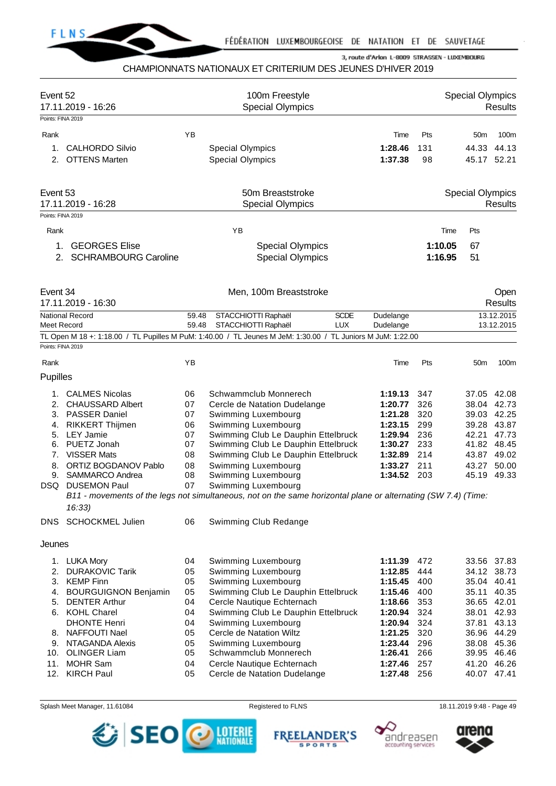

# CHAMPIONNATS NATIONAUX ET CRITERIUM DES JEUNES D'HIVER 2019

| Event 52          | 17.11.2019 - 16:26                                                                                                      |                                             | 100m Freestyle<br><b>Special Olympics</b>          |             |                        |                    | <b>Special Olympics</b> | <b>Results</b>         |
|-------------------|-------------------------------------------------------------------------------------------------------------------------|---------------------------------------------|----------------------------------------------------|-------------|------------------------|--------------------|-------------------------|------------------------|
| Points: FINA 2019 |                                                                                                                         |                                             |                                                    |             |                        |                    |                         |                        |
| Rank              |                                                                                                                         | ΥB                                          |                                                    |             | Time                   | Pts                | 50 <sub>m</sub>         | 100m                   |
| 1.                | <b>CALHORDO Silvio</b>                                                                                                  |                                             | <b>Special Olympics</b>                            |             | 1:28.46                | 131                | 44.33                   | 44.13                  |
| 2.                | <b>OTTENS Marten</b>                                                                                                    |                                             | <b>Special Olympics</b>                            |             | 1:37.38                | 98                 |                         | 45.17 52.21            |
| Event 53          | 17.11.2019 - 16:28                                                                                                      | 50m Breaststroke<br><b>Special Olympics</b> |                                                    |             |                        |                    | <b>Special Olympics</b> | <b>Results</b>         |
| Points: FINA 2019 |                                                                                                                         |                                             |                                                    |             |                        |                    |                         |                        |
| Rank              |                                                                                                                         |                                             | YB                                                 |             |                        | Time               | Pts                     |                        |
| 1.<br>2.          | <b>GEORGES Elise</b><br><b>SCHRAMBOURG Caroline</b>                                                                     |                                             | <b>Special Olympics</b><br><b>Special Olympics</b> |             |                        | 1:10.05<br>1:16.95 | 67<br>51                |                        |
| Event 34          | 17.11.2019 - 16:30                                                                                                      |                                             | Men, 100m Breaststroke                             |             |                        |                    |                         | Open<br><b>Results</b> |
|                   | <b>National Record</b>                                                                                                  | 59.48                                       | STACCHIOTTI Raphaël                                | <b>SCDE</b> | Dudelange              |                    |                         | 13.12.2015             |
| Meet Record       |                                                                                                                         | 59.48                                       | STACCHIOTTI Raphaël                                | <b>LUX</b>  | Dudelange              |                    |                         | 13.12.2015             |
| Points: FINA 2019 | TL Open M 18 +: 1:18.00 / TL Pupilles M PuM: 1:40.00 / TL Jeunes M JeM: 1:30.00 / TL Juniors M JuM: 1:22.00             |                                             |                                                    |             |                        |                    |                         |                        |
|                   |                                                                                                                         |                                             |                                                    |             |                        |                    |                         |                        |
| Rank              |                                                                                                                         | ΥB                                          |                                                    |             | Time                   | Pts                | 50 <sub>m</sub>         | 100m                   |
| Pupilles          |                                                                                                                         |                                             |                                                    |             |                        |                    |                         |                        |
|                   | 1. CALMES Nicolas                                                                                                       | 06                                          | Schwammclub Monnerech                              |             | 1:19.13                | 347                |                         | 37.05 42.08            |
| 2.                | <b>CHAUSSARD Albert</b>                                                                                                 | 07                                          | Cercle de Natation Dudelange                       |             | 1:20.77                | 326                | 38.04                   | 42.73                  |
| 3.                | PASSER Daniel                                                                                                           | 07                                          | Swimming Luxembourg                                |             | 1:21.28                | 320                |                         | 39.03 42.25            |
| 4.                | <b>RIKKERT Thijmen</b>                                                                                                  | 06                                          | Swimming Luxembourg                                |             | 1:23.15                | 299                |                         | 39.28 43.87            |
| 5.                | <b>LEY Jamie</b>                                                                                                        | 07                                          | Swimming Club Le Dauphin Ettelbruck                |             | 1:29.94                | 236                | 42.21                   | 47.73                  |
| 6.                | PUETZ Jonah                                                                                                             | 07                                          | Swimming Club Le Dauphin Ettelbruck                |             | 1:30.27                | 233                | 41.82 48.45             |                        |
| 7.                | <b>VISSER Mats</b><br><b>ORTIZ BOGDANOV Pablo</b>                                                                       | 08<br>08                                    | Swimming Club Le Dauphin Ettelbruck                |             | 1:32.89                | 214<br>211         | 43.87                   | 49.02<br>50.00         |
| 8.<br>9.          | SAMMARCO Andrea                                                                                                         | 08                                          | Swimming Luxembourg<br>Swimming Luxembourg         |             | 1:33.27<br>1:34.52 203 |                    | 43.27<br>45.19 49.33    |                        |
|                   | DSQ DUSEMON Paul                                                                                                        | 07                                          | Swimming Luxembourg                                |             |                        |                    |                         |                        |
|                   | B11 - movements of the legs not simultaneous, not on the same horizontal plane or alternating (SW 7.4) (Time:<br>16:33) |                                             |                                                    |             |                        |                    |                         |                        |
| DNS               | <b>SCHOCKMEL Julien</b>                                                                                                 | 06                                          | Swimming Club Redange                              |             |                        |                    |                         |                        |
| Jeunes            |                                                                                                                         |                                             |                                                    |             |                        |                    |                         |                        |
| 1.                | <b>LUKA Mory</b>                                                                                                        | 04                                          | Swimming Luxembourg                                |             | 1:11.39                | 472                |                         | 33.56 37.83            |
| 2.                | <b>DURAKOVIC Tarik</b>                                                                                                  | 05                                          | Swimming Luxembourg                                |             | 1:12.85                | 444                |                         | 34.12 38.73            |
| 3.                | <b>KEMP Finn</b>                                                                                                        | 05                                          | Swimming Luxembourg                                |             | 1:15.45                | 400                | 35.04                   | 40.41                  |
| 4.                | <b>BOURGUIGNON Benjamin</b>                                                                                             | 05                                          | Swimming Club Le Dauphin Ettelbruck                |             | 1:15.46                | 400                | 35.11                   | 40.35                  |
| 5.                | <b>DENTER Arthur</b>                                                                                                    | 04                                          | Cercle Nautique Echternach                         |             | 1:18.66                | 353                | 36.65                   | 42.01                  |
|                   | 6. KOHL Charel                                                                                                          | 04                                          | Swimming Club Le Dauphin Ettelbruck                |             | 1:20.94                | 324                | 38.01                   | 42.93                  |
|                   | <b>DHONTE Henri</b>                                                                                                     | 04                                          | Swimming Luxembourg                                |             | 1:20.94                | 324                | 37.81                   | 43.13                  |
| 8.                | NAFFOUTI Nael                                                                                                           | 05                                          | Cercle de Natation Wiltz                           |             | 1:21.25                | 320                | 36.96                   | 44.29                  |
| 9.<br>10.         | NTAGANDA Alexis<br><b>OLINGER Liam</b>                                                                                  | 05<br>05                                    | Swimming Luxembourg<br>Schwammclub Monnerech       |             | 1:23.44<br>1:26.41     | 296<br>266         | 39.95                   | 38.08 45.36<br>46.46   |
| 11.               | <b>MOHR Sam</b>                                                                                                         | 04                                          | Cercle Nautique Echternach                         |             | 1:27.46                | 257                |                         | 41.20 46.26            |
|                   | 12. KIRCH Paul                                                                                                          | 05                                          | Cercle de Natation Dudelange                       |             | 1:27.48                | 256                |                         | 40.07 47.41            |
|                   |                                                                                                                         |                                             |                                                    |             |                        |                    |                         |                        |

Splash Meet Manager, 11.61084 **Registered to FLNS** Registered to FLNS 18.11.2019 9:48 - Page 49







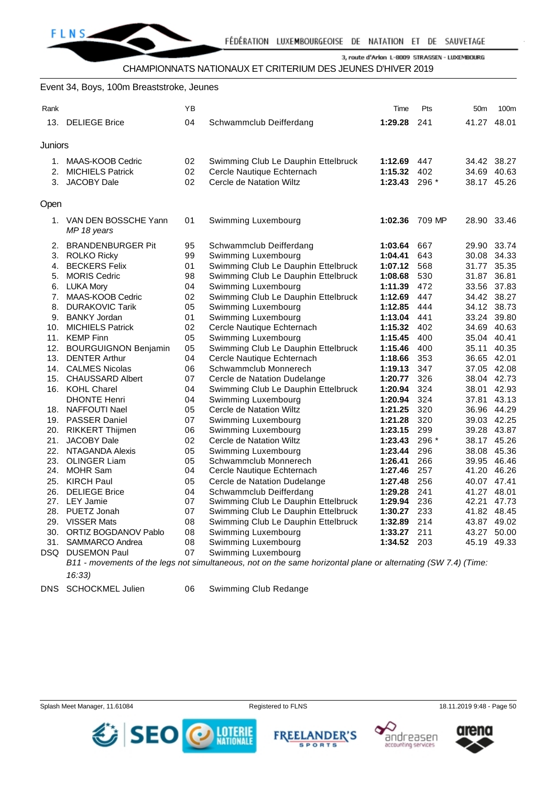CHAMPIONNATS NATIONAUX ET CRITERIUM DES JEUNES D'HIVER 2019

#### Event 34, Boys, 100m Breaststroke, Jeunes

| Rank    |                                        | YB |                                                                                                               | Time            | Pts    | 50 <sub>m</sub> | 100m        |
|---------|----------------------------------------|----|---------------------------------------------------------------------------------------------------------------|-----------------|--------|-----------------|-------------|
|         | 13. DELIEGE Brice                      | 04 | Schwammclub Deifferdang                                                                                       | 1:29.28 241     |        | 41.27 48.01     |             |
| Juniors |                                        |    |                                                                                                               |                 |        |                 |             |
|         | 1. MAAS-KOOB Cedric                    | 02 | Swimming Club Le Dauphin Ettelbruck                                                                           | 1:12.69 447     |        | 34.42 38.27     |             |
|         | 2. MICHIELS Patrick                    | 02 | Cercle Nautique Echternach                                                                                    | 1:15.32 402     |        |                 | 34.69 40.63 |
|         | 3. JACOBY Dale                         | 02 | Cercle de Natation Wiltz                                                                                      | 1:23.43 296 $*$ |        | 38.17 45.26     |             |
| Open    |                                        |    |                                                                                                               |                 |        |                 |             |
|         | 1. VAN DEN BOSSCHE Yann<br>MP 18 years | 01 | Swimming Luxembourg                                                                                           | 1:02.36         | 709 MP | 28.90 33.46     |             |
|         | 2. BRANDENBURGER Pit                   | 95 | Schwammclub Deifferdang                                                                                       | 1:03.64         | 667    | 29.90 33.74     |             |
|         | 3. ROLKO Ricky                         | 99 | Swimming Luxembourg                                                                                           | 1:04.41         | 643    | 30.08 34.33     |             |
|         | 4. BECKERS Felix                       | 01 | Swimming Club Le Dauphin Ettelbruck                                                                           | 1:07.12 568     |        | 31.77 35.35     |             |
|         | 5. MORIS Cedric                        | 98 | Swimming Club Le Dauphin Ettelbruck                                                                           | 1:08.68 530     |        | 31.87 36.81     |             |
|         | 6. LUKA Mory                           | 04 | Swimming Luxembourg                                                                                           | 1:11.39 472     |        | 33.56 37.83     |             |
|         | 7. MAAS-KOOB Cedric                    | 02 | Swimming Club Le Dauphin Ettelbruck                                                                           | 1:12.69         | 447    | 34.42 38.27     |             |
|         | 8. DURAKOVIC Tarik                     | 05 | Swimming Luxembourg                                                                                           | 1:12.85         | 444    | 34.12 38.73     |             |
|         | 9. BANKY Jordan                        | 01 | Swimming Luxembourg                                                                                           | 1:13.04 441     |        | 33.24 39.80     |             |
|         | 10. MICHIELS Patrick                   | 02 | Cercle Nautique Echternach                                                                                    | 1:15.32 402     |        | 34.69 40.63     |             |
|         | 11. KEMP Finn                          | 05 | Swimming Luxembourg                                                                                           | 1:15.45 400     |        | 35.04 40.41     |             |
|         | 12. BOURGUIGNON Benjamin               | 05 | Swimming Club Le Dauphin Ettelbruck                                                                           | 1:15.46 400     |        | 35.11 40.35     |             |
|         | 13. DENTER Arthur                      | 04 | Cercle Nautique Echternach                                                                                    | 1:18.66         | 353    | 36.65 42.01     |             |
|         | 14. CALMES Nicolas                     | 06 | Schwammclub Monnerech                                                                                         | 1:19.13         | 347    | 37.05 42.08     |             |
|         | 15. CHAUSSARD Albert                   | 07 | Cercle de Natation Dudelange                                                                                  | 1:20.77         | 326    | 38.04 42.73     |             |
|         | 16. KOHL Charel                        | 04 | Swimming Club Le Dauphin Ettelbruck                                                                           | 1:20.94         | 324    | 38.01 42.93     |             |
|         | <b>DHONTE Henri</b>                    | 04 | Swimming Luxembourg                                                                                           | 1:20.94         | 324    | 37.81 43.13     |             |
|         | 18. NAFFOUTI Nael                      | 05 | Cercle de Natation Wiltz                                                                                      | 1:21.25         | 320    | 36.96 44.29     |             |
|         | 19. PASSER Daniel                      | 07 | Swimming Luxembourg                                                                                           | 1:21.28         | 320    | 39.03 42.25     |             |
|         | 20. RIKKERT Thijmen                    | 06 | Swimming Luxembourg                                                                                           | 1:23.15 299     |        | 39.28 43.87     |             |
| 21.     | JACOBY Dale                            | 02 | Cercle de Natation Wiltz                                                                                      | 1:23.43         | 296 *  | 38.17 45.26     |             |
|         | 22. NTAGANDA Alexis                    | 05 | Swimming Luxembourg                                                                                           | 1:23.44         | 296    | 38.08 45.36     |             |
|         | 23. OLINGER Liam                       | 05 | Schwammclub Monnerech                                                                                         | 1:26.41         | 266    | 39.95 46.46     |             |
|         | 24. MOHR Sam                           | 04 | Cercle Nautique Echternach                                                                                    | 1:27.46         | 257    | 41.20 46.26     |             |
|         | 25. KIRCH Paul                         | 05 | Cercle de Natation Dudelange                                                                                  | 1:27.48         | 256    | 40.07 47.41     |             |
|         | 26. DELIEGE Brice                      | 04 | Schwammclub Deifferdang                                                                                       | 1:29.28         | 241    | 41.27 48.01     |             |
|         | 27. LEY Jamie                          | 07 | Swimming Club Le Dauphin Ettelbruck                                                                           | 1:29.94 236     |        | 42.21 47.73     |             |
|         | 28. PUETZ Jonah                        | 07 | Swimming Club Le Dauphin Ettelbruck                                                                           | 1:30.27         | 233    | 41.82 48.45     |             |
|         | 29. VISSER Mats                        | 08 | Swimming Club Le Dauphin Ettelbruck                                                                           | 1:32.89         | 214    | 43.87 49.02     |             |
|         | 30. ORTIZ BOGDANOV Pablo               | 08 | Swimming Luxembourg                                                                                           | 1:33.27         | 211    | 43.27 50.00     |             |
|         | 31. SAMMARCO Andrea                    | 08 | Swimming Luxembourg                                                                                           | 1:34.52 203     |        | 45.19 49.33     |             |
|         | <b>DSQ DUSEMON Paul</b>                | 07 | Swimming Luxembourg                                                                                           |                 |        |                 |             |
|         |                                        |    | B11 - movements of the legs not simultaneous, not on the same horizontal plane or alternating (SW 7.4) (Time: |                 |        |                 |             |
|         | 16:33)                                 |    |                                                                                                               |                 |        |                 |             |

DNS SCHOCKMEL Julien 06 Swimming Club Redange

Splash Meet Manager, 11.61084 **Registered to FLNS** 18.11.2019 9:48 - Page 50







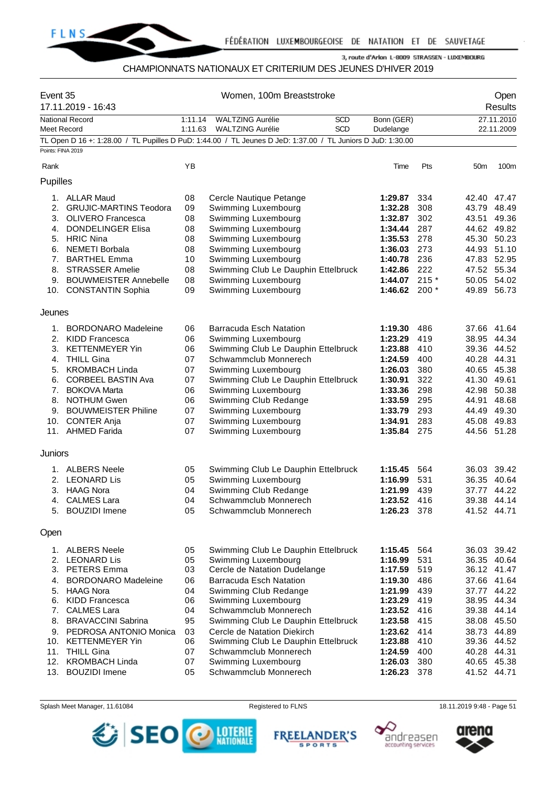

# CHAMPIONNATS NATIONAUX ET CRITERIUM DES JEUNES D'HIVER 2019

| Event 35           | 17.11.2019 - 16:43            |         | Women, 100m Breaststroke                                                                                    |                 |        |                 | Open<br>Results |
|--------------------|-------------------------------|---------|-------------------------------------------------------------------------------------------------------------|-----------------|--------|-----------------|-----------------|
|                    | <b>National Record</b>        | 1:11.14 | <b>WALTZING Aurélie</b><br><b>SCD</b>                                                                       | Bonn (GER)      |        |                 | 27.11.2010      |
| <b>Meet Record</b> |                               | 1:11.63 | <b>SCD</b><br><b>WALTZING Aurélie</b>                                                                       | Dudelange       |        |                 | 22.11.2009      |
| Points: FINA 2019  |                               |         | TL Open D 16 +: 1:28.00 / TL Pupilles D PuD: 1:44.00 / TL Jeunes D JeD: 1:37.00 / TL Juniors D JuD: 1:30.00 |                 |        |                 |                 |
|                    |                               |         |                                                                                                             |                 |        |                 |                 |
| Rank               |                               | ΥB      |                                                                                                             | Time            | Pts    | 50 <sub>m</sub> | 100m            |
| Pupilles           |                               |         |                                                                                                             |                 |        |                 |                 |
|                    | 1. ALLAR Maud                 | 08      | Cercle Nautique Petange                                                                                     | 1:29.87         | 334    | 42.40 47.47     |                 |
| 2.                 | <b>GRUJIC-MARTINS Teodora</b> | 09      | Swimming Luxembourg                                                                                         | 1:32.28         | 308    | 43.79 48.49     |                 |
|                    | 3. OLIVERO Francesca          | 08      | Swimming Luxembourg                                                                                         | 1:32.87         | 302    | 43.51           | 49.36           |
|                    | 4. DONDELINGER Elisa          | 08      | Swimming Luxembourg                                                                                         | 1:34.44         | 287    | 44.62 49.82     |                 |
|                    | 5. HRIC Nina                  | 08      | Swimming Luxembourg                                                                                         | 1:35.53         | 278    | 45.30 50.23     |                 |
|                    | 6. NEMETI Borbala             | 08      | Swimming Luxembourg                                                                                         | 1:36.03         | 273    | 44.93 51.10     |                 |
|                    | 7. BARTHEL Emma               | 10      | Swimming Luxembourg                                                                                         | 1:40.78         | 236    | 47.83 52.95     |                 |
| 8.                 | <b>STRASSER Amelie</b>        | 08      | Swimming Club Le Dauphin Ettelbruck                                                                         | 1:42.86         | 222    | 47.52 55.34     |                 |
|                    | 9. BOUWMEISTER Annebelle      | 08      | Swimming Luxembourg                                                                                         | 1:44.07         | $215*$ | 50.05 54.02     |                 |
|                    | 10. CONSTANTIN Sophia         | 09      | Swimming Luxembourg                                                                                         | 1:46.62 200 $*$ |        | 49.89 56.73     |                 |
| Jeunes             |                               |         |                                                                                                             |                 |        |                 |                 |
|                    | 1. BORDONARO Madeleine        | 06      | <b>Barracuda Esch Natation</b>                                                                              | 1:19.30         | 486    | 37.66 41.64     |                 |
|                    | 2. KIDD Francesca             | 06      | Swimming Luxembourg                                                                                         | 1:23.29         | 419    | 38.95 44.34     |                 |
|                    | 3. KETTENMEYER Yin            | 06      | Swimming Club Le Dauphin Ettelbruck                                                                         | 1:23.88         | 410    | 39.36 44.52     |                 |
|                    | 4. THILL Gina                 | 07      | Schwammclub Monnerech                                                                                       | 1:24.59         | 400    | 40.28 44.31     |                 |
|                    | 5. KROMBACH Linda             | 07      | Swimming Luxembourg                                                                                         | 1:26.03         | 380    | 40.65 45.38     |                 |
| 6.                 | <b>CORBEEL BASTIN Ava</b>     | 07      | Swimming Club Le Dauphin Ettelbruck                                                                         | 1:30.91         | 322    | 41.30 49.61     |                 |
| 7.                 | <b>BOKOVA Marta</b>           | 06      | Swimming Luxembourg                                                                                         | 1:33.36         | 298    | 42.98 50.38     |                 |
|                    | 8. NOTHUM Gwen                | 06      | Swimming Club Redange                                                                                       | 1:33.59         | 295    | 44.91           | 48.68           |
|                    | 9. BOUWMEISTER Philine        | 07      | Swimming Luxembourg                                                                                         | 1:33.79         | 293    | 44.49           | 49.30           |
| 10.                | <b>CONTER Anja</b>            | 07      | Swimming Luxembourg                                                                                         | 1:34.91         | 283    | 45.08 49.83     |                 |
|                    | 11. AHMED Farida              | 07      | Swimming Luxembourg                                                                                         | 1:35.84 275     |        | 44.56 51.28     |                 |
| Juniors            |                               |         |                                                                                                             |                 |        |                 |                 |
|                    | 1. ALBERS Neele               | 05      | Swimming Club Le Dauphin Ettelbruck                                                                         | 1:15.45         | 564    | 36.03 39.42     |                 |
|                    | 2. LEONARD Lis                | 05      | Swimming Luxembourg                                                                                         | 1:16.99         | 531    | 36.35 40.64     |                 |
|                    | 3. HAAG Nora                  | 04      | Swimming Club Redange                                                                                       | 1:21.99         | 439    | 37.77 44.22     |                 |
| 4.                 | <b>CALMES Lara</b>            | 04      | Schwammclub Monnerech                                                                                       | 1:23.52 416     |        |                 | 39.38 44.14     |
|                    | 5. BOUZIDI Imene              | 05      | Schwammclub Monnerech                                                                                       | 1:26.23 378     |        | 41.52 44.71     |                 |
| Open               |                               |         |                                                                                                             |                 |        |                 |                 |
|                    |                               |         |                                                                                                             |                 |        |                 |                 |
|                    | 1. ALBERS Neele               | 05      | Swimming Club Le Dauphin Ettelbruck                                                                         | 1:15.45         | 564    |                 | 36.03 39.42     |
|                    | 2. LEONARD Lis                | 05      | Swimming Luxembourg                                                                                         | 1:16.99         | 531    |                 | 36.35 40.64     |
|                    | 3. PETERS Emma                | 03      | Cercle de Natation Dudelange                                                                                | 1:17.59         | 519    | 36.12 41.47     |                 |
|                    | 4. BORDONARO Madeleine        | 06      | <b>Barracuda Esch Natation</b>                                                                              | 1:19.30         | 486    | 37.66 41.64     |                 |
|                    | 5. HAAG Nora                  | 04      | Swimming Club Redange                                                                                       | 1:21.99         | 439    |                 | 37.77 44.22     |
| 6.                 | <b>KIDD Francesca</b>         | 06      | Swimming Luxembourg                                                                                         | 1:23.29         | 419    | 38.95 44.34     |                 |
| 7.                 | <b>CALMES Lara</b>            | 04      | Schwammclub Monnerech                                                                                       | 1:23.52         | 416    | 39.38 44.14     |                 |
|                    | 8. BRAVACCINI Sabrina         | 95      | Swimming Club Le Dauphin Ettelbruck                                                                         | 1:23.58         | 415    | 38.08 45.50     |                 |
|                    | 9. PEDROSA ANTONIO Monica     | 03      | Cercle de Natation Diekirch                                                                                 | 1:23.62         | 414    | 38.73 44.89     |                 |
|                    | 10. KETTENMEYER Yin           | 06      | Swimming Club Le Dauphin Ettelbruck                                                                         | 1:23.88         | 410    | 39.36 44.52     |                 |
|                    | 11. THILL Gina                | 07      | Schwammclub Monnerech                                                                                       | 1:24.59         | 400    | 40.28 44.31     |                 |
| 12.                | <b>KROMBACH Linda</b>         | 07      | Swimming Luxembourg                                                                                         | 1:26.03         | 380    | 40.65 45.38     |                 |
| 13.                | <b>BOUZIDI</b> Imene          | 05      | Schwammclub Monnerech                                                                                       | 1:26.23         | 378    | 41.52 44.71     |                 |







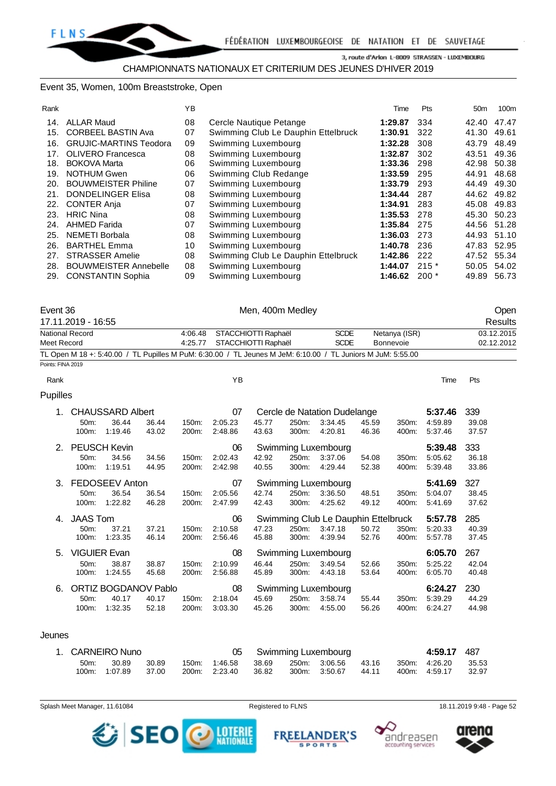#### Event 35, Women, 100m Breaststroke, Open

|                                                 | YB       |                                            | Time               | Pts        | 50 <sub>m</sub> | 100m                                                     |
|-------------------------------------------------|----------|--------------------------------------------|--------------------|------------|-----------------|----------------------------------------------------------|
| <b>ALLAR Maud</b>                               | 08       | Cercle Nautique Petange                    | 1:29.87            | 334        |                 |                                                          |
| <b>CORBEEL BASTIN Ava</b>                       | 07       | Swimming Club Le Dauphin Ettelbruck        | 1:30.91            | 322        | 41.30           | 49.61                                                    |
| <b>GRUJIC-MARTINS Teodora</b>                   | 09       | Swimming Luxembourg                        | 1:32.28            | 308        | 43.79           | 48.49                                                    |
| <b>OLIVERO</b> Francesca<br><b>BOKOVA Marta</b> | 08<br>06 | Swimming Luxembourg<br>Swimming Luxembourg | 1:32.87<br>1:33.36 | 302<br>298 | 43.51<br>42.98  | 49.36<br>50.38                                           |
| <b>NOTHUM Gwen</b>                              | 06       | Swimming Club Redange                      | 1:33.59            | 295        | 44.91           | 48.68                                                    |
| <b>BOUWMEISTER Philine</b>                      | 07       | Swimming Luxembourg                        | 1:33.79            | 293        | 44.49           | 49.30                                                    |
| <b>DONDELINGER Elisa</b>                        | 08       | Swimming Luxembourg                        | 1:34.44            | 287        |                 |                                                          |
| <b>CONTER Anja</b>                              | 07       | Swimming Luxembourg                        | 1:34.91            | 283        | 45.08           | 49.83                                                    |
| <b>HRIC Nina</b>                                | 08       | Swimming Luxembourg                        | 1:35.53            | 278        | 45.30           | 50.23                                                    |
| <b>AHMED Farida</b>                             | 07       | Swimming Luxembourg                        | 1:35.84            | 275        | 44.56           | 51.28                                                    |
| NEMETI Borbala                                  | 08       | Swimming Luxembourg                        | 1:36.03            | 273        | 44.93           | 51.10                                                    |
| <b>BARTHEL Emma</b>                             | 10       | Swimming Luxembourg                        | 1:40.78            | 236        |                 |                                                          |
| <b>STRASSER Amelie</b>                          | 08       | Swimming Club Le Dauphin Ettelbruck        | 1:42.86            | 222        |                 |                                                          |
| <b>BOUWMEISTER Annebelle</b>                    | 08       | Swimming Luxembourg                        | 1:44.07            | $215*$     | 50.05           | 54.02                                                    |
| <b>CONSTANTIN Sophia</b>                        | 09       | Swimming Luxembourg                        | 1:46.62            | $200*$     | 49.89           | 56.73                                                    |
|                                                 | 29.      |                                            |                    |            |                 | 42.40 47.47<br>44.62 49.82<br>47.83 52.95<br>47.52 55.34 |

| Event 36                                                                                                    | Men, 400m Medley            |             |               | Open       |
|-------------------------------------------------------------------------------------------------------------|-----------------------------|-------------|---------------|------------|
| 17.11.2019 - 16:55                                                                                          |                             | Results     |               |            |
| National Record                                                                                             | 4:06.48 STACCHIOTTI Raphaël | <b>SCDE</b> | Netanya (ISR) | 03.12.2015 |
| Meet Record                                                                                                 | 4:25.77 STACCHIOTTI Raphaël | <b>SCDE</b> | Bonnevoie     | 02.12.2012 |
| TL Open M 18 +: 5:40.00 / TL Pupilles M PuM: 6:30.00 / TL Jeunes M JeM: 6:10.00 / TL Juniors M JuM: 5:55.00 |                             |             |               |            |
| Points: FINA 2019                                                                                           |                             |             |               |            |

| Rank            |                                         |                                                 |                |                | ΥB                       |                |                |                                                           |                |                | Time                          | Pts                   |
|-----------------|-----------------------------------------|-------------------------------------------------|----------------|----------------|--------------------------|----------------|----------------|-----------------------------------------------------------|----------------|----------------|-------------------------------|-----------------------|
| <b>Pupilles</b> |                                         |                                                 |                |                |                          |                |                |                                                           |                |                |                               |                       |
| 1.              | $50m$ :<br>100m:                        | <b>CHAUSSARD Albert</b><br>36.44<br>1:19.46     | 36.44<br>43.02 | 150m.<br>200m: | 07<br>2:05.23<br>2:48.86 | 45.77<br>43.63 | 250m:<br>300m: | Cercle de Natation Dudelange<br>3:34.45<br>4:20.81        | 45.59<br>46.36 | 350m:<br>400m: | 5:37.46<br>4:59.89<br>5:37.46 | 339<br>39.08<br>37.57 |
| 2.              | <b>PEUSCH Kevin</b><br>$50m$ :<br>100m: | 34.56<br>1:19.51                                | 34.56<br>44.95 | 150m:<br>200m: | 06<br>2:02.43<br>2:42.98 | 42.92<br>40.55 | 250m:<br>300m: | Swimming Luxembourg<br>3:37.06<br>4:29.44                 | 54.08<br>52.38 | 350m:<br>400m: | 5:39.48<br>5:05.62<br>5:39.48 | 333<br>36.18<br>33.86 |
| 3.              | $50m$ :<br>100m:                        | FEDOSEEV Anton<br>36.54<br>1:22.82              | 36.54<br>46.28 | 150m:<br>200m: | 07<br>2:05.56<br>2:47.99 | 42.74<br>42.43 | 250m:<br>300m: | Swimming Luxembourg<br>3:36.50<br>4:25.62                 | 48.51<br>49.12 | 350m:<br>400m: | 5:41.69<br>5:04.07<br>5:41.69 | 327<br>38.45<br>37.62 |
| 4.              | <b>JAAS Tom</b><br>$50m$ :<br>100m:     | 37.21<br>1:23.35                                | 37.21<br>46.14 | 150m.<br>200m: | 06<br>2:10.58<br>2:56.46 | 47.23<br>45.88 | 250m:<br>300m: | Swimming Club Le Dauphin Ettelbruck<br>3:47.18<br>4:39.94 | 50.72<br>52.76 | 350m:<br>400m: | 5:57.78<br>5:20.33<br>5:57.78 | 285<br>40.39<br>37.45 |
| 5.              | <b>VIGUIER Evan</b><br>50m:<br>100m:    | 38.87<br>1:24.55                                | 38.87<br>45.68 | 150m.<br>200m: | 08<br>2:10.99<br>2:56.88 | 46.44<br>45.89 | 250m:<br>300m: | Swimming Luxembourg<br>3:49.54<br>4:43.18                 | 52.66<br>53.64 | 350m:<br>400m: | 6:05.70<br>5:25.22<br>6:05.70 | 267<br>42.04<br>40.48 |
| 6.              | $50m$ :<br>100m:                        | <b>ORTIZ BOGDANOV Pablo</b><br>40.17<br>1:32.35 | 40.17<br>52.18 | 150m:<br>200m: | 08<br>2:18.04<br>3:03.30 | 45.69<br>45.26 | 250m:<br>300m: | Swimming Luxembourg<br>3:58.74<br>4:55.00                 | 55.44<br>56.26 | 350m:<br>400m: | 6:24.27<br>5:39.29<br>6:24.27 | 230<br>44.29<br>44.98 |

#### Jeunes

|         | 1. CARNEIRO Nuno |       |               |       | 05 Swimming Luxembourg |       | 4:59.17 487   |       |
|---------|------------------|-------|---------------|-------|------------------------|-------|---------------|-------|
| $50m$ : | 30.89            | 30.89 | 150m: 1:46.58 |       | 38.69 250m 3:06.56     | 43.16 | 350m: 4:26.20 | 35.53 |
|         | 100m: 1:07.89    | 37.00 | 200m. 2:23.40 | 36.82 | 300m. 3:50.67          | 44.11 | 400m: 4:59.17 | 32.97 |

Splash Meet Manager, 11.61084 **Registered to FLNS** 18.11.2019 9:48 - Page 52

SEO O MIERE

**SPORTS** 





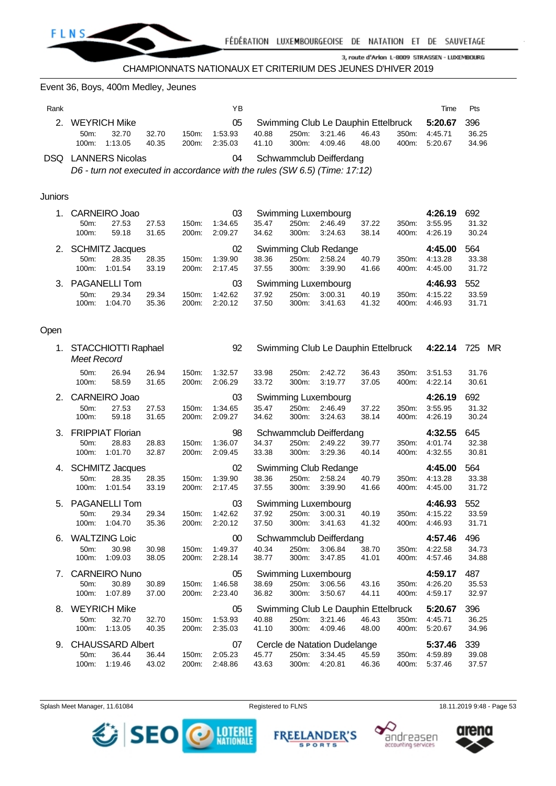

Event 36, Boys, 400m Medley, Jeunes

| Rank |                                                                            |                     |       |       | ΥB      |       |       |                                             |       |       | Time    | Pts   |
|------|----------------------------------------------------------------------------|---------------------|-------|-------|---------|-------|-------|---------------------------------------------|-------|-------|---------|-------|
| 2    |                                                                            | <b>WEYRICH Mike</b> |       |       | 05      |       |       | Swimming Club Le Dauphin Ettelbruck 5:20.67 |       |       |         | - 396 |
|      | 50m                                                                        | 32.70               | 32.70 | 150m: | 1:53.93 | 40.88 | 250m: | 3:21.46                                     | 46.43 | 350m: | 4:45.71 | 36.25 |
|      | 100m:                                                                      | 1:13.05             | 40.35 | 200m: | 2:35.03 | 41.10 | 300m: | 4:09.46                                     | 48.00 | 400m: | 5:20.67 | 34.96 |
|      | <b>DSQ</b> LANNERS Nicolas<br>Schwammclub Deifferdang<br>04                |                     |       |       |         |       |       |                                             |       |       |         |       |
|      | D6 - turn not executed in accordance with the rules (SW 6.5) (Time: 17:12) |                     |       |       |         |       |       |                                             |       |       |         |       |

#### Juniors

| $1_{-}$ | <b>CARNEIRO Joao</b><br>Swimming Luxembourg<br>03 |                        |       |                    |         |       |          |                       | 4:26.19 | 692   |         |       |
|---------|---------------------------------------------------|------------------------|-------|--------------------|---------|-------|----------|-----------------------|---------|-------|---------|-------|
|         | $50m$ :                                           | 27.53                  | 27.53 | 150m:              | 1:34.65 | 35.47 | 250m:    | 2:46.49               | 37.22   | 350m: | 3:55.95 | 31.32 |
|         | 100m:                                             | 59.18                  | 31.65 | 200m:              | 2:09.27 | 34.62 | $300m$ : | 3:24.63               | 38.14   | 400m: | 4:26.19 | 30.24 |
| 2.      |                                                   | <b>SCHMITZ Jacques</b> |       |                    | 02      |       |          | Swimming Club Redange |         |       | 4:45.00 | 564   |
|         | $50m$ :                                           | 28.35                  | 28.35 | 150m:              | 1:39.90 | 38.36 | 250m:    | 2:58.24               | 40.79   | 350m: | 4:13.28 | 33.38 |
|         | 100m:                                             | 1:01.54                | 33.19 | 200 <sub>m</sub> : | 2:17.45 | 37.55 | $300m$ : | 3:39.90               | 41.66   | 400m: | 4:45.00 | 31.72 |
| 3.      | <b>PAGANELLI Tom</b><br>03                        |                        |       |                    |         |       |          | Swimming Luxembourg   |         |       | 4:46.93 | 552   |
|         | $50m$ :                                           | 29.34                  | 29.34 | 150m:              | 1:42.62 | 37.92 | 250m:    | 3:00.31               | 40.19   | 350m: | 4:15.22 | 33.59 |
|         | 100m:                                             | 1:04.70                | 35.36 | 200 <sub>m</sub> : | 2:20.12 | 37.50 | 300m:    | 3:41.63               | 41.32   | 400m: | 4:46.93 | 31.71 |

## Open

|    | 1. STACCHIOTTI Raphael<br>Meet Record |       |       | 92      |       |                       | Swimming Club Le Dauphin Ettelbruck 4:22.14 |         |       |         | 725 MR |
|----|---------------------------------------|-------|-------|---------|-------|-----------------------|---------------------------------------------|---------|-------|---------|--------|
|    | 26.94<br>50m:                         | 26.94 | 150m: | 1:32.57 | 33.98 | 250m:                 | 2:42.72                                     | 36.43   | 350m: | 3:51.53 | 31.76  |
|    | 100m:<br>58.59                        | 31.65 | 200m: | 2:06.29 | 33.72 | 300m:                 | 3:19.77                                     | 37.05   | 400m: | 4:22.14 | 30.61  |
| 2. | CARNEIRO Joao                         |       |       | 03      |       |                       | Swimming Luxembourg                         |         |       | 4:26.19 | 692    |
|    | 50m:<br>27.53                         | 27.53 | 150m: | 1:34.65 | 35.47 | 250m:                 | 2:46.49                                     | 37.22   | 350m: | 3:55.95 | 31.32  |
|    | 100m:<br>59.18                        | 31.65 | 200m: | 2:09.27 | 34.62 | 300m:                 | 3:24.63                                     | 38.14   | 400m: | 4:26.19 | 30.24  |
| 3. | <b>FRIPPIAT Florian</b>               |       |       | 98      |       |                       | Schwammclub Deifferdang                     |         |       | 4:32.55 | 645    |
|    | 50m:<br>28.83                         | 28.83 | 150m: | 1:36.07 | 34.37 | 250m:                 | 2:49.22                                     | 39.77   | 350m: | 4:01.74 | 32.38  |
|    | 100m:<br>1:01.70                      | 32.87 | 200m: | 2:09.45 | 33.38 | 300m:                 | 3:29.36                                     | 40.14   | 400m: | 4:32.55 | 30.81  |
| 4. | <b>SCHMITZ Jacques</b>                |       |       | 02      |       | Swimming Club Redange |                                             | 4:45.00 | 564   |         |        |
|    | 28.35<br>50m:                         | 28.35 | 150m: | 1:39.90 | 38.36 | 250m:                 | 2:58.24                                     | 40.79   | 350m: | 4:13.28 | 33.38  |
|    | 1:01.54<br>100m:                      | 33.19 | 200m: | 2:17.45 | 37.55 | 300m:                 | 3:39.90                                     | 41.66   | 400m: | 4:45.00 | 31.72  |
| 5. | <b>PAGANELLI Tom</b>                  |       |       | 03      |       |                       | Swimming Luxembourg                         |         |       | 4:46.93 | 552    |
|    | 50m:<br>29.34                         | 29.34 | 150m: | 1:42.62 | 37.92 | 250m:                 | 3:00.31                                     | 40.19   | 350m: | 4:15.22 | 33.59  |
|    | 1:04.70<br>100m:                      | 35.36 | 200m: | 2:20.12 | 37.50 | 300m:                 | 3:41.63                                     | 41.32   | 400m: | 4:46.93 | 31.71  |
| 6. | <b>WALTZING Loic</b>                  |       |       | 00      |       |                       | Schwammclub Deifferdang                     |         |       | 4:57.46 | 496    |
|    | 30.98<br>50m:                         | 30.98 | 150m: | 1:49.37 | 40.34 | 250m:                 | 3:06.84                                     | 38.70   | 350m: | 4:22.58 | 34.73  |
|    | 1:09.03<br>100m:                      | 38.05 | 200m: | 2:28.14 | 38.77 | 300m:                 | 3:47.85                                     | 41.01   | 400m: | 4:57.46 | 34.88  |
| 7. | <b>CARNEIRO Nuno</b>                  |       |       | 05      |       |                       | Swimming Luxembourg                         |         |       | 4:59.17 | 487    |
|    | 30.89<br>50m:                         | 30.89 | 150m: | 1:46.58 | 38.69 | 250m:                 | 3:06.56                                     | 43.16   | 350m: | 4:26.20 | 35.53  |
|    | 100m:<br>1:07.89                      | 37.00 | 200m: | 2:23.40 | 36.82 | 300m:                 | 3:50.67                                     | 44.11   | 400m: | 4:59.17 | 32.97  |
| 8. | <b>WEYRICH Mike</b>                   |       |       | 05      |       |                       | Swimming Club Le Dauphin Ettelbruck         |         |       | 5:20.67 | 396    |
|    | 32.70<br>50m:                         | 32.70 | 150m: | 1:53.93 | 40.88 | 250m:                 | 3:21.46                                     | 46.43   | 350m: | 4:45.71 | 36.25  |
|    | 1:13.05<br>100m:                      | 40.35 | 200m: | 2:35.03 | 41.10 | 300m:                 | 4:09.46                                     | 48.00   | 400m: | 5:20.67 | 34.96  |
| 9. | <b>CHAUSSARD Albert</b>               |       |       | 07      |       |                       | Cercle de Natation Dudelange                |         |       | 5:37.46 | 339    |
|    | 36.44<br>50m:                         | 36.44 | 150m: | 2:05.23 | 45.77 | 250m:                 | 3:34.45                                     | 45.59   | 350m: | 4:59.89 | 39.08  |
|    | 1:19.46<br>100m:                      | 43.02 | 200m: | 2:48.86 | 43.63 | 300m:                 | 4.20.81                                     | 46.36   | 400m: | 5:37.46 | 37.57  |

Splash Meet Manager, 11.61084 **Registered to FLNS** 18.11.2019 9:48 - Page 53



**FREEI NDER'S SPORTS** 



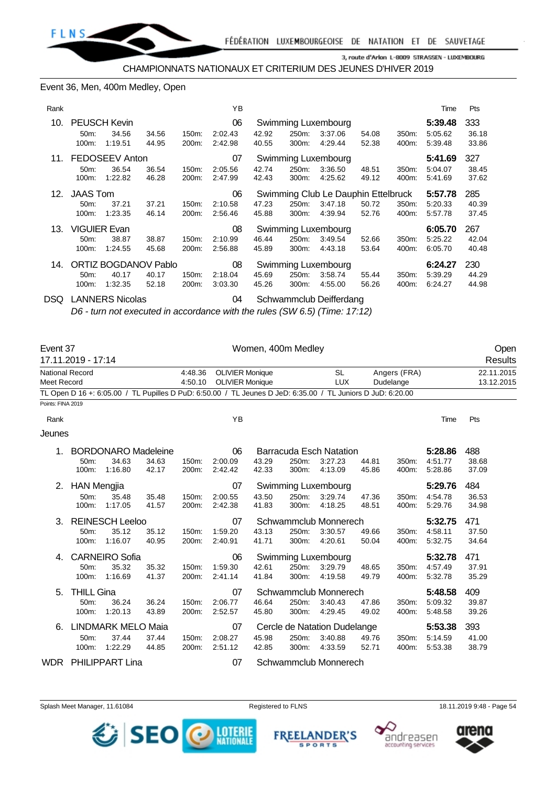

#### Event 36, Men, 400m Medley, Open

| Rank |                   |                              |                |                                           | YB                 |                                    |                |                                |                |                | Time               | Pts            |
|------|-------------------|------------------------------|----------------|-------------------------------------------|--------------------|------------------------------------|----------------|--------------------------------|----------------|----------------|--------------------|----------------|
| 10.  | $50m$ :           | <b>PEUSCH Kevin</b><br>34.56 | 34.56          | 150m:                                     | 06<br>2:02.43      | 42.92                              | 250m:          | Swimming Luxembourg<br>3:37.06 | 54.08          | 350m:          | 5:39.48<br>5:05.62 | 333<br>36.18   |
|      | 100m:             | 1:19.51                      | 44.95          | 200m:                                     | 2:42.98            | 40.55                              | 300m:          | 4:29.44                        | 52.38          | 400m:          | 5:39.48            | 33.86          |
| 11.  |                   | <b>FEDOSEEV Anton</b>        |                |                                           | 07                 |                                    |                | Swimming Luxembourg            |                |                | 5:41.69            | 327            |
|      | $50m$ :<br>100m:  | 36.54<br>1:22.82             | 36.54<br>46.28 | 150m:<br>200m:                            | 2:05.56<br>2:47.99 | 42.74<br>42.43                     | 250m:<br>300m: | 3:36.50<br>4:25.62             | 48.51<br>49.12 | 350m:<br>400m: | 5:04.07<br>5:41.69 | 38.45<br>37.62 |
| 12.  | <b>JAAS Tom</b>   |                              |                | 06<br>Swimming Club Le Dauphin Ettelbruck |                    |                                    |                |                                |                |                | 5:57.78            | 285            |
|      | 50 <sub>m</sub> : | 37.21                        | 37.21          | 150m:                                     | 2:10.58            | 47.23                              | 250m:          | 3:47.18                        | 50.72          | 350m:          | 5:20.33            | 40.39          |
|      | 100m:             | 1:23.35                      | 46.14          | 200m:                                     | 2:56.46            | 45.88                              | 300m:          | 4:39.94                        | 52.76          | 400m:          | 5:57.78            | 37.45          |
| 13.  |                   | <b>VIGUIER Evan</b>          |                |                                           | 08                 |                                    |                | Swimming Luxembourg            |                |                | 6:05.70            | 267            |
|      | 50 <sub>m</sub> : | 38.87                        | 38.87          | 150m:                                     | 2:10.99            | 46.44                              | 250m:          | 3:49.54                        | 52.66          | 350m:          | 5:25.22            | 42.04          |
|      | 100m:             | 1:24.55                      | 45.68          | 200m:                                     | 2:56.88            | 45.89                              | 300m:          | 4:43.18                        | 53.64          | 400m:          | 6:05.70            | 40.48          |
| 14.  |                   | <b>ORTIZ BOGDANOV Pablo</b>  |                |                                           | 08                 | Swimming Luxembourg                |                |                                |                |                | 6:24.27            | 230            |
|      | 50 <sub>m</sub> : | 40.17                        | 40.17          | 150m:                                     | 2:18.04            | 45.69<br>250m:<br>3:58.74<br>55.44 |                |                                |                | 350m:          | 5:39.29            | 44.29          |
|      | 100m:             | 1:32.35                      | 52.18          | 200m:                                     | 3:03.30            | 45.26                              | 300m:          | 4:55.00                        | 56.26          | 400m:          | 6:24.27            | 44.98          |
| DSQ  |                   | <b>LANNERS Nicolas</b>       |                |                                           | 04                 |                                    |                | Schwammclub Deifferdang        |                |                |                    |                |

*D6 - turn not executed in accordance with the rules (SW 6.5) (Time: 17:12)*

| Event 37                       |                                                  |                                                |                |                    |                                                  | Women, 400m Medley |                |                                                                                                             |                |                           |                               |                          | Open    |
|--------------------------------|--------------------------------------------------|------------------------------------------------|----------------|--------------------|--------------------------------------------------|--------------------|----------------|-------------------------------------------------------------------------------------------------------------|----------------|---------------------------|-------------------------------|--------------------------|---------|
|                                | 17.11.2019 - 17:14                               |                                                |                |                    |                                                  |                    |                |                                                                                                             |                |                           |                               |                          | Results |
| National Record<br>Meet Record |                                                  |                                                |                | 4:48.36<br>4:50.10 | <b>OLIVIER Monique</b><br><b>OLIVIER Monique</b> |                    |                | <b>SL</b><br><b>LUX</b>                                                                                     |                | Angers (FRA)<br>Dudelange |                               | 22.11.2015<br>13.12.2015 |         |
|                                |                                                  |                                                |                |                    |                                                  |                    |                | TL Open D 16 +: 6:05.00 / TL Pupilles D PuD: 6:50.00 / TL Jeunes D JeD: 6:35.00 / TL Juniors D JuD: 6:20.00 |                |                           |                               |                          |         |
| Points: FINA 2019              |                                                  |                                                |                |                    |                                                  |                    |                |                                                                                                             |                |                           |                               |                          |         |
| Rank                           |                                                  |                                                |                |                    | YB                                               |                    |                |                                                                                                             |                |                           | Time                          | Pts                      |         |
| Jeunes                         |                                                  |                                                |                |                    |                                                  |                    |                |                                                                                                             |                |                           |                               |                          |         |
| 1.                             | 50m:<br>100m:                                    | <b>BORDONARO Madeleine</b><br>34.63<br>1:16.80 | 34.63<br>42.17 | 150m:<br>200m:     | 06<br>2:00.09<br>2:42.42                         | 43.29<br>42.33     | 250m:<br>300m: | <b>Barracuda Esch Natation</b><br>3:27.23<br>4:13.09                                                        | 44.81<br>45.86 | 350m:<br>400m:            | 5:28.86<br>4:51.77<br>5:28.86 | 488<br>38.68<br>37.09    |         |
| 2.                             | <b>HAN Mengjia</b><br>50 <sub>m</sub> :<br>100m: | 35.48<br>1:17.05                               | 35.48<br>41.57 | 150m.<br>200m:     | 07<br>2:00.55<br>2:42.38                         | 43.50<br>41.83     | 250m:<br>300m: | Swimming Luxembourg<br>3:29.74<br>4:18.25                                                                   | 47.36<br>48.51 | 350m:<br>400m:            | 5:29.76<br>4:54.78<br>5:29.76 | 484<br>36.53<br>34.98    |         |
| 3.                             | 50m:<br>100m:                                    | <b>REINESCH Leeloo</b><br>35.12<br>1:16.07     | 35.12<br>40.95 | 150m:<br>200m:     | 07<br>1:59.20<br>2:40.91                         | 43.13<br>41.71     | 250m:<br>300m: | Schwammclub Monnerech<br>3:30.57<br>4:20.61                                                                 | 49.66<br>50.04 | 350m:<br>400m:            | 5:32.75<br>4:58.11<br>5:32.75 | 471<br>37.50<br>34.64    |         |
| 4.                             | 50 <sub>m</sub> :<br>100m:                       | <b>CARNEIRO Sofia</b><br>35.32<br>1:16.69      | 35.32<br>41.37 | 150m.<br>200m:     | 06<br>1:59.30<br>2:41.14                         | 42.61<br>41.84     | 250m:<br>300m: | Swimming Luxembourg<br>3:29.79<br>4:19.58                                                                   | 48.65<br>49.79 | 350m:<br>400m:            | 5:32.78<br>4:57.49<br>5.32.78 | 471<br>37.91<br>35.29    |         |
| 5.                             | <b>THILL Gina</b><br>50m:<br>100m:               | 36.24<br>1:20.13                               | 36.24<br>43.89 | 150m:<br>200m:     | 07<br>2:06.77<br>2:52.57                         | 46.64<br>45.80     | 250m:<br>300m: | Schwammclub Monnerech<br>3:40.43<br>4.29.45                                                                 | 47.86<br>49.02 | 350m:<br>400m:            | 5:48.58<br>5:09.32<br>5:48.58 | 409<br>39.87<br>39.26    |         |
| 6.                             | 50m:<br>100m:                                    | <b>LINDMARK MELO Maia</b><br>37.44<br>1:22.29  | 37.44<br>44.85 | 150m:<br>200m:     | 07<br>2:08.27<br>2:51.12                         | 45.98<br>42.85     | 250m:<br>300m: | Cercle de Natation Dudelange<br>3:40.88<br>4.33.59                                                          | 49.76<br>52.71 | 350m:<br>400m:            | 5:53.38<br>5:14.59<br>5:53.38 | 393<br>41.00<br>38.79    |         |
| <b>WDR</b>                     |                                                  | <b>PHILIPPART Lina</b>                         |                |                    | 07                                               |                    |                | Schwammclub Monnerech                                                                                       |                |                           |                               |                          |         |

Splash Meet Manager, 11.61084 **Registered to FLNS** 18.11.2019 9:48 - Page 54



**FREEI** ANDER'S **SPORTS** 



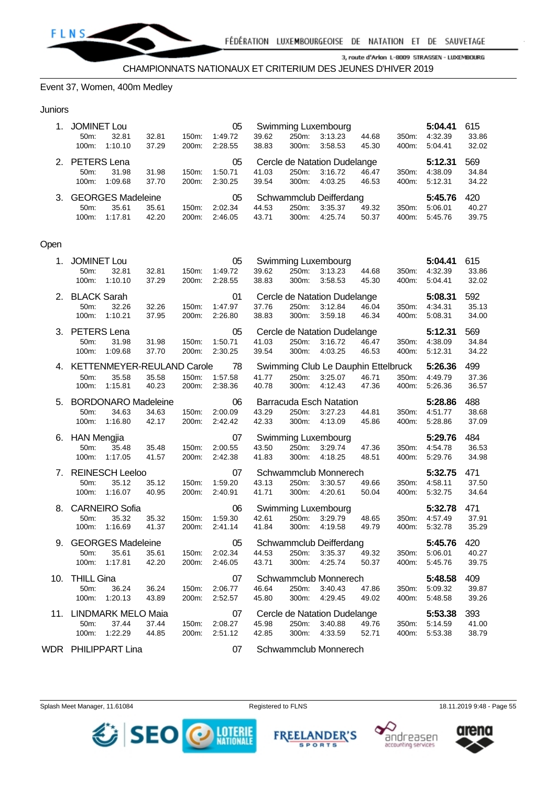

#### Event 37, Women, 400m Medley

#### **Juniors**

|             | <b>JOMINET Lou</b><br>Swimming Luxembourg<br>05   |                          |       |                    |         |       |          |                         | 5:04.41 | 615                |         |       |
|-------------|---------------------------------------------------|--------------------------|-------|--------------------|---------|-------|----------|-------------------------|---------|--------------------|---------|-------|
|             | $50m$ :                                           | 32.81                    | 32.81 | 150m:              | 1:49.72 | 39.62 | 250m:    | 3:13.23                 | 44.68   | 350m:              | 4:32.39 | 33.86 |
|             | 100m:                                             | 1:10.10                  | 37.29 | 200 <sub>m</sub> : | 2:28.55 | 38.83 | $300m$ : | 3:58.53                 | 45.30   | 400m:              | 5:04.41 | 32.02 |
| $2^{\circ}$ | PETERS Lena<br>Cercle de Natation Dudelange<br>05 |                          |       |                    |         |       |          | 5:12.31                 | 569     |                    |         |       |
|             | $50m$ :                                           | 31.98                    | 31.98 | $150m$ :           | 1:50.71 | 41.03 | 250m.    | 3:16.72                 | 46.47   | 350 <sub>m</sub> : | 4:38.09 | 34.84 |
|             | 100m:                                             | 1:09.68                  | 37.70 | 200m:              | 2:30.25 | 39.54 | $300m$ : | 4:03.25                 | 46.53   | 400m:              | 5:12.31 | 34.22 |
| 3.          |                                                   | <b>GEORGES Madeleine</b> |       |                    | 05      |       |          | Schwammclub Deifferdang |         |                    | 5:45.76 | 420   |
|             | $50m$ :                                           | 35.61                    | 35.61 | 150m:              | 2:02.34 | 44.53 | 250m.    | 3:35.37                 | 49.32   | 350 <sub>m</sub> : | 5:06.01 | 40.27 |
|             | 100m:                                             | 1:17.81                  | 42.20 | 200m:              | 2:46.05 | 43.71 | 300m:    | 4:25.74                 | 50.37   | 400m:              | 5:45.76 | 39.75 |

#### Open

|     | 1. JOMINET Lou                    |                                                   |                |                | 05                             |                |                | Swimming Luxembourg                                             |                |                | 5:04.41                                   | 615                   |
|-----|-----------------------------------|---------------------------------------------------|----------------|----------------|--------------------------------|----------------|----------------|-----------------------------------------------------------------|----------------|----------------|-------------------------------------------|-----------------------|
|     | 50m:<br>100m:                     | 32.81<br>1:10.10                                  | 32.81<br>37.29 | 150m:<br>200m: | 1:49.72<br>2:28.55             | 39.62<br>38.83 | 300m:          | 250m: 3:13.23<br>3:58.53                                        | 44.68<br>45.30 | 400m:          | 350m: 4:32.39<br>5:04.41                  | 33.86<br>32.02        |
|     | 2. BLACK Sarah<br>50m:            | 32.26<br>100m: 1:10.21                            | 32.26<br>37.95 | 150m:<br>200m: | 01<br>1:47.97<br>2:26.80       | 37.76<br>38.83 | 250m:<br>300m: | Cercle de Natation Dudelange<br>3:12.84<br>3:59.18              | 46.04<br>46.34 | 350m:<br>400m: | 5:08.31<br>4:34.31<br>5:08.31             | 592<br>35.13<br>34.00 |
|     | 3. PETERS Lena<br>50 <sub>m</sub> | 31.98<br>100m: 1:09.68                            | 31.98<br>37.70 | 150m:<br>200m: | 05<br>1:50.71<br>2:30.25       | 41.03<br>39.54 | 250m:          | Cercle de Natation Dudelange<br>3:16.72<br>300m: 4:03.25        | 46.47<br>46.53 |                | 5:12.31<br>350m: 4:38.09<br>400m: 5:12.31 | 569<br>34.84<br>34.22 |
|     | 50 <sub>m</sub> :<br>100m:        | 4. KETTENMEYER-REULAND Carole<br>35.58<br>1:15.81 | 35.58<br>40.23 | 150m:<br>200m: | 78<br>1:57.58<br>2:38.36       | 41.77<br>40.78 | 300m:          | Swimming Club Le Dauphin Ettelbruck<br>250m: 3:25.07<br>4:12.43 | 46.71<br>47.36 | 400m:          | 5:26.36<br>350m: 4:49.79<br>5:26.36       | 499<br>37.36<br>36.57 |
|     | 50m:                              | 5. BORDONARO Madeleine<br>34.63<br>100m: 1:16.80  | 34.63<br>42.17 | 150m:<br>200m: | 06<br>2:00.09<br>2:42.42       | 43.29<br>42.33 | 250m:<br>300m: | <b>Barracuda Esch Natation</b><br>3:27.23<br>4:13.09            | 44.81<br>45.86 | 350m:<br>400m: | 5:28.86<br>4:51.77<br>5:28.86             | 488<br>38.68<br>37.09 |
|     | 6. HAN Mengjia<br>50m:            | 35.48<br>100m: 1:17.05                            | 35.48<br>41.57 | 200m:          | 07<br>150m: 2:00.55<br>2:42.38 | 43.50<br>41.83 |                | Swimming Luxembourg<br>250m: 3:29.74<br>300m: 4:18.25           | 47.36<br>48.51 |                | 5:29.76<br>350m: 4:54.78<br>400m: 5:29.76 | 484<br>36.53<br>34.98 |
|     | 50m:<br>100m:                     | 7. REINESCH Leeloo<br>35.12<br>1:16.07            | 35.12<br>40.95 | 150m:<br>200m: | 07<br>1:59.20<br>2:40.91       | 43.13<br>41.71 | 250m:<br>300m: | Schwammclub Monnerech<br>3:30.57<br>4:20.61                     | 49.66<br>50.04 | 400m:          | 5:32.75<br>350m: 4:58.11<br>5:32.75       | 471<br>37.50<br>34.64 |
|     | 50m:<br>100m:                     | 8. CARNEIRO Sofia<br>35.32<br>1:16.69             | 35.32<br>41.37 | 150m:<br>200m: | 06<br>1:59.30<br>2:41.14       | 42.61<br>41.84 | 250m:<br>300m: | Swimming Luxembourg<br>3:29.79<br>4:19.58                       | 48.65<br>49.79 | 350m:<br>400m: | 5:32.78<br>4:57.49<br>5:32.78             | 471<br>37.91<br>35.29 |
|     | 50 <sub>m</sub>                   | 9. GEORGES Madeleine<br>35.61<br>100m: 1:17.81    | 35.61<br>42.20 | 150m:<br>200m: | 05<br>2:02.34<br>2:46.05       | 44.53<br>43.71 |                | Schwammclub Deifferdang<br>250m: 3:35.37<br>300m: 4:25.74       | 49.32<br>50.37 | 400m:          | 5:45.76<br>350m: 5:06.01<br>5:45.76       | 420<br>40.27<br>39.75 |
|     | 10. THILL Gina<br>50m:<br>100m:   | 36.24<br>1:20.13                                  | 36.24<br>43.89 | 150m:<br>200m: | 07<br>2:06.77<br>2:52.57       | 46.64<br>45.80 | 250m:<br>300m: | Schwammclub Monnerech<br>3:40.43<br>4:29.45                     | 47.86<br>49.02 | 400m:          | 5:48.58<br>350m: 5:09.32<br>5:48.58       | 409<br>39.87<br>39.26 |
|     | 50m:<br>100m:                     | 11. LINDMARK MELO Maia<br>37.44<br>1:22.29        | 37.44<br>44.85 | 150m:<br>200m: | 07<br>2:08.27<br>2:51.12       | 45.98<br>42.85 | 250m:<br>300m: | Cercle de Natation Dudelange<br>3:40.88<br>4:33.59              | 49.76<br>52.71 | 400m:          | 5:53.38<br>350m: 5:14.59<br>5:53.38       | 393<br>41.00<br>38.79 |
| WDR |                                   | PHILIPPART Lina                                   |                |                | 07                             |                |                | Schwammclub Monnerech                                           |                |                |                                           |                       |





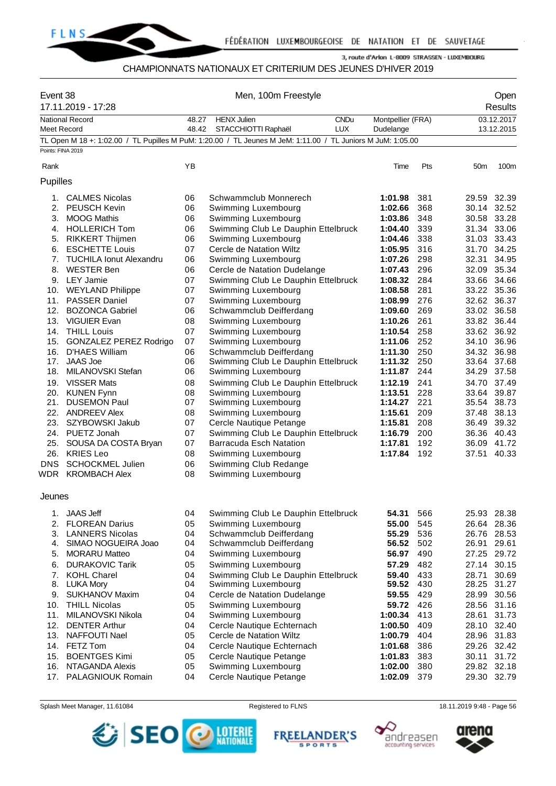

#### CHAMPIONNATS NATIONAUX ET CRITERIUM DES JEUNES D'HIVER 2019

| Event 38<br>17.11.2019 - 17:28 |                                | Men, 100m Freestyle |                                                                                                             |                                |     |                 | Open<br><b>Results</b>   |  |
|--------------------------------|--------------------------------|---------------------|-------------------------------------------------------------------------------------------------------------|--------------------------------|-----|-----------------|--------------------------|--|
| Meet Record                    | <b>National Record</b>         | 48.27<br>48.42      | <b>HENX Julien</b><br><b>CNDu</b><br><b>LUX</b><br>STACCHIOTTI Raphaël                                      | Montpellier (FRA)<br>Dudelange |     |                 | 03.12.2017<br>13.12.2015 |  |
|                                |                                |                     | TL Open M 18 +: 1:02.00 / TL Pupilles M PuM: 1:20.00 / TL Jeunes M JeM: 1:11.00 / TL Juniors M JuM: 1:05.00 |                                |     |                 |                          |  |
| Points: FINA 2019              |                                |                     |                                                                                                             |                                |     |                 |                          |  |
| Rank                           |                                | ΥB                  |                                                                                                             | Time                           | Pts | 50 <sub>m</sub> | 100m                     |  |
| Pupilles                       |                                |                     |                                                                                                             |                                |     |                 |                          |  |
| 1.                             | <b>CALMES Nicolas</b>          | 06                  | Schwammclub Monnerech                                                                                       | 1:01.98                        | 381 | 29.59           | 32.39                    |  |
| 2.                             | <b>PEUSCH Kevin</b>            | 06                  | Swimming Luxembourg                                                                                         | 1:02.66                        | 368 |                 | 30.14 32.52              |  |
|                                | 3. MOOG Mathis                 | 06                  | Swimming Luxembourg                                                                                         | 1:03.86                        | 348 | 30.58           | 33.28                    |  |
|                                | 4. HOLLERICH Tom               | 06                  | Swimming Club Le Dauphin Ettelbruck                                                                         | 1:04.40                        | 339 | 31.34 33.06     |                          |  |
| 5.                             | <b>RIKKERT Thijmen</b>         | 06                  | Swimming Luxembourg                                                                                         | 1:04.46                        | 338 |                 | 31.03 33.43              |  |
| 6.                             | <b>ESCHETTE Louis</b>          | 07                  | Cercle de Natation Wiltz                                                                                    | 1:05.95                        | 316 | 31.70           | 34.25                    |  |
| 7.                             | <b>TUCHILA Ionut Alexandru</b> | 06                  | Swimming Luxembourg                                                                                         | 1:07.26                        | 298 | 32.31           | 34.95                    |  |
| 8.                             | <b>WESTER Ben</b>              | 06                  | Cercle de Natation Dudelange                                                                                | 1:07.43                        | 296 | 32.09           | 35.34                    |  |
|                                | 9. LEY Jamie                   | 07                  | Swimming Club Le Dauphin Ettelbruck                                                                         | 1:08.32                        | 284 |                 | 33.66 34.66              |  |
|                                | 10. WEYLAND Philippe           | 07                  | Swimming Luxembourg                                                                                         | 1:08.58                        | 281 |                 | 33.22 35.36              |  |
| 11.                            | <b>PASSER Daniel</b>           | 07                  | Swimming Luxembourg                                                                                         | 1:08.99                        | 276 |                 | 32.62 36.37              |  |
| 12.                            | <b>BOZONCA Gabriel</b>         | 06                  | Schwammclub Deifferdang                                                                                     | 1:09.60                        | 269 |                 | 33.02 36.58              |  |
| 13.                            | <b>VIGUIER Evan</b>            | 08                  | Swimming Luxembourg                                                                                         | 1:10.26                        | 261 |                 | 33.82 36.44              |  |
|                                | 14. THILL Louis                | 07                  | Swimming Luxembourg                                                                                         | 1:10.54                        | 258 |                 | 33.62 36.92              |  |
|                                | 15. GONZALEZ PEREZ Rodrigo     | 07                  | Swimming Luxembourg                                                                                         | 1:11.06                        | 252 | 34.10           | 36.96                    |  |
| 16.                            | D'HAES William                 | 06                  | Schwammclub Deifferdang                                                                                     | 1:11.30                        | 250 |                 | 34.32 36.98              |  |
| 17.                            | <b>JAAS Joe</b>                | 06                  | Swimming Club Le Dauphin Ettelbruck                                                                         | 1:11.32                        | 250 | 33.64           | 37.68                    |  |
| 18.                            | MILANOVSKI Stefan              | 06                  | Swimming Luxembourg                                                                                         | 1:11.87                        | 244 | 34.29           | 37.58                    |  |
| 19.                            | <b>VISSER Mats</b>             | 08                  | Swimming Club Le Dauphin Ettelbruck                                                                         | 1:12.19                        | 241 | 34.70           | 37.49                    |  |
|                                | 20. KUNEN Fynn                 | 08                  | Swimming Luxembourg                                                                                         | 1:13.51                        | 228 | 33.64           | 39.87                    |  |
| 21.                            | <b>DUSEMON Paul</b>            | 07                  | Swimming Luxembourg                                                                                         | 1:14.27                        | 221 |                 | 35.54 38.73              |  |
| 22.                            | <b>ANDREEV Alex</b>            | 08                  | Swimming Luxembourg                                                                                         | 1:15.61                        | 209 | 37.48           | 38.13                    |  |
| 23.                            | SZYBOWSKI Jakub                | 07                  | Cercle Nautique Petange                                                                                     | 1:15.81                        | 208 | 36.49           | 39.32                    |  |
|                                | 24. PUETZ Jonah                | 07                  | Swimming Club Le Dauphin Ettelbruck                                                                         | 1:16.79                        | 200 |                 | 36.36 40.43              |  |
| 25.                            | SOUSA DA COSTA Bryan           | 07                  | <b>Barracuda Esch Natation</b>                                                                              | 1:17.81                        | 192 | 36.09           | 41.72                    |  |
|                                | 26. KRIES Leo                  | 08                  | Swimming Luxembourg                                                                                         | 1:17.84                        | 192 |                 | 37.51 40.33              |  |
| <b>DNS</b>                     | <b>SCHOCKMEL Julien</b>        | 06                  | Swimming Club Redange                                                                                       |                                |     |                 |                          |  |
|                                | WDR KROMBACH Alex              | 08                  | Swimming Luxembourg                                                                                         |                                |     |                 |                          |  |
| Jeunes                         |                                |                     |                                                                                                             |                                |     |                 |                          |  |
|                                | 1. JAAS Jeff                   | 04                  | Swimming Club Le Dauphin Ettelbruck                                                                         | 54.31                          | 566 |                 | 25.93 28.38              |  |
| 2.                             | <b>FLOREAN Darius</b>          | 05                  | Swimming Luxembourg                                                                                         | 55.00                          | 545 |                 | 26.64 28.36              |  |
| 3.                             | <b>LANNERS Nicolas</b>         | 04                  | Schwammclub Deifferdang                                                                                     | 55.29                          | 536 |                 | 26.76 28.53              |  |
| 4.                             | SIMAO NOGUEIRA Joao            | 04                  | Schwammclub Deifferdang                                                                                     | 56.52                          | 502 |                 | 26.91 29.61              |  |
| 5.                             | <b>MORARU Matteo</b>           | 04                  | Swimming Luxembourg                                                                                         | 56.97                          | 490 |                 | 27.25 29.72              |  |
| 6.                             | <b>DURAKOVIC Tarik</b>         | 05                  | Swimming Luxembourg                                                                                         | 57.29                          | 482 |                 | 27.14 30.15              |  |
| 7.                             | <b>KOHL Charel</b>             | 04                  | Swimming Club Le Dauphin Ettelbruck                                                                         | 59.40                          | 433 | 28.71           | 30.69                    |  |
| 8.                             | LUKA Mory                      | 04                  | Swimming Luxembourg                                                                                         | 59.52                          | 430 |                 | 28.25 31.27              |  |
| 9.                             | <b>SUKHANOV Maxim</b>          | 04                  | Cercle de Natation Dudelange                                                                                | 59.55                          | 429 | 28.99           | 30.56                    |  |
| 10.                            | <b>THILL Nicolas</b>           | 05                  | Swimming Luxembourg                                                                                         | 59.72 426                      |     |                 | 28.56 31.16              |  |
| 11.                            | MILANOVSKI Nikola              | 04                  | Swimming Luxembourg                                                                                         | 1:00.34                        | 413 |                 | 28.61 31.73              |  |
| 12.                            | <b>DENTER Arthur</b>           | 04                  | Cercle Nautique Echternach                                                                                  | 1:00.50                        | 409 |                 | 28.10 32.40              |  |
| 13.                            | NAFFOUTI Nael                  | 05                  | Cercle de Natation Wiltz                                                                                    | 1:00.79                        | 404 |                 | 28.96 31.83              |  |
|                                | 14. FETZ Tom                   | 04                  | Cercle Nautique Echternach                                                                                  | 1:01.68                        | 386 |                 | 29.26 32.42              |  |
| 15.                            | <b>BOENTGES Kimi</b>           | 05                  | Cercle Nautique Petange                                                                                     | 1:01.83                        | 383 | 30.11           | 31.72                    |  |
| 16.                            | NTAGANDA Alexis                | 05                  | Swimming Luxembourg                                                                                         | 1:02.00                        | 380 |                 | 29.82 32.18              |  |
| 17.                            | PALAGNIOUK Romain              | 04                  | Cercle Nautique Petange                                                                                     | 1:02.09                        | 379 |                 | 29.30 32.79              |  |

Splash Meet Manager, 11.61084 **Registered to FLNS** Registered to FLNS 18.11.2019 9:48 - Page 56







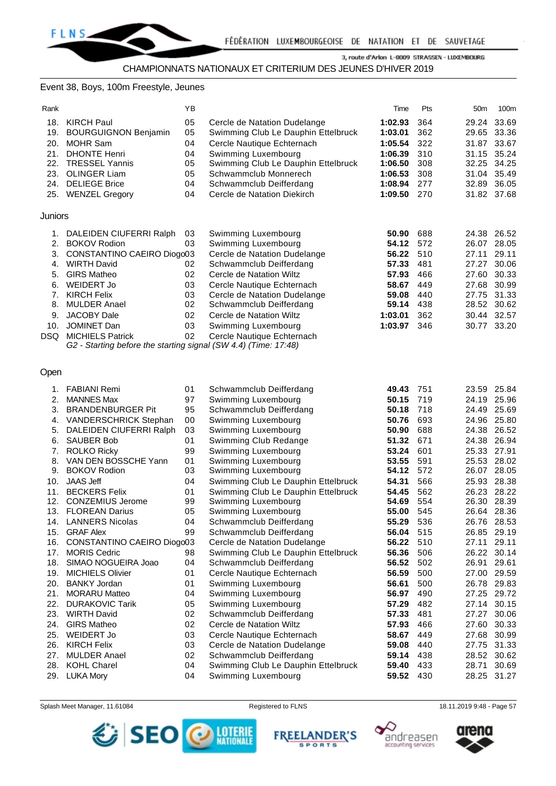#### Event 38, Boys, 100m Freestyle, Jeunes

| . |
|---|
|---|

| Rank     |                                                                                            | ΥB |                                                         | Time      | Pts | 50m   | 100m        |
|----------|--------------------------------------------------------------------------------------------|----|---------------------------------------------------------|-----------|-----|-------|-------------|
| 18.      | <b>KIRCH Paul</b>                                                                          | 05 | Cercle de Natation Dudelange                            | 1:02.93   | 364 |       | 29.24 33.69 |
| 19.      | <b>BOURGUIGNON Benjamin</b>                                                                | 05 | Swimming Club Le Dauphin Ettelbruck                     | 1:03.01   | 362 |       | 29.65 33.36 |
| 20.      | <b>MOHR Sam</b>                                                                            | 04 | Cercle Nautique Echternach                              | 1:05.54   | 322 |       | 31.87 33.67 |
|          | 21. DHONTE Henri                                                                           | 04 | Swimming Luxembourg                                     | 1:06.39   | 310 |       | 31.15 35.24 |
|          | 22. TRESSEL Yannis                                                                         | 05 | Swimming Club Le Dauphin Ettelbruck                     | 1:06.50   | 308 |       | 32.25 34.25 |
|          | 23. OLINGER Liam                                                                           | 05 | Schwammclub Monnerech                                   | 1:06.53   | 308 |       | 31.04 35.49 |
|          | 24. DELIEGE Brice                                                                          | 04 | Schwammclub Deifferdang                                 | 1:08.94   | 277 |       | 32.89 36.05 |
|          | 25. WENZEL Gregory                                                                         | 04 | Cercle de Natation Diekirch                             | 1:09.50   | 270 |       | 31.82 37.68 |
| Juniors  |                                                                                            |    |                                                         |           |     |       |             |
|          | 1. DALEIDEN CIUFERRI Ralph                                                                 | 03 | Swimming Luxembourg                                     | 50.90     | 688 |       | 24.38 26.52 |
| 2.       | <b>BOKOV Rodion</b>                                                                        | 03 | Swimming Luxembourg                                     | 54.12     | 572 |       | 26.07 28.05 |
|          | 3. CONSTANTINO CAEIRO Diogo03                                                              |    | Cercle de Natation Dudelange                            | 56.22     | 510 | 27.11 | 29.11       |
|          | 4. WIRTH David                                                                             | 02 | Schwammclub Deifferdang                                 | 57.33     | 481 |       | 27.27 30.06 |
| 5.       | <b>GIRS Matheo</b>                                                                         | 02 | Cercle de Natation Wiltz                                | 57.93     | 466 |       | 27.60 30.33 |
|          |                                                                                            | 03 | Cercle Nautique Echternach                              | 58.67     | 449 |       | 27.68 30.99 |
| 6.       | WEIDERT Jo<br><b>KIRCH Felix</b>                                                           | 03 |                                                         | 59.08     | 440 |       | 27.75 31.33 |
| 7.<br>8. | <b>MULDER Anael</b>                                                                        | 02 | Cercle de Natation Dudelange<br>Schwammclub Deifferdang | 59.14     | 438 |       | 28.52 30.62 |
|          | <b>JACOBY Dale</b>                                                                         |    |                                                         |           |     |       | 30.44 32.57 |
| 9.       | <b>JOMINET Dan</b>                                                                         | 02 | Cercle de Natation Wiltz                                | 1:03.01   | 362 |       |             |
| 10.      |                                                                                            | 03 | Swimming Luxembourg                                     | 1:03.97   | 346 |       | 30.77 33.20 |
| DSQ.     | <b>MICHIELS Patrick</b><br>G2 - Starting before the starting signal (SW 4.4) (Time: 17:48) | 02 | Cercle Nautique Echternach                              |           |     |       |             |
|          |                                                                                            |    |                                                         |           |     |       |             |
|          |                                                                                            |    |                                                         |           |     |       |             |
| Open     |                                                                                            |    |                                                         |           |     |       |             |
|          | 1. FABIANI Remi                                                                            | 01 | Schwammclub Deifferdang                                 | 49.43     | 751 |       | 23.59 25.84 |
| 2.       | <b>MANNES Max</b>                                                                          | 97 | Swimming Luxembourg                                     | 50.15     | 719 |       | 24.19 25.96 |
|          | 3. BRANDENBURGER Pit                                                                       | 95 | Schwammclub Deifferdang                                 | 50.18     | 718 |       | 24.49 25.69 |
|          | 4. VANDERSCHRICK Stephan                                                                   | 00 | Swimming Luxembourg                                     | 50.76     | 693 |       | 24.96 25.80 |
| 5.       | DALEIDEN CIUFERRI Ralph                                                                    | 03 | Swimming Luxembourg                                     | 50.90     | 688 |       | 24.38 26.52 |
| 6.       | <b>SAUBER Bob</b>                                                                          | 01 | Swimming Club Redange                                   | 51.32     | 671 |       | 24.38 26.94 |
| 7.       | <b>ROLKO Ricky</b>                                                                         | 99 | Swimming Luxembourg                                     | 53.24     | 601 |       | 25.33 27.91 |
| 8.       | VAN DEN BOSSCHE Yann                                                                       | 01 | Swimming Luxembourg                                     | 53.55     | 591 |       | 25.53 28.02 |
| 9.       | <b>BOKOV Rodion</b>                                                                        | 03 | Swimming Luxembourg                                     | 54.12     | 572 |       | 26.07 28.05 |
|          | 10. JAAS Jeff                                                                              | 04 | Swimming Club Le Dauphin Ettelbruck                     | 54.31     | 566 |       | 25.93 28.38 |
|          | 11. BECKERS Felix                                                                          | 01 | Swimming Club Le Dauphin Ettelbruck                     | 54.45     | 562 |       | 26.23 28.22 |
|          | 12. CONZEMIUS Jerome                                                                       | 99 | Swimming Luxembourg                                     | 54.69     | 554 |       | 26.30 28.39 |
|          | 13. FLOREAN Darius                                                                         | 05 | Swimming Luxembourg                                     | 55.00     | 545 |       | 26.64 28.36 |
|          | 14. LANNERS Nicolas                                                                        | 04 | Schwammclub Deifferdang                                 | 55.29 536 |     |       | 26.76 28.53 |
|          | 15. GRAF Alex                                                                              | 99 | Schwammclub Deifferdang                                 | 56.04     | 515 |       | 26.85 29.19 |
| 16.      | CONSTANTINO CAEIRO Diogo03                                                                 |    | Cercle de Natation Dudelange                            | 56.22     | 510 | 27.11 | 29.11       |
| 17.      | <b>MORIS Cedric</b>                                                                        | 98 | Swimming Club Le Dauphin Ettelbruck                     | 56.36     | 506 |       | 26.22 30.14 |
| 18.      | SIMAO NOGUEIRA Joao                                                                        | 04 | Schwammclub Deifferdang                                 | 56.52     | 502 |       | 26.91 29.61 |
| 19.      | <b>MICHIELS Olivier</b>                                                                    | 01 | Cercle Nautique Echternach                              | 56.59     | 500 |       | 27.00 29.59 |
| 20.      | <b>BANKY Jordan</b>                                                                        | 01 | Swimming Luxembourg                                     | 56.61     | 500 |       | 26.78 29.83 |
| 21.      | <b>MORARU Matteo</b>                                                                       | 04 | Swimming Luxembourg                                     | 56.97     | 490 |       | 27.25 29.72 |
|          | 22. DURAKOVIC Tarik                                                                        | 05 | Swimming Luxembourg                                     | 57.29     | 482 |       | 27.14 30.15 |
| 23.      | <b>WIRTH David</b>                                                                         | 02 | Schwammclub Deifferdang                                 | 57.33     | 481 |       | 27.27 30.06 |

26. KIRCH Felix 03 Cercle de Natation Dudelange **59.08** 440 27.75 31.33 27. MULDER Anael **02** Schwammclub Deifferdang **59.14** 438 28. KOHL Charel 04 Swimming Club Le Dauphin Ettelbruck **59.40** 433 28.71 30.69

29. LUKA Mory 04 Swimming Luxembourg **59.52** 430 28.25 31.27

Splash Meet Manager, 11.61084 **Registered to FLNS** 18.11.2019 9:48 - Page 57

24. GIRS Matheo 02 Cercle de Natation Wiltz **57.93** 466 27.60 30.33 25. WEIDERT Jo 03 Cercle Nautique Echternach **58.67** 449 27.68 30.99



**FREELANDER'S SPORTS** 



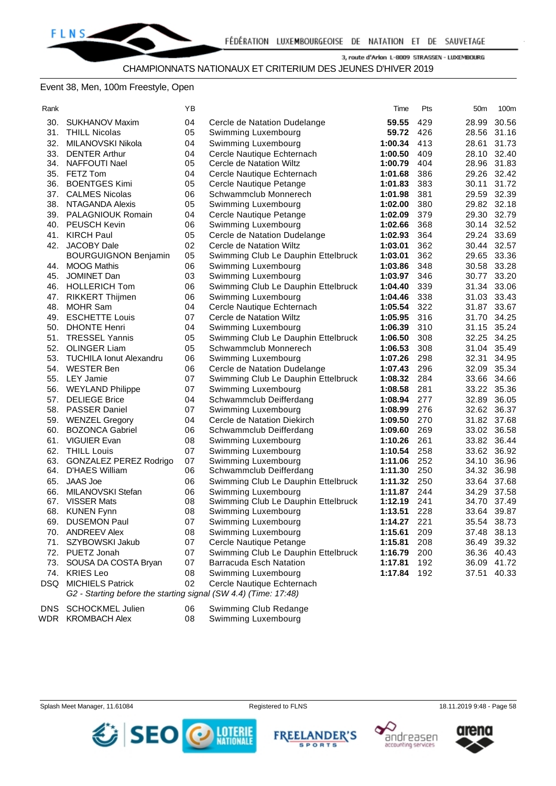#### Event 38, Men, 100m Freestyle, Open

| .<br>× |  |
|--------|--|

| Rank |                                                                 | ΥB       |                                            | Time               | Pts        | 50m         | 100m                       |
|------|-----------------------------------------------------------------|----------|--------------------------------------------|--------------------|------------|-------------|----------------------------|
| 30.  | SUKHANOV Maxim                                                  | 04       | Cercle de Natation Dudelange               | 59.55              | 429        | 28.99       | 30.56                      |
|      | 31. THILL Nicolas                                               | 05       | Swimming Luxembourg                        | 59.72              | 426        |             | 28.56 31.16                |
|      | 32. MILANOVSKI Nikola                                           | 04       | Swimming Luxembourg                        | 1:00.34            | 413        | 28.61       | 31.73                      |
|      | 33. DENTER Arthur                                               | 04       | Cercle Nautique Echternach                 | 1:00.50            | 409        |             | 28.10 32.40                |
|      | 34. NAFFOUTI Nael                                               | 05       | Cercle de Natation Wiltz                   | 1:00.79            | 404        |             | 28.96 31.83                |
|      | 35. FETZ Tom                                                    | 04       | Cercle Nautique Echternach                 | 1:01.68            | 386        |             | 29.26 32.42                |
|      | 36. BOENTGES Kimi                                               | 05       | Cercle Nautique Petange                    | 1:01.83            | 383        |             | 30.11 31.72                |
|      | 37. CALMES Nicolas                                              | 06       | Schwammclub Monnerech                      | 1:01.98            | 381        |             | 29.59 32.39                |
|      | 38. NTAGANDA Alexis                                             | 05       | Swimming Luxembourg                        | 1:02.00            | 380        |             | 29.82 32.18                |
|      | 39. PALAGNIOUK Romain                                           | 04       | Cercle Nautique Petange                    | 1:02.09            | 379        |             | 29.30 32.79                |
|      | 40. PEUSCH Kevin                                                | 06       | Swimming Luxembourg                        | 1:02.66            | 368        |             | 30.14 32.52                |
|      | 41. KIRCH Paul                                                  | 05       | Cercle de Natation Dudelange               | 1:02.93            | 364        |             | 29.24 33.69                |
|      | 42. JACOBY Dale                                                 | 02       | Cercle de Natation Wiltz                   | 1:03.01            | 362        |             | 30.44 32.57                |
|      | <b>BOURGUIGNON Benjamin</b>                                     | 05       | Swimming Club Le Dauphin Ettelbruck        | 1:03.01            | 362        |             | 29.65 33.36                |
|      | 44. MOOG Mathis                                                 | 06       | Swimming Luxembourg                        | 1:03.86            | 348        |             | 30.58 33.28                |
| 45.  | JOMINET Dan                                                     | 03       | Swimming Luxembourg                        | 1:03.97            | 346        |             | 30.77 33.20                |
|      | 46. HOLLERICH Tom                                               | 06       | Swimming Club Le Dauphin Ettelbruck        | 1:04.40            | 339        |             | 31.34 33.06                |
| 47.  | <b>RIKKERT Thijmen</b>                                          | 06       | Swimming Luxembourg                        | 1:04.46            | 338        |             | 31.03 33.43                |
|      | 48. MOHR Sam                                                    | 04       | Cercle Nautique Echternach                 | 1:05.54            | 322        |             | 31.87 33.67                |
|      | 49. ESCHETTE Louis                                              | 07       | Cercle de Natation Wiltz                   | 1:05.95            | 316        |             | 31.70 34.25                |
|      | 50. DHONTE Henri                                                | 04       | Swimming Luxembourg                        | 1:06.39            | 310        |             | 31.15 35.24                |
|      | 51. TRESSEL Yannis                                              | 05       | Swimming Club Le Dauphin Ettelbruck        | 1:06.50            | 308        |             | 32.25 34.25                |
|      | 52. OLINGER Liam                                                | 05       | Schwammclub Monnerech                      | 1:06.53            | 308        |             | 31.04 35.49                |
|      | 53. TUCHILA Ionut Alexandru                                     | 06       | Swimming Luxembourg                        | 1:07.26            | 298        | 32.31       | 34.95                      |
|      | 54. WESTER Ben                                                  | 06       | Cercle de Natation Dudelange               | 1:07.43            | 296        |             | 32.09 35.34                |
|      | 55. LEY Jamie                                                   | 07       | Swimming Club Le Dauphin Ettelbruck        | 1:08.32            | 284        |             | 33.66 34.66                |
|      | 56. WEYLAND Philippe                                            | 07       | Swimming Luxembourg                        | 1:08.58            | 281        |             | 33.22 35.36                |
|      | 57. DELIEGE Brice                                               | 04       | Schwammclub Deifferdang                    | 1:08.94            | 277        |             | 32.89 36.05                |
|      | 58. PASSER Daniel                                               | 07       | Swimming Luxembourg                        | 1:08.99            | 276        |             | 32.62 36.37                |
|      | 59. WENZEL Gregory                                              | 04       | Cercle de Natation Diekirch                | 1:09.50            | 270        |             | 31.82 37.68                |
|      | 60. BOZONCA Gabriel                                             | 06       | Schwammclub Deifferdang                    | 1:09.60            | 269        |             | 33.02 36.58                |
|      | 61. VIGUIER Evan                                                | 08       | Swimming Luxembourg                        | 1:10.26            | 261        |             | 33.82 36.44                |
|      | 62. THILL Louis                                                 | 07       | Swimming Luxembourg                        | 1:10.54            | 258        |             | 33.62 36.92                |
| 63.  | <b>GONZALEZ PEREZ Rodrigo</b>                                   | 07       | Swimming Luxembourg                        | 1:11.06            | 252        |             | 34.10 36.96                |
|      | 64. D'HAES William                                              | 06       | Schwammclub Deifferdang                    | 1:11.30            | 250        |             | 34.32 36.98                |
| 65.  | JAAS Joe                                                        | 06       | Swimming Club Le Dauphin Ettelbruck        | 1:11.32            | 250        |             | 33.64 37.68                |
|      | 66. MILANOVSKI Stefan                                           | 06       | Swimming Luxembourg                        | 1:11.87            | 244        |             | 34.29 37.58                |
|      | 67. VISSER Mats                                                 | 08<br>08 | Swimming Club Le Dauphin Ettelbruck        | 1:12.19<br>1:13.51 | 241<br>228 | 34.70 37.49 |                            |
| 69.  | 68. KUNEN Fynn<br><b>DUSEMON Paul</b>                           | 07       | Swimming Luxembourg                        | 1:14.27            | 221        |             | 33.64 39.87<br>35.54 38.73 |
|      | 70. ANDREEV Alex                                                |          | Swimming Luxembourg<br>Swimming Luxembourg |                    |            |             |                            |
| 71.  | SZYBOWSKI Jakub                                                 | 08<br>07 | Cercle Nautique Petange                    | 1:15.61<br>1:15.81 | 209<br>208 |             | 37.48 38.13<br>36.49 39.32 |
|      | 72. PUETZ Jonah                                                 | 07       | Swimming Club Le Dauphin Ettelbruck        |                    | 200        |             |                            |
|      | 73. SOUSA DA COSTA Bryan                                        | 07       | <b>Barracuda Esch Natation</b>             | 1:16.79<br>1:17.81 | 192        |             | 36.36 40.43<br>36.09 41.72 |
|      | 74. KRIES Leo                                                   | 08       | Swimming Luxembourg                        | 1:17.84            | 192        |             | 37.51 40.33                |
|      | DSQ MICHIELS Patrick                                            | 02       | Cercle Nautique Echternach                 |                    |            |             |                            |
|      | G2 - Starting before the starting signal (SW 4.4) (Time: 17:48) |          |                                            |                    |            |             |                            |
|      |                                                                 |          |                                            |                    |            |             |                            |
|      | DNS SCHOCKMEL Iulian                                            |          | 06 Swimming Club Redange                   |                    |            |             |                            |

DNS SCHOCKMEL Julien 06 Swimming Club Redange<br>
WDR KROMBACH Alex 08 Swimming Luxembourg WDR KROMBACH Alex 08 Swimming Luxembourg







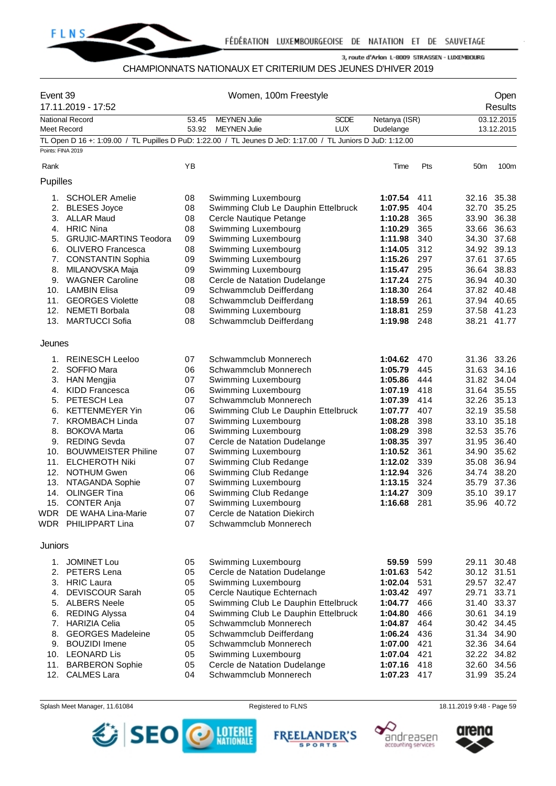

# CHAMPIONNATS NATIONAUX ET CRITERIUM DES JEUNES D'HIVER 2019

| Event 39<br>17.11.2019 - 17:52 |                                           | Women, 100m Freestyle                                        |                                                                                                                                    |            |                    |            | Open<br><b>Results</b>     |            |  |
|--------------------------------|-------------------------------------------|--------------------------------------------------------------|------------------------------------------------------------------------------------------------------------------------------------|------------|--------------------|------------|----------------------------|------------|--|
|                                | <b>National Record</b>                    | <b>MEYNEN Julie</b><br><b>SCDE</b><br>Netanya (ISR)<br>53.45 |                                                                                                                                    |            |                    | 03.12.2015 |                            |            |  |
| Meet Record                    |                                           | 53.92                                                        | <b>MEYNEN Julie</b><br>TL Open D 16 +: 1:09.00 / TL Pupilles D PuD: 1:22.00 / TL Jeunes D JeD: 1:17.00 / TL Juniors D JuD: 1:12.00 | <b>LUX</b> | Dudelange          |            |                            | 13.12.2015 |  |
| Points: FINA 2019              |                                           |                                                              |                                                                                                                                    |            |                    |            |                            |            |  |
| Rank                           |                                           | YB                                                           |                                                                                                                                    |            | Time               | Pts        | 50 <sub>m</sub>            | 100m       |  |
| Pupilles                       |                                           |                                                              |                                                                                                                                    |            |                    |            |                            |            |  |
| 1.                             | <b>SCHOLER Amelie</b>                     | 08                                                           | Swimming Luxembourg                                                                                                                |            | 1:07.54            | 411        | 32.16 35.38                |            |  |
|                                | 2. BLESES Joyce                           | 08                                                           | Swimming Club Le Dauphin Ettelbruck                                                                                                |            | 1:07.95            | 404        | 32.70 35.25                |            |  |
|                                | 3. ALLAR Maud                             | 08                                                           | Cercle Nautique Petange                                                                                                            |            | 1:10.28            | 365        | 33.90                      | 36.38      |  |
|                                | 4. HRIC Nina                              | 08                                                           | Swimming Luxembourg                                                                                                                |            | 1:10.29            | 365        | 33.66                      | 36.63      |  |
|                                | 5. GRUJIC-MARTINS Teodora                 | 09                                                           | Swimming Luxembourg                                                                                                                |            | 1:11.98            | 340        | 34.30 37.68                |            |  |
|                                | 6. OLIVERO Francesca                      | 08                                                           | Swimming Luxembourg                                                                                                                |            | 1:14.05            | 312        | 34.92 39.13                |            |  |
| 7.                             | <b>CONSTANTIN Sophia</b>                  | 09                                                           | Swimming Luxembourg                                                                                                                |            | 1:15.26            | 297        | 37.61                      | 37.65      |  |
| 8.<br>9.                       | MILANOVSKA Maja<br><b>WAGNER Caroline</b> | 09<br>08                                                     | Swimming Luxembourg                                                                                                                |            | 1:15.47<br>1:17.24 | 295<br>275 | 36.64 38.83<br>36.94 40.30 |            |  |
|                                | 10. LAMBIN Elisa                          | 09                                                           | Cercle de Natation Dudelange<br>Schwammclub Deifferdang                                                                            |            | 1:18.30            | 264        | 37.82 40.48                |            |  |
| 11.                            | <b>GEORGES Violette</b>                   | 08                                                           | Schwammclub Deifferdang                                                                                                            |            | 1:18.59            | 261        | 37.94 40.65                |            |  |
|                                | 12. NEMETI Borbala                        | 08                                                           | Swimming Luxembourg                                                                                                                |            | 1:18.81            | 259        | 37.58 41.23                |            |  |
|                                | 13. MARTUCCI Sofia                        | 08                                                           | Schwammclub Deifferdang                                                                                                            |            | 1:19.98            | 248        | 38.21 41.77                |            |  |
|                                |                                           |                                                              |                                                                                                                                    |            |                    |            |                            |            |  |
| Jeunes                         |                                           |                                                              |                                                                                                                                    |            |                    |            |                            |            |  |
| 1.                             | <b>REINESCH Leeloo</b>                    | 07                                                           | Schwammclub Monnerech                                                                                                              |            | 1:04.62            | 470        | 31.36 33.26                |            |  |
| 2.                             | SOFFIO Mara                               | 06                                                           | Schwammclub Monnerech                                                                                                              |            | 1:05.79            | 445        | 31.63 34.16                |            |  |
|                                | 3. HAN Mengjia                            | 07                                                           | Swimming Luxembourg                                                                                                                |            | 1:05.86            | 444        | 31.82 34.04                |            |  |
| 4.                             | <b>KIDD Francesca</b>                     | 06                                                           | Swimming Luxembourg                                                                                                                |            | 1:07.19            | 418        | 31.64 35.55                |            |  |
|                                | 5. PETESCH Lea                            | 07                                                           | Schwammclub Monnerech                                                                                                              |            | 1:07.39            | 414        | 32.26 35.13                |            |  |
| 6.                             | <b>KETTENMEYER Yin</b>                    | 06                                                           | Swimming Club Le Dauphin Ettelbruck                                                                                                |            | 1:07.77            | 407        | 32.19 35.58                |            |  |
| 7.                             | <b>KROMBACH Linda</b>                     | 07                                                           | Swimming Luxembourg                                                                                                                |            | 1:08.28            | 398        | 33.10 35.18                |            |  |
| 8.                             | <b>BOKOVA Marta</b>                       | 06                                                           | Swimming Luxembourg                                                                                                                |            | 1:08.29            | 398        | 32.53 35.76                |            |  |
|                                | 9. REDING Sevda                           | 07                                                           | Cercle de Natation Dudelange                                                                                                       |            | 1:08.35            | 397        | 31.95                      | 36.40      |  |
|                                | 10. BOUWMEISTER Philine                   | 07                                                           | Swimming Luxembourg                                                                                                                |            | 1:10.52            | 361        | 34.90                      | 35.62      |  |
| 11.                            | <b>ELCHEROTH Niki</b>                     | 07                                                           | Swimming Club Redange                                                                                                              |            | 1:12.02            | 339        | 35.08 36.94                |            |  |
| 12.                            | <b>NOTHUM Gwen</b>                        | 06                                                           | Swimming Club Redange                                                                                                              |            | 1:12.94            | 326        | 34.74 38.20                |            |  |
| 13.                            | NTAGANDA Sophie                           | 07                                                           | Swimming Luxembourg                                                                                                                |            | 1:13.15            | 324        | 35.79 37.36                |            |  |
|                                | 14. OLINGER Tina                          | 06                                                           | Swimming Club Redange                                                                                                              |            | 1:14.27            | 309        | 35.10 39.17                |            |  |
|                                | 15. CONTER Anja<br>WDR DE WAHA Lina-Marie | 07                                                           | Swimming Luxembourg                                                                                                                |            | 1:16.68            | 281        | 35.96 40.72                |            |  |
|                                | WDR PHILIPPART Lina                       | 07<br>07                                                     | Cercle de Natation Diekirch<br>Schwammclub Monnerech                                                                               |            |                    |            |                            |            |  |
|                                |                                           |                                                              |                                                                                                                                    |            |                    |            |                            |            |  |
| Juniors                        |                                           |                                                              |                                                                                                                                    |            |                    |            |                            |            |  |
| 1.                             | <b>JOMINET Lou</b>                        | 05                                                           | Swimming Luxembourg                                                                                                                |            | 59.59              | 599        | 29.11                      | 30.48      |  |
|                                | 2. PETERS Lena                            | 05                                                           | Cercle de Natation Dudelange                                                                                                       |            | 1:01.63            | 542        | 30.12 31.51                |            |  |
|                                | 3. HRIC Laura                             | 05                                                           | Swimming Luxembourg                                                                                                                |            | 1:02.04            | 531        | 29.57 32.47                |            |  |
| 4.                             | <b>DEVISCOUR Sarah</b>                    | 05                                                           | Cercle Nautique Echternach                                                                                                         |            | 1:03.42            | 497        | 29.71                      | 33.71      |  |
|                                | 5. ALBERS Neele                           | 05                                                           | Swimming Club Le Dauphin Ettelbruck                                                                                                |            | 1:04.77            | 466        | 31.40                      | 33.37      |  |
| 6.                             | <b>REDING Alyssa</b>                      | 04                                                           | Swimming Club Le Dauphin Ettelbruck                                                                                                |            | 1:04.80            | 466        | 30.61                      | 34.19      |  |
| 7.                             | <b>HARIZIA Celia</b>                      | 05                                                           | Schwammclub Monnerech                                                                                                              |            | 1:04.87            | 464        | 30.42 34.45                |            |  |
| 8.                             | <b>GEORGES Madeleine</b>                  | 05                                                           | Schwammclub Deifferdang                                                                                                            |            | 1:06.24            | 436        | 31.34 34.90                |            |  |
| 9.                             | <b>BOUZIDI</b> Imene                      | 05                                                           | Schwammclub Monnerech                                                                                                              |            | 1:07.00            | 421        | 32.36 34.64                |            |  |
|                                | 10. LEONARD Lis                           | 05                                                           | Swimming Luxembourg                                                                                                                |            | 1:07.04            | 421        | 32.22 34.82                |            |  |
| 11.<br>12.                     | <b>BARBERON Sophie</b>                    | 05<br>04                                                     | Cercle de Natation Dudelange<br>Schwammclub Monnerech                                                                              |            | 1:07.16<br>1:07.23 | 418<br>417 | 32.60 34.56                |            |  |
|                                | <b>CALMES Lara</b>                        |                                                              |                                                                                                                                    |            |                    |            | 31.99 35.24                |            |  |

Splash Meet Manager, 11.61084 **Registered to FLNS** Registered to FLNS 18.11.2019 9:48 - Page 59







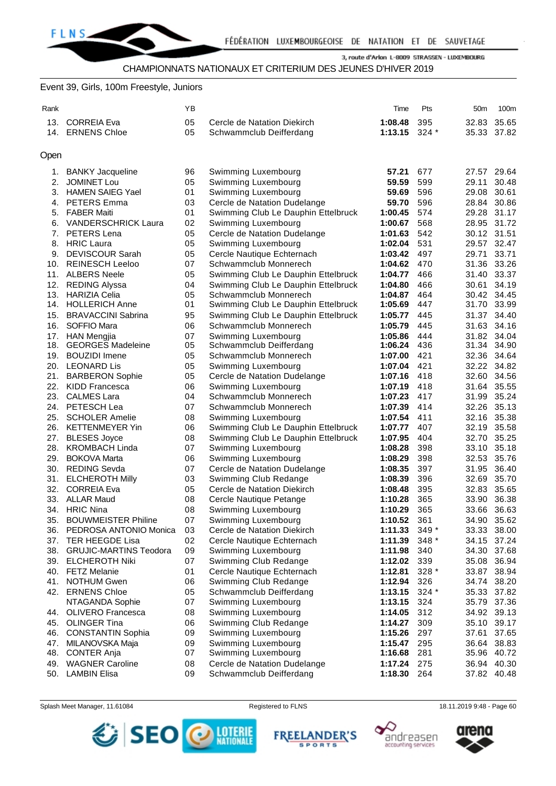# CHAMPIONNATS NATIONAUX ET CRITERIUM DES JEUNES D'HIVER 2019

#### Event 39, Girls, 100m Freestyle, Juniors

| Rank |                            | ΥB |                                     | Time        | Pts     | 50 <sub>m</sub> | 100m        |
|------|----------------------------|----|-------------------------------------|-------------|---------|-----------------|-------------|
| 13.  | <b>CORREIA Eva</b>         | 05 | Cercle de Natation Diekirch         | 1:08.48     | 395     | 32.83           | 35.65       |
|      | 14. ERNENS Chloe           | 05 | Schwammclub Deifferdang             | 1:13.15     | $324*$  |                 | 35.33 37.82 |
|      |                            |    |                                     |             |         |                 |             |
| Open |                            |    |                                     |             |         |                 |             |
| 1.   | <b>BANKY Jacqueline</b>    | 96 | Swimming Luxembourg                 | 57.21       | 677     |                 | 27.57 29.64 |
| 2.   | <b>JOMINET Lou</b>         | 05 | Swimming Luxembourg                 | 59.59       | 599     | 29.11           | 30.48       |
| 3.   | <b>HAMEN SAIEG Yael</b>    | 01 | Swimming Luxembourg                 | 59.69       | 596     | 29.08           | 30.61       |
| 4.   | <b>PETERS Emma</b>         | 03 | Cercle de Natation Dudelange        | 59.70       | 596     |                 | 28.84 30.86 |
| 5.   | <b>FABER Maiti</b>         | 01 | Swimming Club Le Dauphin Ettelbruck | 1:00.45     | 574     |                 | 29.28 31.17 |
| 6.   | <b>VANDERSCHRICK Laura</b> | 02 | Swimming Luxembourg                 | 1:00.67     | 568     |                 | 28.95 31.72 |
| 7.   | PETERS Lena                | 05 | Cercle de Natation Dudelange        | 1:01.63     | 542     | 30.12 31.51     |             |
| 8.   | <b>HRIC Laura</b>          | 05 | Swimming Luxembourg                 | 1:02.04     | 531     |                 | 29.57 32.47 |
| 9.   | <b>DEVISCOUR Sarah</b>     | 05 | Cercle Nautique Echternach          | 1:03.42     | 497     | 29.71           | 33.71       |
|      | 10. REINESCH Leeloo        | 07 | Schwammclub Monnerech               | 1:04.62     | 470     |                 | 31.36 33.26 |
| 11.  | <b>ALBERS Neele</b>        | 05 | Swimming Club Le Dauphin Ettelbruck | 1:04.77     | 466     |                 | 31.40 33.37 |
| 12.  | <b>REDING Alyssa</b>       | 04 | Swimming Club Le Dauphin Ettelbruck | 1:04.80     | 466     | 30.61           | 34.19       |
| 13.  | <b>HARIZIA Celia</b>       | 05 | Schwammclub Monnerech               | 1:04.87     | 464     |                 | 30.42 34.45 |
|      | 14. HOLLERICH Anne         | 01 | Swimming Club Le Dauphin Ettelbruck | 1:05.69     | 447     |                 | 31.70 33.99 |
| 15.  | <b>BRAVACCINI Sabrina</b>  | 95 | Swimming Club Le Dauphin Ettelbruck | 1:05.77     | 445     |                 | 31.37 34.40 |
| 16.  | SOFFIO Mara                | 06 | Schwammclub Monnerech               | 1:05.79     | 445     |                 | 31.63 34.16 |
|      | 17. HAN Mengjia            | 07 | Swimming Luxembourg                 | 1:05.86     | 444     |                 | 31.82 34.04 |
| 18.  | <b>GEORGES Madeleine</b>   | 05 | Schwammclub Deifferdang             | 1:06.24     | 436     | 31.34 34.90     |             |
|      | 19. BOUZIDI Imene          | 05 | Schwammclub Monnerech               | 1:07.00     | 421     |                 | 32.36 34.64 |
|      | 20. LEONARD Lis            | 05 | Swimming Luxembourg                 | 1:07.04     | 421     |                 | 32.22 34.82 |
| 21.  | <b>BARBERON Sophie</b>     | 05 | Cercle de Natation Dudelange        | 1:07.16     | 418     |                 | 32.60 34.56 |
|      | 22. KIDD Francesca         | 06 | Swimming Luxembourg                 | 1:07.19     | 418     |                 | 31.64 35.55 |
| 23.  | <b>CALMES Lara</b>         | 04 | Schwammclub Monnerech               | 1:07.23     | 417     |                 | 31.99 35.24 |
|      | 24. PETESCH Lea            | 07 | Schwammclub Monnerech               | 1:07.39     | 414     |                 | 32.26 35.13 |
|      | 25. SCHOLER Amelie         | 08 | Swimming Luxembourg                 | 1:07.54     | 411     |                 | 32.16 35.38 |
|      | 26. KETTENMEYER Yin        | 06 | Swimming Club Le Dauphin Ettelbruck | 1:07.77     | 407     |                 | 32.19 35.58 |
| 27.  | <b>BLESES Joyce</b>        | 08 | Swimming Club Le Dauphin Ettelbruck | 1:07.95     | 404     |                 | 32.70 35.25 |
| 28.  | <b>KROMBACH Linda</b>      | 07 | Swimming Luxembourg                 | 1:08.28     | 398     |                 | 33.10 35.18 |
| 29.  | <b>BOKOVA Marta</b>        | 06 | Swimming Luxembourg                 | 1:08.29     | 398     |                 | 32.53 35.76 |
|      | 30. REDING Sevda           | 07 | Cercle de Natation Dudelange        | 1:08.35     | 397     | 31.95           | 36.40       |
| 31.  | <b>ELCHEROTH Milly</b>     | 03 | Swimming Club Redange               | 1:08.39     | 396     | 32.69           | 35.70       |
|      | 32. CORREIA Eva            | 05 | Cercle de Natation Diekirch         | 1:08.48     | 395     | 32.83           | 35.65       |
|      | 33. ALLAR Maud             | 08 | Cercle Nautique Petange             | 1:10.28     | 365     | 33.90           | 36.38       |
|      | 34. HRIC Nina              | 08 | Swimming Luxembourg                 | 1:10.29     | 365     |                 | 33.66 36.63 |
|      | 35. BOUWMEISTER Philine    | 07 | Swimming Luxembourg                 | 1:10.52     | 361     |                 | 34.90 35.62 |
| 36.  | PEDROSA ANTONIO Monica     | 03 | Cercle de Natation Diekirch         | 1:11.33     | 349 *   |                 | 33.33 38.00 |
| 37.  | TER HEEGDE Lisa            | 02 | Cercle Nautique Echternach          | 1:11.39     | 348 *   |                 | 34.15 37.24 |
|      | 38. GRUJIC-MARTINS Teodora | 09 | Swimming Luxembourg                 | 1:11.98     | 340     |                 | 34.30 37.68 |
| 39.  | <b>ELCHEROTH Niki</b>      | 07 | Swimming Club Redange               | 1:12.02     | 339     |                 | 35.08 36.94 |
|      | 40. FETZ Melanie           | 01 | Cercle Nautique Echternach          | 1:12.81     | $328*$  |                 | 33.87 38.94 |
| 41.  | <b>NOTHUM Gwen</b>         | 06 | Swimming Club Redange               | 1:12.94     | 326     |                 | 34.74 38.20 |
|      | 42. ERNENS Chloe           | 05 | Schwammclub Deifferdang             | 1:13.15     | $324 *$ |                 | 35.33 37.82 |
|      | NTAGANDA Sophie            | 07 | Swimming Luxembourg                 | 1:13.15     | 324     |                 | 35.79 37.36 |
|      | 44. OLIVERO Francesca      | 08 | Swimming Luxembourg                 | 1:14.05     | 312     |                 | 34.92 39.13 |
| 45.  | <b>OLINGER Tina</b>        | 06 | Swimming Club Redange               | 1:14.27     | 309     |                 | 35.10 39.17 |
| 46.  | <b>CONSTANTIN Sophia</b>   | 09 | Swimming Luxembourg                 | 1:15.26     | 297     | 37.61           | 37.65       |
| 47.  | MILANOVSKA Maja            | 09 | Swimming Luxembourg                 | 1:15.47     | 295     |                 | 36.64 38.83 |
| 48.  | <b>CONTER Anja</b>         | 07 | Swimming Luxembourg                 | 1:16.68     | 281     |                 | 35.96 40.72 |
| 49.  | <b>WAGNER Caroline</b>     | 08 | Cercle de Natation Dudelange        | 1:17.24 275 |         |                 | 36.94 40.30 |
| 50.  | <b>LAMBIN Elisa</b>        | 09 | Schwammclub Deifferdang             | 1:18.30     | 264     |                 | 37.82 40.48 |

Splash Meet Manager, 11.61084 **Registered to FLNS** 18.11.2019 9:48 - Page 60



**FREELANDER'S SPORTS**